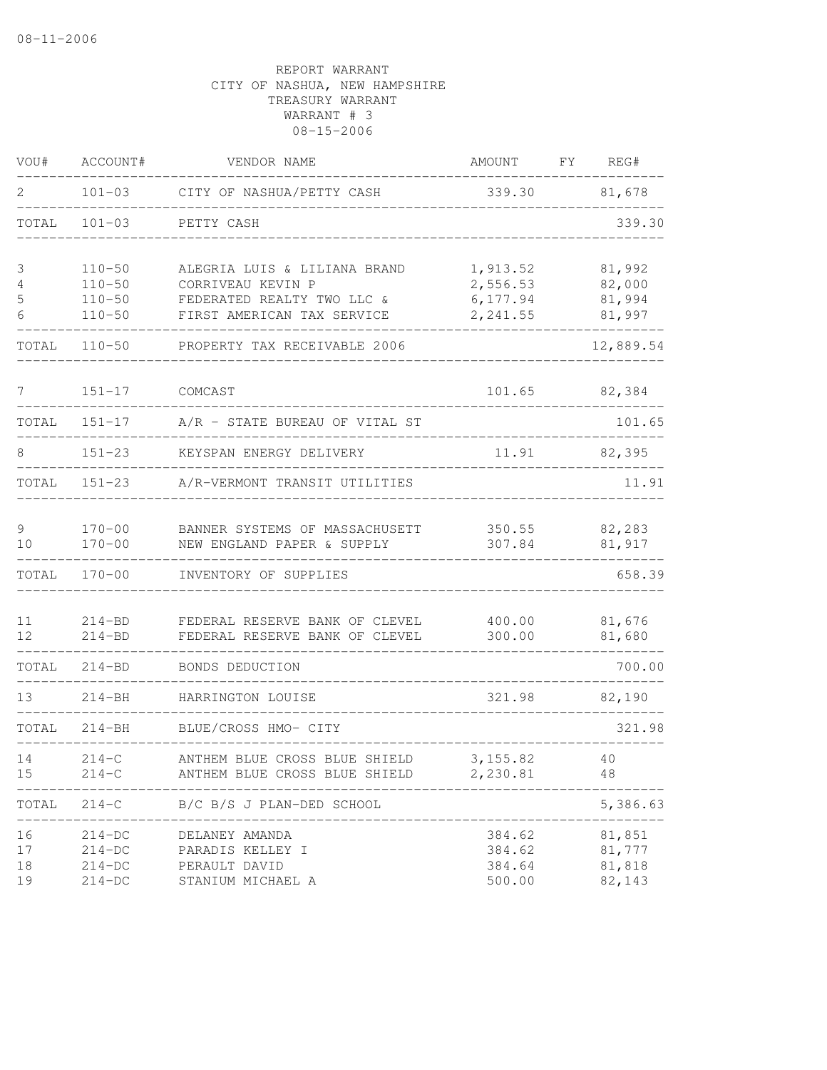| VOU#                  | ACCOUNT#                 | VENDOR NAME                                                      | AMOUNT           | FY | REG#             |
|-----------------------|--------------------------|------------------------------------------------------------------|------------------|----|------------------|
| 2                     | $101 - 03$               | CITY OF NASHUA/PETTY CASH                                        | 339.30           |    | 81,678           |
| TOTAL                 | $101 - 03$               | PETTY CASH                                                       |                  |    | 339.30           |
| 3                     | $110 - 50$               | ALEGRIA LUIS & LILIANA BRAND                                     | 1,913.52         |    | 81,992           |
| 4                     | $110 - 50$               | CORRIVEAU KEVIN P                                                | 2,556.53         |    | 82,000           |
| 5                     | $110 - 50$               | FEDERATED REALTY TWO LLC &                                       | 6,177.94         |    | 81,994           |
| 6                     | $110 - 50$               | FIRST AMERICAN TAX SERVICE                                       | 2,241.55         |    | 81,997           |
| TOTAL                 | $110 - 50$               | PROPERTY TAX RECEIVABLE 2006                                     |                  |    | 12,889.54        |
| $7^{\circ}$           | $151 - 17$               | COMCAST                                                          | 101.65           |    | 82,384           |
| TOTAL                 | $151 - 17$               | A/R - STATE BUREAU OF VITAL ST                                   |                  |    | 101.65           |
| 8                     | $151 - 23$               | KEYSPAN ENERGY DELIVERY                                          |                  |    | 11.91 82,395     |
| TOTAL                 |                          | 151-23 A/R-VERMONT TRANSIT UTILITIES                             |                  |    | 11.91            |
| 9                     | $170 - 00$               | BANNER SYSTEMS OF MASSACHUSETT                                   |                  |    | 350.55 82,283    |
| 10                    | $170 - 00$               | NEW ENGLAND PAPER & SUPPLY                                       | 307.84           |    | 81,917           |
| TOTAL                 | $170 - 00$               | INVENTORY OF SUPPLIES                                            |                  |    | 658.39           |
| 11<br>12 <sup>°</sup> | $214 - BD$<br>$214 - BD$ | FEDERAL RESERVE BANK OF CLEVEL<br>FEDERAL RESERVE BANK OF CLEVEL | 400.00<br>300.00 |    | 81,676<br>81,680 |
| TOTAL                 | $214 - BD$               | BONDS DEDUCTION                                                  |                  |    | 700.00           |
| 13                    | $214 - BH$               | HARRINGTON LOUISE                                                | 321.98           |    | 82,190           |
| TOTAL                 | $214 - BH$               | BLUE/CROSS HMO- CITY                                             |                  |    | 321.98           |
| 14                    | $214-C$                  | ANTHEM BLUE CROSS BLUE SHIELD 3,155.82                           |                  |    | 40               |
| 15                    | $214 - C$                | ANTHEM BLUE CROSS BLUE SHIELD                                    | 2,230.81         |    | 48               |
| TOTAL                 | $214 - C$                | B/C B/S J PLAN-DED SCHOOL                                        |                  |    | 5,386.63         |
| 16                    | $214-DC$                 | DELANEY AMANDA                                                   | 384.62           |    | 81,851           |
| 17                    | $214-DC$                 | PARADIS KELLEY I                                                 | 384.62           |    | 81,777           |
| 18<br>19              | $214-DC$                 | PERAULT DAVID                                                    | 384.64           |    | 81,818           |
|                       | $214-DC$                 | STANIUM MICHAEL A                                                | 500.00           |    | 82,143           |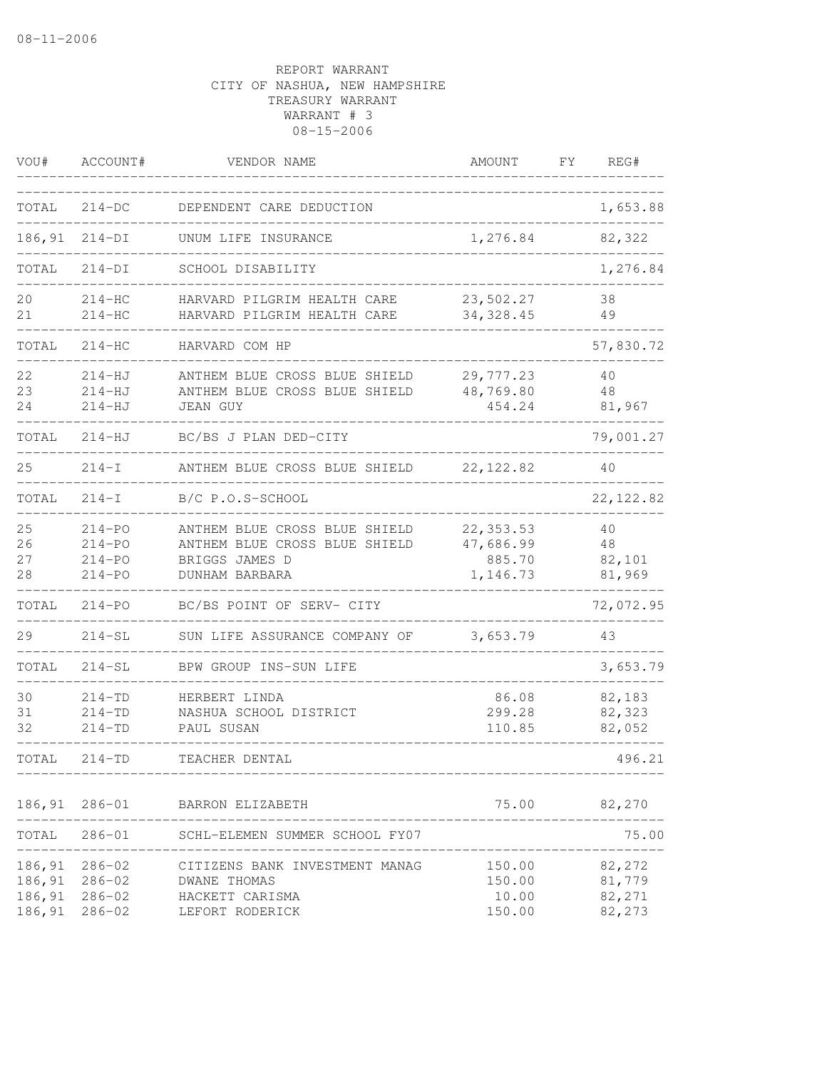| VOU#                                 | ACCOUNT#                                             | VENDOR NAME                                                                                        | AMOUNT                                        | FΥ | REG#                                 |
|--------------------------------------|------------------------------------------------------|----------------------------------------------------------------------------------------------------|-----------------------------------------------|----|--------------------------------------|
| TOTAL                                | $214-DC$                                             | DEPENDENT CARE DEDUCTION                                                                           |                                               |    | 1,653.88                             |
| 186,91                               | $214-DI$                                             | UNUM LIFE INSURANCE                                                                                | 1,276.84                                      |    | 82,322                               |
| TOTAL                                | $214-DI$                                             | SCHOOL DISABILITY                                                                                  |                                               |    | 1,276.84                             |
| 20<br>21                             | $214-HC$<br>$214-HC$                                 | HARVARD PILGRIM HEALTH CARE<br>HARVARD PILGRIM HEALTH CARE                                         | 23,502.27<br>34, 328.45                       |    | 38<br>49                             |
| TOTAL                                | $214-HC$                                             | HARVARD COM HP                                                                                     |                                               |    | 57,830.72                            |
| 22<br>23<br>24                       | $214-HJ$<br>$214-HJ$<br>$214 - HJ$                   | ANTHEM BLUE CROSS BLUE SHIELD<br>ANTHEM BLUE CROSS BLUE SHIELD<br><b>JEAN GUY</b>                  | 29,777.23<br>48,769.80<br>454.24              |    | 40<br>48<br>81,967                   |
| TOTAL                                | 214-HJ                                               | BC/BS J PLAN DED-CITY                                                                              |                                               |    | 79,001.27                            |
| 25                                   | $214-I$                                              | ANTHEM BLUE CROSS BLUE SHIELD                                                                      | 22, 122.82                                    |    | 40                                   |
| TOTAL                                | $214-I$                                              | B/C P.O.S-SCHOOL                                                                                   |                                               |    | 22, 122.82                           |
| 25<br>26<br>27<br>28                 | $214 - PQ$<br>$214 - PQ$<br>$214 - PO$<br>$214 - PQ$ | ANTHEM BLUE CROSS BLUE SHIELD<br>ANTHEM BLUE CROSS BLUE SHIELD<br>BRIGGS JAMES D<br>DUNHAM BARBARA | 22, 353.53<br>47,686.99<br>885.70<br>1,146.73 |    | 40<br>48<br>82,101<br>81,969         |
| TOTAL                                | $214 - PQ$                                           | BC/BS POINT OF SERV- CITY                                                                          |                                               |    | 72,072.95                            |
| 29                                   | $214 - SL$                                           | SUN LIFE ASSURANCE COMPANY OF                                                                      | 3,653.79                                      |    | 43                                   |
| TOTAL                                | $214 - SL$                                           | BPW GROUP INS-SUN LIFE                                                                             |                                               |    | 3,653.79                             |
| 30<br>31<br>32                       | $214 - TD$<br>$214 - TD$<br>$214 - TD$               | HERBERT LINDA<br>NASHUA SCHOOL DISTRICT<br>PAUL SUSAN                                              | 86.08<br>299.28<br>110.85                     |    | 82,183<br>82,323<br>82,052           |
| TOTAL                                | $214 - TD$                                           | TEACHER DENTAL                                                                                     |                                               |    | 496.21                               |
| 186,91                               | $286 - 01$                                           | BARRON ELIZABETH                                                                                   | 75.00                                         |    | 82,270                               |
| TOTAL                                | $286 - 01$                                           | SCHL-ELEMEN SUMMER SCHOOL FY07                                                                     |                                               |    | 75.00                                |
| 186,91<br>186,91<br>186,91<br>186,91 | $286 - 02$<br>$286 - 02$<br>$286 - 02$<br>$286 - 02$ | CITIZENS BANK INVESTMENT MANAG<br>DWANE THOMAS<br>HACKETT CARISMA<br>LEFORT RODERICK               | 150.00<br>150.00<br>10.00<br>150.00           |    | 82,272<br>81,779<br>82,271<br>82,273 |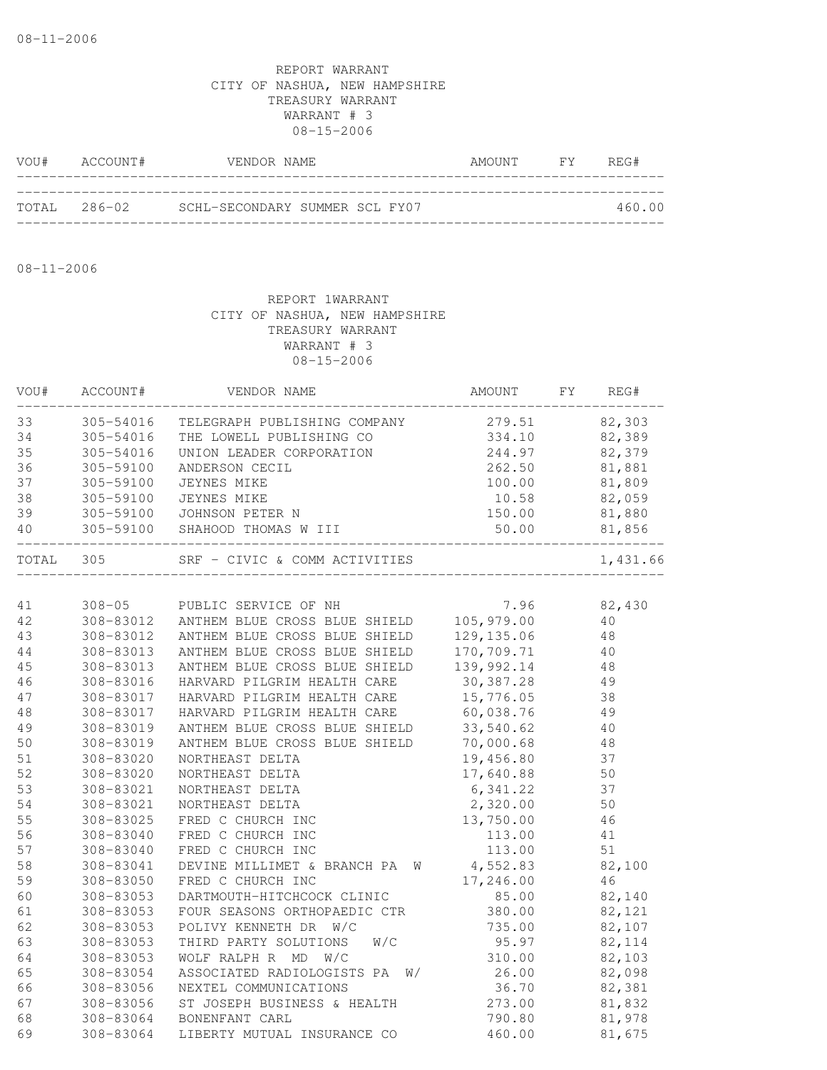| VOU# | ACCOUNT#      | VENDOR NAME                    | AMOUNT FY | REG#   |
|------|---------------|--------------------------------|-----------|--------|
|      |               |                                |           |        |
|      | ТОТАІ, 286-02 | SCHL-SECONDARY SUMMER SCL FY07 |           | 460.00 |

08-11-2006

| VOU#   | ACCOUNT#   | VENDOR NAME                      | AMOUNT      | FY | REG#     |
|--------|------------|----------------------------------|-------------|----|----------|
| 33     | 305-54016  | TELEGRAPH PUBLISHING COMPANY     | 279.51      |    | 82,303   |
| 34     | 305-54016  | THE LOWELL PUBLISHING CO         | 334.10      |    | 82,389   |
| 35     | 305-54016  | UNION LEADER CORPORATION         | 244.97      |    | 82,379   |
| 36     | 305-59100  | ANDERSON CECIL                   | 262.50      |    | 81,881   |
| 37     | 305-59100  | JEYNES MIKE                      | 100.00      |    | 81,809   |
| 38     | 305-59100  | JEYNES MIKE                      | 10.58       |    | 82,059   |
| 39     | 305-59100  | JOHNSON PETER N                  | 150.00      |    | 81,880   |
| 40     |            | 305-59100 SHAHOOD THOMAS W III   | 50.00       |    | 81,856   |
| TOTAL  | 305        | SRF - CIVIC & COMM ACTIVITIES    |             |    | 1,431.66 |
|        |            |                                  |             |    |          |
| 41     | $308 - 05$ | PUBLIC SERVICE OF NH             | 7.96        |    | 82,430   |
| 42     | 308-83012  | ANTHEM BLUE CROSS BLUE SHIELD    | 105,979.00  |    | 40       |
| 43     | 308-83012  | ANTHEM BLUE CROSS BLUE SHIELD    | 129, 135.06 |    | 48       |
| 44     | 308-83013  | ANTHEM BLUE CROSS BLUE SHIELD    | 170,709.71  |    | 40       |
| 45     | 308-83013  | ANTHEM BLUE CROSS BLUE SHIELD    | 139,992.14  |    | 48       |
| 46     | 308-83016  | HARVARD PILGRIM HEALTH CARE      | 30,387.28   |    | 49       |
| 47     | 308-83017  | HARVARD PILGRIM HEALTH CARE      | 15,776.05   |    | 38       |
| $4\,8$ | 308-83017  | HARVARD PILGRIM HEALTH CARE      | 60,038.76   |    | 49       |
| 49     | 308-83019  | ANTHEM BLUE CROSS BLUE SHIELD    | 33,540.62   |    | 40       |
| 50     | 308-83019  | ANTHEM BLUE CROSS BLUE SHIELD    | 70,000.68   |    | 48       |
| 51     | 308-83020  | NORTHEAST DELTA                  | 19,456.80   |    | 37       |
| 52     | 308-83020  | NORTHEAST DELTA                  | 17,640.88   |    | 50       |
| 53     | 308-83021  | NORTHEAST DELTA                  | 6,341.22    |    | 37       |
| 54     | 308-83021  | NORTHEAST DELTA                  | 2,320.00    |    | 50       |
| 55     | 308-83025  | FRED C CHURCH INC                | 13,750.00   |    | 46       |
| 56     | 308-83040  | FRED C CHURCH INC                | 113.00      |    | 41       |
| 57     | 308-83040  | FRED C CHURCH INC                | 113.00      |    | 51       |
| 58     | 308-83041  | DEVINE MILLIMET & BRANCH PA<br>W | 4,552.83    |    | 82,100   |
| 59     | 308-83050  | FRED C CHURCH INC                | 17,246.00   |    | 46       |
| 60     | 308-83053  | DARTMOUTH-HITCHCOCK CLINIC       | 85.00       |    | 82,140   |
| 61     | 308-83053  | FOUR SEASONS ORTHOPAEDIC CTR     | 380.00      |    | 82,121   |
| 62     | 308-83053  | POLIVY KENNETH DR W/C            | 735.00      |    | 82,107   |
| 63     | 308-83053  | THIRD PARTY SOLUTIONS<br>W/C     | 95.97       |    | 82,114   |
| 64     | 308-83053  | WOLF RALPH R MD W/C              | 310.00      |    | 82,103   |
| 65     | 308-83054  | W/<br>ASSOCIATED RADIOLOGISTS PA | 26.00       |    | 82,098   |
| 66     | 308-83056  | NEXTEL COMMUNICATIONS            | 36.70       |    | 82,381   |
| 67     | 308-83056  | ST JOSEPH BUSINESS & HEALTH      | 273.00      |    | 81,832   |
| 68     | 308-83064  | BONENFANT CARL                   | 790.80      |    | 81,978   |
| 69     | 308-83064  | LIBERTY MUTUAL INSURANCE CO      | 460.00      |    | 81,675   |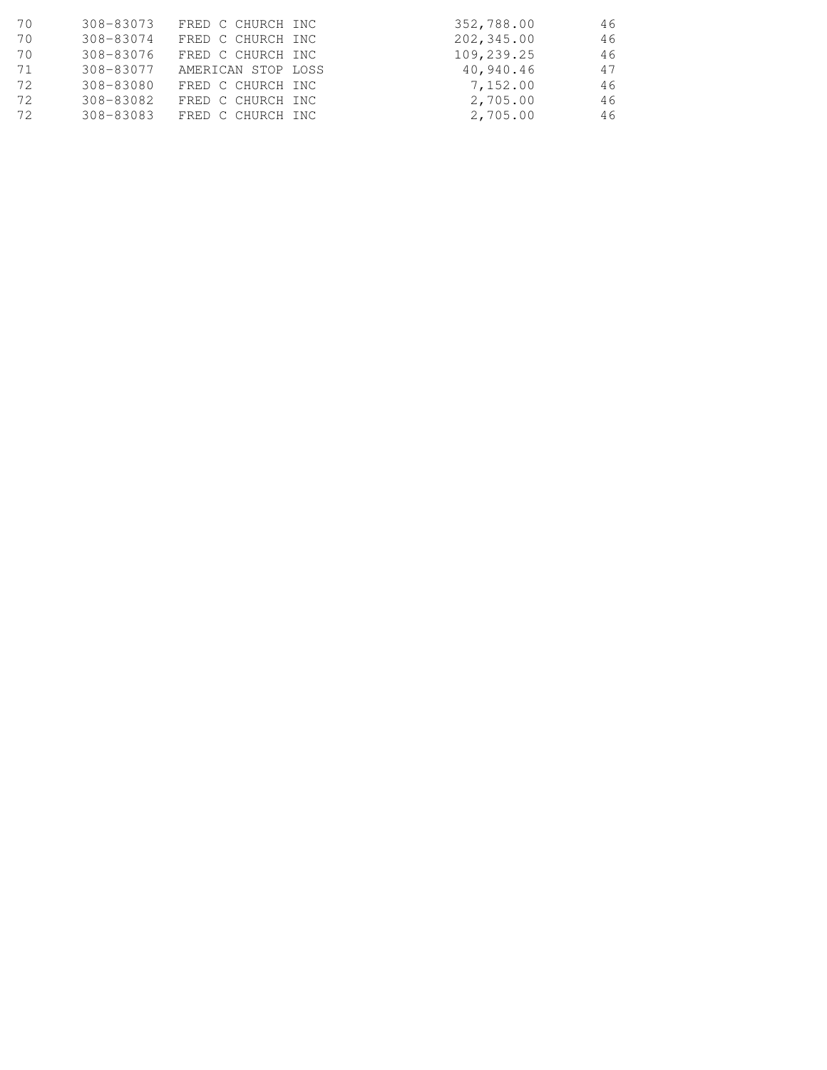| 70 | 308-83073 | FRED C CHURCH INC  | 352,788.00 | 46 |
|----|-----------|--------------------|------------|----|
| 70 | 308-83074 | FRED C CHURCH INC  | 202,345.00 | 46 |
| 70 | 308-83076 | FRED C CHURCH INC  | 109,239.25 | 46 |
| 71 | 308-83077 | AMERICAN STOP LOSS | 40,940.46  | 47 |
| 72 | 308-83080 | FRED C CHURCH INC  | 7,152.00   | 46 |
| 72 | 308-83082 | FRED C CHURCH INC  | 2,705.00   | 46 |
| 72 | 308-83083 | FRED C CHURCH INC  | 2,705.00   | 46 |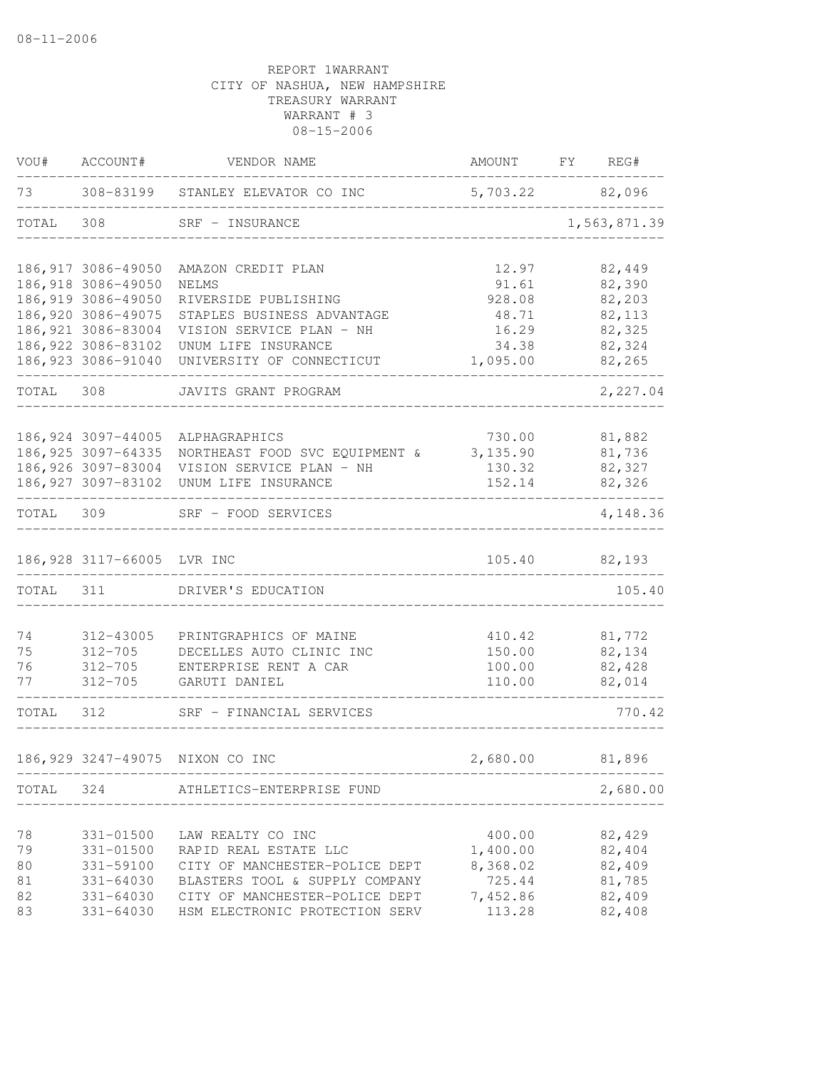| VOU#  | ACCOUNT#                   | VENDOR NAME                         | AMOUNT          | FY | REG#         |
|-------|----------------------------|-------------------------------------|-----------------|----|--------------|
| 73    |                            | 308-83199 STANLEY ELEVATOR CO INC   | 5,703.22 82,096 |    |              |
| TOTAL | 308                        | SRF - INSURANCE                     |                 |    | 1,563,871.39 |
|       | 186, 917 3086-49050        | AMAZON CREDIT PLAN                  | 12.97           |    | 82,449       |
|       | 186,918 3086-49050         | NELMS                               | 91.61           |    | 82,390       |
|       | 186,919 3086-49050         | RIVERSIDE PUBLISHING                | 928.08          |    | 82,203       |
|       | 186,920 3086-49075         | STAPLES BUSINESS ADVANTAGE          | 48.71           |    | 82,113       |
|       | 186, 921 3086-83004        | VISION SERVICE PLAN - NH            | 16.29           |    | 82,325       |
|       | 186, 922 3086-83102        | UNUM LIFE INSURANCE                 | 34.38           |    | 82,324       |
|       | 186, 923 3086-91040        | UNIVERSITY OF CONNECTICUT           | 1,095.00        |    | 82,265       |
| TOTAL | 308                        | JAVITS GRANT PROGRAM                |                 |    | 2,227.04     |
|       | 186, 924 3097-44005        | ALPHAGRAPHICS                       | 730.00          |    | 81,882       |
|       | 186, 925 3097-64335        | NORTHEAST FOOD SVC EQUIPMENT &      | 3,135.90        |    | 81,736       |
|       | 186,926 3097-83004         | VISION SERVICE PLAN - NH            | 130.32          |    | 82,327       |
|       | 186, 927 3097-83102        | UNUM LIFE INSURANCE                 | 152.14          |    | 82,326       |
| TOTAL | 309                        | SRF - FOOD SERVICES                 |                 |    | 4,148.36     |
|       | 186,928 3117-66005 LVR INC |                                     | 105.40          |    | 82,193       |
| TOTAL | 311                        | DRIVER'S EDUCATION                  | ------------    |    | 105.40       |
|       |                            |                                     |                 |    |              |
| 74    | 312-43005                  | PRINTGRAPHICS OF MAINE              | 410.42          |    | 81,772       |
| 75    | $312 - 705$                | DECELLES AUTO CLINIC INC            | 150.00          |    | 82,134       |
| 76    | $312 - 705$                | ENTERPRISE RENT A CAR               | 100.00          |    | 82,428       |
| 77    | $312 - 705$                | GARUTI DANIEL                       | 110.00          |    | 82,014       |
| TOTAL | 312                        | SRF - FINANCIAL SERVICES            |                 |    | 770.42       |
|       | 186,929 3247-49075         | NIXON CO INC                        | 2,680.00        |    | 81,896       |
|       |                            | TOTAL 324 ATHLETICS-ENTERPRISE FUND |                 |    | 2,680.00     |
|       |                            |                                     |                 |    |              |
| 78    | 331-01500                  | LAW REALTY CO INC                   | 400.00          |    | 82,429       |
| 79    | 331-01500                  | RAPID REAL ESTATE LLC               | 1,400.00        |    | 82,404       |
| 80    | 331-59100                  | CITY OF MANCHESTER-POLICE DEPT      | 8,368.02        |    | 82,409       |
| 81    | $331 - 64030$              | BLASTERS TOOL & SUPPLY COMPANY      | 725.44          |    | 81,785       |
| 82    | 331-64030                  | CITY OF MANCHESTER-POLICE DEPT      | 7,452.86        |    | 82,409       |
| 83    | 331-64030                  | HSM ELECTRONIC PROTECTION SERV      | 113.28          |    | 82,408       |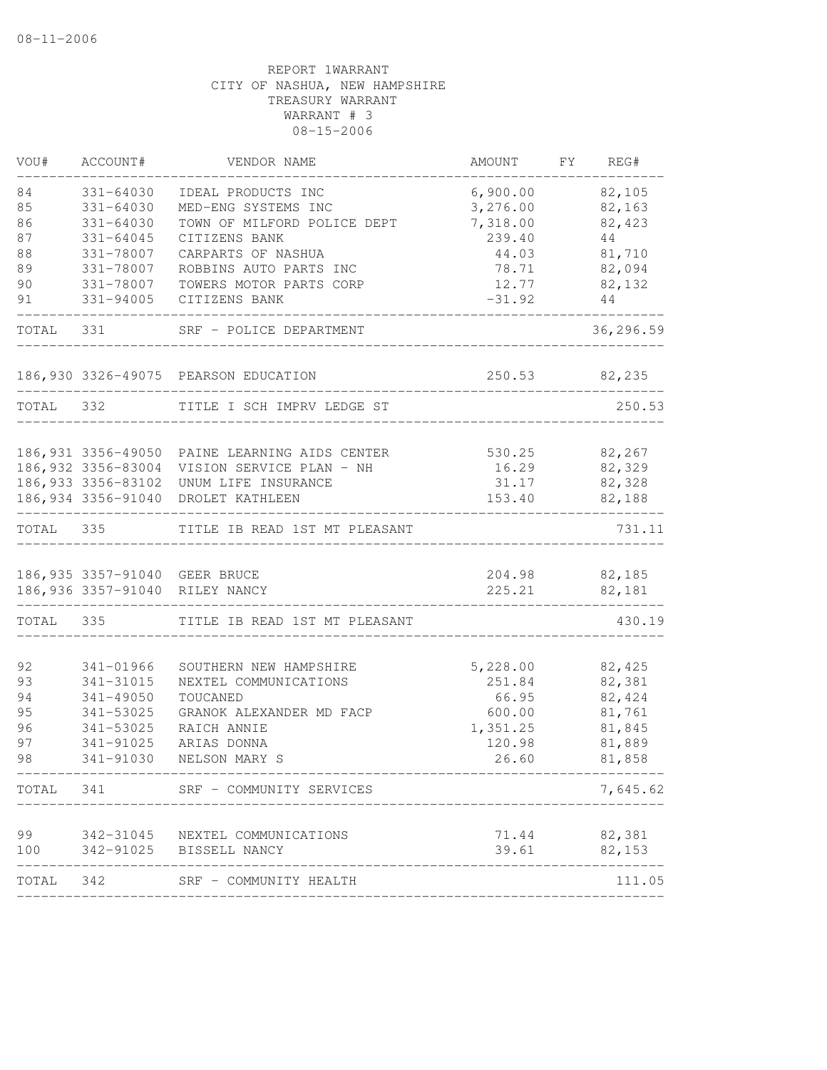| VOU#      | ACCOUNT#            | VENDOR NAME                                   | AMOUNT   | FY | REG#      |
|-----------|---------------------|-----------------------------------------------|----------|----|-----------|
| 84        | 331-64030           | IDEAL PRODUCTS INC                            | 6,900.00 |    | 82,105    |
| 85        | $331 - 64030$       | MED-ENG SYSTEMS INC                           | 3,276.00 |    | 82,163    |
| 86        | $331 - 64030$       | TOWN OF MILFORD POLICE DEPT                   | 7,318.00 |    | 82,423    |
| 87        | 331-64045           | CITIZENS BANK                                 | 239.40   |    | 44        |
| 88        | 331-78007           | CARPARTS OF NASHUA                            | 44.03    |    | 81,710    |
| 89        | 331-78007           | ROBBINS AUTO PARTS INC                        | 78.71    |    | 82,094    |
| 90        | 331-78007           | TOWERS MOTOR PARTS CORP                       | 12.77    |    | 82,132    |
| 91        | 331-94005           | CITIZENS BANK                                 | $-31.92$ |    | 44        |
| TOTAL     | 331                 | SRF - POLICE DEPARTMENT                       |          |    | 36,296.59 |
|           |                     | 186,930 3326-49075 PEARSON EDUCATION          | 250.53   |    | 82,235    |
| TOTAL     | 332                 | TITLE I SCH IMPRV LEDGE ST                    |          |    | 250.53    |
|           |                     |                                               |          |    |           |
|           |                     | 186,931 3356-49050 PAINE LEARNING AIDS CENTER | 530.25   |    | 82,267    |
|           | 186,932 3356-83004  | VISION SERVICE PLAN - NH                      | 16.29    |    | 82,329    |
|           | 186, 933 3356-83102 | UNUM LIFE INSURANCE                           | 31.17    |    | 82,328    |
|           | 186, 934 3356-91040 | DROLET KATHLEEN                               | 153.40   |    | 82,188    |
| TOTAL     | 335                 | TITLE IB READ 1ST MT PLEASANT                 |          |    | 731.11    |
|           |                     | 186,935 3357-91040 GEER BRUCE                 | 204.98   |    | 82,185    |
|           |                     | 186,936 3357-91040 RILEY NANCY                | 225.21   |    | 82,181    |
|           |                     |                                               |          |    |           |
| TOTAL     | 335                 | TITLE IB READ 1ST MT PLEASANT                 |          |    | 430.19    |
| 92        | 341-01966           | SOUTHERN NEW HAMPSHIRE                        | 5,228.00 |    | 82,425    |
| 93        | 341-31015           | NEXTEL COMMUNICATIONS                         | 251.84   |    | 82,381    |
| 94        | 341-49050           | TOUCANED                                      | 66.95    |    | 82,424    |
| 95        | 341-53025           | GRANOK ALEXANDER MD FACP                      | 600.00   |    | 81,761    |
| 96        | 341-53025           | RAICH ANNIE                                   | 1,351.25 |    | 81,845    |
| 97        | 341-91025           | ARIAS DONNA                                   | 120.98   |    | 81,889    |
| 98        | 341-91030           | NELSON MARY S                                 | 26.60    |    | 81,858    |
| TOTAL 341 |                     | SRF - COMMUNITY SERVICES                      |          |    | 7,645.62  |
| 99        |                     | 342-31045 NEXTEL COMMUNICATIONS               | 71.44    |    | 82,381    |
| 100       |                     | 342-91025 BISSELL NANCY                       | 39.61    |    | 82,153    |
| TOTAL 342 |                     | SRF - COMMUNITY HEALTH                        |          |    | 111.05    |
|           |                     |                                               |          |    |           |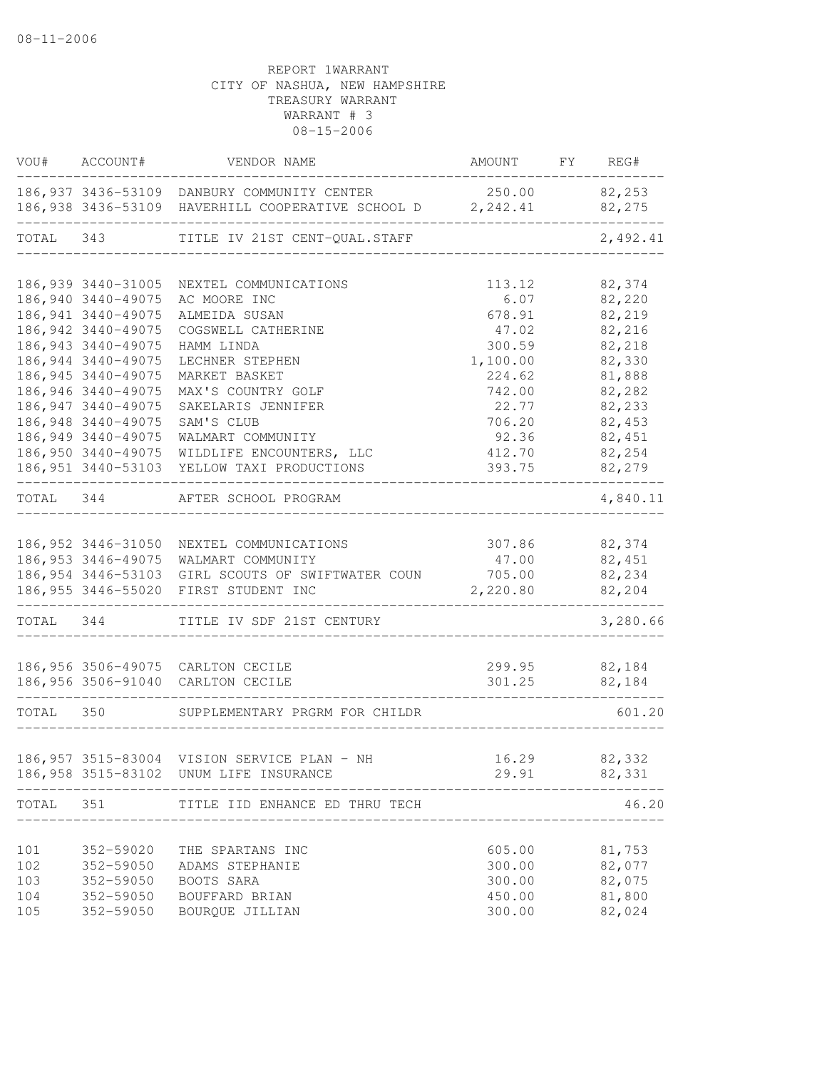| VOU#      | ACCOUNT#            | VENDOR NAME                                                                                               | AMOUNT FY REG# |                  |
|-----------|---------------------|-----------------------------------------------------------------------------------------------------------|----------------|------------------|
|           |                     | 186,937 3436-53109 DANBURY COMMUNITY CENTER<br>186,938 3436-53109 HAVERHILL COOPERATIVE SCHOOL D 2,242.41 | 250.00         | 82,253<br>82,275 |
| TOTAL 343 |                     | TITLE IV 21ST CENT-QUAL.STAFF                                                                             |                | 2,492.41         |
|           |                     |                                                                                                           |                |                  |
|           | 186,939 3440-31005  | NEXTEL COMMUNICATIONS                                                                                     | 113.12         | 82,374           |
|           | 186,940 3440-49075  | AC MOORE INC                                                                                              | 6.07           | 82,220           |
|           | 186, 941 3440-49075 | ALMEIDA SUSAN                                                                                             | 678.91         | 82,219           |
|           | 186,942 3440-49075  | COGSWELL CATHERINE                                                                                        | 47.02          | 82,216           |
|           | 186, 943 3440-49075 | HAMM LINDA                                                                                                | 300.59         | 82,218           |
|           | 186, 944 3440-49075 | LECHNER STEPHEN                                                                                           | 1,100.00       | 82,330           |
|           | 186, 945 3440-49075 | MARKET BASKET                                                                                             | 224.62         | 81,888           |
|           | 186, 946 3440-49075 | MAX'S COUNTRY GOLF                                                                                        | 742.00         | 82,282           |
|           | 186, 947 3440-49075 | SAKELARIS JENNIFER                                                                                        | 22.77          | 82,233           |
|           | 186,948 3440-49075  | SAM'S CLUB                                                                                                | 706.20         | 82,453           |
|           | 186,949 3440-49075  | WALMART COMMUNITY                                                                                         | 92.36          | 82,451           |
|           | 186,950 3440-49075  | WILDLIFE ENCOUNTERS, LLC                                                                                  | 412.70         | 82,254           |
|           | 186,951 3440-53103  | YELLOW TAXI PRODUCTIONS                                                                                   | 393.75         | 82,279           |
| TOTAL 344 |                     | AFTER SCHOOL PROGRAM                                                                                      |                | 4,840.11         |
|           |                     |                                                                                                           |                |                  |
|           |                     | 186,952 3446-31050 NEXTEL COMMUNICATIONS                                                                  | 307.86         | 82,374           |
|           |                     | 186,953 3446-49075 WALMART COMMUNITY                                                                      | 47.00          | 82,451           |
|           |                     | 186,954 3446-53103 GIRL SCOUTS OF SWIFTWATER COUN                                                         | 705.00         | 82,234           |
|           | 186,955 3446-55020  | FIRST STUDENT INC                                                                                         | 2,220.80       | 82,204           |
| TOTAL 344 |                     | TITLE IV SDF 21ST CENTURY                                                                                 |                | 3,280.66         |
|           |                     | 186,956 3506-49075 CARLTON CECILE                                                                         | 299.95         | 82,184           |
|           |                     | 186,956 3506-91040 CARLTON CECILE                                                                         | 301.25         | 82,184           |
| TOTAL 350 |                     | SUPPLEMENTARY PRGRM FOR CHILDR                                                                            |                | 601.20           |
|           |                     |                                                                                                           |                |                  |
|           |                     | 186,957 3515-83004 VISION SERVICE PLAN - NH                                                               | 16.29          | 82,332           |
|           |                     | 186,958 3515-83102 UNUM LIFE INSURANCE                                                                    | 29.91          | 82,331           |
| TOTAL     | 351                 | TITLE IID ENHANCE ED THRU TECH                                                                            |                | 46.20            |
|           |                     |                                                                                                           |                |                  |
| 101       | 352-59020           | THE SPARTANS INC                                                                                          | 605.00         | 81,753           |
| 102       | 352-59050           | ADAMS STEPHANIE                                                                                           | 300.00         | 82,077           |
| 103       | 352-59050           | BOOTS SARA                                                                                                | 300.00         | 82,075           |
| 104       | 352-59050           | BOUFFARD BRIAN                                                                                            | 450.00         | 81,800           |
| 105       | 352-59050           | BOURQUE JILLIAN                                                                                           | 300.00         | 82,024           |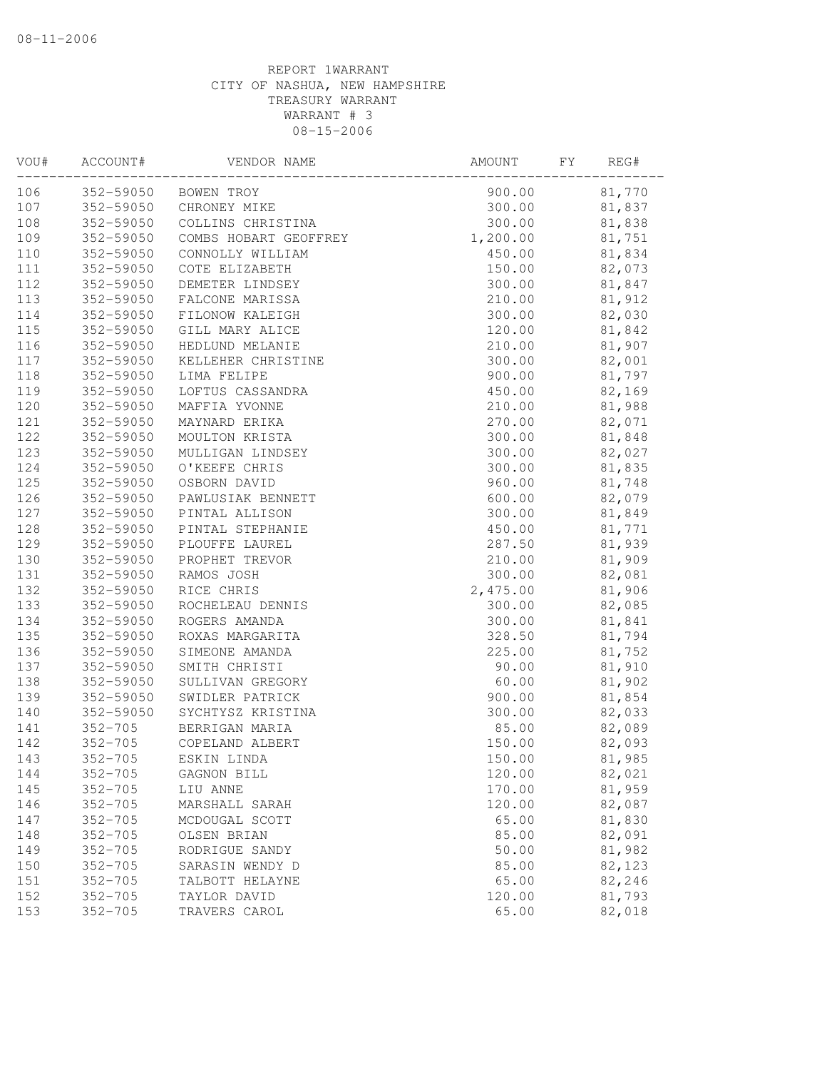| VOU# | ACCOUNT#      | VENDOR NAME           | AMOUNT   | FΥ | REG#   |
|------|---------------|-----------------------|----------|----|--------|
| 106  | 352-59050     | BOWEN TROY            | 900.00   |    | 81,770 |
| 107  | 352-59050     | CHRONEY MIKE          | 300.00   |    | 81,837 |
| 108  | 352-59050     | COLLINS CHRISTINA     | 300.00   |    | 81,838 |
| 109  | 352-59050     | COMBS HOBART GEOFFREY | 1,200.00 |    | 81,751 |
| 110  | 352-59050     | CONNOLLY WILLIAM      | 450.00   |    | 81,834 |
| 111  | 352-59050     | COTE ELIZABETH        | 150.00   |    | 82,073 |
| 112  | 352-59050     | DEMETER LINDSEY       | 300.00   |    | 81,847 |
| 113  | 352-59050     | FALCONE MARISSA       | 210.00   |    | 81,912 |
| 114  | 352-59050     | FILONOW KALEIGH       | 300.00   |    | 82,030 |
| 115  | 352-59050     | GILL MARY ALICE       | 120.00   |    | 81,842 |
| 116  | 352-59050     | HEDLUND MELANIE       | 210.00   |    | 81,907 |
| 117  | 352-59050     | KELLEHER CHRISTINE    | 300.00   |    | 82,001 |
| 118  | 352-59050     | LIMA FELIPE           | 900.00   |    | 81,797 |
| 119  | 352-59050     | LOFTUS CASSANDRA      | 450.00   |    | 82,169 |
| 120  | 352-59050     | MAFFIA YVONNE         | 210.00   |    | 81,988 |
| 121  | 352-59050     | MAYNARD ERIKA         | 270.00   |    | 82,071 |
| 122  | 352-59050     | MOULTON KRISTA        | 300.00   |    | 81,848 |
| 123  | 352-59050     | MULLIGAN LINDSEY      | 300.00   |    | 82,027 |
| 124  | 352-59050     | O'KEEFE CHRIS         | 300.00   |    | 81,835 |
| 125  | 352-59050     | OSBORN DAVID          | 960.00   |    | 81,748 |
| 126  | 352-59050     | PAWLUSIAK BENNETT     | 600.00   |    | 82,079 |
| 127  | 352-59050     | PINTAL ALLISON        | 300.00   |    | 81,849 |
| 128  | 352-59050     | PINTAL STEPHANIE      | 450.00   |    | 81,771 |
| 129  | 352-59050     | PLOUFFE LAUREL        | 287.50   |    | 81,939 |
| 130  | $352 - 59050$ | PROPHET TREVOR        | 210.00   |    | 81,909 |
| 131  | 352-59050     | RAMOS JOSH            | 300.00   |    | 82,081 |
| 132  | 352-59050     | RICE CHRIS            | 2,475.00 |    | 81,906 |
| 133  | 352-59050     | ROCHELEAU DENNIS      | 300.00   |    | 82,085 |
| 134  | 352-59050     | ROGERS AMANDA         | 300.00   |    | 81,841 |
| 135  | 352-59050     | ROXAS MARGARITA       | 328.50   |    | 81,794 |
| 136  | 352-59050     | SIMEONE AMANDA        | 225.00   |    | 81,752 |
| 137  | 352-59050     | SMITH CHRISTI         | 90.00    |    | 81,910 |
| 138  | 352-59050     | SULLIVAN GREGORY      | 60.00    |    | 81,902 |
| 139  | 352-59050     | SWIDLER PATRICK       | 900.00   |    | 81,854 |
| 140  | 352-59050     | SYCHTYSZ KRISTINA     | 300.00   |    | 82,033 |
| 141  | $352 - 705$   | BERRIGAN MARIA        | 85.00    |    | 82,089 |
| 142  | $352 - 705$   | COPELAND ALBERT       | 150.00   |    | 82,093 |
| 143  | $352 - 705$   | ESKIN LINDA           | 150.00   |    | 81,985 |
| 144  | $352 - 705$   | GAGNON BILL           | 120.00   |    | 82,021 |
| 145  | $352 - 705$   | LIU ANNE              | 170.00   |    | 81,959 |
| 146  | $352 - 705$   | MARSHALL SARAH        | 120.00   |    | 82,087 |
| 147  | $352 - 705$   | MCDOUGAL SCOTT        | 65.00    |    | 81,830 |
| 148  | $352 - 705$   | OLSEN BRIAN           | 85.00    |    | 82,091 |
| 149  | $352 - 705$   | RODRIGUE SANDY        | 50.00    |    | 81,982 |
| 150  | $352 - 705$   | SARASIN WENDY D       | 85.00    |    | 82,123 |
| 151  | $352 - 705$   | TALBOTT HELAYNE       | 65.00    |    | 82,246 |
| 152  | $352 - 705$   | TAYLOR DAVID          | 120.00   |    | 81,793 |
| 153  | $352 - 705$   | TRAVERS CAROL         | 65.00    |    | 82,018 |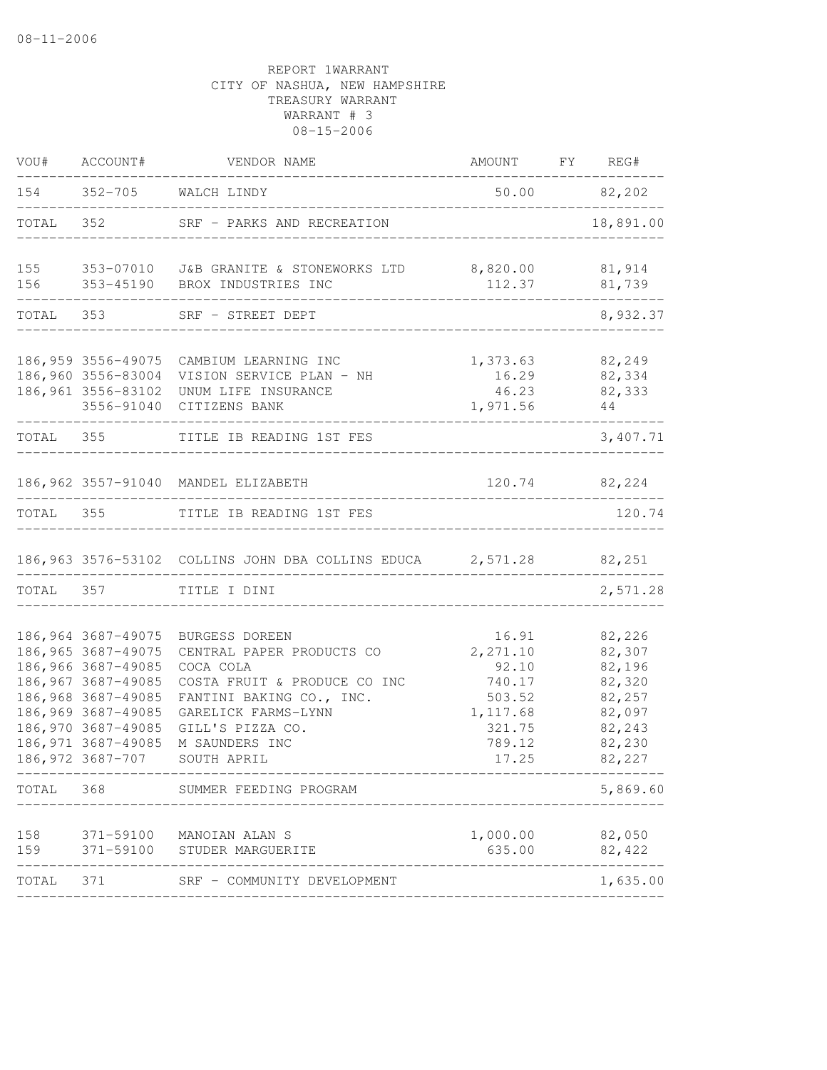| VOU#       | ACCOUNT#                                                                                                                                                                                           | VENDOR NAME                                                                                                                                                                                      | AMOUNT FY REG#                                                                           |                                                                                        |
|------------|----------------------------------------------------------------------------------------------------------------------------------------------------------------------------------------------------|--------------------------------------------------------------------------------------------------------------------------------------------------------------------------------------------------|------------------------------------------------------------------------------------------|----------------------------------------------------------------------------------------|
|            |                                                                                                                                                                                                    | 154 352-705 WALCH LINDY                                                                                                                                                                          |                                                                                          | 50.00 82,202<br>___________                                                            |
| TOTAL      | 352                                                                                                                                                                                                | SRF - PARKS AND RECREATION                                                                                                                                                                       | ___________________________________                                                      | 18,891.00                                                                              |
|            |                                                                                                                                                                                                    |                                                                                                                                                                                                  |                                                                                          | 81,914<br>81,739                                                                       |
|            | TOTAL 353                                                                                                                                                                                          | SRF - STREET DEPT                                                                                                                                                                                |                                                                                          | 8,932.37                                                                               |
|            | 186,959 3556-49075<br>3556-91040                                                                                                                                                                   | CAMBIUM LEARNING INC<br>186,960 3556-83004 VISION SERVICE PLAN - NH<br>186,961 3556-83102 UNUM LIFE INSURANCE<br>CITIZENS BANK                                                                   | 1,373.63<br>16.29<br>46.23<br>1,971.56                                                   | 82,249<br>82,334<br>82,333<br>44                                                       |
|            |                                                                                                                                                                                                    | TOTAL 355 TITLE IB READING 1ST FES<br>_______________                                                                                                                                            |                                                                                          | 3,407.71                                                                               |
|            |                                                                                                                                                                                                    | 186,962 3557-91040 MANDEL ELIZABETH                                                                                                                                                              |                                                                                          | 120.74 82,224                                                                          |
|            |                                                                                                                                                                                                    | TOTAL 355 TITLE IB READING 1ST FES                                                                                                                                                               |                                                                                          | 120.74                                                                                 |
|            |                                                                                                                                                                                                    | 186,963 3576-53102 COLLINS JOHN DBA COLLINS EDUCA 2,571.28 82,251                                                                                                                                |                                                                                          |                                                                                        |
|            | TOTAL 357                                                                                                                                                                                          | TITLE I DINI                                                                                                                                                                                     |                                                                                          | 2,571.28                                                                               |
|            | 186,964 3687-49075<br>186,965 3687-49075<br>186,966 3687-49085<br>186,967 3687-49085<br>186,968 3687-49085<br>186,969 3687-49085<br>186,970 3687-49085<br>186, 971 3687-49085<br>186, 972 3687-707 | BURGESS DOREEN<br>CENTRAL PAPER PRODUCTS CO<br>COCA COLA<br>COSTA FRUIT & PRODUCE CO INC<br>FANTINI BAKING CO., INC.<br>GARELICK FARMS-LYNN<br>GILL'S PIZZA CO.<br>M SAUNDERS INC<br>SOUTH APRIL | 16.91<br>2, 271.10<br>92.10<br>740.17<br>503.52<br>1,117.68<br>321.75<br>789.12<br>17.25 | 82,226<br>82,307<br>82,196<br>82,320<br>82,257<br>82,097<br>82,243<br>82,230<br>82,227 |
| TOTAL 368  |                                                                                                                                                                                                    | SUMMER FEEDING PROGRAM<br>-----------                                                                                                                                                            |                                                                                          | 5,869.60                                                                               |
| 158<br>159 |                                                                                                                                                                                                    | 371-59100 MANOIAN ALAN S<br>371-59100 STUDER MARGUERITE                                                                                                                                          | 1,000.00<br>635.00                                                                       | 82,050<br>82,422                                                                       |
| TOTAL      | 371                                                                                                                                                                                                | SRF - COMMUNITY DEVELOPMENT                                                                                                                                                                      |                                                                                          | 1,635.00                                                                               |
|            |                                                                                                                                                                                                    |                                                                                                                                                                                                  |                                                                                          |                                                                                        |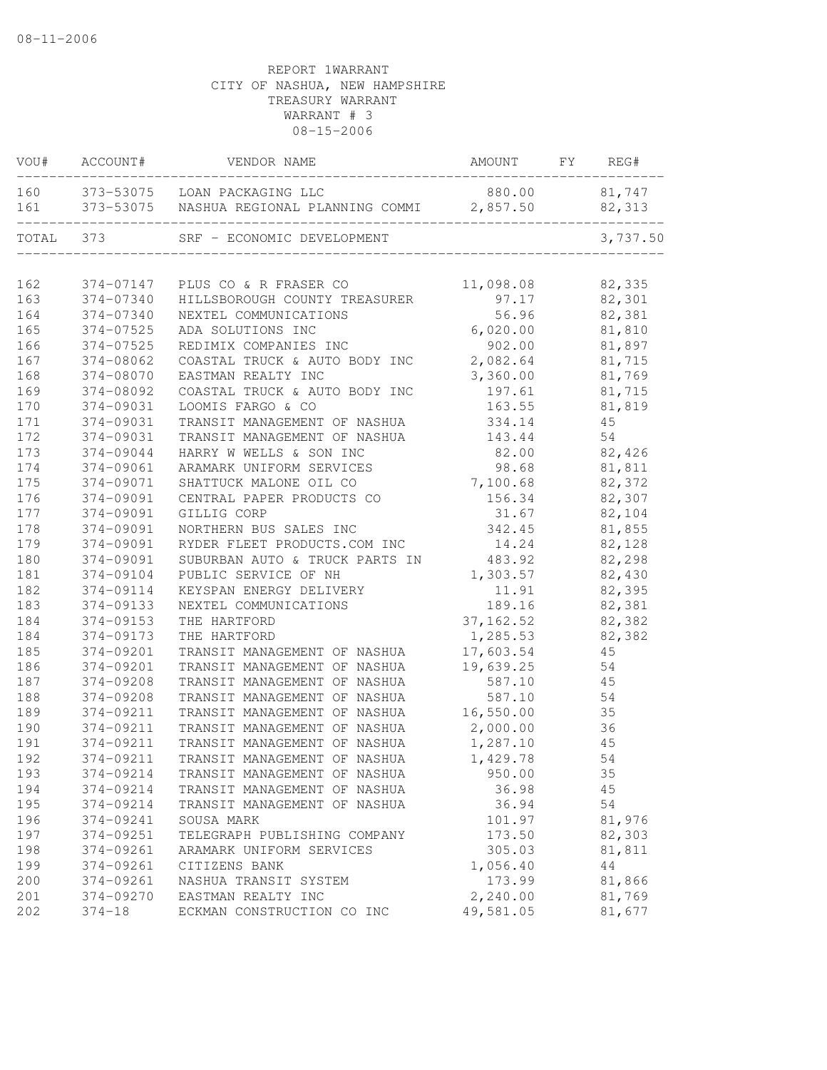| VOU#      | ACCOUNT#   | VENDOR NAME                                           | AMOUNT        | FY | REG#     |
|-----------|------------|-------------------------------------------------------|---------------|----|----------|
|           |            | 160 373-53075 LOAN PACKAGING LLC                      | 880.00 81,747 |    |          |
|           |            | 161 373-53075 NASHUA REGIONAL PLANNING COMMI 2,857.50 |               |    | 82,313   |
| TOTAL 373 |            | SRF - ECONOMIC DEVELOPMENT                            |               |    | 3,737.50 |
|           |            |                                                       |               |    |          |
| 162       |            | 374-07147 PLUS CO & R FRASER CO                       | 11,098.08     |    | 82,335   |
| 163       | 374-07340  | HILLSBOROUGH COUNTY TREASURER                         | 97.17         |    | 82,301   |
| 164       | 374-07340  | NEXTEL COMMUNICATIONS                                 | 56.96         |    | 82,381   |
| 165       | 374-07525  | ADA SOLUTIONS INC                                     | 6,020.00      |    | 81,810   |
| 166       | 374-07525  | REDIMIX COMPANIES INC                                 | 902.00        |    | 81,897   |
| 167       | 374-08062  | COASTAL TRUCK & AUTO BODY INC                         | 2,082.64      |    | 81,715   |
| 168       | 374-08070  | EASTMAN REALTY INC                                    | 3,360.00      |    | 81,769   |
| 169       | 374-08092  | COASTAL TRUCK & AUTO BODY INC                         | 197.61        |    | 81,715   |
| 170       | 374-09031  | LOOMIS FARGO & CO                                     | 163.55        |    | 81,819   |
| 171       | 374-09031  | TRANSIT MANAGEMENT OF NASHUA                          | 334.14        |    | 45       |
| 172       | 374-09031  | TRANSIT MANAGEMENT OF NASHUA                          | 143.44        |    | 54       |
| 173       | 374-09044  | HARRY W WELLS & SON INC                               | 82.00         |    | 82,426   |
| 174       | 374-09061  | ARAMARK UNIFORM SERVICES                              | 98.68         |    | 81,811   |
| 175       | 374-09071  | SHATTUCK MALONE OIL CO                                | 7,100.68      |    | 82,372   |
| 176       | 374-09091  | CENTRAL PAPER PRODUCTS CO                             | 156.34        |    | 82,307   |
| 177       | 374-09091  | GILLIG CORP                                           | 31.67         |    | 82,104   |
| 178       | 374-09091  | NORTHERN BUS SALES INC                                | 342.45        |    | 81,855   |
| 179       | 374-09091  | RYDER FLEET PRODUCTS.COM INC                          | 14.24         |    | 82,128   |
| 180       | 374-09091  | SUBURBAN AUTO & TRUCK PARTS IN                        | 483.92        |    | 82,298   |
| 181       | 374-09104  | PUBLIC SERVICE OF NH                                  | 1,303.57      |    | 82,430   |
| 182       | 374-09114  | KEYSPAN ENERGY DELIVERY                               | 11.91         |    | 82,395   |
| 183       | 374-09133  | NEXTEL COMMUNICATIONS                                 | 189.16        |    | 82,381   |
| 184       | 374-09153  | THE HARTFORD                                          | 37, 162.52    |    | 82,382   |
| 184       | 374-09173  | THE HARTFORD                                          | 1,285.53      |    | 82,382   |
| 185       | 374-09201  | TRANSIT MANAGEMENT OF NASHUA                          | 17,603.54     |    | 45       |
| 186       | 374-09201  | TRANSIT MANAGEMENT OF NASHUA                          | 19,639.25     |    | 54       |
| 187       | 374-09208  | TRANSIT MANAGEMENT OF NASHUA                          | 587.10        |    | 45       |
| 188       | 374-09208  | TRANSIT MANAGEMENT OF NASHUA                          | 587.10        |    | 54       |
| 189       | 374-09211  | TRANSIT MANAGEMENT OF NASHUA                          | 16,550.00     |    | 35       |
| 190       | 374-09211  | TRANSIT MANAGEMENT OF NASHUA                          | 2,000.00      |    | 36       |
| 191       | 374-09211  | TRANSIT MANAGEMENT OF NASHUA                          | 1,287.10      |    | 45       |
| 192       | 374-09211  | TRANSIT MANAGEMENT OF NASHUA                          | 1,429.78      |    | 54       |
| 193       | 374-09214  | TRANSIT MANAGEMENT OF NASHUA                          | 950.00        |    | 35       |
| 194       | 374-09214  | TRANSIT MANAGEMENT OF NASHUA                          | 36.98         |    | 45       |
| 195       | 374-09214  | TRANSIT MANAGEMENT OF NASHUA                          | 36.94         |    | 54       |
| 196       | 374-09241  | SOUSA MARK                                            | 101.97        |    | 81,976   |
| 197       | 374-09251  | TELEGRAPH PUBLISHING COMPANY                          | 173.50        |    | 82,303   |
| 198       | 374-09261  | ARAMARK UNIFORM SERVICES                              | 305.03        |    | 81,811   |
| 199       | 374-09261  | CITIZENS BANK                                         | 1,056.40      |    | 44       |
| 200       | 374-09261  | NASHUA TRANSIT SYSTEM                                 | 173.99        |    | 81,866   |
| 201       | 374-09270  | EASTMAN REALTY INC                                    | 2,240.00      |    | 81,769   |
| 202       | $374 - 18$ | ECKMAN CONSTRUCTION CO INC                            | 49,581.05     |    | 81,677   |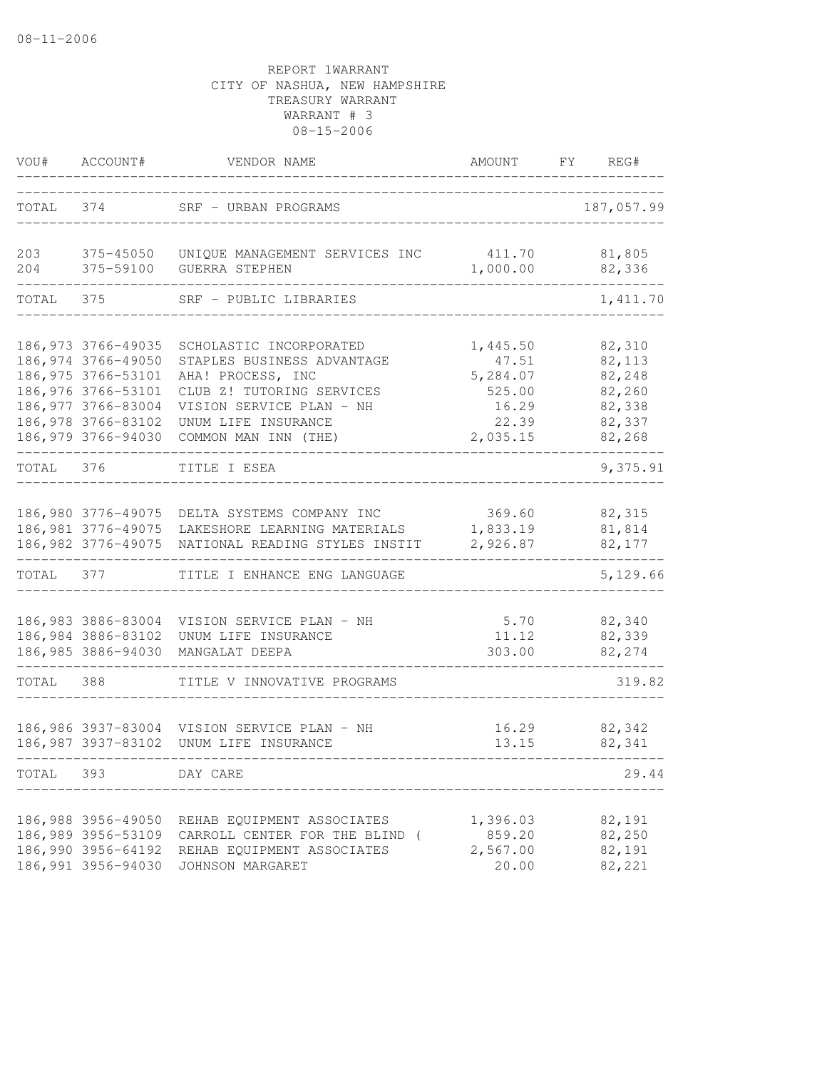| VOU#       | ACCOUNT#                                                                                                                                                 | VENDOR NAME                                                                                                                                                                        | AMOUNT                                                                | FY REG#                                                            |
|------------|----------------------------------------------------------------------------------------------------------------------------------------------------------|------------------------------------------------------------------------------------------------------------------------------------------------------------------------------------|-----------------------------------------------------------------------|--------------------------------------------------------------------|
|            | TOTAL 374                                                                                                                                                | SRF - URBAN PROGRAMS                                                                                                                                                               |                                                                       | 187,057.99                                                         |
| 203<br>204 | $375 - 45050$<br>375-59100                                                                                                                               | UNIQUE MANAGEMENT SERVICES INC<br><b>GUERRA STEPHEN</b>                                                                                                                            | 411.70<br>1,000.00                                                    | 81,805<br>82,336                                                   |
| TOTAL      | 375                                                                                                                                                      | SRF - PUBLIC LIBRARIES                                                                                                                                                             |                                                                       | 1,411.70                                                           |
|            | 186, 973 3766-49035<br>186,974 3766-49050<br>186, 975 3766-53101<br>186,976 3766-53101<br>186,977 3766-83004<br>186,978 3766-83102<br>186,979 3766-94030 | SCHOLASTIC INCORPORATED<br>STAPLES BUSINESS ADVANTAGE<br>AHA! PROCESS, INC<br>CLUB Z! TUTORING SERVICES<br>VISION SERVICE PLAN - NH<br>UNUM LIFE INSURANCE<br>COMMON MAN INN (THE) | 1,445.50<br>47.51<br>5,284.07<br>525.00<br>16.29<br>22.39<br>2,035.15 | 82,310<br>82,113<br>82,248<br>82,260<br>82,338<br>82,337<br>82,268 |
| TOTAL 376  |                                                                                                                                                          | TITLE I ESEA                                                                                                                                                                       |                                                                       | 9,375.91                                                           |
|            | 186,980 3776-49075<br>186, 981 3776-49075<br>186, 982 3776-49075                                                                                         | DELTA SYSTEMS COMPANY INC<br>LAKESHORE LEARNING MATERIALS<br>NATIONAL READING STYLES INSTIT                                                                                        | 369.60<br>1,833.19<br>2,926.87                                        | 82,315<br>81,814<br>82,177                                         |
| TOTAL      | 377                                                                                                                                                      | TITLE I ENHANCE ENG LANGUAGE                                                                                                                                                       |                                                                       | 5,129.66                                                           |
|            | 186,984 3886-83102<br>186,985 3886-94030                                                                                                                 | 186,983 3886-83004 VISION SERVICE PLAN - NH<br>UNUM LIFE INSURANCE<br>MANGALAT DEEPA                                                                                               | 5.70<br>11.12<br>303.00                                               | 82,340<br>82,339<br>82,274                                         |
| TOTAL      | 388                                                                                                                                                      | TITLE V INNOVATIVE PROGRAMS                                                                                                                                                        |                                                                       | 319.82                                                             |
|            | 186,986 3937-83004<br>186,987 3937-83102                                                                                                                 | VISION SERVICE PLAN - NH<br>UNUM LIFE INSURANCE                                                                                                                                    | 16.29<br>13.15                                                        | 82,342<br>82,341                                                   |
| TOTAL      | 393                                                                                                                                                      | DAY CARE                                                                                                                                                                           |                                                                       | 29.44                                                              |
|            | 186,988 3956-49050<br>186,989 3956-53109<br>186,990 3956-64192<br>186,991 3956-94030                                                                     | REHAB EQUIPMENT ASSOCIATES<br>CARROLL CENTER FOR THE BLIND (<br>REHAB EQUIPMENT ASSOCIATES<br>JOHNSON MARGARET                                                                     | 1,396.03<br>859.20<br>2,567.00<br>20.00                               | 82,191<br>82,250<br>82,191<br>82,221                               |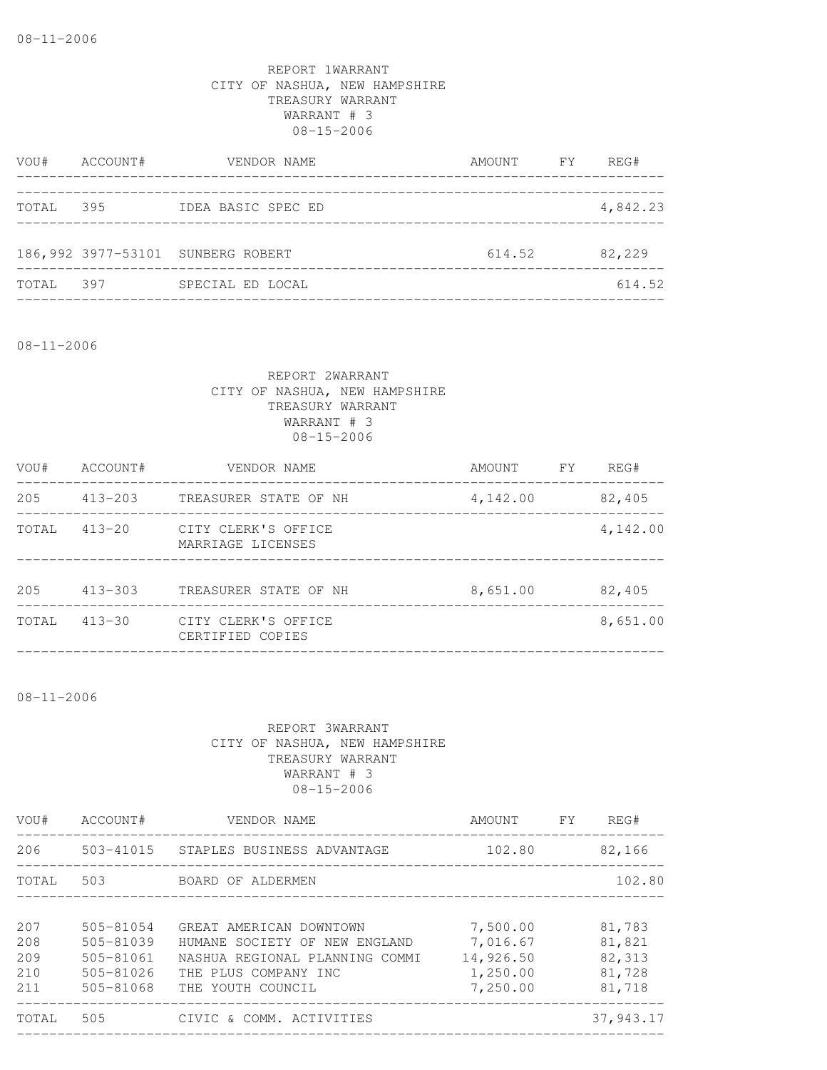| VOU#  | ACCOUNT# | VENDOR NAME                       | AMOUNT FY | REG#     |
|-------|----------|-----------------------------------|-----------|----------|
|       |          |                                   |           |          |
| TOTAL | 395      | IDEA BASIC SPEC ED                |           | 4,842.23 |
|       |          |                                   |           |          |
|       |          | 186,992 3977-53101 SUNBERG ROBERT | 614.52    | 82,229   |
| TOTAL | 397      | SPECIAL ED LOCAL                  |           | 614.52   |
|       |          |                                   |           |          |

08-11-2006

# REPORT 2WARRANT CITY OF NASHUA, NEW HAMPSHIRE TREASURY WARRANT WARRANT # 3 08-15-2006

| VOU#  | ACCOUNT#    | VENDOR NAME                              | AMOUNT   | FY. | REG#     |
|-------|-------------|------------------------------------------|----------|-----|----------|
| 205   | $413 - 203$ | TREASURER STATE OF NH                    | 4,142.00 |     | 82,405   |
| TOTAL | $413 - 20$  | CITY CLERK'S OFFICE<br>MARRIAGE LICENSES |          |     | 4,142.00 |
| 205   | $413 - 303$ | TREASURER STATE OF NH                    | 8,651.00 |     | 82,405   |
| TOTAL | $413 - 30$  | CITY CLERK'S OFFICE<br>CERTIFIED COPIES  |          |     | 8,651.00 |
|       |             |                                          |          |     |          |

08-11-2006

| VOU#                            | ACCOUNT#                                                                  | VENDOR NAME                                                                                                                             | AMOUNT                                                    | <b>FY</b> | REG#                                           |
|---------------------------------|---------------------------------------------------------------------------|-----------------------------------------------------------------------------------------------------------------------------------------|-----------------------------------------------------------|-----------|------------------------------------------------|
| 206                             |                                                                           | 503-41015 STAPLES BUSINESS ADVANTAGE                                                                                                    | 102.80                                                    |           | 82,166                                         |
| TOTAL                           | 503                                                                       | BOARD OF ALDERMEN                                                                                                                       |                                                           |           | 102.80                                         |
| 207<br>208<br>209<br>210<br>211 | $505 - 81054$<br>505-81039<br>$505 - 81061$<br>$505 - 81026$<br>505-81068 | GREAT AMERICAN DOWNTOWN<br>HUMANE SOCIETY OF NEW ENGLAND<br>NASHUA REGIONAL PLANNING COMMI<br>THE PLUS COMPANY INC<br>THE YOUTH COUNCIL | 7,500.00<br>7,016.67<br>14,926.50<br>1,250.00<br>7,250.00 |           | 81,783<br>81,821<br>82,313<br>81,728<br>81,718 |
| TOTAL                           | 505                                                                       | CIVIC & COMM. ACTIVITIES                                                                                                                |                                                           |           | 37,943.17                                      |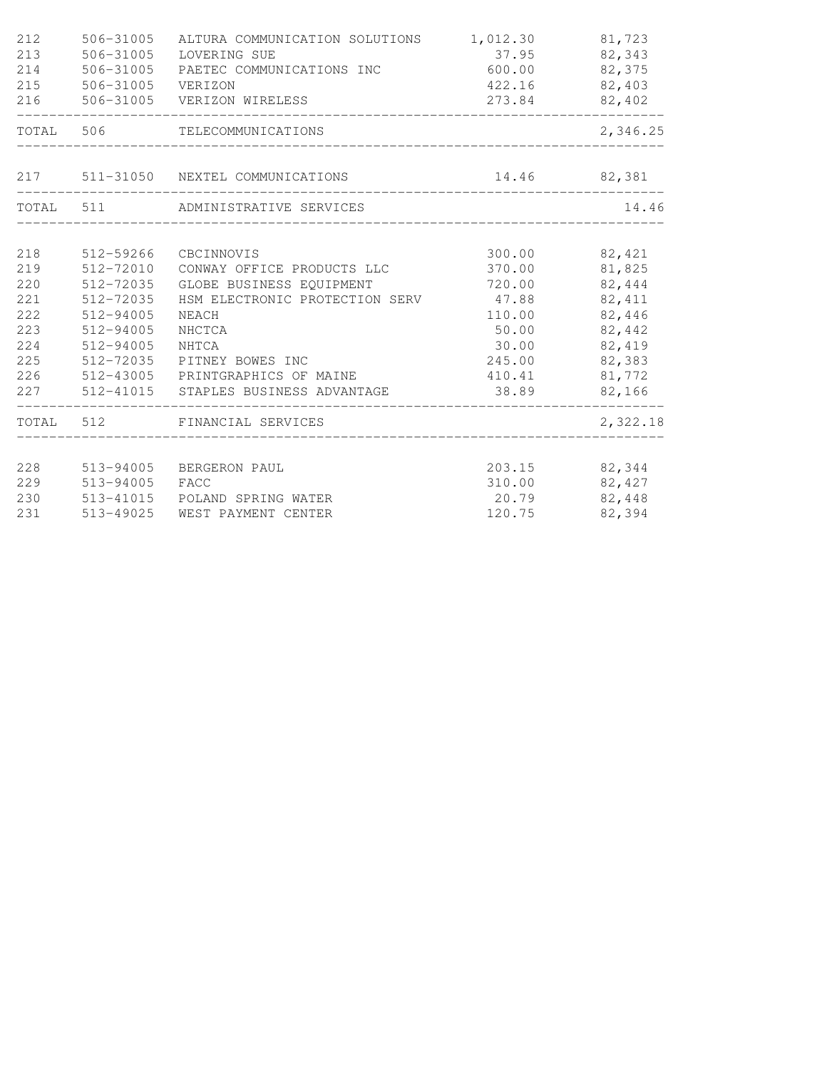| 212<br>213<br>214<br>215<br>216 | 506-31005<br>506-31005<br>506-31005<br>506-31005 | ALTURA COMMUNICATION SOLUTIONS<br>LOVERING SUE<br>PAETEC COMMUNICATIONS INC<br>VERIZON<br>506-31005 VERIZON WIRELESS | 1,012.30<br>37.95<br>600.00<br>273.84 | 81,723<br>82,343<br>82,375<br>422.16 82,403<br>82,402 |
|---------------------------------|--------------------------------------------------|----------------------------------------------------------------------------------------------------------------------|---------------------------------------|-------------------------------------------------------|
| TOTAL 506                       |                                                  | TELECOMMUNICATIONS                                                                                                   |                                       | 2,346.25                                              |
|                                 |                                                  | 217 511-31050 NEXTEL COMMUNICATIONS                                                                                  |                                       | 14.46 82,381                                          |
|                                 |                                                  | TOTAL 511 ADMINISTRATIVE SERVICES                                                                                    |                                       | 14.46                                                 |
| 218                             | 512-59266                                        | CBCINNOVIS                                                                                                           | 300.00                                | 82,421                                                |
| 219                             | 512-72010                                        | CONWAY OFFICE PRODUCTS LLC                                                                                           | 370.00                                | 81,825                                                |
| 220                             | 512-72035                                        | GLOBE BUSINESS EQUIPMENT                                                                                             | 720.00                                | 82,444                                                |
| 221                             | 512-72035                                        | HSM ELECTRONIC PROTECTION SERV                                                                                       | 47.88                                 | 82, 411                                               |
| 222                             | 512-94005                                        | NEACH                                                                                                                | 110.00                                | 82,446                                                |
| 223                             | 512-94005                                        | NHCTCA                                                                                                               | 50.00                                 | 82,442                                                |
| 224                             | 512-94005                                        | NHTCA                                                                                                                | 30.00                                 | 82,419                                                |
| 225                             | 512-72035                                        | PITNEY BOWES INC                                                                                                     | 245.00                                | 82,383                                                |
| 226                             |                                                  | 512-43005 PRINTGRAPHICS OF MAINE                                                                                     | 410.41                                | 81,772                                                |
| 227                             |                                                  | 512-41015 STAPLES BUSINESS ADVANTAGE                                                                                 | 38.89                                 | 82,166                                                |
|                                 |                                                  | TOTAL 512 FINANCIAL SERVICES                                                                                         |                                       | 2,322.18                                              |
| 228                             | 513-94005                                        | BERGERON PAUL                                                                                                        | 203.15                                | 82,344                                                |
| 229                             | 513-94005                                        | FACC                                                                                                                 | 310.00                                | 82,427                                                |
| 230                             | 513-41015                                        | POLAND SPRING WATER                                                                                                  | 20.79                                 | 82,448                                                |
| 231                             | 513-49025                                        | WEST PAYMENT CENTER                                                                                                  | 120.75                                | 82,394                                                |
|                                 |                                                  |                                                                                                                      |                                       |                                                       |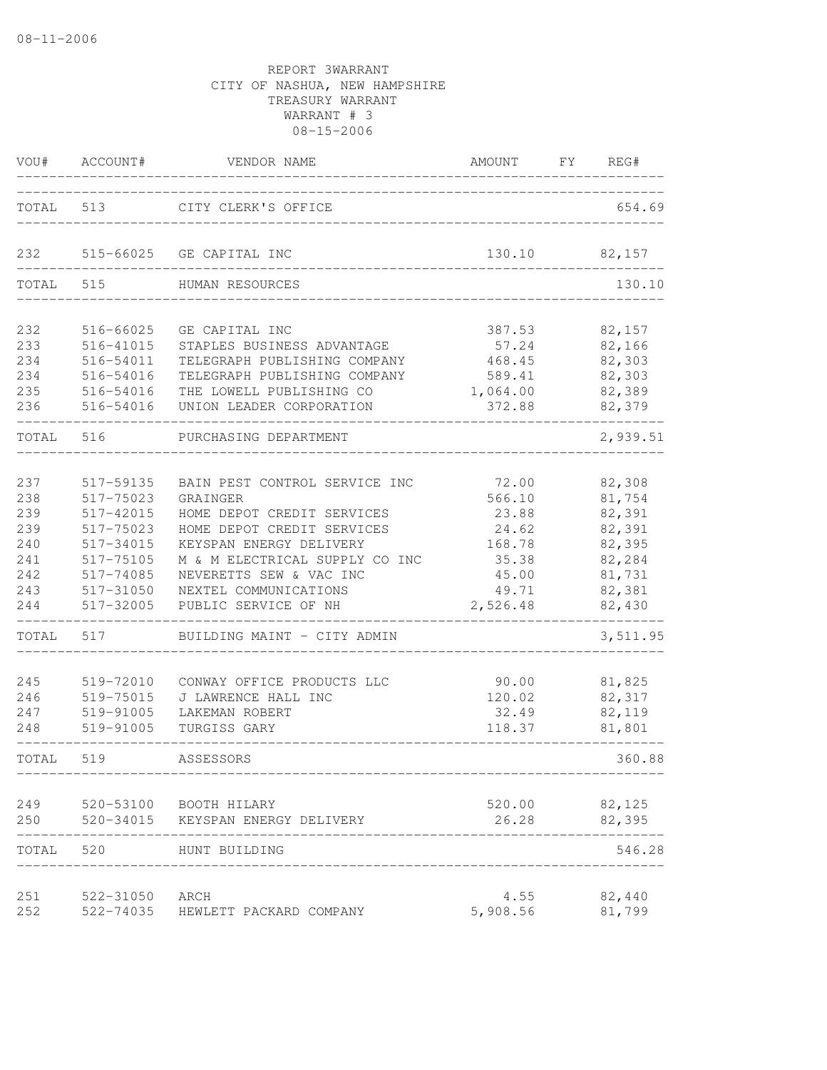| VOU#       | ACCOUNT#               | VENDOR NAME                                   | AMOUNT            | FY | REG#             |
|------------|------------------------|-----------------------------------------------|-------------------|----|------------------|
| TOTAL      | 513                    | CITY CLERK'S OFFICE                           |                   |    | 654.69           |
| 232        |                        | 515-66025 GE CAPITAL INC                      | 130.10            |    | 82,157           |
| TOTAL      | 515                    | HUMAN RESOURCES                               |                   |    | 130.10           |
| 232        | 516-66025              | GE CAPITAL INC                                | 387.53            |    | 82,157           |
| 233        | 516-41015              | STAPLES BUSINESS ADVANTAGE                    | 57.24             |    | 82,166           |
| 234        | 516-54011              | TELEGRAPH PUBLISHING COMPANY                  | 468.45            |    | 82,303           |
| 234        | 516-54016              | TELEGRAPH PUBLISHING COMPANY                  | 589.41            |    | 82,303           |
| 235        | 516-54016              | THE LOWELL PUBLISHING CO                      | 1,064.00          |    | 82,389           |
| 236        | 516-54016              | UNION LEADER CORPORATION                      | 372.88            |    | 82,379           |
| TOTAL      | 516                    | PURCHASING DEPARTMENT                         |                   |    | 2,939.51         |
|            |                        |                                               |                   |    |                  |
| 237<br>238 | 517-59135<br>517-75023 | BAIN PEST CONTROL SERVICE INC<br>GRAINGER     | 72.00             |    | 82,308<br>81,754 |
| 239        |                        | HOME DEPOT CREDIT SERVICES                    | 566.10            |    | 82,391           |
| 239        | 517-42015<br>517-75023 | HOME DEPOT CREDIT SERVICES                    | 23.88<br>24.62    |    | 82,391           |
| 240        | 517-34015              | KEYSPAN ENERGY DELIVERY                       |                   |    |                  |
|            | 517-75105              | M & M ELECTRICAL SUPPLY CO INC                | 168.78            |    | 82,395<br>82,284 |
| 241<br>242 |                        |                                               | 35.38             |    | 81,731           |
|            | 517-74085              | NEVERETTS SEW & VAC INC                       | 45.00             |    | 82,381           |
| 243<br>244 | 517-31050<br>517-32005 | NEXTEL COMMUNICATIONS<br>PUBLIC SERVICE OF NH | 49.71<br>2,526.48 |    | 82,430           |
| TOTAL      | 517                    | BUILDING MAINT - CITY ADMIN                   |                   |    | 3,511.95         |
| 245        | 519-72010              | CONWAY OFFICE PRODUCTS LLC                    | 90.00             |    | 81,825           |
| 246        | 519-75015              | J LAWRENCE HALL INC                           | 120.02            |    | 82,317           |
| 247        | 519-91005              | LAKEMAN ROBERT                                | 32.49             |    | 82,119           |
| 248        | 519-91005              | TURGISS GARY                                  | 118.37            |    | 81,801           |
|            |                        |                                               |                   |    |                  |
| TOTAL      | 519                    | ASSESSORS                                     |                   |    | 360.88           |
| 249        |                        | 520-53100 BOOTH HILARY                        | 520.00            |    | 82,125           |
| 250        |                        | 520-34015 KEYSPAN ENERGY DELIVERY             | 26.28             |    | 82,395           |
| TOTAL      | 520                    | HUNT BUILDING                                 |                   |    | 546.28           |
| 251        | 522-31050              | ARCH                                          | 4.55              |    | 82,440           |
| 252        | 522-74035              | HEWLETT PACKARD COMPANY                       | 5,908.56          |    | 81,799           |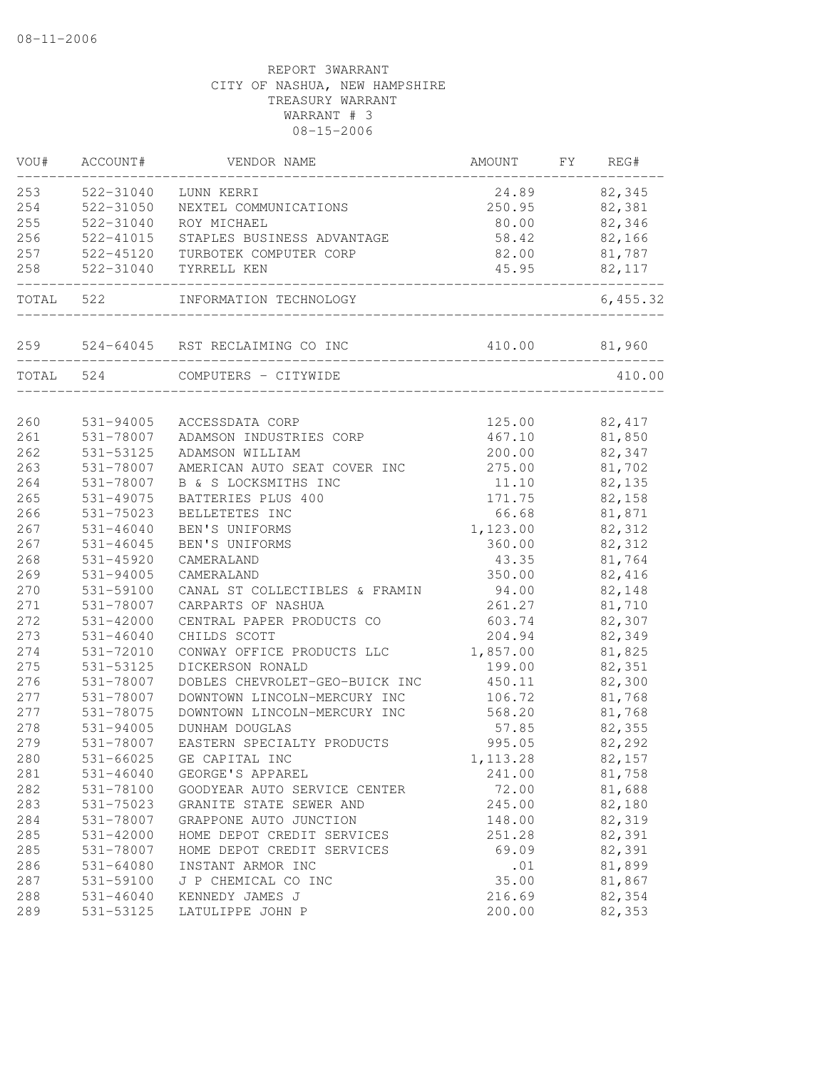| VOU#      | ACCOUNT#                          | VENDOR NAME                         | AMOUNT                             | FΥ | REG#     |
|-----------|-----------------------------------|-------------------------------------|------------------------------------|----|----------|
| 253       | 522-31040                         | LUNN KERRI                          | 24.89                              |    | 82,345   |
| 254       | 522-31050                         | NEXTEL COMMUNICATIONS               | 250.95                             |    | 82,381   |
| 255       | 522-31040                         | ROY MICHAEL                         | 80.00                              |    | 82,346   |
| 256       | 522-41015                         | STAPLES BUSINESS ADVANTAGE          | 58.42                              |    | 82,166   |
| 257       | 522-45120                         | TURBOTEK COMPUTER CORP              | 82.00                              |    | 81,787   |
| 258       | 522-31040<br>-------------------- | TYRRELL KEN                         | 45.95<br>_________________________ |    | 82,117   |
| TOTAL 522 |                                   | INFORMATION TECHNOLOGY              |                                    |    | 6,455.32 |
|           |                                   | 259 524-64045 RST RECLAIMING CO INC | 410.00 81,960                      |    |          |
| TOTAL 524 |                                   | COMPUTERS - CITYWIDE                |                                    |    | 410.00   |
|           |                                   |                                     |                                    |    |          |
| 260       | 531-94005                         | ACCESSDATA CORP                     | 125.00                             |    | 82, 417  |
| 261       | 531-78007                         | ADAMSON INDUSTRIES CORP             | 467.10                             |    | 81,850   |
| 262       | 531-53125                         | ADAMSON WILLIAM                     | 200.00                             |    | 82,347   |
| 263       | 531-78007                         | AMERICAN AUTO SEAT COVER INC        | 275.00                             |    | 81,702   |
| 264       | 531-78007                         | B & S LOCKSMITHS INC                | 11.10                              |    | 82,135   |
| 265       | 531-49075                         | BATTERIES PLUS 400                  | 171.75                             |    | 82,158   |
| 266       | 531-75023                         | BELLETETES INC                      | 66.68                              |    | 81,871   |
| 267       | $531 - 46040$                     | BEN'S UNIFORMS                      | 1,123.00                           |    | 82,312   |
| 267       | 531-46045                         | BEN'S UNIFORMS                      | 360.00                             |    | 82,312   |
| 268       | 531-45920                         | CAMERALAND                          | 43.35                              |    | 81,764   |
| 269       | 531-94005                         | CAMERALAND                          | 350.00                             |    | 82,416   |
| 270       | 531-59100                         | CANAL ST COLLECTIBLES & FRAMIN      | 94.00                              |    | 82,148   |
| 271       | 531-78007                         | CARPARTS OF NASHUA                  | 261.27                             |    | 81,710   |
| 272       | 531-42000                         | CENTRAL PAPER PRODUCTS CO           | 603.74                             |    | 82,307   |
| 273       | $531 - 46040$                     | CHILDS SCOTT                        | 204.94                             |    | 82,349   |
| 274       | 531-72010                         | CONWAY OFFICE PRODUCTS LLC          | 1,857.00                           |    | 81,825   |
| 275       | 531-53125                         | DICKERSON RONALD                    | 199.00                             |    | 82,351   |
| 276       | 531-78007                         | DOBLES CHEVROLET-GEO-BUICK INC      | 450.11                             |    | 82,300   |
| 277       | 531-78007                         | DOWNTOWN LINCOLN-MERCURY INC        | 106.72                             |    | 81,768   |
| 277       | 531-78075                         | DOWNTOWN LINCOLN-MERCURY INC        | 568.20                             |    | 81,768   |
| 278       | 531-94005                         | DUNHAM DOUGLAS                      | 57.85                              |    | 82,355   |
| 279       | 531-78007                         | EASTERN SPECIALTY PRODUCTS          | 995.05                             |    | 82,292   |
| 280       | 531-66025                         | GE CAPITAL INC                      | 1, 113.28                          |    | 82,157   |
| 281       | $531 - 46040$                     | GEORGE'S APPAREL                    | 241.00                             |    | 81,758   |
| 282       | 531-78100                         | GOODYEAR AUTO SERVICE CENTER        | 72.00                              |    | 81,688   |
| 283       | 531-75023                         | GRANITE STATE SEWER AND             | 245.00                             |    | 82,180   |
| 284       | 531-78007                         | GRAPPONE AUTO JUNCTION              | 148.00                             |    | 82,319   |
| 285       | 531-42000                         | HOME DEPOT CREDIT SERVICES          | 251.28                             |    | 82,391   |
| 285       | 531-78007                         | HOME DEPOT CREDIT SERVICES          | 69.09                              |    | 82,391   |
| 286       | $531 - 64080$                     | INSTANT ARMOR INC                   | .01                                |    | 81,899   |
| 287       | 531-59100                         | J P CHEMICAL CO INC                 | 35.00                              |    | 81,867   |
| 288       | 531-46040                         | KENNEDY JAMES J                     | 216.69                             |    | 82,354   |
| 289       | 531-53125                         | LATULIPPE JOHN P                    | 200.00                             |    | 82,353   |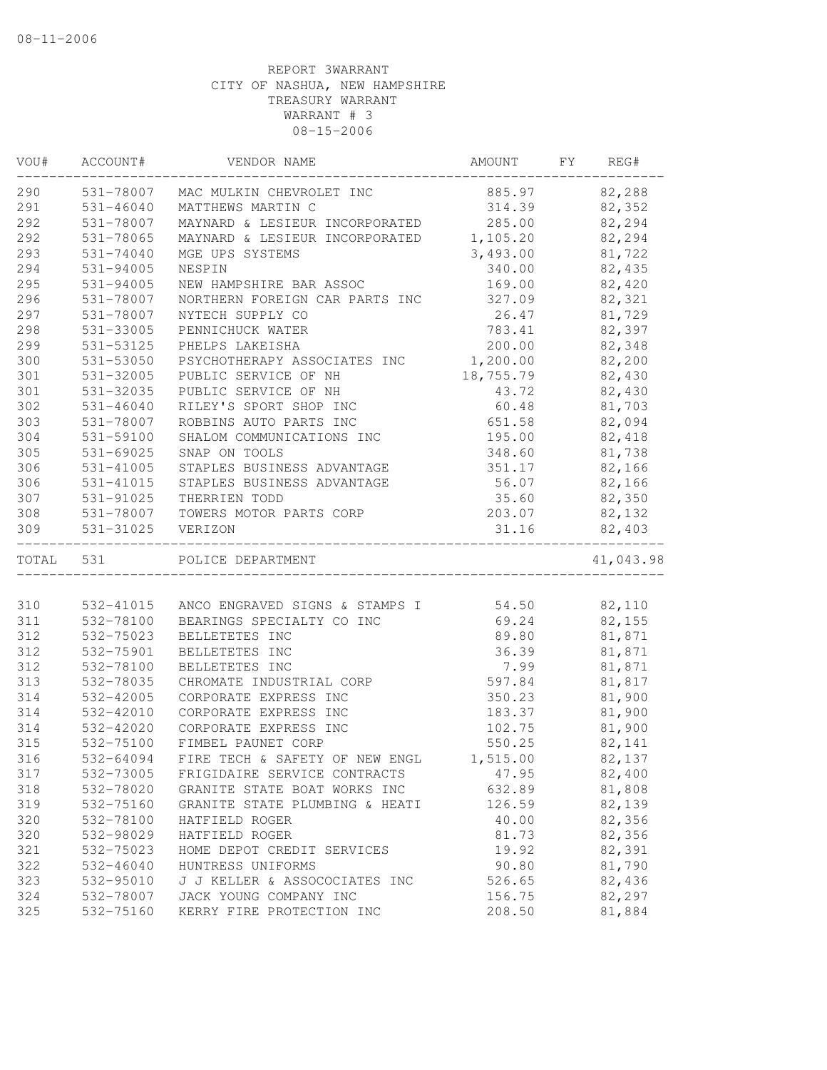| VOU#      | ACCOUNT#      | VENDOR NAME                    | AMOUNT    | FΥ | REG#      |
|-----------|---------------|--------------------------------|-----------|----|-----------|
| 290       | 531-78007     | MAC MULKIN CHEVROLET INC       | 885.97    |    | 82,288    |
| 291       | 531-46040     | MATTHEWS MARTIN C              | 314.39    |    | 82,352    |
| 292       | 531-78007     | MAYNARD & LESIEUR INCORPORATED | 285.00    |    | 82,294    |
| 292       | 531-78065     | MAYNARD & LESIEUR INCORPORATED | 1,105.20  |    | 82,294    |
| 293       | 531-74040     | MGE UPS SYSTEMS                | 3,493.00  |    | 81,722    |
| 294       | 531-94005     | NESPIN                         | 340.00    |    | 82,435    |
| 295       | 531-94005     | NEW HAMPSHIRE BAR ASSOC        | 169.00    |    | 82,420    |
| 296       | 531-78007     | NORTHERN FOREIGN CAR PARTS INC | 327.09    |    | 82,321    |
| 297       | 531-78007     | NYTECH SUPPLY CO               | 26.47     |    | 81,729    |
| 298       | 531-33005     | PENNICHUCK WATER               | 783.41    |    | 82,397    |
| 299       | 531-53125     | PHELPS LAKEISHA                | 200.00    |    | 82,348    |
| 300       | 531-53050     | PSYCHOTHERAPY ASSOCIATES INC   | 1,200.00  |    | 82,200    |
| 301       | 531-32005     | PUBLIC SERVICE OF NH           | 18,755.79 |    | 82,430    |
| 301       | 531-32035     | PUBLIC SERVICE OF NH           | 43.72     |    | 82,430    |
| 302       | $531 - 46040$ | RILEY'S SPORT SHOP INC         | 60.48     |    | 81,703    |
| 303       | 531-78007     | ROBBINS AUTO PARTS INC         | 651.58    |    | 82,094    |
| 304       | 531-59100     | SHALOM COMMUNICATIONS INC      | 195.00    |    | 82,418    |
| 305       | 531-69025     | SNAP ON TOOLS                  | 348.60    |    | 81,738    |
| 306       | 531-41005     | STAPLES BUSINESS ADVANTAGE     | 351.17    |    | 82,166    |
| 306       | 531-41015     | STAPLES BUSINESS ADVANTAGE     | 56.07     |    | 82,166    |
| 307       | 531-91025     | THERRIEN TODD                  | 35.60     |    | 82,350    |
| 308       | 531-78007     | TOWERS MOTOR PARTS CORP        | 203.07    |    | 82,132    |
| 309       | 531-31025     | VERIZON                        | 31.16     |    | 82,403    |
| TOTAL 531 |               | POLICE DEPARTMENT              |           |    | 41,043.98 |
|           |               |                                |           |    |           |
| 310       | 532-41015     | ANCO ENGRAVED SIGNS & STAMPS I | 54.50     |    | 82,110    |
| 311       | 532-78100     | BEARINGS SPECIALTY CO INC      | 69.24     |    | 82,155    |
| 312       | 532-75023     | BELLETETES INC                 | 89.80     |    | 81,871    |
| 312       | 532-75901     | BELLETETES INC                 | 36.39     |    | 81,871    |
| 312       | 532-78100     | BELLETETES INC                 | 7.99      |    | 81,871    |
| 313       | 532-78035     | CHROMATE INDUSTRIAL CORP       | 597.84    |    | 81,817    |
| 314       | 532-42005     | CORPORATE EXPRESS INC          | 350.23    |    | 81,900    |
| 314       | 532-42010     | CORPORATE EXPRESS INC          | 183.37    |    | 81,900    |
| 314       | 532-42020     | CORPORATE EXPRESS INC          | 102.75    |    | 81,900    |
| 315       | 532-75100     | FIMBEL PAUNET CORP             | 550.25    |    | 82,141    |
| 316       | 532-64094     | FIRE TECH & SAFETY OF NEW ENGL | 1,515.00  |    | 82,137    |
| 317       | 532-73005     | FRIGIDAIRE SERVICE CONTRACTS   | 47.95     |    | 82,400    |
| 318       | 532-78020     | GRANITE STATE BOAT WORKS INC   | 632.89    |    | 81,808    |
| 319       | 532-75160     | GRANITE STATE PLUMBING & HEATI | 126.59    |    | 82,139    |
| 320       | 532-78100     | HATFIELD ROGER                 | 40.00     |    | 82,356    |
| 320       | 532-98029     | HATFIELD ROGER                 | 81.73     |    | 82,356    |
| 321       | 532-75023     | HOME DEPOT CREDIT SERVICES     | 19.92     |    | 82,391    |
| 322       | $532 - 46040$ | HUNTRESS UNIFORMS              | 90.80     |    | 81,790    |
| 323       | 532-95010     | J J KELLER & ASSOCOCIATES INC  | 526.65    |    | 82,436    |
| 324       | 532-78007     | JACK YOUNG COMPANY INC         | 156.75    |    | 82,297    |
| 325       | 532-75160     | KERRY FIRE PROTECTION INC      | 208.50    |    | 81,884    |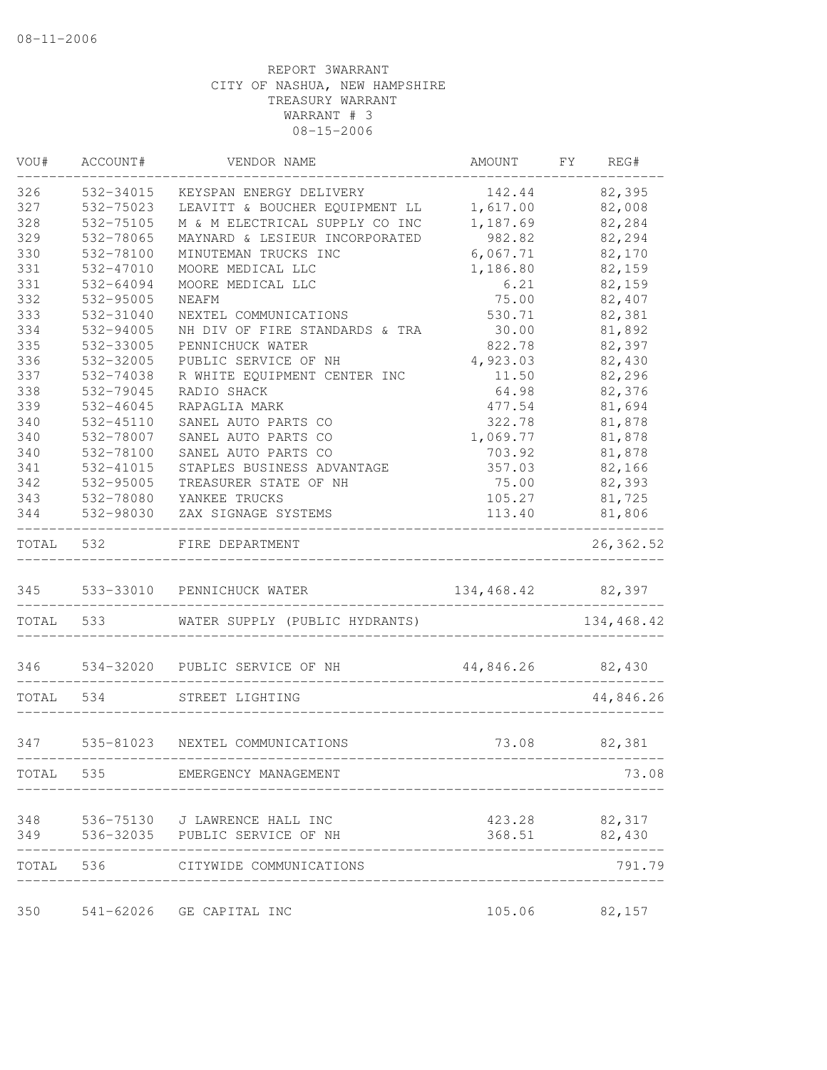| 82,395<br>326<br>532-34015<br>KEYSPAN ENERGY DELIVERY<br>142.44<br>327<br>LEAVITT & BOUCHER EQUIPMENT LL<br>1,617.00<br>82,008<br>532-75023<br>328<br>82,284<br>532-75105<br>M & M ELECTRICAL SUPPLY CO INC<br>1,187.69<br>329<br>532-78065<br>MAYNARD & LESIEUR INCORPORATED<br>982.82<br>82,294<br>330<br>532-78100<br>MINUTEMAN TRUCKS INC<br>6,067.71<br>82,170<br>331<br>82,159<br>532-47010<br>MOORE MEDICAL LLC<br>1,186.80<br>331<br>6.21<br>82,159<br>532-64094<br>MOORE MEDICAL LLC<br>332<br>75.00<br>82,407<br>532-95005<br>NEAFM<br>333<br>82,381<br>532-31040<br>NEXTEL COMMUNICATIONS<br>530.71<br>81,892<br>334<br>532-94005<br>NH DIV OF FIRE STANDARDS & TRA<br>30.00<br>335<br>532-33005<br>PENNICHUCK WATER<br>822.78<br>82,397<br>336<br>PUBLIC SERVICE OF NH<br>82,430<br>532-32005<br>4,923.03<br>337<br>532-74038<br>R WHITE EQUIPMENT CENTER INC<br>11.50<br>82,296<br>338<br>532-79045<br>RADIO SHACK<br>64.98<br>82,376<br>339<br>$532 - 46045$<br>81,694<br>RAPAGLIA MARK<br>477.54<br>340<br>532-45110<br>SANEL AUTO PARTS CO<br>322.78<br>81,878<br>340<br>1,069.77<br>81,878<br>532-78007<br>SANEL AUTO PARTS CO<br>340<br>81,878<br>532-78100<br>SANEL AUTO PARTS CO<br>703.92<br>341<br>STAPLES BUSINESS ADVANTAGE<br>357.03<br>82,166<br>532-41015<br>342<br>532-95005<br>TREASURER STATE OF NH<br>82,393<br>75.00<br>343<br>532-78080<br>YANKEE TRUCKS<br>105.27<br>81,725<br>344<br>532-98030<br>81,806<br>ZAX SIGNAGE SYSTEMS<br>113.40<br>TOTAL 532<br>FIRE DEPARTMENT<br>345 533-33010 PENNICHUCK WATER<br>134,468.42 82,397<br>134,468.42<br>TOTAL 533<br>WATER SUPPLY (PUBLIC HYDRANTS)<br>346 534-32020 PUBLIC SERVICE OF NH<br>44,846.26 82,430<br>TOTAL 534<br>44,846.26<br>STREET LIGHTING<br>347<br>535-81023 NEXTEL COMMUNICATIONS<br>73.08 82,381<br>TOTAL 535 EMERGENCY MANAGEMENT<br>73.08<br>536-75130 J LAWRENCE HALL INC<br>348<br>423.28 82,317<br>536-32035 PUBLIC SERVICE OF NH<br>368.51<br>82,430<br>349<br>TOTAL 536 CITYWIDE COMMUNICATIONS<br>_______________________________<br>105.06<br>350<br>541-62026 GE CAPITAL INC<br>82,157 | VOU# | ACCOUNT# | VENDOR NAME | AMOUNT | FY | REG#       |
|---------------------------------------------------------------------------------------------------------------------------------------------------------------------------------------------------------------------------------------------------------------------------------------------------------------------------------------------------------------------------------------------------------------------------------------------------------------------------------------------------------------------------------------------------------------------------------------------------------------------------------------------------------------------------------------------------------------------------------------------------------------------------------------------------------------------------------------------------------------------------------------------------------------------------------------------------------------------------------------------------------------------------------------------------------------------------------------------------------------------------------------------------------------------------------------------------------------------------------------------------------------------------------------------------------------------------------------------------------------------------------------------------------------------------------------------------------------------------------------------------------------------------------------------------------------------------------------------------------------------------------------------------------------------------------------------------------------------------------------------------------------------------------------------------------------------------------------------------------------------------------------------------------------------------------------------------------------------------------------------------------------------------------------------------------------------------------------------------|------|----------|-------------|--------|----|------------|
|                                                                                                                                                                                                                                                                                                                                                                                                                                                                                                                                                                                                                                                                                                                                                                                                                                                                                                                                                                                                                                                                                                                                                                                                                                                                                                                                                                                                                                                                                                                                                                                                                                                                                                                                                                                                                                                                                                                                                                                                                                                                                                   |      |          |             |        |    |            |
|                                                                                                                                                                                                                                                                                                                                                                                                                                                                                                                                                                                                                                                                                                                                                                                                                                                                                                                                                                                                                                                                                                                                                                                                                                                                                                                                                                                                                                                                                                                                                                                                                                                                                                                                                                                                                                                                                                                                                                                                                                                                                                   |      |          |             |        |    |            |
|                                                                                                                                                                                                                                                                                                                                                                                                                                                                                                                                                                                                                                                                                                                                                                                                                                                                                                                                                                                                                                                                                                                                                                                                                                                                                                                                                                                                                                                                                                                                                                                                                                                                                                                                                                                                                                                                                                                                                                                                                                                                                                   |      |          |             |        |    |            |
|                                                                                                                                                                                                                                                                                                                                                                                                                                                                                                                                                                                                                                                                                                                                                                                                                                                                                                                                                                                                                                                                                                                                                                                                                                                                                                                                                                                                                                                                                                                                                                                                                                                                                                                                                                                                                                                                                                                                                                                                                                                                                                   |      |          |             |        |    |            |
|                                                                                                                                                                                                                                                                                                                                                                                                                                                                                                                                                                                                                                                                                                                                                                                                                                                                                                                                                                                                                                                                                                                                                                                                                                                                                                                                                                                                                                                                                                                                                                                                                                                                                                                                                                                                                                                                                                                                                                                                                                                                                                   |      |          |             |        |    |            |
|                                                                                                                                                                                                                                                                                                                                                                                                                                                                                                                                                                                                                                                                                                                                                                                                                                                                                                                                                                                                                                                                                                                                                                                                                                                                                                                                                                                                                                                                                                                                                                                                                                                                                                                                                                                                                                                                                                                                                                                                                                                                                                   |      |          |             |        |    |            |
|                                                                                                                                                                                                                                                                                                                                                                                                                                                                                                                                                                                                                                                                                                                                                                                                                                                                                                                                                                                                                                                                                                                                                                                                                                                                                                                                                                                                                                                                                                                                                                                                                                                                                                                                                                                                                                                                                                                                                                                                                                                                                                   |      |          |             |        |    |            |
|                                                                                                                                                                                                                                                                                                                                                                                                                                                                                                                                                                                                                                                                                                                                                                                                                                                                                                                                                                                                                                                                                                                                                                                                                                                                                                                                                                                                                                                                                                                                                                                                                                                                                                                                                                                                                                                                                                                                                                                                                                                                                                   |      |          |             |        |    |            |
|                                                                                                                                                                                                                                                                                                                                                                                                                                                                                                                                                                                                                                                                                                                                                                                                                                                                                                                                                                                                                                                                                                                                                                                                                                                                                                                                                                                                                                                                                                                                                                                                                                                                                                                                                                                                                                                                                                                                                                                                                                                                                                   |      |          |             |        |    |            |
|                                                                                                                                                                                                                                                                                                                                                                                                                                                                                                                                                                                                                                                                                                                                                                                                                                                                                                                                                                                                                                                                                                                                                                                                                                                                                                                                                                                                                                                                                                                                                                                                                                                                                                                                                                                                                                                                                                                                                                                                                                                                                                   |      |          |             |        |    |            |
|                                                                                                                                                                                                                                                                                                                                                                                                                                                                                                                                                                                                                                                                                                                                                                                                                                                                                                                                                                                                                                                                                                                                                                                                                                                                                                                                                                                                                                                                                                                                                                                                                                                                                                                                                                                                                                                                                                                                                                                                                                                                                                   |      |          |             |        |    |            |
|                                                                                                                                                                                                                                                                                                                                                                                                                                                                                                                                                                                                                                                                                                                                                                                                                                                                                                                                                                                                                                                                                                                                                                                                                                                                                                                                                                                                                                                                                                                                                                                                                                                                                                                                                                                                                                                                                                                                                                                                                                                                                                   |      |          |             |        |    |            |
|                                                                                                                                                                                                                                                                                                                                                                                                                                                                                                                                                                                                                                                                                                                                                                                                                                                                                                                                                                                                                                                                                                                                                                                                                                                                                                                                                                                                                                                                                                                                                                                                                                                                                                                                                                                                                                                                                                                                                                                                                                                                                                   |      |          |             |        |    |            |
|                                                                                                                                                                                                                                                                                                                                                                                                                                                                                                                                                                                                                                                                                                                                                                                                                                                                                                                                                                                                                                                                                                                                                                                                                                                                                                                                                                                                                                                                                                                                                                                                                                                                                                                                                                                                                                                                                                                                                                                                                                                                                                   |      |          |             |        |    |            |
|                                                                                                                                                                                                                                                                                                                                                                                                                                                                                                                                                                                                                                                                                                                                                                                                                                                                                                                                                                                                                                                                                                                                                                                                                                                                                                                                                                                                                                                                                                                                                                                                                                                                                                                                                                                                                                                                                                                                                                                                                                                                                                   |      |          |             |        |    |            |
|                                                                                                                                                                                                                                                                                                                                                                                                                                                                                                                                                                                                                                                                                                                                                                                                                                                                                                                                                                                                                                                                                                                                                                                                                                                                                                                                                                                                                                                                                                                                                                                                                                                                                                                                                                                                                                                                                                                                                                                                                                                                                                   |      |          |             |        |    |            |
|                                                                                                                                                                                                                                                                                                                                                                                                                                                                                                                                                                                                                                                                                                                                                                                                                                                                                                                                                                                                                                                                                                                                                                                                                                                                                                                                                                                                                                                                                                                                                                                                                                                                                                                                                                                                                                                                                                                                                                                                                                                                                                   |      |          |             |        |    |            |
|                                                                                                                                                                                                                                                                                                                                                                                                                                                                                                                                                                                                                                                                                                                                                                                                                                                                                                                                                                                                                                                                                                                                                                                                                                                                                                                                                                                                                                                                                                                                                                                                                                                                                                                                                                                                                                                                                                                                                                                                                                                                                                   |      |          |             |        |    |            |
|                                                                                                                                                                                                                                                                                                                                                                                                                                                                                                                                                                                                                                                                                                                                                                                                                                                                                                                                                                                                                                                                                                                                                                                                                                                                                                                                                                                                                                                                                                                                                                                                                                                                                                                                                                                                                                                                                                                                                                                                                                                                                                   |      |          |             |        |    |            |
|                                                                                                                                                                                                                                                                                                                                                                                                                                                                                                                                                                                                                                                                                                                                                                                                                                                                                                                                                                                                                                                                                                                                                                                                                                                                                                                                                                                                                                                                                                                                                                                                                                                                                                                                                                                                                                                                                                                                                                                                                                                                                                   |      |          |             |        |    |            |
|                                                                                                                                                                                                                                                                                                                                                                                                                                                                                                                                                                                                                                                                                                                                                                                                                                                                                                                                                                                                                                                                                                                                                                                                                                                                                                                                                                                                                                                                                                                                                                                                                                                                                                                                                                                                                                                                                                                                                                                                                                                                                                   |      |          |             |        |    |            |
|                                                                                                                                                                                                                                                                                                                                                                                                                                                                                                                                                                                                                                                                                                                                                                                                                                                                                                                                                                                                                                                                                                                                                                                                                                                                                                                                                                                                                                                                                                                                                                                                                                                                                                                                                                                                                                                                                                                                                                                                                                                                                                   |      |          |             |        |    |            |
|                                                                                                                                                                                                                                                                                                                                                                                                                                                                                                                                                                                                                                                                                                                                                                                                                                                                                                                                                                                                                                                                                                                                                                                                                                                                                                                                                                                                                                                                                                                                                                                                                                                                                                                                                                                                                                                                                                                                                                                                                                                                                                   |      |          |             |        |    | 26, 362.52 |
|                                                                                                                                                                                                                                                                                                                                                                                                                                                                                                                                                                                                                                                                                                                                                                                                                                                                                                                                                                                                                                                                                                                                                                                                                                                                                                                                                                                                                                                                                                                                                                                                                                                                                                                                                                                                                                                                                                                                                                                                                                                                                                   |      |          |             |        |    |            |
|                                                                                                                                                                                                                                                                                                                                                                                                                                                                                                                                                                                                                                                                                                                                                                                                                                                                                                                                                                                                                                                                                                                                                                                                                                                                                                                                                                                                                                                                                                                                                                                                                                                                                                                                                                                                                                                                                                                                                                                                                                                                                                   |      |          |             |        |    |            |
|                                                                                                                                                                                                                                                                                                                                                                                                                                                                                                                                                                                                                                                                                                                                                                                                                                                                                                                                                                                                                                                                                                                                                                                                                                                                                                                                                                                                                                                                                                                                                                                                                                                                                                                                                                                                                                                                                                                                                                                                                                                                                                   |      |          |             |        |    |            |
|                                                                                                                                                                                                                                                                                                                                                                                                                                                                                                                                                                                                                                                                                                                                                                                                                                                                                                                                                                                                                                                                                                                                                                                                                                                                                                                                                                                                                                                                                                                                                                                                                                                                                                                                                                                                                                                                                                                                                                                                                                                                                                   |      |          |             |        |    |            |
|                                                                                                                                                                                                                                                                                                                                                                                                                                                                                                                                                                                                                                                                                                                                                                                                                                                                                                                                                                                                                                                                                                                                                                                                                                                                                                                                                                                                                                                                                                                                                                                                                                                                                                                                                                                                                                                                                                                                                                                                                                                                                                   |      |          |             |        |    |            |
|                                                                                                                                                                                                                                                                                                                                                                                                                                                                                                                                                                                                                                                                                                                                                                                                                                                                                                                                                                                                                                                                                                                                                                                                                                                                                                                                                                                                                                                                                                                                                                                                                                                                                                                                                                                                                                                                                                                                                                                                                                                                                                   |      |          |             |        |    |            |
|                                                                                                                                                                                                                                                                                                                                                                                                                                                                                                                                                                                                                                                                                                                                                                                                                                                                                                                                                                                                                                                                                                                                                                                                                                                                                                                                                                                                                                                                                                                                                                                                                                                                                                                                                                                                                                                                                                                                                                                                                                                                                                   |      |          |             |        |    |            |
|                                                                                                                                                                                                                                                                                                                                                                                                                                                                                                                                                                                                                                                                                                                                                                                                                                                                                                                                                                                                                                                                                                                                                                                                                                                                                                                                                                                                                                                                                                                                                                                                                                                                                                                                                                                                                                                                                                                                                                                                                                                                                                   |      |          |             |        |    |            |
|                                                                                                                                                                                                                                                                                                                                                                                                                                                                                                                                                                                                                                                                                                                                                                                                                                                                                                                                                                                                                                                                                                                                                                                                                                                                                                                                                                                                                                                                                                                                                                                                                                                                                                                                                                                                                                                                                                                                                                                                                                                                                                   |      |          |             |        |    |            |
|                                                                                                                                                                                                                                                                                                                                                                                                                                                                                                                                                                                                                                                                                                                                                                                                                                                                                                                                                                                                                                                                                                                                                                                                                                                                                                                                                                                                                                                                                                                                                                                                                                                                                                                                                                                                                                                                                                                                                                                                                                                                                                   |      |          |             |        |    | 791.79     |
|                                                                                                                                                                                                                                                                                                                                                                                                                                                                                                                                                                                                                                                                                                                                                                                                                                                                                                                                                                                                                                                                                                                                                                                                                                                                                                                                                                                                                                                                                                                                                                                                                                                                                                                                                                                                                                                                                                                                                                                                                                                                                                   |      |          |             |        |    |            |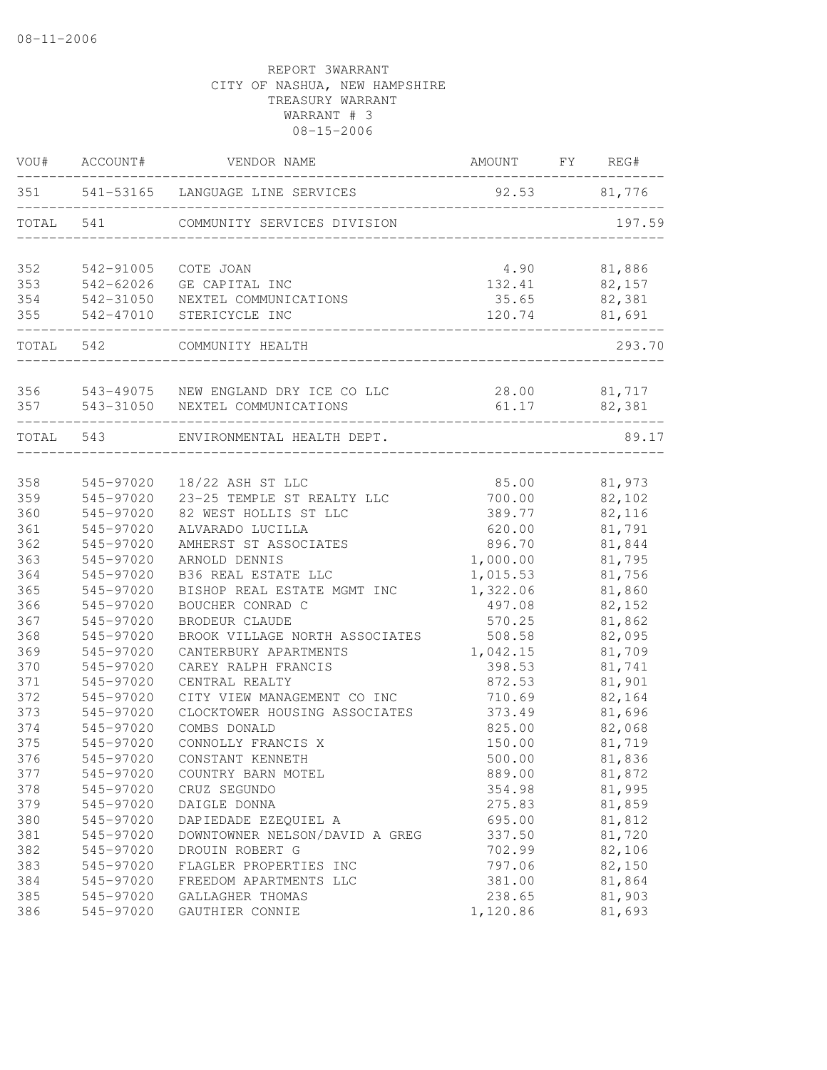| VOU#      | ACCOUNT#  | VENDOR NAME                                         | AMOUNT   | FY | REG#         |
|-----------|-----------|-----------------------------------------------------|----------|----|--------------|
| 351       |           | 541-53165 LANGUAGE LINE SERVICES                    | 92.53    |    | 81,776       |
| TOTAL     | 541       | COMMUNITY SERVICES DIVISION                         |          |    | 197.59       |
| 352       | 542-91005 | COTE JOAN                                           | 4.90     |    | 81,886       |
| 353       | 542-62026 | GE CAPITAL INC                                      | 132.41   |    | 82,157       |
| 354       |           | 542-31050 NEXTEL COMMUNICATIONS                     | 35.65    |    | 82,381       |
| 355       | 542-47010 | STERICYCLE INC<br>_________________________________ | 120.74   |    | 81,691       |
| TOTAL 542 |           | COMMUNITY HEALTH                                    |          |    | 293.70       |
| 356       |           | 543-49075 NEW ENGLAND DRY ICE CO LLC                |          |    | 28.00 81,717 |
| 357       | 543-31050 | NEXTEL COMMUNICATIONS                               | 61.17    |    | 82,381       |
| TOTAL 543 |           | ENVIRONMENTAL HEALTH DEPT.                          |          |    | 89.17        |
|           |           |                                                     |          |    |              |
| 358       | 545-97020 | 18/22 ASH ST LLC                                    | 85.00    |    | 81,973       |
| 359       | 545-97020 | 23-25 TEMPLE ST REALTY LLC                          | 700.00   |    | 82,102       |
| 360       | 545-97020 | 82 WEST HOLLIS ST LLC                               | 389.77   |    | 82,116       |
| 361       | 545-97020 | ALVARADO LUCILLA                                    | 620.00   |    | 81,791       |
| 362       | 545-97020 | AMHERST ST ASSOCIATES                               | 896.70   |    | 81,844       |
| 363       | 545-97020 | ARNOLD DENNIS                                       | 1,000.00 |    | 81,795       |
| 364       | 545-97020 | B36 REAL ESTATE LLC                                 | 1,015.53 |    | 81,756       |
| 365       | 545-97020 | BISHOP REAL ESTATE MGMT INC                         | 1,322.06 |    | 81,860       |
| 366       | 545-97020 | BOUCHER CONRAD C                                    | 497.08   |    | 82,152       |
| 367       | 545-97020 | BRODEUR CLAUDE                                      | 570.25   |    | 81,862       |
| 368       | 545-97020 | BROOK VILLAGE NORTH ASSOCIATES                      | 508.58   |    | 82,095       |
| 369       | 545-97020 | CANTERBURY APARTMENTS                               | 1,042.15 |    | 81,709       |
| 370       | 545-97020 | CAREY RALPH FRANCIS                                 | 398.53   |    | 81,741       |
| 371       | 545-97020 | CENTRAL REALTY                                      | 872.53   |    | 81,901       |
| 372       | 545-97020 | CITY VIEW MANAGEMENT CO INC                         | 710.69   |    | 82,164       |
| 373       | 545-97020 | CLOCKTOWER HOUSING ASSOCIATES                       | 373.49   |    | 81,696       |
| 374       | 545-97020 | COMBS DONALD                                        | 825.00   |    | 82,068       |
| 375       | 545-97020 | CONNOLLY FRANCIS X                                  | 150.00   |    | 81,719       |
| 376       | 545-97020 | CONSTANT KENNETH                                    | 500.00   |    | 81,836       |
| 377       | 545-97020 | COUNTRY BARN MOTEL                                  | 889.00   |    | 81,872       |
| 378       | 545-97020 | CRUZ SEGUNDO                                        | 354.98   |    | 81,995       |
| 379       | 545-97020 | DAIGLE DONNA                                        | 275.83   |    | 81,859       |
| 380       | 545-97020 | DAPIEDADE EZEQUIEL A                                | 695.00   |    | 81,812       |
| 381       | 545-97020 | DOWNTOWNER NELSON/DAVID A GREG                      | 337.50   |    | 81,720       |
| 382       | 545-97020 | DROUIN ROBERT G                                     | 702.99   |    | 82,106       |
| 383       | 545-97020 | FLAGLER PROPERTIES INC                              | 797.06   |    | 82,150       |
| 384       | 545-97020 | FREEDOM APARTMENTS LLC                              | 381.00   |    | 81,864       |
| 385       | 545-97020 | GALLAGHER THOMAS                                    | 238.65   |    | 81,903       |
| 386       | 545-97020 | GAUTHIER CONNIE                                     | 1,120.86 |    | 81,693       |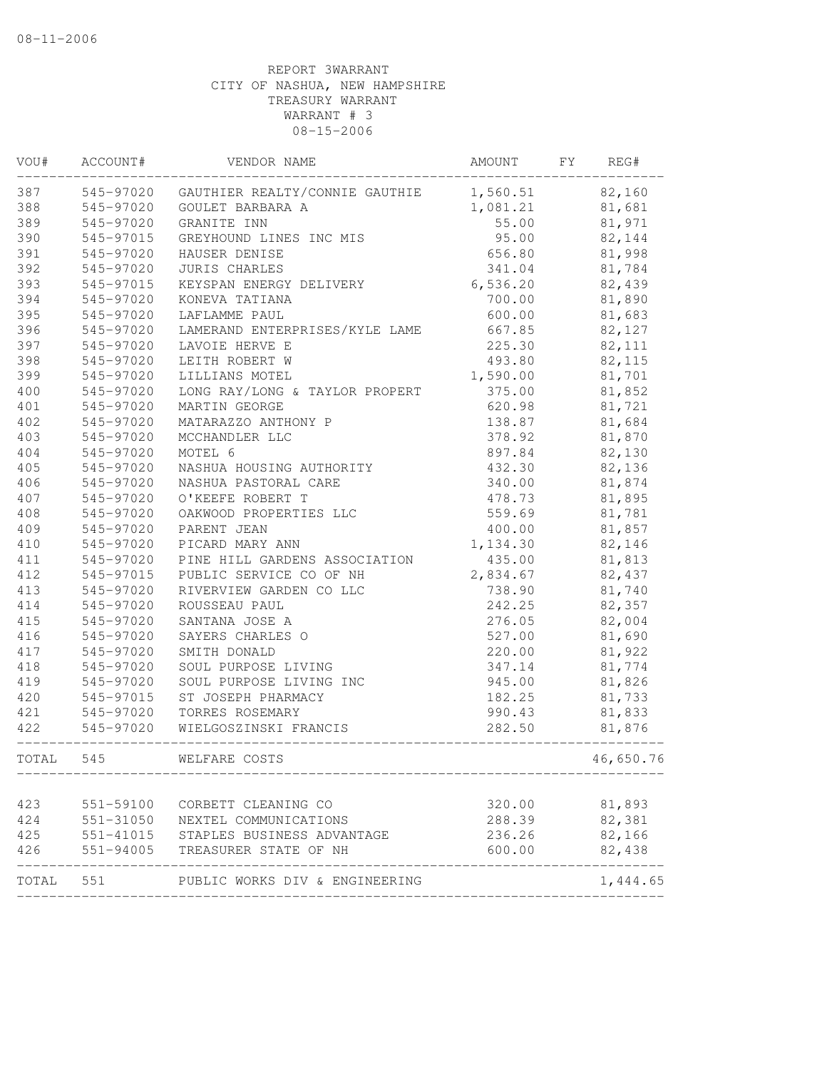| VOU#       | ACCOUNT#  | VENDOR NAME                                                                                                                       | AMOUNT           | FY | REG#                  |
|------------|-----------|-----------------------------------------------------------------------------------------------------------------------------------|------------------|----|-----------------------|
| 387        | 545-97020 | GAUTHIER REALTY/CONNIE GAUTHIE                                                                                                    | 1,560.51         |    | 82,160                |
| 388        | 545-97020 | GOULET BARBARA A                                                                                                                  | 1,081.21         |    | 81,681                |
| 389        | 545-97020 | GRANITE INN                                                                                                                       | 55.00            |    | 81,971                |
| 390        | 545-97015 | GREYHOUND LINES INC MIS                                                                                                           | 95.00            |    | 82,144                |
| 391        | 545-97020 | HAUSER DENISE                                                                                                                     | 656.80           |    | 81,998                |
| 392        | 545-97020 | <b>JURIS CHARLES</b>                                                                                                              | 341.04           |    | 81,784                |
| 393        | 545-97015 | KEYSPAN ENERGY DELIVERY                                                                                                           | 6,536.20         |    | 82,439                |
| 394        | 545-97020 | KONEVA TATIANA                                                                                                                    | 700.00           |    | 81,890                |
| 395        | 545-97020 | LAFLAMME PAUL                                                                                                                     | 600.00           |    | 81,683                |
| 396        | 545-97020 | LAMERAND ENTERPRISES/KYLE LAME                                                                                                    | 667.85           |    | 82,127                |
| 397        | 545-97020 | LAVOIE HERVE E                                                                                                                    | 225.30           |    | 82, 111               |
| 398        | 545-97020 | LEITH ROBERT W                                                                                                                    | 493.80           |    | 82,115                |
| 399        | 545-97020 | LILLIANS MOTEL                                                                                                                    | 1,590.00         |    | 81,701                |
| 400        | 545-97020 | LONG RAY/LONG & TAYLOR PROPERT                                                                                                    | 375.00           |    | 81,852                |
| 401        | 545-97020 | MARTIN GEORGE                                                                                                                     | 620.98           |    | 81,721                |
| 402        | 545-97020 | MATARAZZO ANTHONY P                                                                                                               | 138.87           |    | 81,684                |
| 403        | 545-97020 | MCCHANDLER LLC                                                                                                                    | 378.92           |    | 81,870                |
| 404        | 545-97020 | MOTEL 6                                                                                                                           | 897.84           |    | 82,130                |
| 405        | 545-97020 | NASHUA HOUSING AUTHORITY                                                                                                          | 432.30           |    | 82,136                |
| 406        | 545-97020 | NASHUA PASTORAL CARE                                                                                                              | 340.00           |    | 81,874                |
| 407        | 545-97020 | O'KEEFE ROBERT T                                                                                                                  | 478.73           |    | 81,895                |
| 408        | 545-97020 | OAKWOOD PROPERTIES LLC                                                                                                            | 559.69           |    | 81,781                |
| 409        | 545-97020 | PARENT JEAN                                                                                                                       | 400.00           |    | 81,857                |
| 410        | 545-97020 | PICARD MARY ANN                                                                                                                   | 1,134.30         |    | 82,146                |
| 411        | 545-97020 | PINE HILL GARDENS ASSOCIATION                                                                                                     | 435.00           |    | 81,813                |
| 412        | 545-97015 | PUBLIC SERVICE CO OF NH                                                                                                           | 2,834.67         |    | 82,437                |
| 413        | 545-97020 | RIVERVIEW GARDEN CO LLC                                                                                                           | 738.90           |    | 81,740                |
| 414        | 545-97020 | ROUSSEAU PAUL                                                                                                                     | 242.25           |    | 82,357                |
| 415        | 545-97020 | SANTANA JOSE A                                                                                                                    | 276.05           |    | 82,004                |
| 416        | 545-97020 | SAYERS CHARLES O                                                                                                                  | 527.00           |    | 81,690                |
| 417        | 545-97020 | SMITH DONALD                                                                                                                      | 220.00           |    | 81,922                |
| 418        | 545-97020 | SOUL PURPOSE LIVING                                                                                                               | 347.14           |    | 81,774                |
| 419        | 545-97020 | SOUL PURPOSE LIVING INC                                                                                                           | 945.00           |    | 81,826                |
| 420        | 545-97015 | ST JOSEPH PHARMACY                                                                                                                | 182.25           |    | 81,733                |
| 421        | 545-97020 | TORRES ROSEMARY                                                                                                                   | 990.43           |    | 81,833                |
| 422        | 545-97020 | WIELGOSZINSKI FRANCIS                                                                                                             | 282.50           |    | 81,876                |
| TOTAL      | 545       | WELFARE COSTS                                                                                                                     |                  |    | 46,650.76             |
|            |           |                                                                                                                                   |                  |    |                       |
| 423<br>424 | 551-59100 | CORBETT CLEANING CO<br>551-31050 NEXTEL COMMUNICATIONS<br>551-41015 STAPLES BUSINESS ADVANTAGE<br>551-94005 TREASURER STATE OF NU | 320.00<br>288.39 |    | 81,893<br>82,381      |
|            |           |                                                                                                                                   |                  |    |                       |
| 425        |           |                                                                                                                                   | 236.26           |    | 82,166                |
| 426        |           |                                                                                                                                   | 600.00           |    | 82,438<br>----------- |
| TOTAL      | 551       | PUBLIC WORKS DIV & ENGINEERING                                                                                                    |                  |    | 1,444.65              |
|            |           |                                                                                                                                   |                  |    |                       |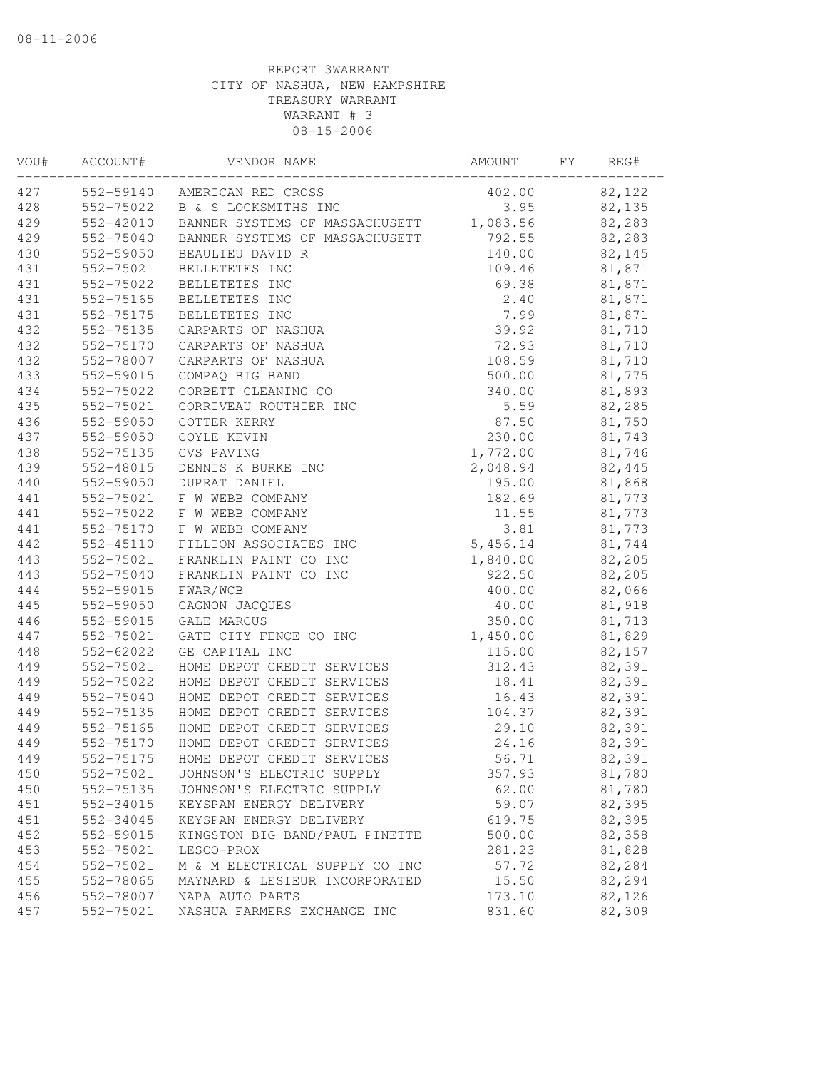| VOU# | ACCOUNT#  | VENDOR NAME                          | AMOUNT   | FΥ | REG#   |
|------|-----------|--------------------------------------|----------|----|--------|
| 427  |           | 552-59140 AMERICAN RED CROSS         | 402.00   |    | 82,122 |
| 428  |           | 552-75022 B & S LOCKSMITHS INC       | 3.95     |    | 82,135 |
| 429  | 552-42010 | BANNER SYSTEMS OF MASSACHUSETT       | 1,083.56 |    | 82,283 |
| 429  | 552-75040 | BANNER SYSTEMS OF MASSACHUSETT       | 792.55   |    | 82,283 |
| 430  | 552-59050 | BEAULIEU DAVID R                     | 140.00   |    | 82,145 |
| 431  | 552-75021 | BELLETETES INC                       | 109.46   |    | 81,871 |
| 431  | 552-75022 | BELLETETES INC                       | 69.38    |    | 81,871 |
| 431  | 552-75165 | BELLETETES INC                       | 2.40     |    | 81,871 |
| 431  | 552-75175 | BELLETETES INC                       | 7.99     |    | 81,871 |
| 432  | 552-75135 | CARPARTS OF NASHUA                   | 39.92    |    | 81,710 |
| 432  | 552-75170 | CARPARTS OF NASHUA                   | 72.93    |    | 81,710 |
| 432  | 552-78007 | CARPARTS OF NASHUA                   | 108.59   |    | 81,710 |
| 433  | 552-59015 | COMPAQ BIG BAND                      | 500.00   |    | 81,775 |
| 434  | 552-75022 | CORBETT CLEANING CO                  | 340.00   |    | 81,893 |
| 435  | 552-75021 | CORRIVEAU ROUTHIER INC               | 5.59     |    | 82,285 |
| 436  | 552-59050 | COTTER KERRY                         | 87.50    |    | 81,750 |
| 437  | 552-59050 | COYLE KEVIN                          | 230.00   |    | 81,743 |
| 438  | 552-75135 | CVS PAVING                           | 1,772.00 |    | 81,746 |
| 439  | 552-48015 | DENNIS K BURKE INC                   | 2,048.94 |    | 82,445 |
| 440  | 552-59050 | DUPRAT DANIEL                        | 195.00   |    | 81,868 |
| 441  | 552-75021 | F W WEBB COMPANY                     | 182.69   |    | 81,773 |
| 441  | 552-75022 | F W WEBB COMPANY                     | 11.55    |    | 81,773 |
| 441  | 552-75170 | F W WEBB COMPANY                     | 3.81     |    | 81,773 |
| 442  | 552-45110 | FILLION ASSOCIATES INC               | 5,456.14 |    | 81,744 |
| 443  | 552-75021 | FRANKLIN PAINT CO INC                | 1,840.00 |    | 82,205 |
| 443  | 552-75040 | FRANKLIN PAINT CO INC                | 922.50   |    | 82,205 |
| 444  | 552-59015 | FWAR/WCB                             | 400.00   |    | 82,066 |
| 445  | 552-59050 | GAGNON JACQUES                       | 40.00    |    | 81,918 |
| 446  | 552-59015 | GALE MARCUS                          | 350.00   |    | 81,713 |
| 447  | 552-75021 | GATE CITY FENCE CO INC               | 1,450.00 |    | 81,829 |
| 448  | 552-62022 | GE CAPITAL INC                       | 115.00   |    | 82,157 |
| 449  | 552-75021 | HOME DEPOT CREDIT SERVICES           | 312.43   |    | 82,391 |
| 449  | 552-75022 | HOME DEPOT CREDIT SERVICES           | 18.41    |    | 82,391 |
| 449  | 552-75040 | HOME DEPOT CREDIT SERVICES           | 16.43    |    | 82,391 |
| 449  | 552-75135 | HOME DEPOT CREDIT SERVICES           | 104.37   |    | 82,391 |
| 449  | 552-75165 | HOME DEPOT CREDIT SERVICES           | 29.10    |    | 82,391 |
| 449  |           | 552-75170 HOME DEPOT CREDIT SERVICES | 24.16    |    | 82,391 |
| 449  | 552-75175 | HOME DEPOT CREDIT SERVICES           | 56.71    |    | 82,391 |
| 450  | 552-75021 | JOHNSON'S ELECTRIC SUPPLY            | 357.93   |    | 81,780 |
| 450  | 552-75135 | JOHNSON'S ELECTRIC SUPPLY            | 62.00    |    | 81,780 |
| 451  | 552-34015 | KEYSPAN ENERGY DELIVERY              | 59.07    |    | 82,395 |
| 451  | 552-34045 | KEYSPAN ENERGY DELIVERY              | 619.75   |    | 82,395 |
| 452  | 552-59015 | KINGSTON BIG BAND/PAUL PINETTE       | 500.00   |    | 82,358 |
| 453  | 552-75021 | LESCO-PROX                           | 281.23   |    | 81,828 |
| 454  | 552-75021 | M & M ELECTRICAL SUPPLY CO INC       | 57.72    |    | 82,284 |
| 455  | 552-78065 | MAYNARD & LESIEUR INCORPORATED       | 15.50    |    | 82,294 |
| 456  | 552-78007 | NAPA AUTO PARTS                      | 173.10   |    | 82,126 |
| 457  | 552-75021 | NASHUA FARMERS EXCHANGE INC          | 831.60   |    | 82,309 |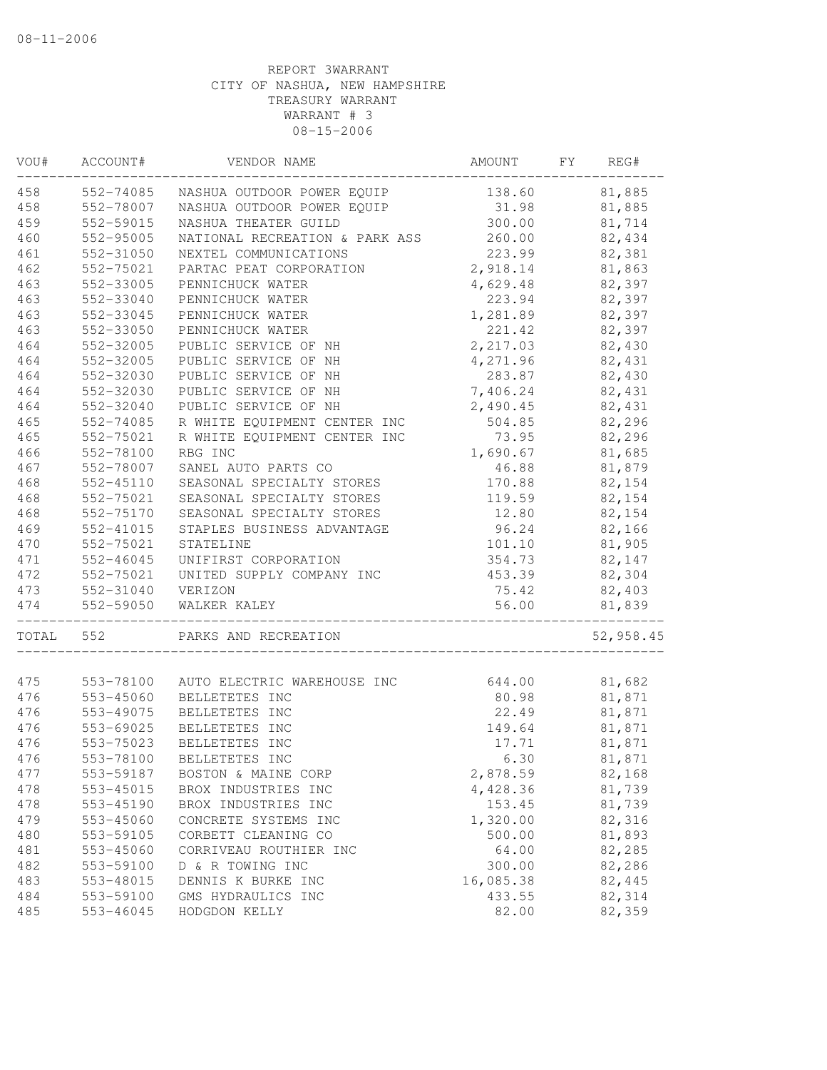| VOU#  | ACCOUNT#  | VENDOR NAME                    | AMOUNT    | FΥ | REG#      |
|-------|-----------|--------------------------------|-----------|----|-----------|
| 458   | 552-74085 | NASHUA OUTDOOR POWER EQUIP     | 138.60    |    | 81,885    |
| 458   | 552-78007 | NASHUA OUTDOOR POWER EQUIP     | 31.98     |    | 81,885    |
| 459   | 552-59015 | NASHUA THEATER GUILD           | 300.00    |    | 81,714    |
| 460   | 552-95005 | NATIONAL RECREATION & PARK ASS | 260.00    |    | 82,434    |
| 461   | 552-31050 | NEXTEL COMMUNICATIONS          | 223.99    |    | 82,381    |
| 462   | 552-75021 | PARTAC PEAT CORPORATION        | 2,918.14  |    | 81,863    |
| 463   | 552-33005 | PENNICHUCK WATER               | 4,629.48  |    | 82,397    |
| 463   | 552-33040 | PENNICHUCK WATER               | 223.94    |    | 82,397    |
| 463   | 552-33045 | PENNICHUCK WATER               | 1,281.89  |    | 82,397    |
| 463   | 552-33050 | PENNICHUCK WATER               | 221.42    |    | 82,397    |
| 464   | 552-32005 | PUBLIC SERVICE OF NH           | 2,217.03  |    | 82,430    |
| 464   | 552-32005 | PUBLIC SERVICE OF NH           | 4,271.96  |    | 82,431    |
| 464   | 552-32030 | PUBLIC SERVICE OF NH           | 283.87    |    | 82,430    |
| 464   | 552-32030 | PUBLIC SERVICE OF NH           | 7,406.24  |    | 82,431    |
| 464   | 552-32040 | PUBLIC SERVICE OF NH           | 2,490.45  |    | 82,431    |
| 465   | 552-74085 | R WHITE EQUIPMENT CENTER INC   | 504.85    |    | 82,296    |
| 465   | 552-75021 | R WHITE EQUIPMENT CENTER INC   | 73.95     |    | 82,296    |
| 466   | 552-78100 | RBG INC                        | 1,690.67  |    | 81,685    |
| 467   | 552-78007 | SANEL AUTO PARTS CO            | 46.88     |    | 81,879    |
| 468   | 552-45110 | SEASONAL SPECIALTY STORES      | 170.88    |    | 82,154    |
| 468   | 552-75021 | SEASONAL SPECIALTY STORES      | 119.59    |    | 82,154    |
| 468   | 552-75170 | SEASONAL SPECIALTY STORES      | 12.80     |    | 82,154    |
| 469   | 552-41015 | STAPLES BUSINESS ADVANTAGE     | 96.24     |    | 82,166    |
| 470   | 552-75021 | STATELINE                      | 101.10    |    | 81,905    |
| 471   | 552-46045 | UNIFIRST CORPORATION           | 354.73    |    | 82,147    |
| 472   | 552-75021 | UNITED SUPPLY COMPANY INC      | 453.39    |    | 82,304    |
| 473   | 552-31040 | VERIZON                        | 75.42     |    | 82,403    |
| 474   | 552-59050 | WALKER KALEY                   | 56.00     |    | 81,839    |
| TOTAL | 552       | PARKS AND RECREATION           |           |    | 52,958.45 |
|       |           |                                |           |    |           |
| 475   | 553-78100 | AUTO ELECTRIC WAREHOUSE INC    | 644.00    |    | 81,682    |
| 476   | 553-45060 | BELLETETES INC                 | 80.98     |    | 81,871    |
| 476   | 553-49075 | BELLETETES INC                 | 22.49     |    | 81,871    |
| 476   | 553-69025 | BELLETETES INC                 | 149.64    |    | 81,871    |
| 476   | 553-75023 | BELLETETES INC                 | 17.71     |    | 81,871    |
| 476   | 553-78100 | BELLETETES INC                 | 6.30      |    | 81,871    |
| 477   | 553-59187 | BOSTON & MAINE CORP            | 2,878.59  |    | 82,168    |
| 478   | 553-45015 | BROX INDUSTRIES INC            | 4,428.36  |    | 81,739    |
| 478   | 553-45190 | BROX INDUSTRIES INC            | 153.45    |    | 81,739    |
| 479   | 553-45060 | CONCRETE SYSTEMS INC           | 1,320.00  |    | 82,316    |
| 480   | 553-59105 | CORBETT CLEANING CO            | 500.00    |    | 81,893    |
| 481   | 553-45060 | CORRIVEAU ROUTHIER INC         | 64.00     |    | 82,285    |
| 482   | 553-59100 | D & R TOWING INC               | 300.00    |    | 82,286    |
| 483   | 553-48015 | DENNIS K BURKE INC             | 16,085.38 |    | 82,445    |
| 484   | 553-59100 | GMS HYDRAULICS INC             | 433.55    |    | 82,314    |
| 485   | 553-46045 | HODGDON KELLY                  | 82.00     |    | 82,359    |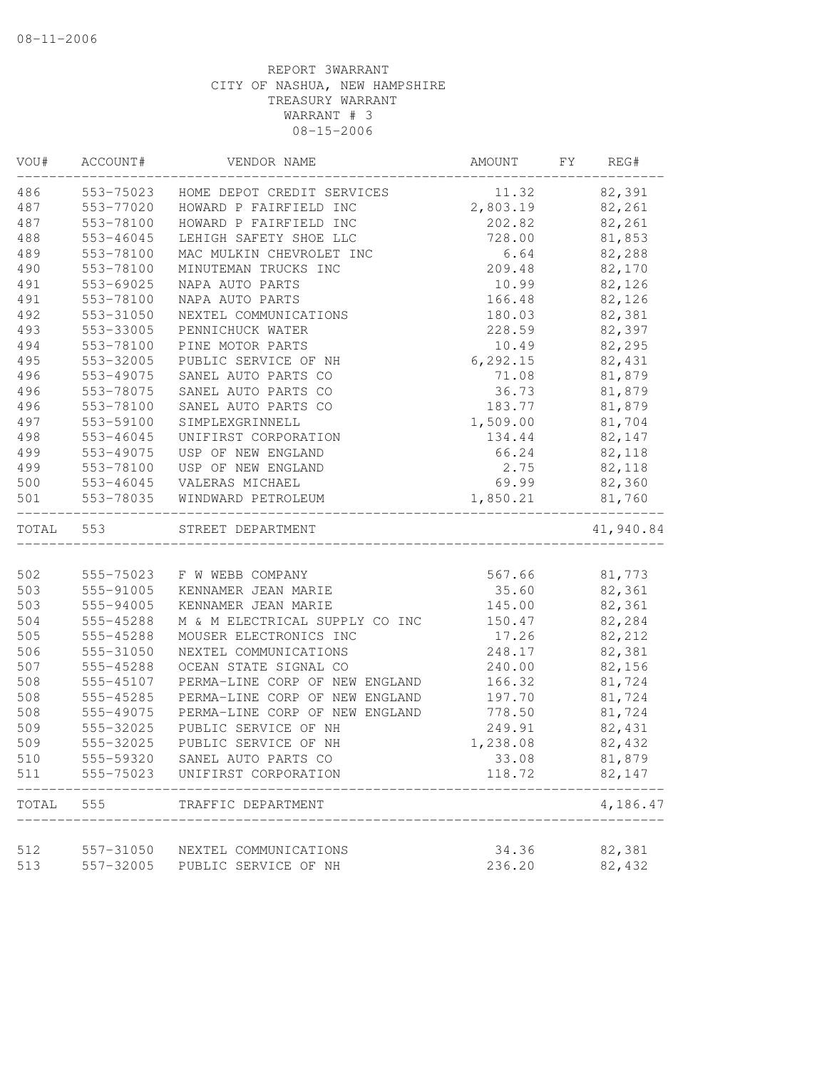| VOU#  | ACCOUNT#  | VENDOR NAME                    | AMOUNT    | FY | REG#      |
|-------|-----------|--------------------------------|-----------|----|-----------|
| 486   | 553-75023 | HOME DEPOT CREDIT SERVICES     | 11.32     |    | 82,391    |
| 487   | 553-77020 | HOWARD P FAIRFIELD INC         | 2,803.19  |    | 82,261    |
| 487   | 553-78100 | HOWARD P FAIRFIELD INC         | 202.82    |    | 82,261    |
| 488   | 553-46045 | LEHIGH SAFETY SHOE LLC         | 728.00    |    | 81,853    |
| 489   | 553-78100 | MAC MULKIN CHEVROLET INC       | 6.64      |    | 82,288    |
| 490   | 553-78100 | MINUTEMAN TRUCKS INC           | 209.48    |    | 82,170    |
| 491   | 553-69025 | NAPA AUTO PARTS                | 10.99     |    | 82,126    |
| 491   | 553-78100 | NAPA AUTO PARTS                | 166.48    |    | 82,126    |
| 492   | 553-31050 | NEXTEL COMMUNICATIONS          | 180.03    |    | 82,381    |
| 493   | 553-33005 | PENNICHUCK WATER               | 228.59    |    | 82,397    |
| 494   | 553-78100 | PINE MOTOR PARTS               | 10.49     |    | 82,295    |
| 495   | 553-32005 | PUBLIC SERVICE OF NH           | 6, 292.15 |    | 82,431    |
| 496   | 553-49075 | SANEL AUTO PARTS CO            | 71.08     |    | 81,879    |
| 496   | 553-78075 | SANEL AUTO PARTS CO            | 36.73     |    | 81,879    |
| 496   | 553-78100 | SANEL AUTO PARTS CO            | 183.77    |    | 81,879    |
| 497   | 553-59100 | SIMPLEXGRINNELL                | 1,509.00  |    | 81,704    |
| 498   | 553-46045 | UNIFIRST CORPORATION           | 134.44    |    | 82,147    |
| 499   | 553-49075 | USP OF NEW ENGLAND             | 66.24     |    | 82,118    |
| 499   | 553-78100 | USP OF NEW ENGLAND             | 2.75      |    | 82,118    |
| 500   | 553-46045 | VALERAS MICHAEL                | 69.99     |    | 82,360    |
| 501   | 553-78035 | WINDWARD PETROLEUM             | 1,850.21  |    | 81,760    |
| TOTAL | 553       | STREET DEPARTMENT              |           |    | 41,940.84 |
| 502   | 555-75023 | F W WEBB COMPANY               | 567.66    |    | 81,773    |
| 503   | 555-91005 | KENNAMER JEAN MARIE            | 35.60     |    | 82,361    |
| 503   | 555-94005 | KENNAMER JEAN MARIE            | 145.00    |    | 82,361    |
| 504   | 555-45288 | M & M ELECTRICAL SUPPLY CO INC | 150.47    |    | 82,284    |
| 505   | 555-45288 | MOUSER ELECTRONICS INC         | 17.26     |    | 82,212    |
| 506   | 555-31050 | NEXTEL COMMUNICATIONS          | 248.17    |    | 82,381    |
| 507   | 555-45288 | OCEAN STATE SIGNAL CO          | 240.00    |    | 82,156    |
| 508   | 555-45107 | PERMA-LINE CORP OF NEW ENGLAND | 166.32    |    | 81,724    |
| 508   | 555-45285 | PERMA-LINE CORP OF NEW ENGLAND | 197.70    |    | 81,724    |
| 508   | 555-49075 | PERMA-LINE CORP OF NEW ENGLAND | 778.50    |    | 81,724    |
| 509   | 555-32025 | PUBLIC SERVICE OF NH           | 249.91    |    | 82,431    |
| 509   | 555-32025 | PUBLIC SERVICE OF NH           | 1,238.08  |    | 82,432    |
| 510   | 555-59320 | SANEL AUTO PARTS CO            | 33.08     |    | 81,879    |
| 511   | 555-75023 | UNIFIRST CORPORATION           | 118.72    |    | 82,147    |
| TOTAL | 555       | TRAFFIC DEPARTMENT             |           |    | 4,186.47  |
|       |           |                                |           |    |           |
| 512   | 557-31050 | NEXTEL COMMUNICATIONS          | 34.36     |    | 82,381    |
| 513   | 557-32005 | PUBLIC SERVICE OF NH           | 236.20    |    | 82,432    |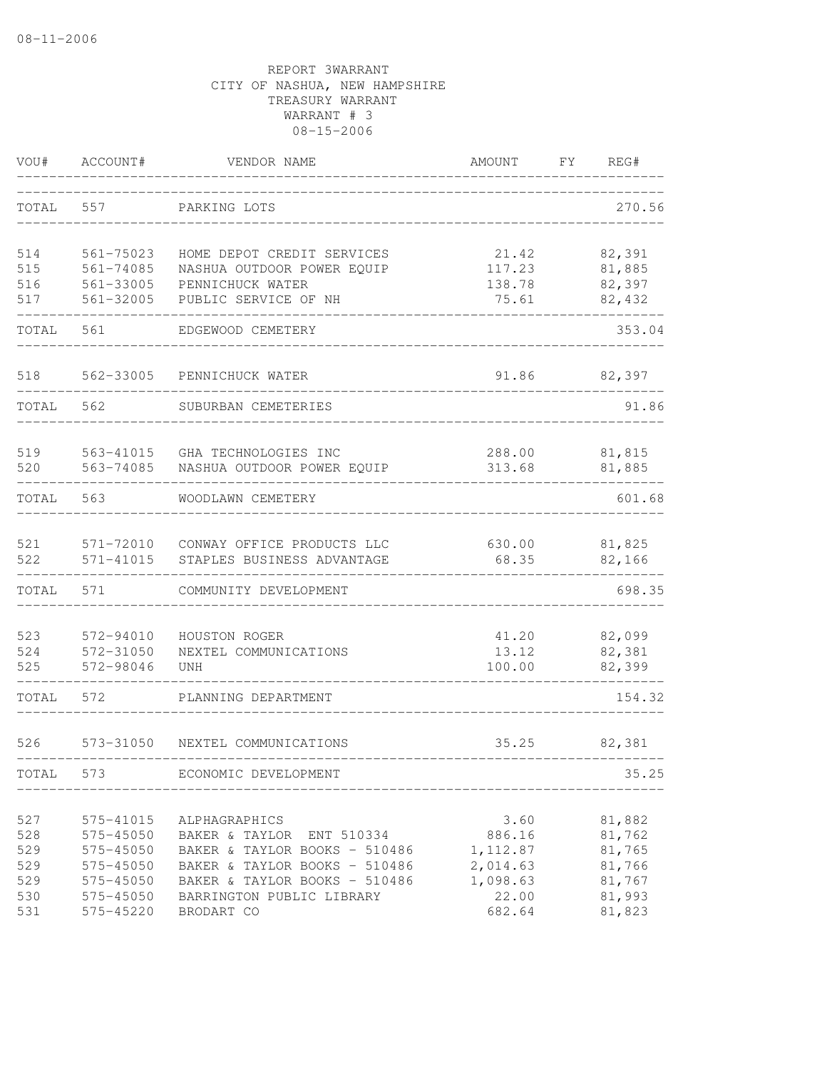| VOU#       | ACCOUNT#               | VENDOR NAME                                              | AMOUNT          | FΥ | REG#             |
|------------|------------------------|----------------------------------------------------------|-----------------|----|------------------|
| TOTAL      | 557                    | PARKING LOTS                                             |                 |    | 270.56           |
| 514        | 561-75023              | HOME DEPOT CREDIT SERVICES                               | 21.42           |    | 82,391           |
| 515        | $561 - 74085$          | NASHUA OUTDOOR POWER EQUIP                               | 117.23          |    | 81,885           |
| 516        | 561-33005              | PENNICHUCK WATER                                         | 138.78          |    | 82,397           |
| 517        | 561-32005              | PUBLIC SERVICE OF NH                                     | 75.61           |    | 82,432           |
| TOTAL      | 561                    | EDGEWOOD CEMETERY                                        |                 |    | 353.04           |
| 518        | 562-33005              | PENNICHUCK WATER                                         | 91.86           |    | 82,397           |
| TOTAL      | 562                    | SUBURBAN CEMETERIES                                      |                 |    | 91.86            |
| 519        | 563-41015              | GHA TECHNOLOGIES INC                                     | 288.00          |    | 81,815           |
| 520        | 563-74085              | NASHUA OUTDOOR POWER EQUIP                               | 313.68          |    | 81,885           |
| TOTAL      | 563                    | WOODLAWN CEMETERY                                        |                 |    | 601.68           |
| 521<br>522 | 571-72010<br>571-41015 | CONWAY OFFICE PRODUCTS LLC<br>STAPLES BUSINESS ADVANTAGE | 630.00<br>68.35 |    | 81,825<br>82,166 |
|            |                        |                                                          |                 |    |                  |
| TOTAL      | 571                    | COMMUNITY DEVELOPMENT                                    |                 |    | 698.35           |
| 523        | 572-94010              | HOUSTON ROGER                                            | 41.20           |    | 82,099           |
| 524        | 572-31050              | NEXTEL COMMUNICATIONS                                    | 13.12           |    | 82,381           |
| 525        | 572-98046              | UNH                                                      | 100.00          |    | 82,399           |
| TOTAL      | 572                    | PLANNING DEPARTMENT                                      |                 |    | 154.32           |
| 526        | 573-31050              | NEXTEL COMMUNICATIONS                                    | 35.25           |    | 82,381           |
| TOTAL      | 573                    | ECONOMIC DEVELOPMENT                                     |                 |    | 35.25            |
| 527        | 575-41015              | ALPHAGRAPHICS                                            | 3.60            |    | 81,882           |
| 528        | 575-45050              | BAKER & TAYLOR ENT 510334                                | 886.16          |    | 81,762           |
| 529        | 575-45050              | BAKER & TAYLOR BOOKS - 510486                            | 1, 112.87       |    | 81,765           |
| 529        | 575-45050              | BAKER & TAYLOR BOOKS - 510486                            | 2,014.63        |    | 81,766           |
| 529        | 575-45050              | BAKER & TAYLOR BOOKS - 510486                            | 1,098.63        |    | 81,767           |
| 530        | 575-45050              | BARRINGTON PUBLIC LIBRARY                                | 22.00           |    | 81,993           |
| 531        | 575-45220              | BRODART CO                                               | 682.64          |    | 81,823           |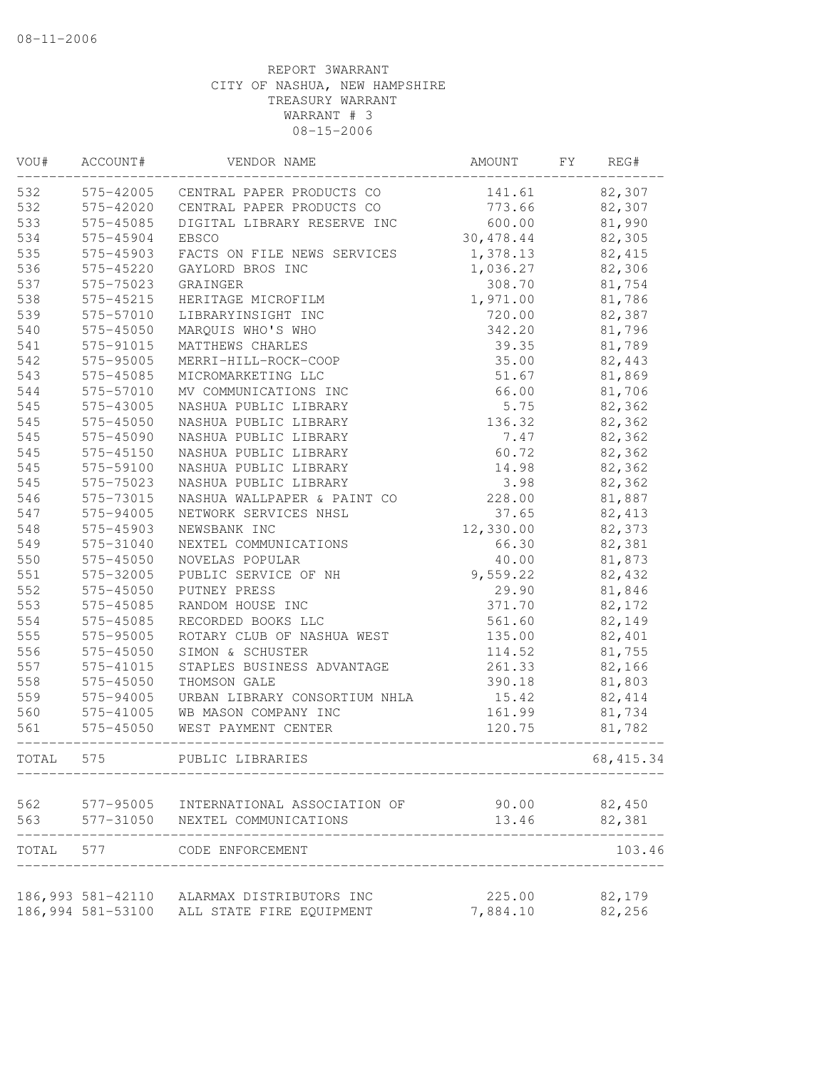| VOU#  | ACCOUNT#          | VENDOR NAME                         | AMOUNT     | FY | REG#       |
|-------|-------------------|-------------------------------------|------------|----|------------|
| 532   |                   | 575-42005 CENTRAL PAPER PRODUCTS CO | 141.61     |    | 82,307     |
| 532   | 575-42020         | CENTRAL PAPER PRODUCTS CO           | 773.66     |    | 82,307     |
| 533   | 575-45085         | DIGITAL LIBRARY RESERVE INC         | 600.00     |    | 81,990     |
| 534   | 575-45904         | <b>EBSCO</b>                        | 30, 478.44 |    | 82,305     |
| 535   | 575-45903         | FACTS ON FILE NEWS SERVICES         | 1,378.13   |    | 82,415     |
| 536   | 575-45220         | GAYLORD BROS INC                    | 1,036.27   |    | 82,306     |
| 537   | 575-75023         | GRAINGER                            | 308.70     |    | 81,754     |
| 538   | 575-45215         | HERITAGE MICROFILM                  | 1,971.00   |    | 81,786     |
| 539   | 575-57010         | LIBRARYINSIGHT INC                  | 720.00     |    | 82,387     |
| 540   | 575-45050         | MARQUIS WHO'S WHO                   | 342.20     |    | 81,796     |
| 541   | 575-91015         | MATTHEWS CHARLES                    | 39.35      |    | 81,789     |
| 542   | 575-95005         | MERRI-HILL-ROCK-COOP                | 35.00      |    | 82,443     |
| 543   | 575-45085         | MICROMARKETING LLC                  | 51.67      |    | 81,869     |
| 544   | 575-57010         | MV COMMUNICATIONS INC               | 66.00      |    | 81,706     |
| 545   | 575-43005         | NASHUA PUBLIC LIBRARY               | 5.75       |    | 82,362     |
| 545   | 575-45050         | NASHUA PUBLIC LIBRARY               | 136.32     |    | 82,362     |
| 545   | 575-45090         | NASHUA PUBLIC LIBRARY               | 7.47       |    | 82,362     |
| 545   | 575-45150         | NASHUA PUBLIC LIBRARY               | 60.72      |    | 82,362     |
| 545   | 575-59100         | NASHUA PUBLIC LIBRARY               | 14.98      |    | 82,362     |
| 545   | 575-75023         | NASHUA PUBLIC LIBRARY               | 3.98       |    | 82,362     |
| 546   | 575-73015         | NASHUA WALLPAPER & PAINT CO         | 228.00     |    | 81,887     |
| 547   | 575-94005         | NETWORK SERVICES NHSL               | 37.65      |    | 82, 413    |
| 548   | 575-45903         | NEWSBANK INC                        | 12,330.00  |    | 82,373     |
| 549   | 575-31040         | NEXTEL COMMUNICATIONS               | 66.30      |    | 82,381     |
| 550   | 575-45050         | NOVELAS POPULAR                     | 40.00      |    | 81,873     |
| 551   | 575-32005         | PUBLIC SERVICE OF NH                | 9,559.22   |    | 82,432     |
| 552   | 575-45050         | PUTNEY PRESS                        | 29.90      |    | 81,846     |
| 553   | 575-45085         | RANDOM HOUSE INC                    | 371.70     |    | 82,172     |
| 554   | 575-45085         | RECORDED BOOKS LLC                  | 561.60     |    | 82,149     |
| 555   | 575-95005         | ROTARY CLUB OF NASHUA WEST          | 135.00     |    | 82,401     |
| 556   | 575-45050         | SIMON & SCHUSTER                    | 114.52     |    | 81,755     |
| 557   | 575-41015         | STAPLES BUSINESS ADVANTAGE          | 261.33     |    | 82,166     |
| 558   | 575-45050         | THOMSON GALE                        | 390.18     |    | 81,803     |
| 559   | 575-94005         | URBAN LIBRARY CONSORTIUM NHLA       | 15.42      |    | 82, 414    |
| 560   | 575-41005         | WB MASON COMPANY INC                | 161.99     |    | 81,734     |
| 561   | 575-45050         | WEST PAYMENT CENTER                 | 120.75     |    | 81,782     |
|       |                   |                                     |            |    |            |
| TOTAL | 575               | PUBLIC LIBRARIES                    |            |    | 68, 415.34 |
| 562   | 577-95005         | INTERNATIONAL ASSOCIATION OF        | 90.00      |    | 82,450     |
| 563   | 577-31050         | NEXTEL COMMUNICATIONS               | 13.46      |    | 82,381     |
| TOTAL | 577               | CODE ENFORCEMENT                    |            |    | 103.46     |
|       | 186,993 581-42110 | ALARMAX DISTRIBUTORS INC            | 225.00     |    | 82,179     |
|       | 186,994 581-53100 | ALL STATE FIRE EQUIPMENT            | 7,884.10   |    | 82,256     |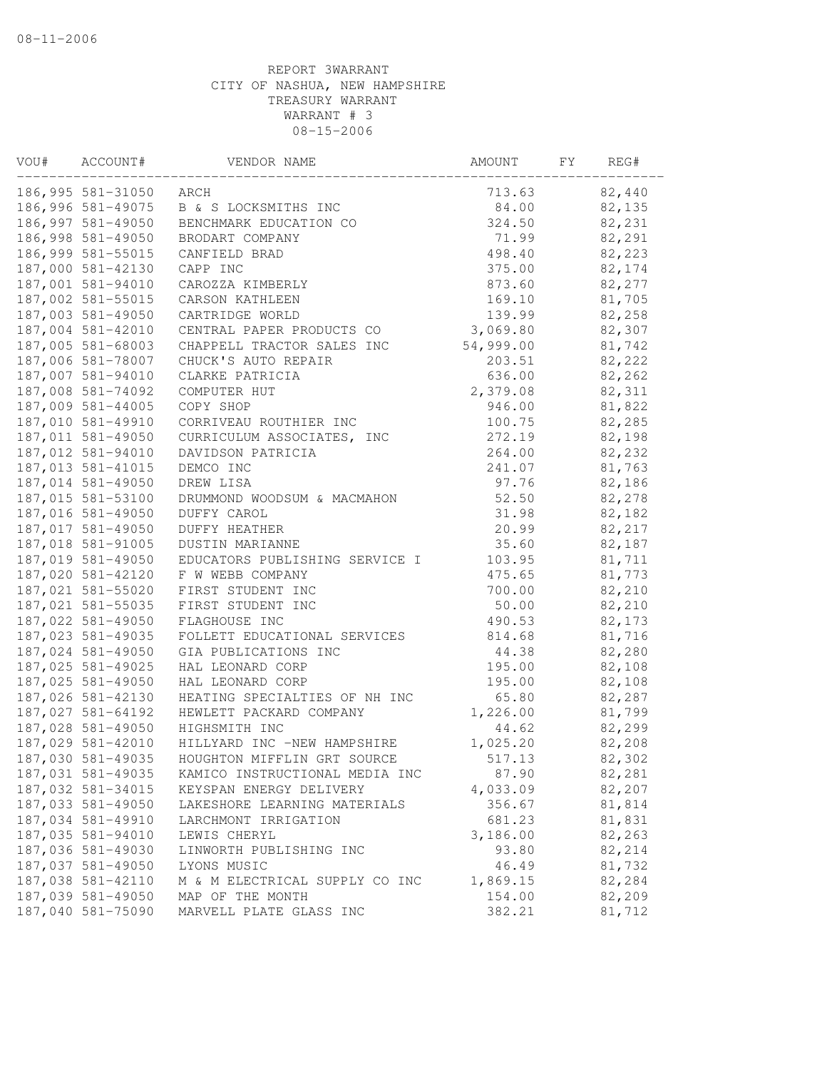| VOU# | ACCOUNT#          | VENDOR NAME                    | AMOUNT    | FY | REG#   |
|------|-------------------|--------------------------------|-----------|----|--------|
|      | 186,995 581-31050 | ARCH                           | 713.63    |    | 82,440 |
|      | 186,996 581-49075 | B & S LOCKSMITHS INC           | 84.00     |    | 82,135 |
|      | 186,997 581-49050 | BENCHMARK EDUCATION CO         | 324.50    |    | 82,231 |
|      | 186,998 581-49050 | BRODART COMPANY                | 71.99     |    | 82,291 |
|      | 186,999 581-55015 | CANFIELD BRAD                  | 498.40    |    | 82,223 |
|      | 187,000 581-42130 | CAPP INC                       | 375.00    |    | 82,174 |
|      | 187,001 581-94010 | CAROZZA KIMBERLY               | 873.60    |    | 82,277 |
|      | 187,002 581-55015 | CARSON KATHLEEN                | 169.10    |    | 81,705 |
|      | 187,003 581-49050 | CARTRIDGE WORLD                | 139.99    |    | 82,258 |
|      | 187,004 581-42010 | CENTRAL PAPER PRODUCTS CO      | 3,069.80  |    | 82,307 |
|      | 187,005 581-68003 | CHAPPELL TRACTOR SALES INC     | 54,999.00 |    | 81,742 |
|      | 187,006 581-78007 | CHUCK'S AUTO REPAIR            | 203.51    |    | 82,222 |
|      | 187,007 581-94010 | CLARKE PATRICIA                | 636.00    |    | 82,262 |
|      | 187,008 581-74092 | COMPUTER HUT                   | 2,379.08  |    | 82,311 |
|      | 187,009 581-44005 | COPY SHOP                      | 946.00    |    | 81,822 |
|      | 187,010 581-49910 | CORRIVEAU ROUTHIER INC         | 100.75    |    | 82,285 |
|      | 187,011 581-49050 | CURRICULUM ASSOCIATES, INC     | 272.19    |    | 82,198 |
|      | 187,012 581-94010 | DAVIDSON PATRICIA              | 264.00    |    | 82,232 |
|      | 187,013 581-41015 | DEMCO INC                      | 241.07    |    | 81,763 |
|      | 187,014 581-49050 | DREW LISA                      | 97.76     |    | 82,186 |
|      | 187,015 581-53100 | DRUMMOND WOODSUM & MACMAHON    | 52.50     |    | 82,278 |
|      | 187,016 581-49050 | DUFFY CAROL                    | 31.98     |    | 82,182 |
|      | 187,017 581-49050 | <b>DUFFY HEATHER</b>           | 20.99     |    | 82,217 |
|      | 187,018 581-91005 | DUSTIN MARIANNE                | 35.60     |    | 82,187 |
|      | 187,019 581-49050 | EDUCATORS PUBLISHING SERVICE I | 103.95    |    | 81,711 |
|      | 187,020 581-42120 | F W WEBB COMPANY               | 475.65    |    | 81,773 |
|      | 187,021 581-55020 | FIRST STUDENT INC              | 700.00    |    | 82,210 |
|      | 187,021 581-55035 | FIRST STUDENT INC              | 50.00     |    | 82,210 |
|      | 187,022 581-49050 | FLAGHOUSE INC                  | 490.53    |    | 82,173 |
|      | 187,023 581-49035 | FOLLETT EDUCATIONAL SERVICES   | 814.68    |    | 81,716 |
|      |                   |                                |           |    | 82,280 |
|      | 187,024 581-49050 | GIA PUBLICATIONS INC           | 44.38     |    |        |
|      | 187,025 581-49025 | HAL LEONARD CORP               | 195.00    |    | 82,108 |
|      | 187,025 581-49050 | HAL LEONARD CORP               | 195.00    |    | 82,108 |
|      | 187,026 581-42130 | HEATING SPECIALTIES OF NH INC  | 65.80     |    | 82,287 |
|      | 187,027 581-64192 | HEWLETT PACKARD COMPANY        | 1,226.00  |    | 81,799 |
|      | 187,028 581-49050 | HIGHSMITH INC                  | 44.62     |    | 82,299 |
|      | 187,029 581-42010 | HILLYARD INC -NEW HAMPSHIRE    | 1,025.20  |    | 82,208 |
|      | 187,030 581-49035 | HOUGHTON MIFFLIN GRT SOURCE    | 517.13    |    | 82,302 |
|      | 187,031 581-49035 | KAMICO INSTRUCTIONAL MEDIA INC | 87.90     |    | 82,281 |
|      | 187,032 581-34015 | KEYSPAN ENERGY DELIVERY        | 4,033.09  |    | 82,207 |
|      | 187,033 581-49050 | LAKESHORE LEARNING MATERIALS   | 356.67    |    | 81,814 |
|      | 187,034 581-49910 | LARCHMONT IRRIGATION           | 681.23    |    | 81,831 |
|      | 187,035 581-94010 | LEWIS CHERYL                   | 3,186.00  |    | 82,263 |
|      | 187,036 581-49030 | LINWORTH PUBLISHING INC        | 93.80     |    | 82,214 |
|      | 187,037 581-49050 | LYONS MUSIC                    | 46.49     |    | 81,732 |
|      | 187,038 581-42110 | M & M ELECTRICAL SUPPLY CO INC | 1,869.15  |    | 82,284 |
|      | 187,039 581-49050 | MAP OF THE MONTH               | 154.00    |    | 82,209 |
|      | 187,040 581-75090 | MARVELL PLATE GLASS INC        | 382.21    |    | 81,712 |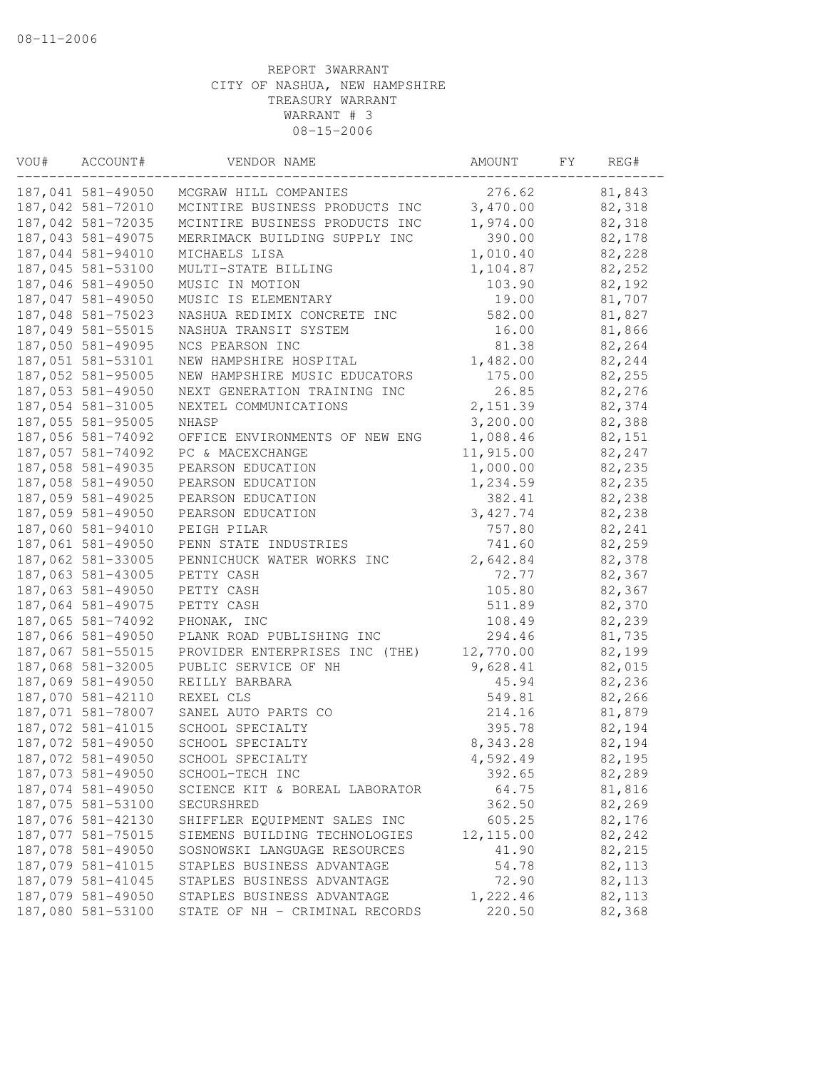| VOU# | ACCOUNT#          | VENDOR NAME                                  | AMOUNT          | FY | REG#             |
|------|-------------------|----------------------------------------------|-----------------|----|------------------|
|      | 187,041 581-49050 | MCGRAW HILL COMPANIES                        | 276.62          |    | 81,843           |
|      | 187,042 581-72010 | MCINTIRE BUSINESS PRODUCTS INC               | 3,470.00        |    | 82,318           |
|      | 187,042 581-72035 | MCINTIRE BUSINESS PRODUCTS INC               | 1,974.00        |    | 82,318           |
|      | 187,043 581-49075 | MERRIMACK BUILDING SUPPLY INC                | 390.00          |    | 82,178           |
|      | 187,044 581-94010 | MICHAELS LISA                                | 1,010.40        |    | 82,228           |
|      | 187,045 581-53100 | MULTI-STATE BILLING                          | 1,104.87        |    | 82,252           |
|      | 187,046 581-49050 | MUSIC IN MOTION                              | 103.90          |    | 82,192           |
|      | 187,047 581-49050 | MUSIC IS ELEMENTARY                          | 19.00           |    | 81,707           |
|      | 187,048 581-75023 | NASHUA REDIMIX CONCRETE INC                  | 582.00          |    | 81,827           |
|      | 187,049 581-55015 | NASHUA TRANSIT SYSTEM                        | 16.00           |    | 81,866           |
|      | 187,050 581-49095 | NCS PEARSON INC                              | 81.38           |    | 82,264           |
|      | 187,051 581-53101 | NEW HAMPSHIRE HOSPITAL                       | 1,482.00        |    | 82,244           |
|      | 187,052 581-95005 | NEW HAMPSHIRE MUSIC EDUCATORS                | 175.00          |    | 82,255           |
|      | 187,053 581-49050 | NEXT GENERATION TRAINING INC                 | 26.85           |    | 82,276           |
|      | 187,054 581-31005 | NEXTEL COMMUNICATIONS                        | 2,151.39        |    | 82,374           |
|      | 187,055 581-95005 | NHASP                                        | 3,200.00        |    | 82,388           |
|      | 187,056 581-74092 | OFFICE ENVIRONMENTS OF NEW ENG               | 1,088.46        |    | 82,151           |
|      | 187,057 581-74092 | PC & MACEXCHANGE                             | 11,915.00       |    | 82,247           |
|      | 187,058 581-49035 | PEARSON EDUCATION                            | 1,000.00        |    | 82,235           |
|      | 187,058 581-49050 | PEARSON EDUCATION                            | 1,234.59        |    | 82,235           |
|      | 187,059 581-49025 | PEARSON EDUCATION                            | 382.41          |    | 82,238           |
|      | 187,059 581-49050 | PEARSON EDUCATION                            | 3, 427.74       |    | 82,238           |
|      | 187,060 581-94010 | PEIGH PILAR                                  | 757.80          |    | 82,241           |
|      | 187,061 581-49050 | PENN STATE INDUSTRIES                        | 741.60          |    | 82,259           |
|      | 187,062 581-33005 | PENNICHUCK WATER WORKS INC                   | 2,642.84        |    | 82,378           |
|      | 187,063 581-43005 | PETTY CASH                                   | 72.77           |    | 82,367           |
|      | 187,063 581-49050 | PETTY CASH                                   | 105.80          |    | 82,367           |
|      | 187,064 581-49075 | PETTY CASH                                   | 511.89          |    | 82,370           |
|      | 187,065 581-74092 | PHONAK, INC                                  | 108.49          |    | 82,239           |
|      | 187,066 581-49050 | PLANK ROAD PUBLISHING INC                    | 294.46          |    | 81,735           |
|      | 187,067 581-55015 | PROVIDER ENTERPRISES INC (THE)               | 12,770.00       |    | 82,199           |
|      | 187,068 581-32005 | PUBLIC SERVICE OF NH                         | 9,628.41        |    | 82,015           |
|      | 187,069 581-49050 | REILLY BARBARA                               | 45.94           |    | 82,236           |
|      | 187,070 581-42110 | REXEL CLS                                    | 549.81          |    | 82,266           |
|      | 187,071 581-78007 | SANEL AUTO PARTS CO                          | 214.16          |    | 81,879           |
|      | 187,072 581-41015 | SCHOOL SPECIALTY                             | 395.78          |    | 82,194           |
|      | 187,072 581-49050 | SCHOOL SPECIALTY                             | 8,343.28        |    | 82,194           |
|      | 187,072 581-49050 | SCHOOL SPECIALTY                             | 4,592.49        |    | 82,195           |
|      | 187,073 581-49050 |                                              |                 |    | 82,289           |
|      | 187,074 581-49050 | SCHOOL-TECH INC                              | 392.65<br>64.75 |    |                  |
|      | 187,075 581-53100 | SCIENCE KIT & BOREAL LABORATOR<br>SECURSHRED | 362.50          |    | 81,816<br>82,269 |
|      | 187,076 581-42130 |                                              | 605.25          |    | 82,176           |
|      |                   | SHIFFLER EQUIPMENT SALES INC                 |                 |    |                  |
|      | 187,077 581-75015 | SIEMENS BUILDING TECHNOLOGIES                | 12, 115.00      |    | 82,242           |
|      | 187,078 581-49050 | SOSNOWSKI LANGUAGE RESOURCES                 | 41.90           |    | 82,215           |
|      | 187,079 581-41015 | STAPLES BUSINESS ADVANTAGE                   | 54.78           |    | 82,113           |
|      | 187,079 581-41045 | STAPLES BUSINESS ADVANTAGE                   | 72.90           |    | 82,113           |
|      | 187,079 581-49050 | STAPLES BUSINESS ADVANTAGE                   | 1,222.46        |    | 82,113           |
|      | 187,080 581-53100 | STATE OF NH - CRIMINAL RECORDS               | 220.50          |    | 82,368           |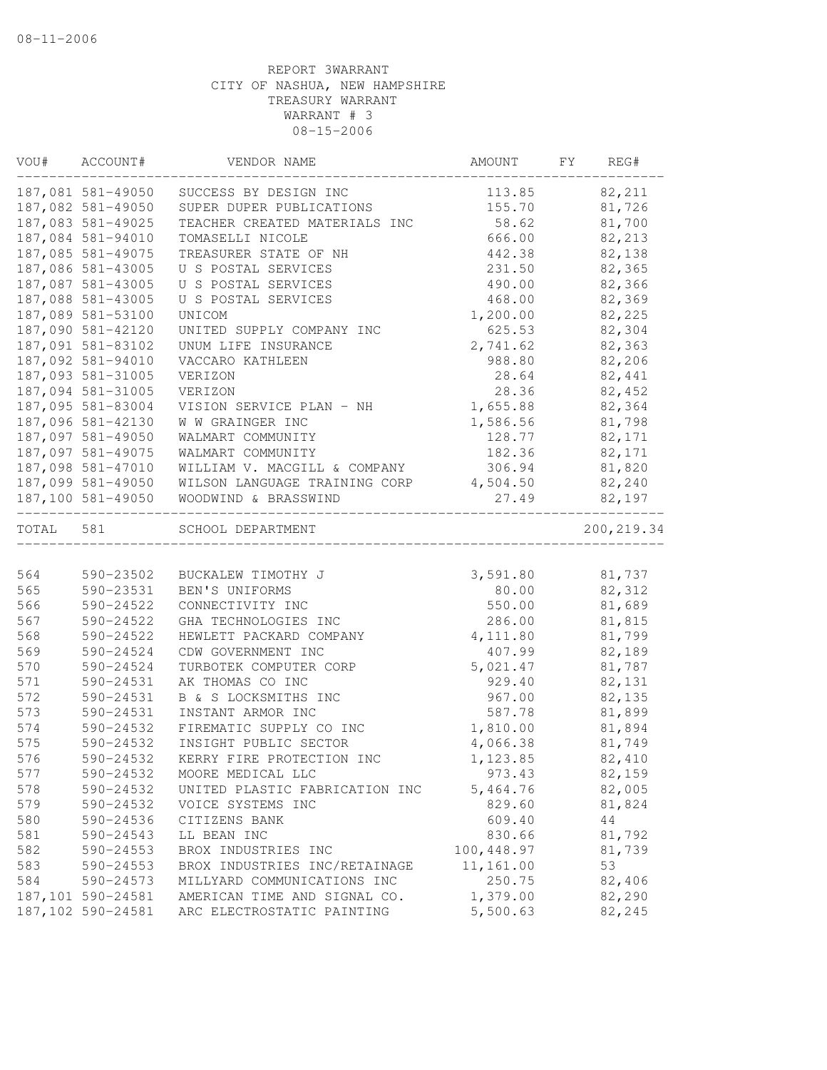|           | VOU# ACCOUNT#     | VENDOR NAME                            | AMOUNT     | FY | REG#        |
|-----------|-------------------|----------------------------------------|------------|----|-------------|
|           | 187,081 581-49050 | SUCCESS BY DESIGN INC                  | 113.85     |    | 82,211      |
|           | 187,082 581-49050 | SUPER DUPER PUBLICATIONS               | 155.70     |    | 81,726      |
|           | 187,083 581-49025 | TEACHER CREATED MATERIALS INC          | 58.62      |    | 81,700      |
|           | 187,084 581-94010 | TOMASELLI NICOLE                       | 666.00     |    | 82,213      |
|           | 187,085 581-49075 | TREASURER STATE OF NH                  | 442.38     |    | 82,138      |
|           | 187,086 581-43005 | U S POSTAL SERVICES                    | 231.50     |    | 82,365      |
|           | 187,087 581-43005 | U S POSTAL SERVICES                    | 490.00     |    | 82,366      |
|           | 187,088 581-43005 | U S POSTAL SERVICES                    | 468.00     |    | 82,369      |
|           | 187,089 581-53100 | UNICOM                                 | 1,200.00   |    | 82,225      |
|           | 187,090 581-42120 | UNITED SUPPLY COMPANY INC              | 625.53     |    | 82,304      |
|           | 187,091 581-83102 | UNUM LIFE INSURANCE                    | 2,741.62   |    | 82,363      |
|           | 187,092 581-94010 | VACCARO KATHLEEN                       | 988.80     |    | 82,206      |
|           | 187,093 581-31005 | VERIZON                                | 28.64      |    | 82,441      |
|           | 187,094 581-31005 | VERIZON                                | 28.36      |    | 82,452      |
|           | 187,095 581-83004 | VISION SERVICE PLAN - NH               | 1,655.88   |    | 82,364      |
|           | 187,096 581-42130 | W W GRAINGER INC                       | 1,586.56   |    | 81,798      |
|           | 187,097 581-49050 | WALMART COMMUNITY                      | 128.77     |    | 82,171      |
|           | 187,097 581-49075 | WALMART COMMUNITY                      | 182.36     |    | 82,171      |
|           | 187,098 581-47010 | WILLIAM V. MACGILL & COMPANY           | 306.94     |    | 81,820      |
|           | 187,099 581-49050 | WILSON LANGUAGE TRAINING CORP 4,504.50 |            |    | 82,240      |
|           | 187,100 581-49050 | WOODWIND & BRASSWIND                   | 27.49      |    | 82,197      |
| TOTAL 581 |                   | SCHOOL DEPARTMENT                      |            |    | 200, 219.34 |
|           |                   |                                        |            |    |             |
| 564       | 590-23502         | BUCKALEW TIMOTHY J                     | 3,591.80   |    | 81,737      |
| 565       | 590-23531         | BEN'S UNIFORMS                         | 80.00      |    | 82,312      |
| 566       | 590-24522         | CONNECTIVITY INC                       | 550.00     |    | 81,689      |
| 567       | 590-24522         | GHA TECHNOLOGIES INC                   | 286.00     |    | 81,815      |
| 568       | 590-24522         | HEWLETT PACKARD COMPANY                | 4,111.80   |    | 81,799      |
| 569       | 590-24524         | CDW GOVERNMENT INC                     | 407.99     |    | 82,189      |
| 570       | 590-24524         | TURBOTEK COMPUTER CORP                 | 5,021.47   |    | 81,787      |
| 571       | 590-24531         | AK THOMAS CO INC                       | 929.40     |    | 82,131      |
| 572       | 590-24531         | B & S LOCKSMITHS INC                   | 967.00     |    | 82,135      |
| 573       | 590-24531         | INSTANT ARMOR INC                      | 587.78     |    | 81,899      |
| 574       | 590-24532         | FIREMATIC SUPPLY CO INC                | 1,810.00   |    | 81,894      |
| 575       | 590-24532         | INSIGHT PUBLIC SECTOR                  | 4,066.38   |    | 81,749      |
| 576       | 590-24532         | KERRY FIRE PROTECTION INC              | 1,123.85   |    | 82,410      |
| 577       | 590-24532         | MOORE MEDICAL LLC                      | 973.43     |    | 82,159      |
| 578       | 590-24532         | UNITED PLASTIC FABRICATION INC         | 5,464.76   |    | 82,005      |
| 579       | 590-24532         | VOICE SYSTEMS INC                      | 829.60     |    | 81,824      |
| 580       | 590-24536         | CITIZENS BANK                          | 609.40     |    | 44          |
| 581       | 590-24543         | LL BEAN INC                            | 830.66     |    | 81,792      |
| 582       | $590 - 24553$     | BROX INDUSTRIES INC                    | 100,448.97 |    | 81,739      |
| 583       | 590-24553         | BROX INDUSTRIES INC/RETAINAGE          | 11,161.00  |    | 53          |
| 584       | 590-24573         | MILLYARD COMMUNICATIONS INC            | 250.75     |    | 82,406      |
|           | 187,101 590-24581 | AMERICAN TIME AND SIGNAL CO.           | 1,379.00   |    | 82,290      |
|           | 187,102 590-24581 | ARC ELECTROSTATIC PAINTING             | 5,500.63   |    | 82,245      |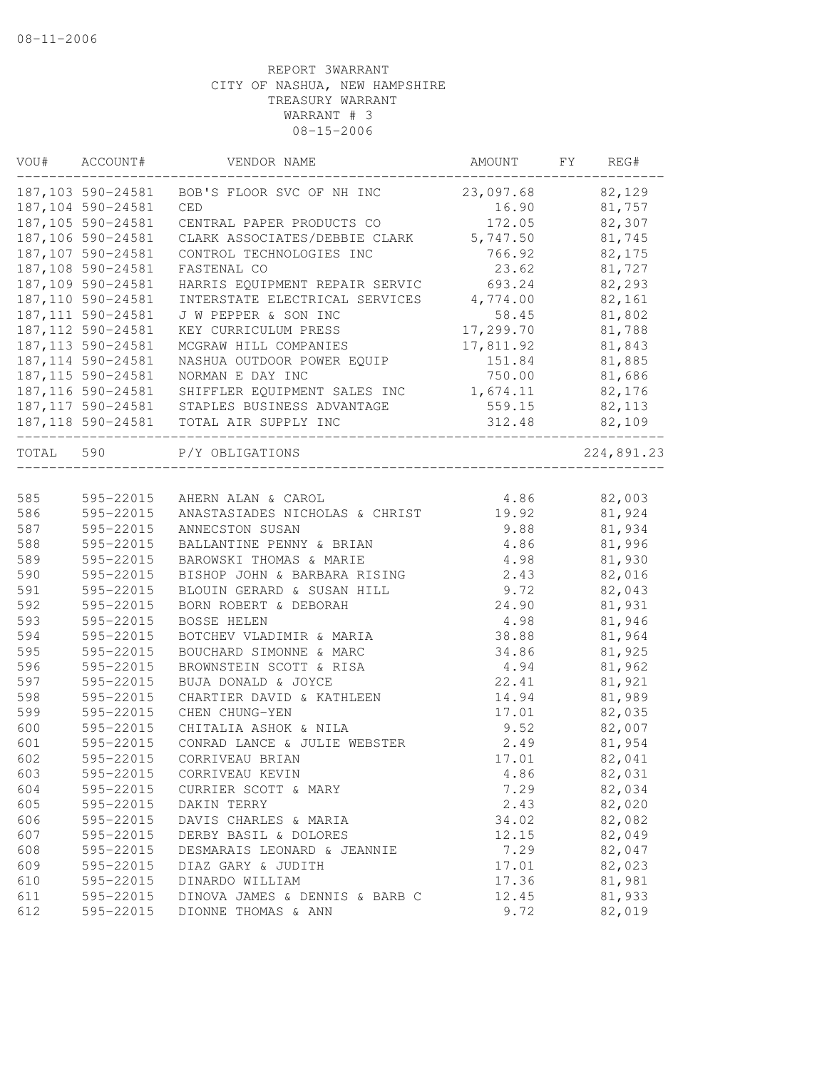| VOU#      | ACCOUNT#           | VENDOR NAME                                      | AMOUNT    | FY | REG#       |
|-----------|--------------------|--------------------------------------------------|-----------|----|------------|
|           | 187,103 590-24581  | BOB'S FLOOR SVC OF NH INC                        | 23,097.68 |    | 82,129     |
|           | 187,104 590-24581  | CED                                              | 16.90     |    | 81,757     |
|           | 187,105 590-24581  | CENTRAL PAPER PRODUCTS CO                        | 172.05    |    | 82,307     |
|           | 187,106 590-24581  | CLARK ASSOCIATES/DEBBIE CLARK 5,747.50           |           |    | 81,745     |
|           | 187,107 590-24581  | CONTROL TECHNOLOGIES INC                         | 766.92    |    | 82,175     |
|           | 187,108 590-24581  | FASTENAL CO                                      | 23.62     |    | 81,727     |
|           | 187,109 590-24581  | HARRIS EQUIPMENT REPAIR SERVIC                   | 693.24    |    | 82,293     |
|           | 187,110 590-24581  | INTERSTATE ELECTRICAL SERVICES                   | 4,774.00  |    | 82,161     |
|           | 187, 111 590-24581 | J W PEPPER & SON INC                             | 58.45     |    | 81,802     |
|           | 187, 112 590-24581 | KEY CURRICULUM PRESS                             | 17,299.70 |    | 81,788     |
|           | 187, 113 590-24581 | MCGRAW HILL COMPANIES                            | 17,811.92 |    | 81,843     |
|           | 187, 114 590-24581 | NASHUA OUTDOOR POWER EQUIP                       | 151.84    |    | 81,885     |
|           | 187, 115 590-24581 | NORMAN E DAY INC                                 | 750.00    |    | 81,686     |
|           | 187, 116 590-24581 | SHIFFLER EQUIPMENT SALES INC                     | 1,674.11  |    | 82,176     |
|           |                    | 187,117 590-24581 STAPLES BUSINESS ADVANTAGE     | 559.15    |    | 82,113     |
|           |                    | 187,118 590-24581 TOTAL AIR SUPPLY INC           | 312.48    |    | 82,109     |
| TOTAL 590 |                    | P/Y OBLIGATIONS<br>_____________________________ |           |    | 224,891.23 |
|           |                    |                                                  |           |    |            |
| 585       | 595-22015          | AHERN ALAN & CAROL                               | 4.86      |    | 82,003     |
| 586       | 595-22015          | ANASTASIADES NICHOLAS & CHRIST                   | 19.92     |    | 81,924     |
| 587       | 595-22015          | ANNECSTON SUSAN                                  | 9.88      |    | 81,934     |
| 588       | 595-22015          | BALLANTINE PENNY & BRIAN                         | 4.86      |    | 81,996     |
| 589       | 595-22015          | BAROWSKI THOMAS & MARIE                          | 4.98      |    | 81,930     |
| 590       | 595-22015          | BISHOP JOHN & BARBARA RISING                     | 2.43      |    | 82,016     |
| 591       | 595-22015          | BLOUIN GERARD & SUSAN HILL                       | 9.72      |    | 82,043     |
| 592       | 595-22015          | BORN ROBERT & DEBORAH                            | 24.90     |    | 81,931     |
| 593       | 595-22015          | <b>BOSSE HELEN</b>                               | 4.98      |    | 81,946     |
| 594       | 595-22015          | BOTCHEV VLADIMIR & MARIA                         | 38.88     |    | 81,964     |
| 595       | 595-22015          | BOUCHARD SIMONNE & MARC                          | 34.86     |    | 81,925     |
| 596       | 595-22015          | BROWNSTEIN SCOTT & RISA                          | 4.94      |    | 81,962     |
| 597       | 595-22015          | BUJA DONALD & JOYCE                              | 22.41     |    | 81,921     |
| 598       | 595-22015          | CHARTIER DAVID & KATHLEEN                        | 14.94     |    | 81,989     |
| 599       | 595-22015          | CHEN CHUNG-YEN                                   | 17.01     |    | 82,035     |
| 600       | 595-22015          | CHITALIA ASHOK & NILA                            | 9.52      |    | 82,007     |
| 601       | 595-22015          | CONRAD LANCE & JULIE WEBSTER                     | 2.49      |    | 81,954     |
| 602       | 595-22015          | CORRIVEAU BRIAN                                  | 17.01     |    | 82,041     |
| 603       | 595-22015          | CORRIVEAU KEVIN                                  | 4.86      |    | 82,031     |
| 604       | 595-22015          | CURRIER SCOTT & MARY                             | 7.29      |    | 82,034     |
| 605       | 595-22015          | DAKIN TERRY                                      | 2.43      |    | 82,020     |
| 606       | 595-22015          | DAVIS CHARLES & MARIA                            | 34.02     |    | 82,082     |
| 607       | 595-22015          | DERBY BASIL & DOLORES                            | 12.15     |    | 82,049     |
| 608       | 595-22015          | DESMARAIS LEONARD & JEANNIE                      | 7.29      |    | 82,047     |
| 609       | 595-22015          | DIAZ GARY & JUDITH                               | 17.01     |    | 82,023     |
| 610       | 595-22015          | DINARDO WILLIAM                                  | 17.36     |    | 81,981     |
| 611       | 595-22015          | DINOVA JAMES & DENNIS & BARB C                   | 12.45     |    | 81,933     |
| 612       | 595-22015          | DIONNE THOMAS & ANN                              | 9.72      |    | 82,019     |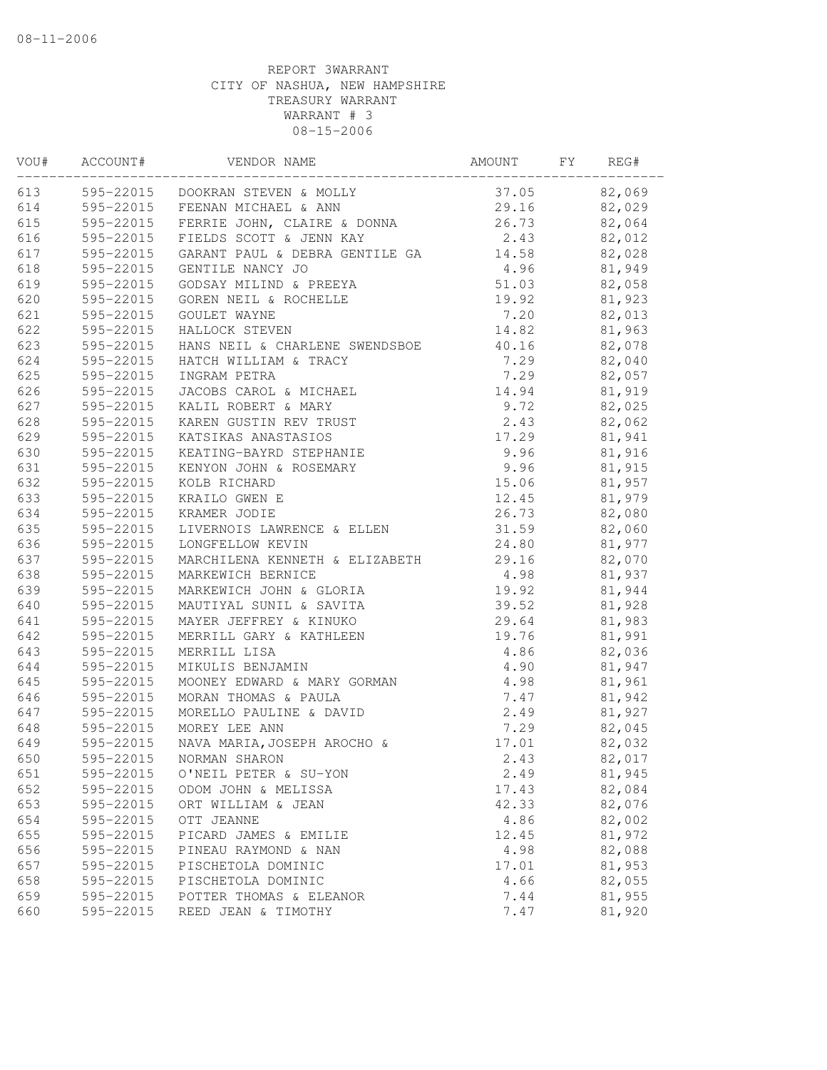| VOU# | ACCOUNT#  | VENDOR NAME                           | AMOUNT            | FY | REG#   |
|------|-----------|---------------------------------------|-------------------|----|--------|
| 613  |           | 595-22015 DOOKRAN STEVEN & MOLLY      | 37.05 82,069      |    |        |
| 614  |           | 595-22015 FEENAN MICHAEL & ANN        | 29.16 82,029      |    |        |
| 615  |           | 595-22015 FERRIE JOHN, CLAIRE & DONNA | 26.73             |    | 82,064 |
| 616  | 595-22015 | FIELDS SCOTT & JENN KAY               | 2.43              |    | 82,012 |
| 617  | 595-22015 | GARANT PAUL & DEBRA GENTILE GA        | 14.58             |    | 82,028 |
| 618  |           | 595-22015 GENTILE NANCY JO            | $4.96$<br>$51.03$ |    | 81,949 |
| 619  | 595-22015 | GODSAY MILIND & PREEYA<br>GODEN NUTT  |                   |    | 82,058 |
| 620  | 595-22015 | GOREN NEIL & ROCHELLE                 | 19.92             |    | 81,923 |
| 621  | 595-22015 | GOULET WAYNE                          | 7.20              |    | 82,013 |
| 622  | 595-22015 | HALLOCK STEVEN                        | 14.82             |    | 81,963 |
| 623  | 595-22015 | HANS NEIL & CHARLENE SWENDSBOE        | 40.16 82,078      |    |        |
| 624  | 595-22015 | HATCH WILLIAM & TRACY                 | 7.29              |    | 82,040 |
| 625  | 595-22015 | INGRAM PETRA                          | 7.29              |    | 82,057 |
| 626  | 595-22015 | JACOBS CAROL & MICHAEL                | 14.94             |    | 81,919 |
| 627  | 595-22015 | KALIL ROBERT & MARY                   | 9.72              |    | 82,025 |
| 628  | 595-22015 | KAREN GUSTIN REV TRUST                | 2.43              |    | 82,062 |
| 629  | 595-22015 | KATSIKAS ANASTASIOS                   | 17.29             |    | 81,941 |
| 630  | 595-22015 | KEATING-BAYRD STEPHANIE               | 9.96              |    | 81,916 |
| 631  | 595-22015 | KENYON JOHN & ROSEMARY                | 9.96              |    | 81,915 |
| 632  | 595-22015 | KOLB RICHARD                          | 15.06             |    | 81,957 |
| 633  | 595-22015 | KRAILO GWEN E                         | 12.45             |    | 81,979 |
| 634  | 595-22015 | KRAMER JODIE                          | 26.73             |    | 82,080 |
| 635  | 595-22015 | LIVERNOIS LAWRENCE & ELLEN            | 31.59             |    | 82,060 |
| 636  | 595-22015 | LONGFELLOW KEVIN                      | 24.80             |    | 81,977 |
| 637  | 595-22015 | MARCHILENA KENNETH & ELIZABETH        | 29.16             |    | 82,070 |
| 638  | 595-22015 | MARKEWICH BERNICE                     | 4.98              |    | 81,937 |
| 639  | 595-22015 | MARKEWICH JOHN & GLORIA               | 19.92             |    | 81,944 |
| 640  | 595-22015 | MAUTIYAL SUNIL & SAVITA               | 39.52             |    | 81,928 |
| 641  | 595-22015 | MAYER JEFFREY & KINUKO                | 29.64             |    | 81,983 |
| 642  | 595-22015 | MERRILL GARY & KATHLEEN               | 19.76             |    | 81,991 |
| 643  | 595-22015 | MERRILL LISA                          | 4.86              |    | 82,036 |
| 644  | 595-22015 | MIKULIS BENJAMIN                      | 4.90              |    | 81,947 |
| 645  | 595-22015 | MOONEY EDWARD & MARY GORMAN           | 4.98              |    | 81,961 |
| 646  | 595-22015 | MORAN THOMAS & PAULA                  | 7.47              |    | 81,942 |
| 647  | 595-22015 | MORELLO PAULINE & DAVID               | 2.49              |    | 81,927 |
| 648  | 595-22015 | MOREY LEE ANN                         | 7.29              |    | 82,045 |
| 649  |           | 595-22015 NAVA MARIA, JOSEPH AROCHO & | 17.01             |    | 82,032 |
| 650  | 595-22015 | NORMAN SHARON                         | 2.43              |    | 82,017 |
| 651  | 595-22015 | O'NEIL PETER & SU-YON                 | 2.49              |    | 81,945 |
| 652  | 595-22015 | ODOM JOHN & MELISSA                   | 17.43             |    | 82,084 |
| 653  | 595-22015 | ORT WILLIAM & JEAN                    | 42.33             |    | 82,076 |
| 654  | 595-22015 | OTT JEANNE                            | 4.86              |    | 82,002 |
| 655  | 595-22015 | PICARD JAMES & EMILIE                 | 12.45             |    | 81,972 |
| 656  | 595-22015 | PINEAU RAYMOND & NAN                  | 4.98              |    | 82,088 |
| 657  | 595-22015 | PISCHETOLA DOMINIC                    | 17.01             |    | 81,953 |
| 658  | 595-22015 | PISCHETOLA DOMINIC                    | 4.66              |    | 82,055 |
| 659  | 595-22015 | POTTER THOMAS & ELEANOR               | 7.44              |    | 81,955 |
| 660  | 595-22015 | REED JEAN & TIMOTHY                   | 7.47              |    | 81,920 |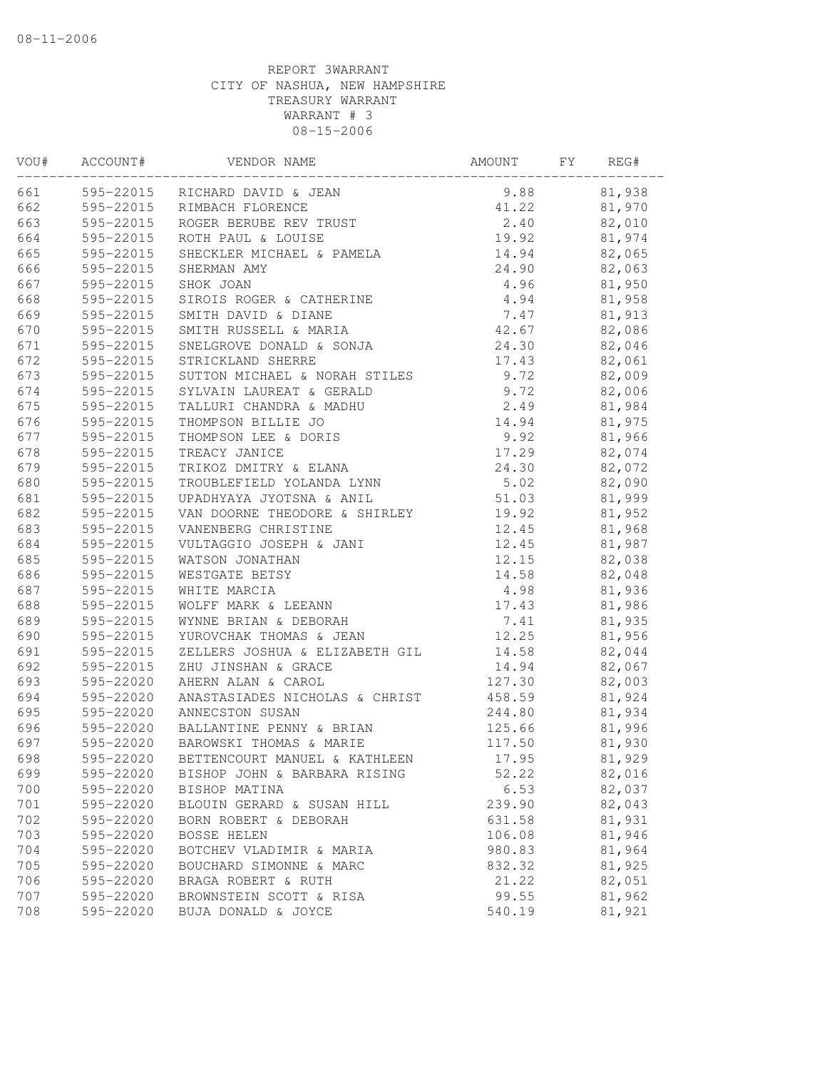| VOU# | ACCOUNT#  | VENDOR NAME                                        | AMOUNT | FY | REG#   |
|------|-----------|----------------------------------------------------|--------|----|--------|
| 661  |           | 595-22015 RICHARD DAVID & JEAN                     | 9.88   |    | 81,938 |
| 662  |           | 595-22015 RIMBACH FLORENCE                         | 41.22  |    | 81,970 |
| 663  | 595-22015 | ROGER BERUBE REV TRUST                             | 2.40   |    | 82,010 |
| 664  | 595-22015 | ROTH PAUL & LOUISE                                 | 19.92  |    | 81,974 |
| 665  | 595-22015 | SHECKLER MICHAEL & PAMELA                          | 14.94  |    | 82,065 |
| 666  | 595-22015 | SHERMAN AMY                                        | 24.90  |    | 82,063 |
| 667  | 595-22015 | SHOK JOAN                                          | 4.96   |    | 81,950 |
| 668  | 595-22015 | SIROIS ROGER & CATHERINE                           | 4.94   |    | 81,958 |
| 669  |           | 595-22015 SMITH DAVID & DIANE                      | 7.47   |    | 81,913 |
| 670  | 595-22015 | SMITH RUSSELL & MARIA                              | 42.67  |    | 82,086 |
| 671  | 595-22015 | SNELGROVE DONALD & SONJA                           | 24.30  |    | 82,046 |
| 672  | 595-22015 | STRICKLAND SHERRE                                  | 17.43  |    | 82,061 |
| 673  | 595-22015 | SUTTON MICHAEL & NORAH STILES                      | 9.72   |    | 82,009 |
| 674  | 595-22015 | SYLVAIN LAUREAT & GERALD                           | 9.72   |    | 82,006 |
| 675  | 595-22015 | SYLVAIN LAUNDRA & MADHU<br>TALLURI CHANDRA & MADHU | 2.49   |    | 81,984 |
| 676  | 595-22015 |                                                    | 14.94  |    | 81,975 |
| 677  | 595-22015 | THOMPSON LEE & DORIS                               | 9.92   |    | 81,966 |
| 678  | 595-22015 | TREACY JANICE                                      | 17.29  |    | 82,074 |
| 679  | 595-22015 | TRIKOZ DMITRY & ELANA                              | 24.30  |    | 82,072 |
| 680  | 595-22015 | TROUBLEFIELD YOLANDA LYNN                          | 5.02   |    | 82,090 |
| 681  | 595-22015 | UPADHYAYA JYOTSNA & ANIL                           | 51.03  |    | 81,999 |
| 682  | 595-22015 | VAN DOORNE THEODORE & SHIRLEY                      | 19.92  |    | 81,952 |
| 683  | 595-22015 | VANENBERG CHRISTINE                                | 12.45  |    | 81,968 |
| 684  | 595-22015 | VULTAGGIO JOSEPH & JANI                            | 12.45  |    | 81,987 |
| 685  | 595-22015 | WATSON JONATHAN                                    | 12.15  |    | 82,038 |
| 686  | 595-22015 | WESTGATE BETSY                                     | 14.58  |    | 82,048 |
| 687  | 595-22015 | WHITE MARCIA                                       | 4.98   |    | 81,936 |
| 688  | 595-22015 | WOLFF MARK & LEEANN                                | 17.43  |    | 81,986 |
| 689  | 595-22015 | WYNNE BRIAN & DEBORAH                              | 7.41   |    | 81,935 |
| 690  | 595-22015 | YUROVCHAK THOMAS & JEAN                            | 12.25  |    | 81,956 |
| 691  | 595-22015 | ZELLERS JOSHUA & ELIZABETH GIL                     | 14.58  |    | 82,044 |
| 692  | 595-22015 | ZHU JINSHAN & GRACE                                | 14.94  |    | 82,067 |
| 693  | 595-22020 | AHERN ALAN & CAROL                                 | 127.30 |    | 82,003 |
| 694  | 595-22020 | ANASTASIADES NICHOLAS & CHRIST                     | 458.59 |    | 81,924 |
| 695  | 595-22020 | ANNECSTON SUSAN                                    | 244.80 |    | 81,934 |
| 696  | 595-22020 | BALLANTINE PENNY & BRIAN                           | 125.66 |    | 81,996 |
| 697  | 595-22020 | BAROWSKI THOMAS & MARIE                            | 117.50 |    | 81,930 |
| 698  | 595-22020 | BETTENCOURT MANUEL & KATHLEEN                      | 17.95  |    | 81,929 |
| 699  | 595-22020 | BISHOP JOHN & BARBARA RISING                       | 52.22  |    | 82,016 |
| 700  | 595-22020 | BISHOP MATINA                                      | 6.53   |    | 82,037 |
| 701  | 595-22020 | BLOUIN GERARD & SUSAN HILL                         | 239.90 |    | 82,043 |
| 702  | 595-22020 | BORN ROBERT & DEBORAH                              | 631.58 |    | 81,931 |
| 703  | 595-22020 | <b>BOSSE HELEN</b>                                 | 106.08 |    | 81,946 |
| 704  | 595-22020 | BOTCHEV VLADIMIR & MARIA                           | 980.83 |    | 81,964 |
| 705  | 595-22020 | BOUCHARD SIMONNE & MARC                            | 832.32 |    | 81,925 |
| 706  | 595-22020 | BRAGA ROBERT & RUTH                                | 21.22  |    | 82,051 |
| 707  | 595-22020 | BROWNSTEIN SCOTT & RISA                            | 99.55  |    | 81,962 |
| 708  | 595-22020 | BUJA DONALD & JOYCE                                | 540.19 |    | 81,921 |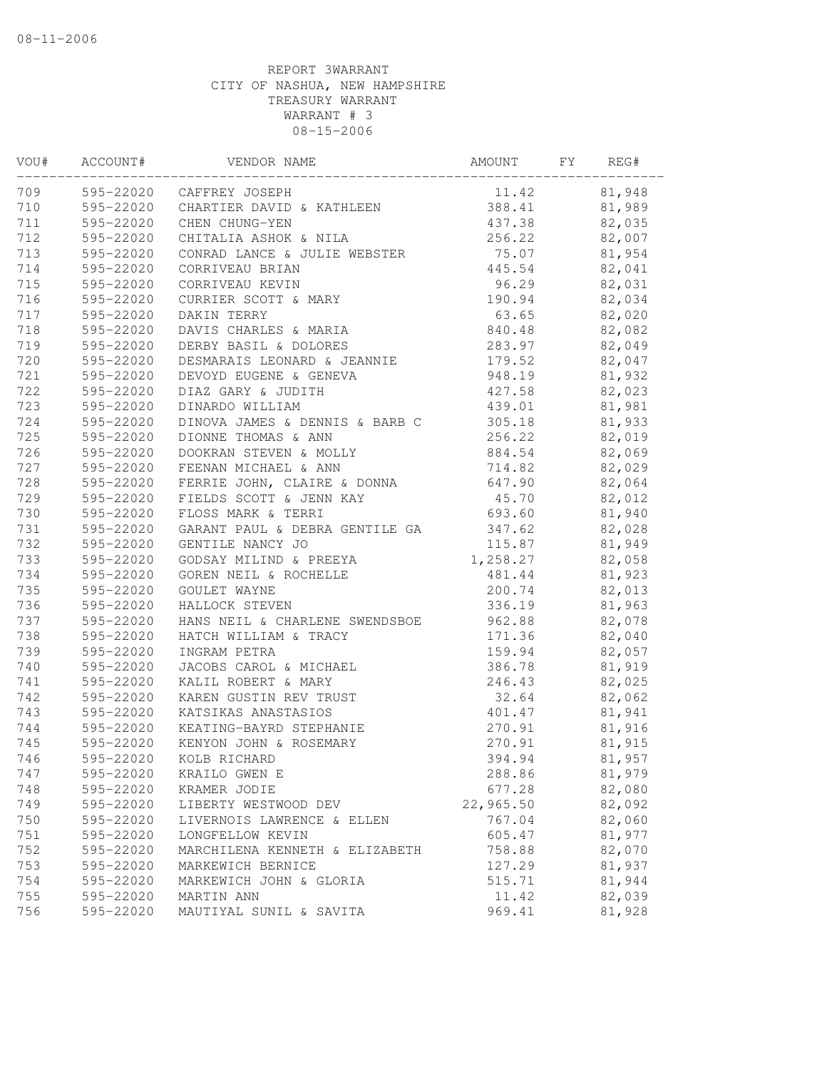| VOU# | ACCOUNT#  | VENDOR NAME                         | AMOUNT                 | FY | REG#   |
|------|-----------|-------------------------------------|------------------------|----|--------|
| 709  |           | 595-22020 CAFFREY JOSEPH            | 11.42 81,948           |    |        |
| 710  |           | 595-22020 CHARTIER DAVID & KATHLEEN | 388.41 81,989          |    |        |
| 711  | 595-22020 | CHEN CHUNG-YEN                      | 437.38 82,035          |    |        |
| 712  | 595-22020 | CHITALIA ASHOK & NILA               | 256.22                 |    | 82,007 |
| 713  | 595-22020 | CONRAD LANCE & JULIE WEBSTER        | 75.07                  |    | 81,954 |
| 714  | 595-22020 | CORRIVEAU BRIAN                     | 445.54                 |    | 82,041 |
| 715  | 595-22020 | CORRIVEAU KEVIN                     | 96.29                  |    | 82,031 |
| 716  | 595-22020 | CURRIER SCOTT & MARY                | 190.94                 |    | 82,034 |
| 717  | 595-22020 | DAKIN TERRY                         | 63.65                  |    | 82,020 |
| 718  | 595-22020 | DAVIS CHARLES & MARIA               | 840.48                 |    | 82,082 |
| 719  | 595-22020 | DERBY BASIL & DOLORES               | 283.97 82,049          |    |        |
| 720  | 595-22020 | DESMARAIS LEONARD & JEANNIE         | 179.52 82,047          |    |        |
| 721  | 595-22020 | DEVOYD EUGENE & GENEVA              | 948.19                 |    | 81,932 |
| 722  | 595-22020 | DIAZ GARY & JUDITH                  | 427.58                 |    | 82,023 |
| 723  | 595-22020 | DINARDO WILLIAM                     | 439.01                 |    | 81,981 |
| 724  | 595-22020 | DINOVA JAMES & DENNIS & BARB C      | 305.18                 |    | 81,933 |
| 725  | 595-22020 | DIONNE THOMAS & ANN                 | 256.22                 |    | 82,019 |
| 726  | 595-22020 | DOOKRAN STEVEN & MOLLY              | 884.54                 |    | 82,069 |
| 727  | 595-22020 | FEENAN MICHAEL & ANN                | 714.82                 |    | 82,029 |
| 728  | 595-22020 | FERRIE JOHN, CLAIRE & DONNA         | 647.90                 |    | 82,064 |
| 729  | 595-22020 | FIELDS SCOTT & JENN KAY             | 45.70                  |    | 82,012 |
| 730  | 595-22020 | FLOSS MARK & TERRI                  | 693.60                 |    | 81,940 |
| 731  | 595-22020 | GARANT PAUL & DEBRA GENTILE GA      | 347.62                 |    | 82,028 |
| 732  | 595-22020 | GENTILE NANCY JO                    | $115.87$<br>$1,258.27$ |    | 81,949 |
| 733  | 595-22020 | GODSAY MILIND & PREEYA              |                        |    | 82,058 |
| 734  | 595-22020 | GOREN NEIL & ROCHELLE               | 481.44                 |    | 81,923 |
| 735  | 595-22020 | GOULET WAYNE                        | 200.74                 |    | 82,013 |
| 736  | 595-22020 | HALLOCK STEVEN                      | 336.19                 |    | 81,963 |
| 737  | 595-22020 | HANS NEIL & CHARLENE SWENDSBOE      | 962.88                 |    | 82,078 |
| 738  | 595-22020 | HATCH WILLIAM & TRACY               | 171.36                 |    | 82,040 |
| 739  | 595-22020 | INGRAM PETRA                        | 159.94                 |    | 82,057 |
| 740  | 595-22020 | JACOBS CAROL & MICHAEL              | 386.78                 |    | 81,919 |
| 741  | 595-22020 | KALIL ROBERT & MARY                 | 246.43                 |    | 82,025 |
| 742  | 595-22020 | KAREN GUSTIN REV TRUST              | 32.64                  |    | 82,062 |
| 743  | 595-22020 | KATSIKAS ANASTASIOS                 | 401.47                 |    | 81,941 |
| 744  | 595-22020 | KEATING-BAYRD STEPHANIE             | 270.91                 |    | 81,916 |
| 745  | 595-22020 | KENYON JOHN & ROSEMARY              | 270.91                 |    | 81,915 |
| 746  | 595-22020 | KOLB RICHARD                        | 394.94                 |    | 81,957 |
| 747  | 595-22020 | KRAILO GWEN E                       | 288.86                 |    | 81,979 |
| 748  | 595-22020 | KRAMER JODIE                        | 677.28                 |    | 82,080 |
| 749  | 595-22020 | LIBERTY WESTWOOD DEV                | 22,965.50              |    | 82,092 |
| 750  | 595-22020 | LIVERNOIS LAWRENCE & ELLEN          | 767.04                 |    | 82,060 |
| 751  | 595-22020 | LONGFELLOW KEVIN                    | 605.47                 |    | 81,977 |
| 752  | 595-22020 | MARCHILENA KENNETH & ELIZABETH      | 758.88                 |    | 82,070 |
| 753  | 595-22020 | MARKEWICH BERNICE                   | 127.29                 |    | 81,937 |
| 754  | 595-22020 | MARKEWICH JOHN & GLORIA             | 515.71                 |    | 81,944 |
| 755  | 595-22020 | MARTIN ANN                          | 11.42                  |    | 82,039 |
| 756  | 595-22020 | MAUTIYAL SUNIL & SAVITA             | 969.41                 |    | 81,928 |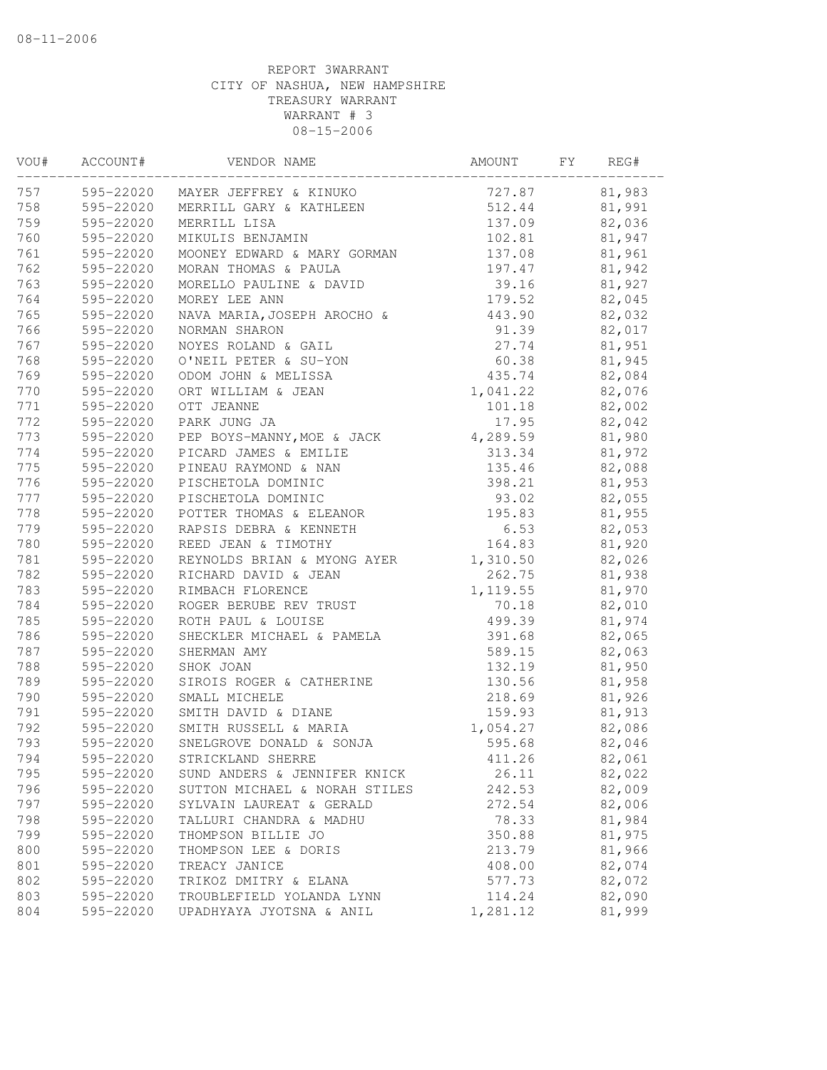| VOU# | ACCOUNT#  | VENDOR NAME                      | AMOUNT    | FY | REG#   |
|------|-----------|----------------------------------|-----------|----|--------|
| 757  |           | 595-22020 MAYER JEFFREY & KINUKO | 727.87    |    | 81,983 |
| 758  | 595-22020 | MERRILL GARY & KATHLEEN          | 512.44    |    | 81,991 |
| 759  | 595-22020 | MERRILL LISA                     | 137.09    |    | 82,036 |
| 760  | 595-22020 | MIKULIS BENJAMIN                 | 102.81    |    | 81,947 |
| 761  | 595-22020 | MOONEY EDWARD & MARY GORMAN      | 137.08    |    | 81,961 |
| 762  | 595-22020 | MORAN THOMAS & PAULA             | 197.47    |    | 81,942 |
| 763  | 595-22020 | MORELLO PAULINE & DAVID          | 39.16     |    | 81,927 |
| 764  | 595-22020 | MOREY LEE ANN                    | 179.52    |    | 82,045 |
| 765  | 595-22020 | NAVA MARIA, JOSEPH AROCHO &      | 443.90    |    | 82,032 |
| 766  | 595-22020 | NORMAN SHARON                    | 91.39     |    | 82,017 |
| 767  | 595-22020 | NOYES ROLAND & GAIL              | 27.74     |    | 81,951 |
| 768  | 595-22020 | O'NEIL PETER & SU-YON            | 60.38     |    | 81,945 |
| 769  | 595-22020 | ODOM JOHN & MELISSA              | 435.74    |    | 82,084 |
| 770  | 595-22020 | ORT WILLIAM & JEAN               | 1,041.22  |    | 82,076 |
| 771  | 595-22020 | OTT JEANNE                       | 101.18    |    | 82,002 |
| 772  | 595-22020 | PARK JUNG JA                     | 17.95     |    | 82,042 |
| 773  | 595-22020 | PEP BOYS-MANNY, MOE & JACK       | 4,289.59  |    | 81,980 |
| 774  | 595-22020 | PICARD JAMES & EMILIE            | 313.34    |    | 81,972 |
| 775  | 595-22020 | PINEAU RAYMOND & NAN             | 135.46    |    | 82,088 |
| 776  | 595-22020 | PISCHETOLA DOMINIC               | 398.21    |    | 81,953 |
| 777  | 595-22020 | PISCHETOLA DOMINIC               | 93.02     |    | 82,055 |
| 778  | 595-22020 | POTTER THOMAS & ELEANOR          | 195.83    |    | 81,955 |
| 779  | 595-22020 | RAPSIS DEBRA & KENNETH           | 6.53      |    | 82,053 |
| 780  | 595-22020 | REED JEAN & TIMOTHY              | 164.83    |    | 81,920 |
| 781  | 595-22020 | REYNOLDS BRIAN & MYONG AYER      | 1,310.50  |    | 82,026 |
| 782  | 595-22020 | RICHARD DAVID & JEAN             | 262.75    |    | 81,938 |
| 783  | 595-22020 | RIMBACH FLORENCE                 | 1, 119.55 |    | 81,970 |
| 784  | 595-22020 | ROGER BERUBE REV TRUST           | 70.18     |    | 82,010 |
| 785  | 595-22020 | ROTH PAUL & LOUISE               | 499.39    |    | 81,974 |
| 786  | 595-22020 | SHECKLER MICHAEL & PAMELA        | 391.68    |    | 82,065 |
| 787  | 595-22020 | SHERMAN AMY                      | 589.15    |    | 82,063 |
| 788  | 595-22020 | SHOK JOAN                        | 132.19    |    | 81,950 |
| 789  | 595-22020 | SIROIS ROGER & CATHERINE         | 130.56    |    | 81,958 |
| 790  | 595-22020 | SMALL MICHELE                    | 218.69    |    | 81,926 |
| 791  | 595-22020 | SMITH DAVID & DIANE              | 159.93    |    | 81,913 |
| 792  | 595-22020 | SMITH RUSSELL & MARIA            | 1,054.27  |    | 82,086 |
| 793  | 595-22020 | SNELGROVE DONALD & SONJA         | 595.68    |    | 82,046 |
| 794  | 595-22020 | STRICKLAND SHERRE                | 411.26    |    | 82,061 |
| 795  | 595-22020 | SUND ANDERS & JENNIFER KNICK     | 26.11     |    | 82,022 |
| 796  | 595-22020 | SUTTON MICHAEL & NORAH STILES    | 242.53    |    | 82,009 |
| 797  | 595-22020 | SYLVAIN LAUREAT & GERALD         | 272.54    |    | 82,006 |
| 798  | 595-22020 | TALLURI CHANDRA & MADHU          | 78.33     |    | 81,984 |
| 799  | 595-22020 | THOMPSON BILLIE JO               | 350.88    |    | 81,975 |
| 800  | 595-22020 | THOMPSON LEE & DORIS             | 213.79    |    | 81,966 |
| 801  | 595-22020 | TREACY JANICE                    | 408.00    |    | 82,074 |
| 802  | 595-22020 | TRIKOZ DMITRY & ELANA            | 577.73    |    | 82,072 |
| 803  | 595-22020 | TROUBLEFIELD YOLANDA LYNN        | 114.24    |    | 82,090 |
| 804  | 595-22020 | UPADHYAYA JYOTSNA & ANIL         | 1,281.12  |    | 81,999 |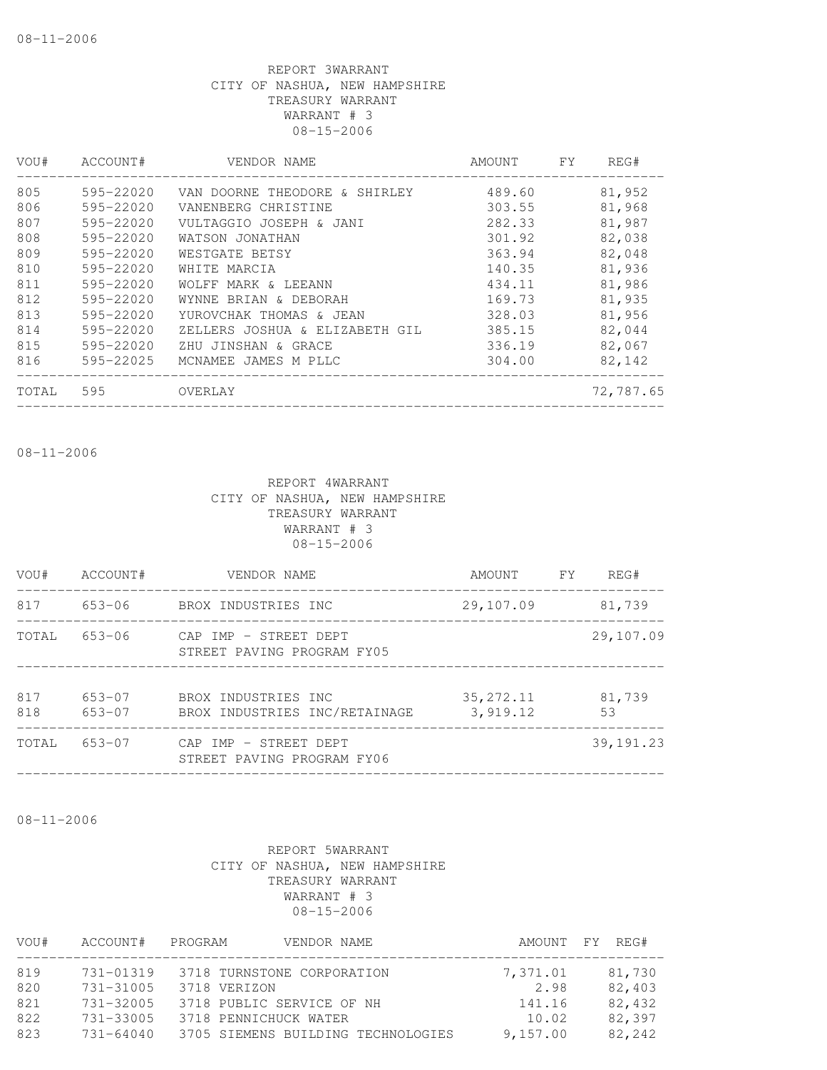| $595 - 22020$ | VAN DOORNE THEODORE & SHIRLEY  | 489.60 | 81,952    |
|---------------|--------------------------------|--------|-----------|
| 595-22020     | VANENBERG CHRISTINE            | 303.55 | 81,968    |
| 595-22020     | VULTAGGIO JOSEPH & JANI        | 282.33 | 81,987    |
| 595-22020     | WATSON JONATHAN                | 301.92 | 82,038    |
| 595-22020     | WESTGATE BETSY                 | 363.94 | 82,048    |
| 595-22020     | WHITE MARCIA                   | 140.35 | 81,936    |
| 595-22020     | WOLFF MARK & LEEANN            | 434.11 | 81,986    |
| 595-22020     | WYNNE BRIAN & DEBORAH          | 169.73 | 81,935    |
| 595-22020     | YUROVCHAK THOMAS & JEAN        | 328.03 | 81,956    |
| 595-22020     | ZELLERS JOSHUA & ELIZABETH GIL | 385.15 | 82,044    |
| 595-22020     | ZHU JINSHAN & GRACE            | 336.19 | 82,067    |
| 595-22025     | MCNAMEE JAMES M PLLC           | 304.00 | 82,142    |
| 595           | OVERLAY                        |        | 72,787.65 |
|               |                                |        |           |

08-11-2006

REPORT 4WARRANT CITY OF NASHUA, NEW HAMPSHIRE TREASURY WARRANT WARRANT # 3 08-15-2006

| VOU#       | ACCOUNT#         | VENDOR NAME                                          | AMOUNT                  | <b>FY</b> | REG#         |
|------------|------------------|------------------------------------------------------|-------------------------|-----------|--------------|
| 817        | 653-06           | BROX INDUSTRIES INC                                  | 29,107.09               |           | 81,739       |
| TOTAL      | $653 - 06$       | CAP IMP - STREET DEPT<br>STREET PAVING PROGRAM FY05  |                         |           | 29,107.09    |
| 817<br>818 | 653-07<br>653-07 | BROX INDUSTRIES INC<br>BROX INDUSTRIES INC/RETAINAGE | 35, 272. 11<br>3,919.12 |           | 81,739<br>53 |
| TOTAL      | 653-07           | CAP IMP - STREET DEPT<br>STREET PAVING PROGRAM FY06  |                         |           | 39, 191.23   |
|            |                  |                                                      |                         |           |              |

08-11-2006

| VOU# | ACCOUNT#      | VENDOR NAME<br>PROGRAM             |          | AMOUNT FY REG# |
|------|---------------|------------------------------------|----------|----------------|
| 819  | 731-01319     | 3718 TURNSTONE CORPORATION         | 7,371.01 | 81,730         |
| 820  | $731 - 31005$ | 3718 VERIZON                       | 2.98     | 82,403         |
| 821  | $731 - 32005$ | 3718 PUBLIC SERVICE OF NH          | 141.16   | 82,432         |
| 822  | $731 - 33005$ | 3718 PENNICHUCK WATER              | 10.02    | 82,397         |
| 823  | $731 - 64040$ | 3705 SIEMENS BUILDING TECHNOLOGIES | 9,157.00 | 82,242         |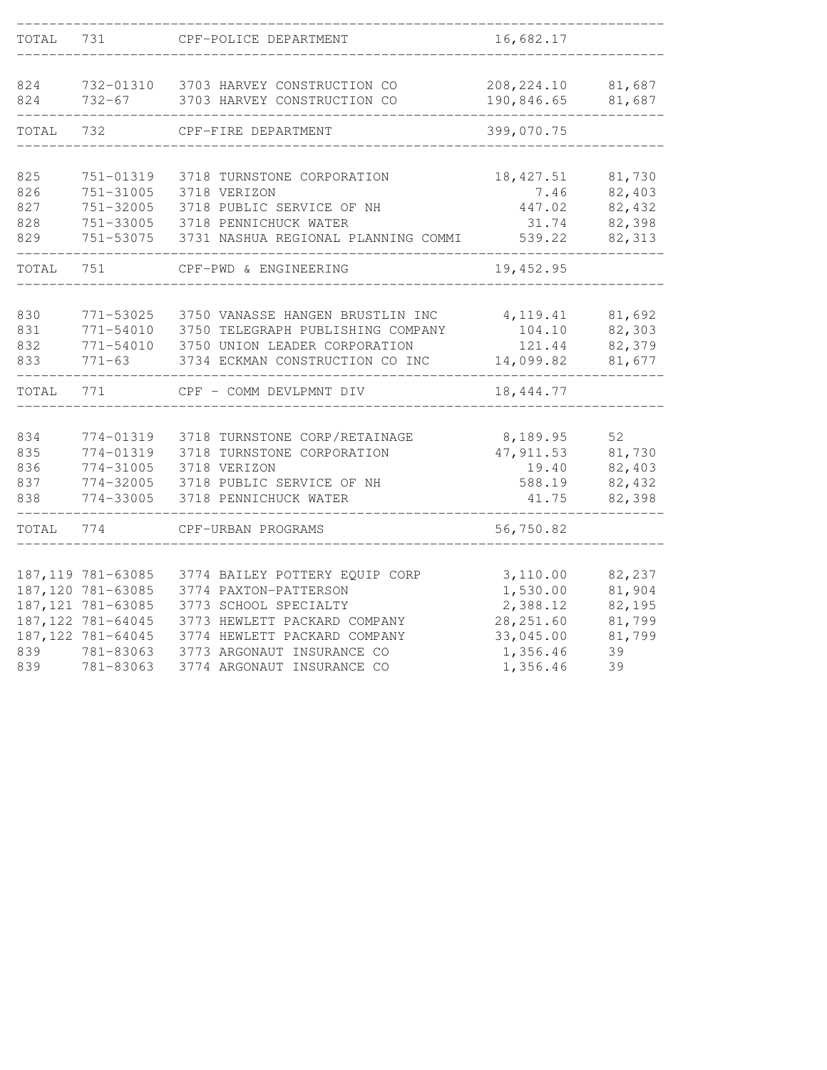| TOTAL      | 731                     | CPF-POLICE DEPARTMENT                                              | 16,682.17                 |                  |
|------------|-------------------------|--------------------------------------------------------------------|---------------------------|------------------|
|            |                         |                                                                    |                           |                  |
| 824<br>824 | 732-01310<br>$732 - 67$ | 3703 HARVEY CONSTRUCTION CO<br>3703 HARVEY CONSTRUCTION CO         | 208, 224.10<br>190,846.65 | 81,687<br>81,687 |
|            |                         |                                                                    |                           |                  |
| TOTAL      | 732                     | CPF-FIRE DEPARTMENT                                                | 399,070.75                |                  |
|            |                         |                                                                    |                           |                  |
| 825<br>826 | 751-01319<br>751-31005  | 3718 TURNSTONE CORPORATION<br>3718 VERIZON                         | 18, 427.51<br>7.46        | 81,730<br>82,403 |
| 827        | 751-32005               | 3718 PUBLIC SERVICE OF NH                                          | 447.02                    | 82,432           |
| 828        | 751-33005               | 3718 PENNICHUCK WATER                                              | 31.74                     | 82,398           |
| 829        | 751-53075               | 3731 NASHUA REGIONAL PLANNING COMMI                                | 539.22                    | 82,313           |
| TOTAL      | 751                     | CPF-PWD & ENGINEERING                                              | 19,452.95                 |                  |
|            |                         |                                                                    |                           |                  |
| 830        | 771-53025               | 3750 VANASSE HANGEN BRUSTLIN INC                                   | 4, 119.41                 | 81,692           |
| 831<br>832 | 771-54010<br>771-54010  | 3750 TELEGRAPH PUBLISHING COMPANY<br>3750 UNION LEADER CORPORATION | 104.10<br>121.44          | 82,303<br>82,379 |
| 833        | $771 - 63$              | 3734 ECKMAN CONSTRUCTION CO INC                                    | 14,099.82                 | 81,677           |
|            |                         |                                                                    |                           |                  |
| TOTAL      | 771                     | CPF - COMM DEVLPMNT DIV                                            | 18,444.77                 |                  |
|            |                         |                                                                    |                           |                  |
| 834<br>835 | 774-01319<br>774-01319  | 3718 TURNSTONE CORP/RETAINAGE<br>3718 TURNSTONE CORPORATION        | 8,189.95<br>47, 911.53    | 52<br>81,730     |
| 836        | 774-31005               | 3718 VERIZON                                                       | 19.40                     | 82,403           |
| 837        | 774-32005               | 3718 PUBLIC SERVICE OF NH                                          | 588.19                    | 82,432           |
| 838        | 774-33005               | 3718 PENNICHUCK WATER                                              | 41.75                     | 82,398           |
| TOTAL      | 774                     | CPF-URBAN PROGRAMS                                                 | 56,750.82                 |                  |
|            |                         |                                                                    |                           |                  |
|            | 187, 119 781-63085      | 3774 BAILEY POTTERY EQUIP CORP                                     | 3,110.00                  | 82,237           |
|            | 187, 120 781-63085      | 3774 PAXTON-PATTERSON                                              | 1,530.00                  | 81,904           |
|            | 187, 121 781-63085      | 3773 SCHOOL SPECIALTY                                              | 2,388.12                  | 82,195           |
|            | 187, 122 781-64045      | 3773 HEWLETT PACKARD COMPANY                                       | 28, 251.60                | 81,799           |
|            | 187, 122 781-64045      | 3774 HEWLETT PACKARD COMPANY                                       | 33,045.00                 | 81,799           |
| 839<br>839 | 781-83063<br>781-83063  | 3773 ARGONAUT INSURANCE CO<br>3774 ARGONAUT INSURANCE CO           | 1,356.46<br>1,356.46      | 39<br>39         |
|            |                         |                                                                    |                           |                  |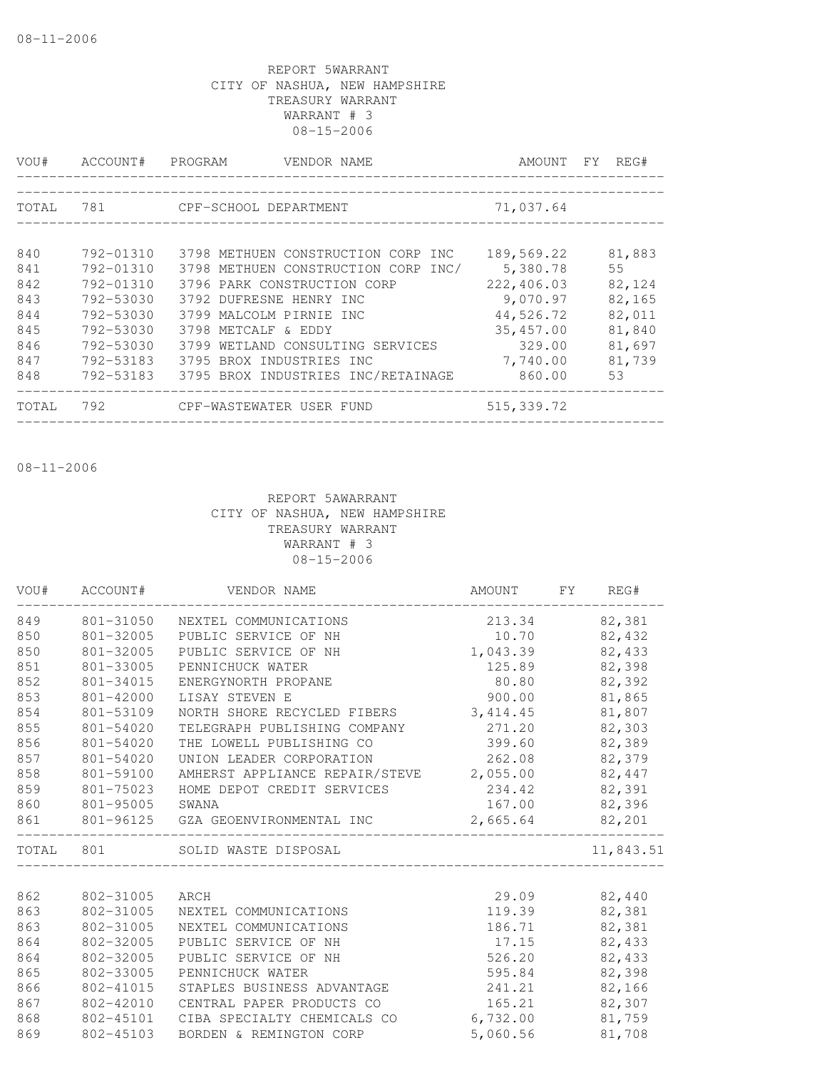| VOU#  | ACCOUNT#      | PROGRAM<br>VENDOR NAME              | AMOUNT FY  | REG#   |
|-------|---------------|-------------------------------------|------------|--------|
|       |               |                                     |            |        |
| TOTAL | 781           | CPF-SCHOOL DEPARTMENT               | 71,037.64  |        |
|       |               |                                     |            |        |
| 840   | 792-01310     | 3798 METHUEN CONSTRUCTION CORP INC  | 189,569.22 | 81,883 |
| 841   | $792 - 01310$ | 3798 METHUEN CONSTRUCTION CORP INC/ | 5,380.78   | 55     |
| 842   | $792 - 01310$ | 3796 PARK CONSTRUCTION CORP         | 222,406.03 | 82,124 |
| 843   | 792-53030     | 3792 DUFRESNE HENRY INC             | 9,070.97   | 82,165 |
| 844   | 792-53030     | 3799 MALCOLM PIRNIE INC             | 44,526.72  | 82,011 |
| 845   | 792-53030     | 3798 METCALF & EDDY                 | 35,457.00  | 81,840 |
| 846   | 792-53030     | 3799 WETLAND CONSULTING SERVICES    | 329.00     | 81,697 |
| 847   | 792-53183     | 3795 BROX INDUSTRIES INC            | 7,740.00   | 81,739 |
| 848   | 792-53183     | 3795 BROX INDUSTRIES INC/RETAINAGE  | 860.00     | 53     |
| TOTAL | 792           | CPF-WASTEWATER USER FUND            | 515,339.72 |        |

08-11-2006

| VOU# | ACCOUNT#  | VENDOR NAME                                               | AMOUNT        | $\Gamma$ Y | REG#      |
|------|-----------|-----------------------------------------------------------|---------------|------------|-----------|
| 849  | 801-31050 | NEXTEL COMMUNICATIONS                                     | 213.34        |            | 82,381    |
| 850  | 801-32005 | PUBLIC SERVICE OF NH                                      | 10.70         |            | 82,432    |
| 850  | 801-32005 | PUBLIC SERVICE OF NH                                      | 1,043.39      |            | 82,433    |
| 851  | 801-33005 | PENNICHUCK WATER                                          | 125.89        |            | 82,398    |
| 852  | 801-34015 | ENERGYNORTH PROPANE                                       | 80.80         |            | 82,392    |
| 853  | 801-42000 | LISAY STEVEN E                                            | 900.00        |            | 81,865    |
| 854  | 801-53109 | NORTH SHORE RECYCLED FIBERS                               | 3,414.45      |            | 81,807    |
| 855  | 801-54020 | TELEGRAPH PUBLISHING COMPANY                              | 271.20        |            | 82,303    |
| 856  | 801-54020 | THE LOWELL PUBLISHING CO                                  | 399.60        |            | 82,389    |
| 857  | 801-54020 | UNION LEADER CORPORATION                                  | 262.08        |            | 82,379    |
| 858  | 801-59100 | AMHERST APPLIANCE REPAIR/STEVE 2,055.00                   |               |            | 82,447    |
| 859  | 801-75023 | HOME DEPOT CREDIT SERVICES                                | 234.42 82,391 |            |           |
| 860  | 801-95005 | SWANA                                                     | 167.00        |            | 82,396    |
| 861  |           | 801-96125 GZA GEOENVIRONMENTAL INC                        | 2,665.64      |            | 82,201    |
|      | TOTAL 801 | SOLID WASTE DISPOSAL<br>_________________________________ |               |            | 11,843.51 |
| 862  | 802-31005 | ARCH                                                      | 29.09         |            | 82,440    |
| 863  | 802-31005 | NEXTEL COMMUNICATIONS                                     | 119.39        |            | 82,381    |
| 863  | 802-31005 | NEXTEL COMMUNICATIONS                                     | 186.71        |            | 82,381    |
| 864  | 802-32005 | PUBLIC SERVICE OF NH                                      | 17.15         |            | 82,433    |
| 864  | 802-32005 | PUBLIC SERVICE OF NH                                      | 526.20        |            | 82,433    |
| 865  | 802-33005 | PENNICHUCK WATER                                          | 595.84        |            | 82,398    |
| 866  | 802-41015 | STAPLES BUSINESS ADVANTAGE                                | 241.21        |            | 82,166    |
| 867  | 802-42010 | CENTRAL PAPER PRODUCTS CO                                 | 165.21        |            | 82,307    |
| 868  | 802-45101 | CIBA SPECIALTY CHEMICALS CO                               | 6,732.00      |            | 81,759    |
| 869  | 802-45103 | BORDEN & REMINGTON CORP                                   | 5,060.56      |            | 81,708    |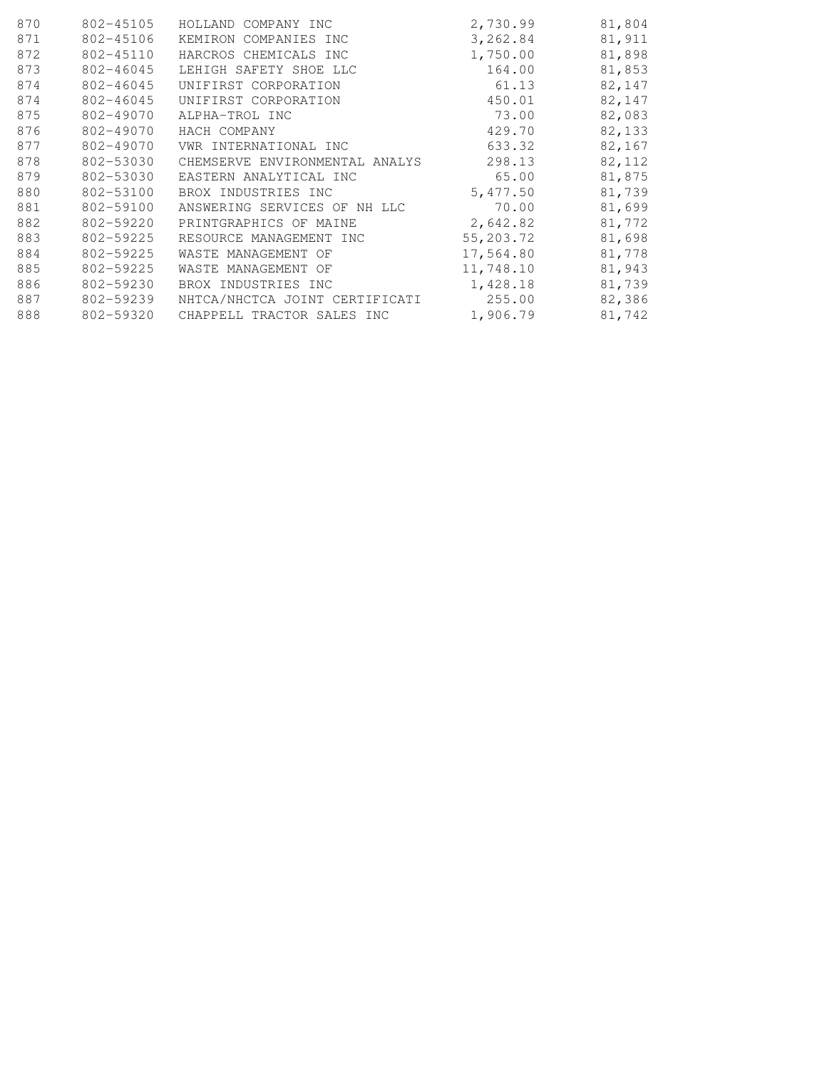| 870 | 802-45105 | HOLLAND COMPANY INC             | 2,730.99  | 81,804 |
|-----|-----------|---------------------------------|-----------|--------|
| 871 | 802-45106 | KEMIRON COMPANIES INC           | 3,262.84  | 81,911 |
| 872 | 802-45110 | HARCROS CHEMICALS INC           | 1,750.00  | 81,898 |
| 873 | 802-46045 | LEHIGH SAFETY SHOE LLC          | 164.00    | 81,853 |
| 874 | 802-46045 | UNIFIRST CORPORATION            | 61.13     | 82,147 |
| 874 | 802-46045 | UNIFIRST CORPORATION            | 450.01    | 82,147 |
| 875 | 802-49070 | ALPHA-TROL INC                  | 73.00     | 82,083 |
| 876 | 802-49070 | HACH COMPANY                    | 429.70    | 82,133 |
| 877 | 802-49070 | VWR INTERNATIONAL INC           | 633.32    | 82,167 |
| 878 | 802-53030 | CHEMSERVE ENVIRONMENTAL ANALYS  | 298.13    | 82,112 |
| 879 | 802-53030 | EASTERN ANALYTICAL INC          | 65.00     | 81,875 |
| 880 | 802-53100 | BROX INDUSTRIES INC             | 5,477.50  | 81,739 |
| 881 | 802-59100 | ANSWERING SERVICES OF<br>NH LLC | 70.00     | 81,699 |
| 882 | 802-59220 | PRINTGRAPHICS OF MAINE          | 2,642.82  | 81,772 |
| 883 | 802-59225 | RESOURCE MANAGEMENT INC         | 55,203.72 | 81,698 |
| 884 | 802-59225 | WASTE MANAGEMENT OF             | 17,564.80 | 81,778 |
| 885 | 802-59225 | WASTE MANAGEMENT OF             | 11,748.10 | 81,943 |
| 886 | 802-59230 | BROX INDUSTRIES INC             | 1,428.18  | 81,739 |
| 887 | 802-59239 | NHTCA/NHCTCA JOINT CERTIFICATI  | 255.00    | 82,386 |
| 888 | 802-59320 | CHAPPELL TRACTOR SALES INC      | 1,906.79  | 81,742 |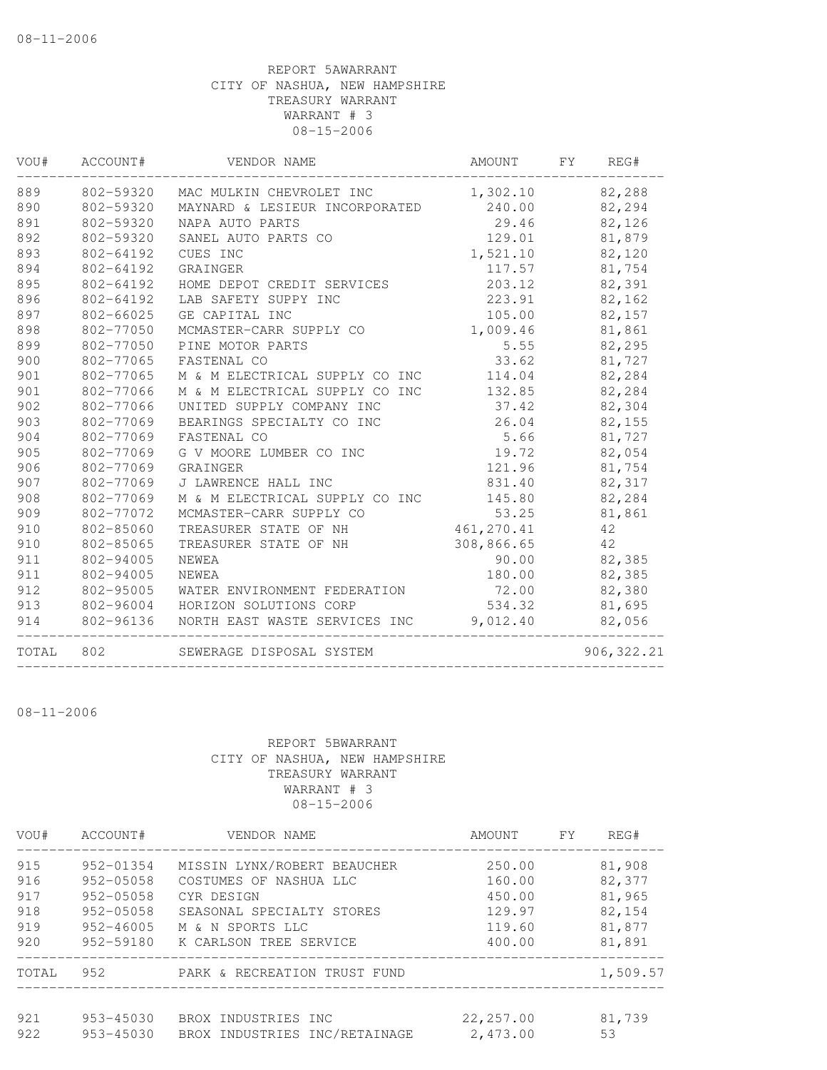| VOU#  | ACCOUNT#  | VENDOR NAME                    | AMOUNT     | FY. | REG#        |
|-------|-----------|--------------------------------|------------|-----|-------------|
| 889   | 802-59320 | MAC MULKIN CHEVROLET INC       | 1,302.10   |     | 82,288      |
| 890   | 802-59320 | MAYNARD & LESIEUR INCORPORATED | 240.00     |     | 82,294      |
| 891   | 802-59320 | NAPA AUTO PARTS                | 29.46      |     | 82,126      |
| 892   | 802-59320 | SANEL AUTO PARTS CO            | 129.01     |     | 81,879      |
| 893   | 802-64192 | CUES INC                       | 1,521.10   |     | 82,120      |
| 894   | 802-64192 | GRAINGER                       | 117.57     |     | 81,754      |
| 895   | 802-64192 | HOME DEPOT CREDIT SERVICES     | 203.12     |     | 82,391      |
| 896   | 802-64192 | LAB SAFETY SUPPY INC           | 223.91     |     | 82,162      |
| 897   | 802-66025 | GE CAPITAL INC                 | 105.00     |     | 82,157      |
| 898   | 802-77050 | MCMASTER-CARR SUPPLY CO        | 1,009.46   |     | 81,861      |
| 899   | 802-77050 | PINE MOTOR PARTS               | 5.55       |     | 82,295      |
| 900   | 802-77065 | FASTENAL CO                    | 33.62      |     | 81,727      |
| 901   | 802-77065 | M & M ELECTRICAL SUPPLY CO INC | 114.04     |     | 82,284      |
| 901   | 802-77066 | M & M ELECTRICAL SUPPLY CO INC | 132.85     |     | 82,284      |
| 902   | 802-77066 | UNITED SUPPLY COMPANY INC      | 37.42      |     | 82,304      |
| 903   | 802-77069 | BEARINGS SPECIALTY CO INC      | 26.04      |     | 82,155      |
| 904   | 802-77069 | FASTENAL CO                    | 5.66       |     | 81,727      |
| 905   | 802-77069 | G V MOORE LUMBER CO INC        | 19.72      |     | 82,054      |
| 906   | 802-77069 | GRAINGER                       | 121.96     |     | 81,754      |
| 907   | 802-77069 | J LAWRENCE HALL INC            | 831.40     |     | 82,317      |
| 908   | 802-77069 | M & M ELECTRICAL SUPPLY CO INC | 145.80     |     | 82,284      |
| 909   | 802-77072 | MCMASTER-CARR SUPPLY CO        | 53.25      |     | 81,861      |
| 910   | 802-85060 | TREASURER STATE OF NH          | 461,270.41 |     | 42          |
| 910   | 802-85065 | TREASURER STATE OF NH          | 308,866.65 |     | 42          |
| 911   | 802-94005 | <b>NEWEA</b>                   | 90.00      |     | 82,385      |
| 911   | 802-94005 | NEWEA                          | 180.00     |     | 82,385      |
| 912   | 802-95005 | WATER ENVIRONMENT FEDERATION   | 72.00      |     | 82,380      |
| 913   | 802-96004 | HORIZON SOLUTIONS CORP         | 534.32     |     | 81,695      |
| 914   | 802-96136 | NORTH EAST WASTE SERVICES INC  | 9,012.40   |     | 82,056      |
| TOTAL | 802       | SEWERAGE DISPOSAL SYSTEM       |            |     | 906, 322.21 |

08-11-2006

| VOU#       | ACCOUNT#               | VENDOR NAME                                          | AMOUNT                | <b>FY</b> | REG#         |
|------------|------------------------|------------------------------------------------------|-----------------------|-----------|--------------|
| 915        | 952-01354              | MISSIN LYNX/ROBERT BEAUCHER                          | 250.00                |           | 81,908       |
| 916        | $952 - 05058$          | COSTUMES OF NASHUA LLC                               | 160.00                |           | 82,377       |
| 917        | $952 - 05058$          | CYR DESIGN                                           | 450.00                |           | 81,965       |
| 918        | $952 - 05058$          | SEASONAL SPECIALTY STORES                            | 129.97                |           | 82,154       |
| 919        | $952 - 46005$          | M & N SPORTS LLC                                     | 119.60                |           | 81,877       |
| 920        | 952-59180              | K CARLSON TREE SERVICE                               | 400.00                |           | 81,891       |
| TOTAL      | 952.                   | PARK & RECREATION TRUST FUND                         |                       |           | 1,509.57     |
| 921<br>922 | 953-45030<br>953-45030 | BROX INDUSTRIES INC<br>BROX INDUSTRIES INC/RETAINAGE | 22,257.00<br>2,473.00 |           | 81,739<br>53 |
|            |                        |                                                      |                       |           |              |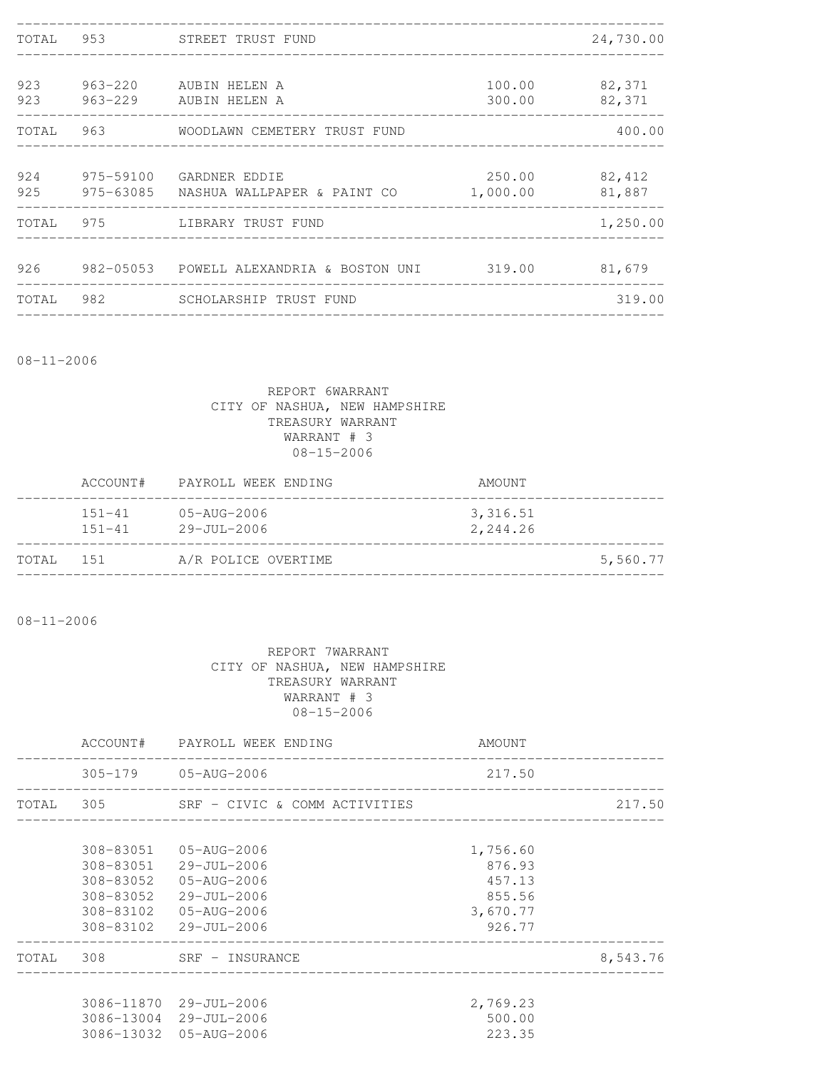| TOTAL 953  | STREET TRUST FUND                                                        |                    | 24,730.00        |
|------------|--------------------------------------------------------------------------|--------------------|------------------|
|            |                                                                          |                    |                  |
| 923<br>923 | 963-220 AUBIN HELEN A<br>963-229 AUBIN HELEN A                           | 100.00<br>300.00   | 82,371<br>82,371 |
| TOTAL 963  | WOODLAWN CEMETERY TRUST FUND                                             |                    | 400.00           |
|            | 924 975-59100 GARDNER EDDIE<br>925 975-63085 NASHUA WALLPAPER & PAINT CO | 250.00<br>1,000.00 | 82,412<br>81,887 |
|            | TOTAL 975 LIBRARY TRUST FUND                                             |                    | 1,250.00         |
|            |                                                                          |                    | 81,679           |
|            |                                                                          |                    |                  |
| TOTAL      | 982 SCHOLARSHIP TRUST FUND                                               |                    | 319.00           |

08-11-2006

# REPORT 6WARRANT CITY OF NASHUA, NEW HAMPSHIRE TREASURY WARRANT WARRANT # 3 08-15-2006

|           | ACCOUNT#                 | PAYROLL WEEK ENDING                           | AMOUNT               |
|-----------|--------------------------|-----------------------------------------------|----------------------|
|           | $151 - 41$<br>$151 - 41$ | $05 - \text{AUG} - 2006$<br>$29 - JU1 - 2006$ | 3,316.51<br>2,244.26 |
| TOTAL 151 |                          | A/R POLICE OVERTIME                           | 5,560.77             |

08-11-2006

|           | ACCOUNT# PAYROLL WEEK ENDING            | AMOUNT                          |          |
|-----------|-----------------------------------------|---------------------------------|----------|
|           | 305-179 05-AUG-2006                     | 217.50                          |          |
|           | TOTAL 305 SRF - CIVIC & COMM ACTIVITIES | _______________________________ | 217.50   |
| 308-83051 | 05-AUG-2006                             | 1,756.60                        |          |
|           | 308-83051 29-JUL-2006                   | 876.93                          |          |
| 308-83052 | 05-AUG-2006                             | 457.13                          |          |
| 308-83052 | 29-JUL-2006                             | 855.56                          |          |
| 308-83102 | 05-AUG-2006                             | 3,670.77                        |          |
|           | $308 - 83102$ $29 - JU L - 2006$        | 926.77                          |          |
|           | TOTAL 308 SRF - INSURANCE               |                                 | 8,543.76 |
|           | 3086-11870 29-JUL-2006                  | 2,769.23                        |          |
|           | 3086-13004 29-JUL-2006                  | 500.00                          |          |
|           | 3086-13032 05-AUG-2006                  | 223.35                          |          |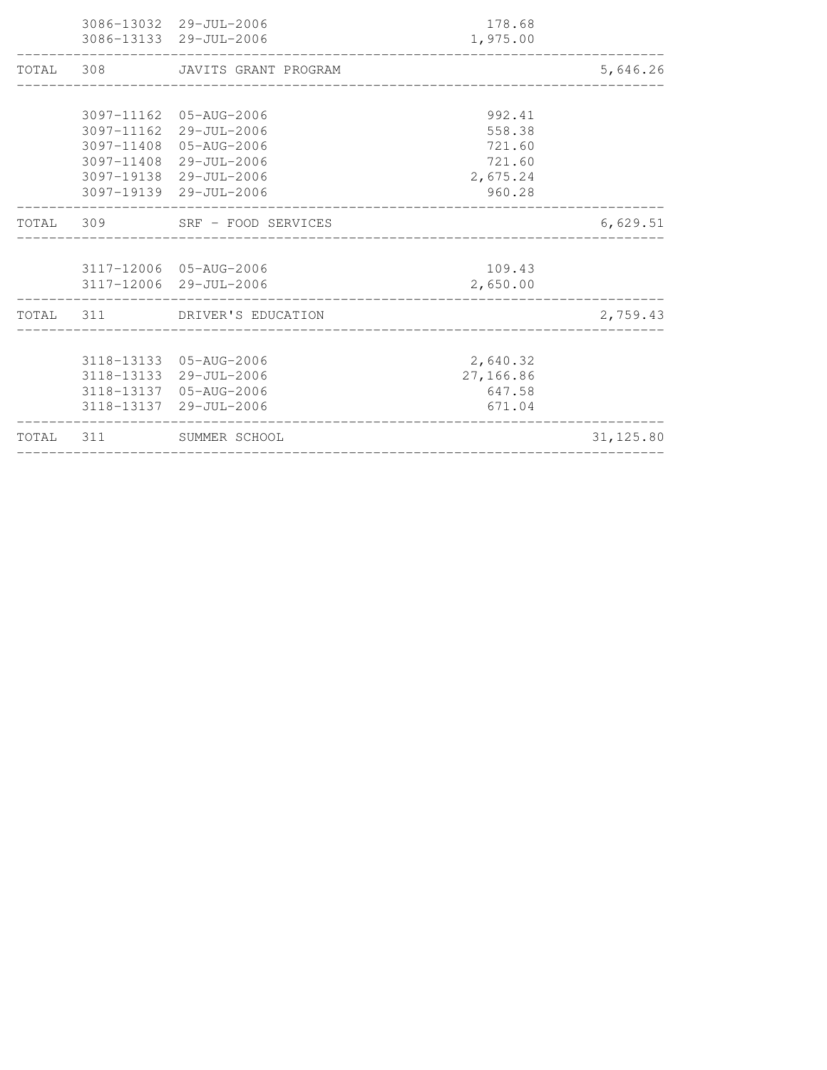| TOTAL 311 | SUMMER SCHOOL                                                                                                                                            |                                                            | 31, 125.80 |
|-----------|----------------------------------------------------------------------------------------------------------------------------------------------------------|------------------------------------------------------------|------------|
|           | 3118-13133 05-AUG-2006<br>3118-13133 29-JUL-2006<br>3118-13137 05-AUG-2006<br>3118-13137 29-JUL-2006                                                     | 2,640.32<br>27,166.86<br>647.58<br>671.04                  |            |
|           | TOTAL 311 DRIVER'S EDUCATION                                                                                                                             |                                                            | 2,759.43   |
|           | 3117-12006 05-AUG-2006<br>3117-12006 29-JUL-2006                                                                                                         | 109.43<br>2,650.00                                         |            |
|           | TOTAL 309 SRF - FOOD SERVICES                                                                                                                            |                                                            | 6,629.51   |
|           | 3097-11162 05-AUG-2006<br>3097-11162 29-JUL-2006<br>3097-11408 05-AUG-2006<br>3097-11408 29-JUL-2006<br>3097-19138 29-JUL-2006<br>3097-19139 29-JUL-2006 | 992.41<br>558.38<br>721.60<br>721.60<br>2,675.24<br>960.28 |            |
| TOTAL 308 | JAVITS GRANT PROGRAM                                                                                                                                     |                                                            | 5,646.26   |
|           | 3086-13032 29-JUL-2006<br>3086-13133 29-JUL-2006                                                                                                         | 178.68<br>1,975.00                                         |            |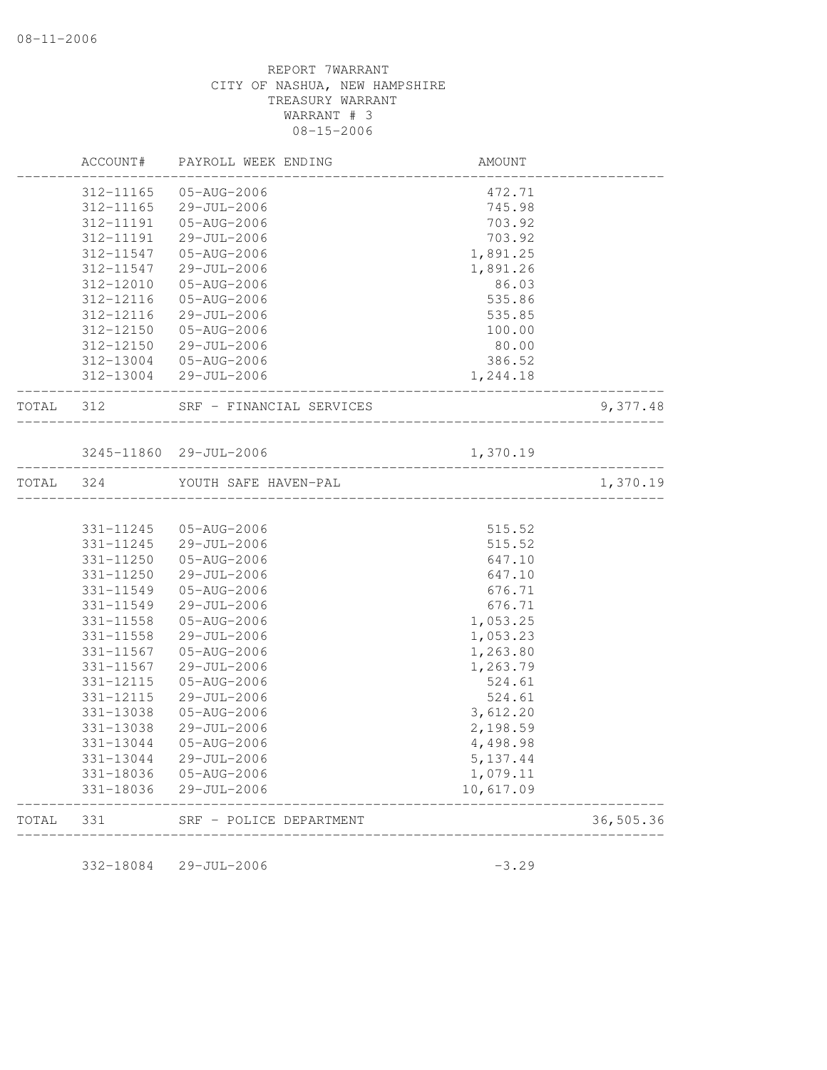|       | ACCOUNT#               | PAYROLL WEEK ENDING        | AMOUNT                |           |
|-------|------------------------|----------------------------|-----------------------|-----------|
|       | 312-11165              | 05-AUG-2006                | 472.71                |           |
|       | 312-11165              | 29-JUL-2006                | 745.98                |           |
|       | 312-11191              | 05-AUG-2006                | 703.92                |           |
|       | 312-11191              | 29-JUL-2006                | 703.92                |           |
|       | 312-11547              | 05-AUG-2006                | 1,891.25              |           |
|       | 312-11547              | 29-JUL-2006                | 1,891.26              |           |
|       | 312-12010              | 05-AUG-2006                | 86.03                 |           |
|       | 312-12116              | 05-AUG-2006                | 535.86                |           |
|       | 312-12116              | 29-JUL-2006                | 535.85                |           |
|       | 312-12150              | 05-AUG-2006                | 100.00                |           |
|       | 312-12150              | 29-JUL-2006                | 80.00                 |           |
|       | 312-13004              | 05-AUG-2006                | 386.52                |           |
|       | 312-13004              | 29-JUL-2006                | 1,244.18              |           |
| TOTAL | 312                    | SRF - FINANCIAL SERVICES   | ________________      | 9,377.48  |
|       |                        |                            |                       |           |
|       |                        | 3245-11860 29-JUL-2006     | 1,370.19              |           |
| TOTAL | 324                    | YOUTH SAFE HAVEN-PAL       |                       | 1,370.19  |
|       |                        |                            |                       |           |
|       | 331-11245              | 05-AUG-2006                | 515.52                |           |
|       | 331-11245              | 29-JUL-2006                | 515.52                |           |
|       | 331-11250              | 05-AUG-2006                | 647.10                |           |
|       | 331-11250              | $29 - JUL - 2006$          | 647.10                |           |
|       | 331-11549              | 05-AUG-2006                | 676.71                |           |
|       | 331-11549              | 29-JUL-2006                | 676.71                |           |
|       | 331-11558              | 05-AUG-2006                | 1,053.25              |           |
|       | 331-11558              | 29-JUL-2006                | 1,053.23              |           |
|       | 331-11567              | 05-AUG-2006                | 1,263.80              |           |
|       | 331-11567              | 29-JUL-2006                | 1,263.79              |           |
|       | 331-12115<br>331-12115 | 05-AUG-2006                | 524.61<br>524.61      |           |
|       |                        | 29-JUL-2006<br>05-AUG-2006 | 3,612.20              |           |
|       | 331-13038              |                            |                       |           |
|       | 331-13038<br>331-13044 | 29-JUL-2006<br>05-AUG-2006 | 2,198.59              |           |
|       | 331-13044              | 29-JUL-2006                | 4,498.98<br>5, 137.44 |           |
|       | 331-18036              | 05-AUG-2006                | 1,079.11              |           |
|       | 331-18036              | 29-JUL-2006                | 10,617.09             |           |
| TOTAL | 331                    | SRF - POLICE DEPARTMENT    |                       | 36,505.36 |

 $332-18084$   $29$ -JUL-2006 -3.29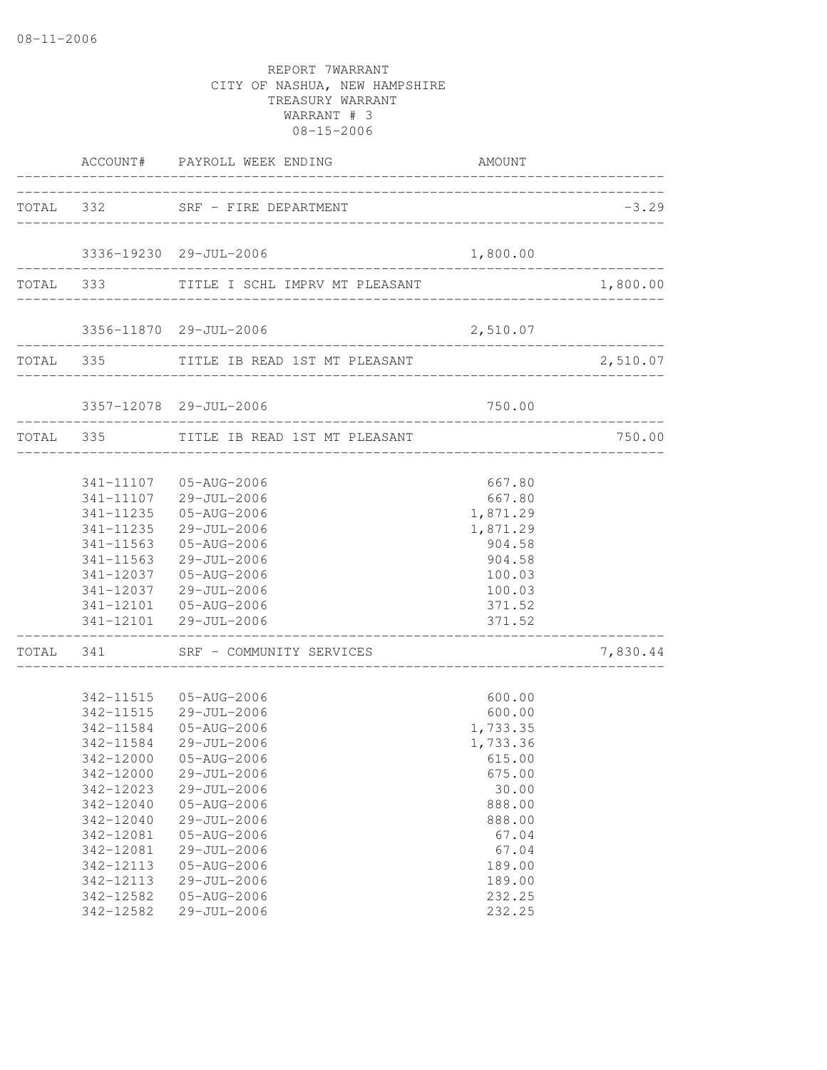|                                                                                                                                             | ACCOUNT# PAYROLL WEEK ENDING                                                                                                                                                                                                                                                             | AMOUNT                                                                                                                                              |          |
|---------------------------------------------------------------------------------------------------------------------------------------------|------------------------------------------------------------------------------------------------------------------------------------------------------------------------------------------------------------------------------------------------------------------------------------------|-----------------------------------------------------------------------------------------------------------------------------------------------------|----------|
|                                                                                                                                             | TOTAL 332 SRF - FIRE DEPARTMENT                                                                                                                                                                                                                                                          |                                                                                                                                                     | $-3.29$  |
|                                                                                                                                             | 3336-19230 29-JUL-2006                                                                                                                                                                                                                                                                   | 1,800.00                                                                                                                                            |          |
|                                                                                                                                             | ____________________________<br>TOTAL 333 TITLE I SCHL IMPRV MT PLEASANT                                                                                                                                                                                                                 |                                                                                                                                                     | 1,800.00 |
|                                                                                                                                             |                                                                                                                                                                                                                                                                                          |                                                                                                                                                     |          |
|                                                                                                                                             | TOTAL 335 TITLE IB READ 1ST MT PLEASANT                                                                                                                                                                                                                                                  |                                                                                                                                                     | 2,510.07 |
|                                                                                                                                             | 3357-12078 29-JUL-2006                                                                                                                                                                                                                                                                   | 750.00                                                                                                                                              |          |
|                                                                                                                                             | TOTAL 335 TITLE IB READ 1ST MT PLEASANT                                                                                                                                                                                                                                                  |                                                                                                                                                     | 750.00   |
|                                                                                                                                             | 341-11107  05-AUG-2006<br>341-11107 29-JUL-2006<br>341-11235  05-AUG-2006<br>341-11235 29-JUL-2006<br>341-11563 05-AUG-2006<br>341-11563 29-JUL-2006<br>341-12037  05-AUG-2006<br>341-12037 29-JUL-2006<br>341-12101  05-AUG-2006<br>341-12101 29-JUL-2006                               | 667.80<br>667.80<br>1,871.29<br>1,871.29<br>904.58<br>904.58<br>100.03<br>100.03<br>371.52<br>371.52                                                |          |
|                                                                                                                                             | TOTAL 341 SRF - COMMUNITY SERVICES                                                                                                                                                                                                                                                       |                                                                                                                                                     | 7,830.44 |
| 342-11584<br>342-12000<br>342-12023<br>342-12040<br>342-12040<br>342-12081<br>342-12081<br>342-12113<br>342-12113<br>342-12582<br>342-12582 | 342-11515  05-AUG-2006<br>342-11515 29-JUL-2006<br>342-11584 05-AUG-2006<br>29-JUL-2006<br>342-12000 05-AUG-2006<br>29-JUL-2006<br>29-JUL-2006<br>05-AUG-2006<br>29-JUL-2006<br>05-AUG-2006<br>29-JUL-2006<br>$05 - AUG - 2006$<br>29-JUL-2006<br>$05 - AUG - 2006$<br>$29 - JUL - 2006$ | 600.00<br>600.00<br>1,733.35<br>1,733.36<br>615.00<br>675.00<br>30.00<br>888.00<br>888.00<br>67.04<br>67.04<br>189.00<br>189.00<br>232.25<br>232.25 |          |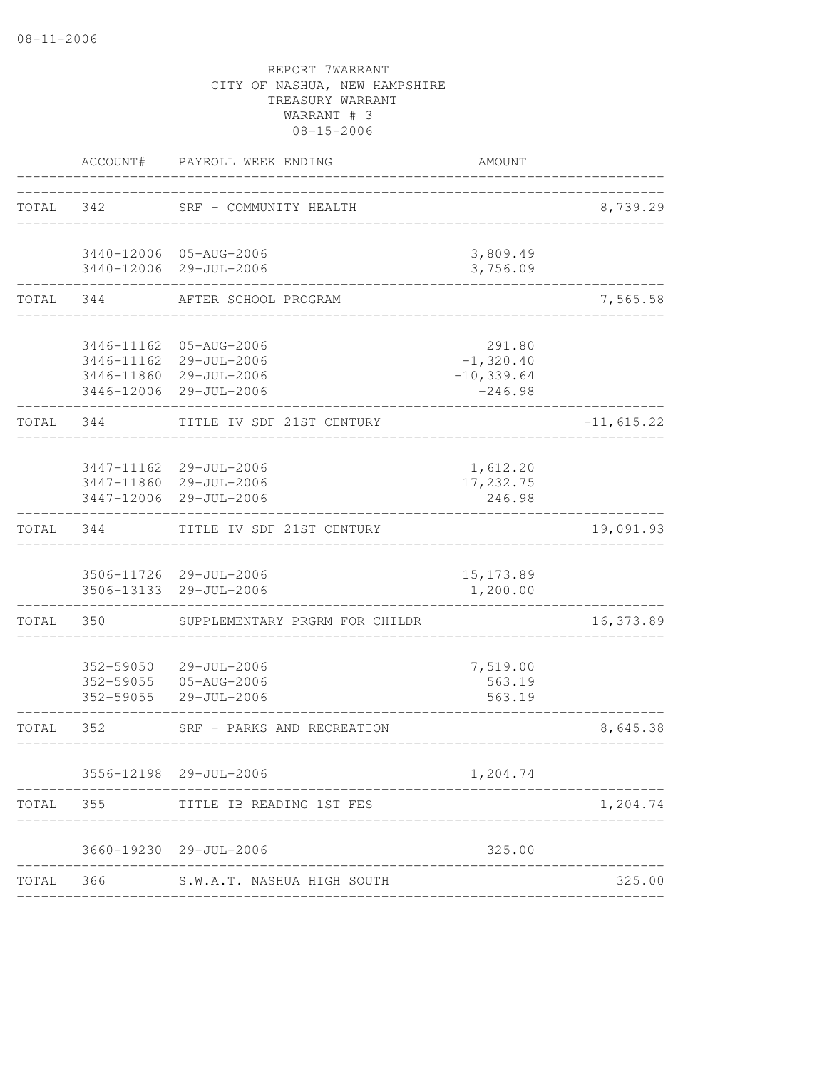| ACCOUNT#               | PAYROLL WEEK ENDING            | AMOUNT                                                                                                                                                                                                                                                                                                                                                                                                                                                                                                      |              |
|------------------------|--------------------------------|-------------------------------------------------------------------------------------------------------------------------------------------------------------------------------------------------------------------------------------------------------------------------------------------------------------------------------------------------------------------------------------------------------------------------------------------------------------------------------------------------------------|--------------|
| 342                    |                                |                                                                                                                                                                                                                                                                                                                                                                                                                                                                                                             | 8,739.29     |
|                        |                                | 3,809.49<br>3,756.09                                                                                                                                                                                                                                                                                                                                                                                                                                                                                        |              |
| 344                    | AFTER SCHOOL PROGRAM           |                                                                                                                                                                                                                                                                                                                                                                                                                                                                                                             | 7,565.58     |
|                        |                                | 291.80<br>$-1,320.40$<br>$-10, 339.64$<br>$-246.98$                                                                                                                                                                                                                                                                                                                                                                                                                                                         |              |
| 344                    | TITLE IV SDF 21ST CENTURY      |                                                                                                                                                                                                                                                                                                                                                                                                                                                                                                             | $-11,615.22$ |
|                        |                                | 1,612.20<br>17,232.75<br>246.98                                                                                                                                                                                                                                                                                                                                                                                                                                                                             |              |
| 344                    |                                |                                                                                                                                                                                                                                                                                                                                                                                                                                                                                                             | 19,091.93    |
|                        |                                | 15, 173.89<br>1,200.00                                                                                                                                                                                                                                                                                                                                                                                                                                                                                      |              |
| 350                    | SUPPLEMENTARY PRGRM FOR CHILDR |                                                                                                                                                                                                                                                                                                                                                                                                                                                                                                             | 16,373.89    |
| 352-59050<br>352-59055 | 29-JUL-2006                    | 7,519.00<br>563.19<br>563.19                                                                                                                                                                                                                                                                                                                                                                                                                                                                                |              |
| 352                    | SRF - PARKS AND RECREATION     |                                                                                                                                                                                                                                                                                                                                                                                                                                                                                                             | 8,645.38     |
|                        |                                | 1,204.74                                                                                                                                                                                                                                                                                                                                                                                                                                                                                                    |              |
| 355                    |                                |                                                                                                                                                                                                                                                                                                                                                                                                                                                                                                             | 1,204.74     |
|                        |                                | 325.00                                                                                                                                                                                                                                                                                                                                                                                                                                                                                                      |              |
|                        |                                |                                                                                                                                                                                                                                                                                                                                                                                                                                                                                                             | 325.00       |
|                        | TOTAL                          | SRF - COMMUNITY HEALTH<br>3440-12006 05-AUG-2006<br>3440-12006 29-JUL-2006<br>3446-11162 05-AUG-2006<br>3446-11162 29-JUL-2006<br>3446-11860 29-JUL-2006<br>3446-12006 29-JUL-2006<br>3447-11162 29-JUL-2006<br>3447-11860 29-JUL-2006<br>3447-12006 29-JUL-2006<br>TITLE IV SDF 21ST CENTURY<br>3506-11726 29-JUL-2006<br>3506-13133 29-JUL-2006<br>352-59055 05-AUG-2006<br>29-JUL-2006<br>3556-12198 29-JUL-2006<br>TITLE IB READING 1ST FES<br>3660-19230 29-JUL-2006<br>366 S.W.A.T. NASHUA HIGH SOUTH |              |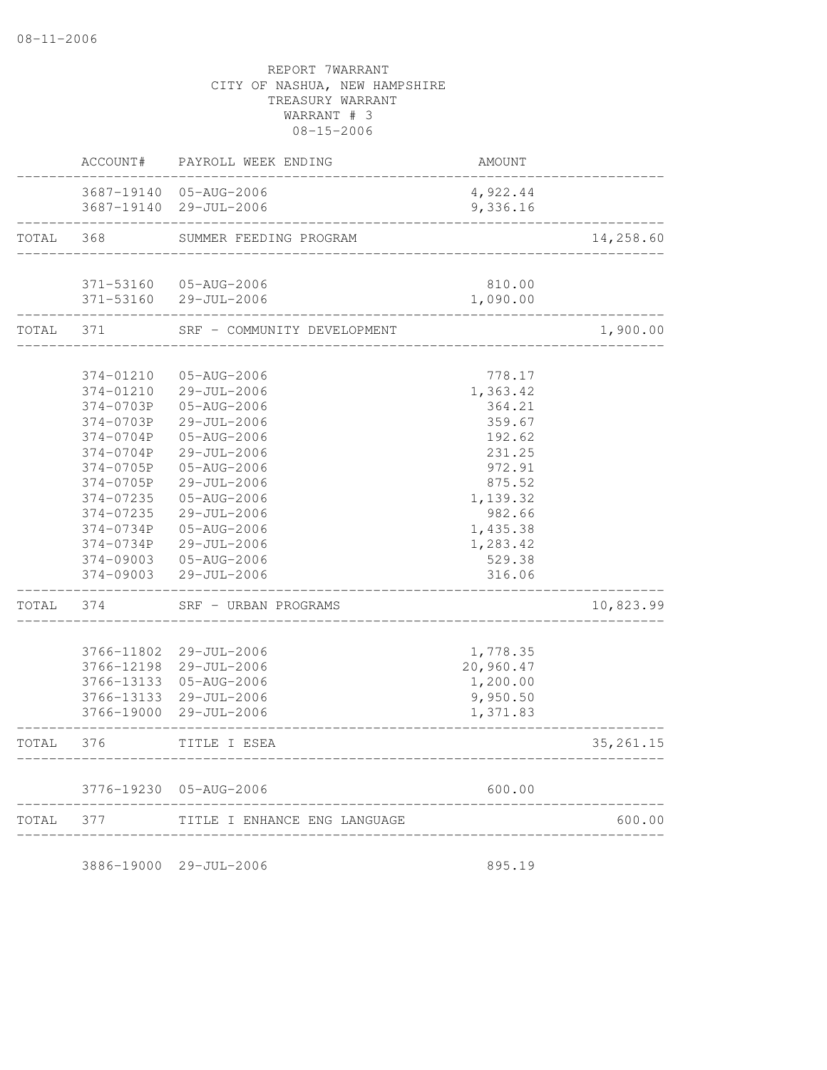|       | ACCOUNT#                                                           | PAYROLL WEEK ENDING                                                     | <b>AMOUNT</b>                                             |            |
|-------|--------------------------------------------------------------------|-------------------------------------------------------------------------|-----------------------------------------------------------|------------|
|       | 3687-19140<br>3687-19140                                           | 05-AUG-2006<br>29-JUL-2006                                              | 4,922.44<br>9,336.16                                      |            |
| TOTAL | 368                                                                | SUMMER FEEDING PROGRAM                                                  |                                                           | 14,258.60  |
|       | 371-53160<br>371-53160                                             | 05-AUG-2006<br>29-JUL-2006                                              | 810.00<br>1,090.00                                        |            |
| TOTAL | 371                                                                | SRF - COMMUNITY DEVELOPMENT                                             |                                                           | 1,900.00   |
|       | 374-01210<br>374-01210<br>374-0703P                                | 05-AUG-2006<br>29-JUL-2006<br>05-AUG-2006                               | 778.17<br>1,363.42<br>364.21                              |            |
|       | 374-0703P<br>374-0704P<br>374-0704P<br>374-0705P                   | 29-JUL-2006<br>05-AUG-2006<br>29-JUL-2006<br>$05 - AUG - 2006$          | 359.67<br>192.62<br>231.25<br>972.91                      |            |
|       | 374-0705P<br>374-07235<br>374-07235                                | 29-JUL-2006<br>05-AUG-2006<br>29-JUL-2006                               | 875.52<br>1,139.32<br>982.66                              |            |
|       | 374-0734P<br>374-0734P<br>374-09003<br>374-09003                   | 05-AUG-2006<br>29-JUL-2006<br>$05 - AUG - 2006$<br>29-JUL-2006          | 1,435.38<br>1,283.42<br>529.38<br>316.06                  |            |
| TOTAL | 374                                                                | SRF - URBAN PROGRAMS                                                    |                                                           | 10,823.99  |
|       | 3766-11802<br>3766-12198<br>3766-13133<br>3766-13133<br>3766-19000 | 29-JUL-2006<br>29-JUL-2006<br>05-AUG-2006<br>29-JUL-2006<br>29-JUL-2006 | 1,778.35<br>20,960.47<br>1,200.00<br>9,950.50<br>1,371.83 |            |
| TOTAL | 376                                                                | TITLE I ESEA                                                            |                                                           | 35, 261.15 |
|       |                                                                    | 3776-19230 05-AUG-2006                                                  | 600.00                                                    |            |
| TOTAL | 377                                                                | TITLE I ENHANCE ENG LANGUAGE                                            |                                                           | 600.00     |

3886-19000 29-JUL-2006 895.19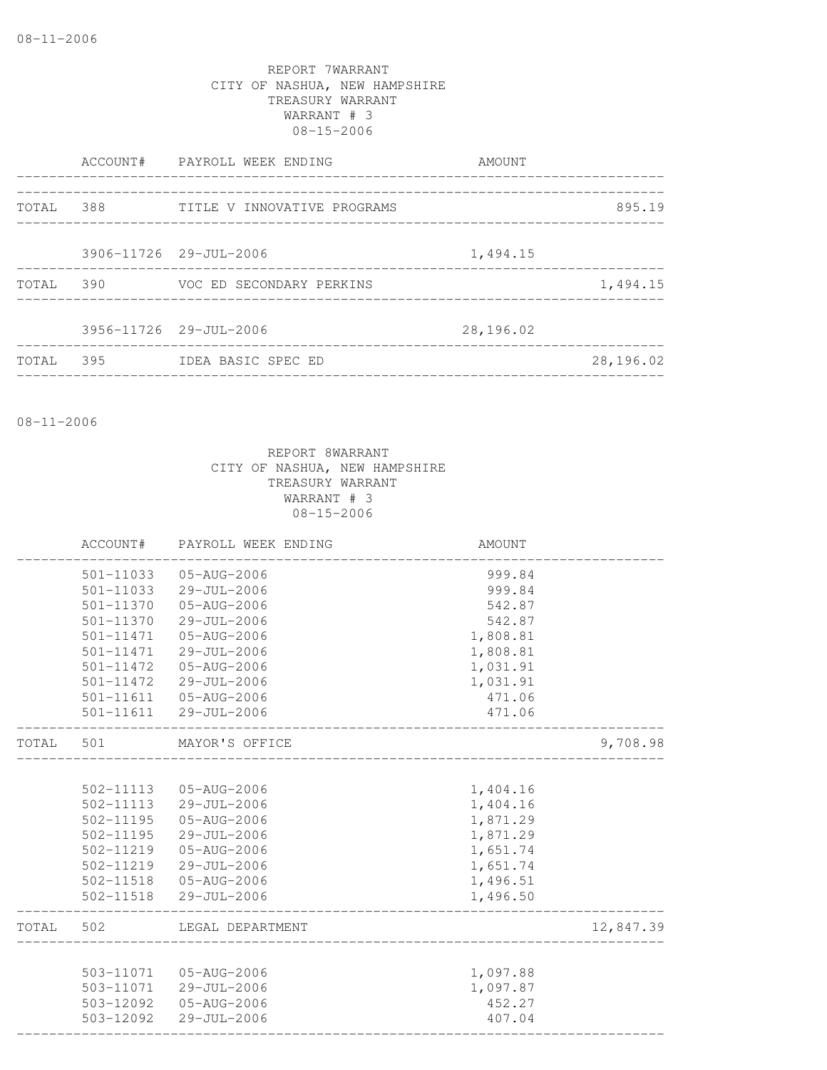|       |     | ACCOUNT# PAYROLL WEEK ENDING | AMOUNT    |           |
|-------|-----|------------------------------|-----------|-----------|
| TOTAL | 388 | TITLE V INNOVATIVE PROGRAMS  |           | 895.19    |
|       |     | 3906-11726 29-JUL-2006       | 1,494.15  |           |
| TOTAL | 390 | VOC ED SECONDARY PERKINS     |           | 1,494.15  |
|       |     | 3956-11726 29-JUL-2006       | 28,196.02 |           |
| TOTAL | 395 | IDEA BASIC SPEC ED           |           | 28,196.02 |

08-11-2006

|       | ACCOUNT#  | PAYROLL WEEK ENDING    | AMOUNT   |           |
|-------|-----------|------------------------|----------|-----------|
|       | 501-11033 | 05-AUG-2006            | 999.84   |           |
|       | 501-11033 | 29-JUL-2006            | 999.84   |           |
|       | 501-11370 | 05-AUG-2006            | 542.87   |           |
|       | 501-11370 | 29-JUL-2006            | 542.87   |           |
|       | 501-11471 | $05 - AUG - 2006$      | 1,808.81 |           |
|       | 501-11471 | 29-JUL-2006            | 1,808.81 |           |
|       | 501-11472 | 05-AUG-2006            | 1,031.91 |           |
|       | 501-11472 | 29-JUL-2006            | 1,031.91 |           |
|       |           | 501-11611  05-AUG-2006 | 471.06   |           |
|       |           | 501-11611 29-JUL-2006  | 471.06   |           |
| TOTAL | 501       | MAYOR'S OFFICE         |          | 9,708.98  |
|       |           |                        |          |           |
|       | 502-11113 | 05-AUG-2006            | 1,404.16 |           |
|       | 502-11113 | 29-JUL-2006            | 1,404.16 |           |
|       | 502-11195 | 05-AUG-2006            | 1,871.29 |           |
|       | 502-11195 | 29-JUL-2006            | 1,871.29 |           |
|       | 502-11219 | 05-AUG-2006            | 1,651.74 |           |
|       | 502-11219 | 29-JUL-2006            | 1,651.74 |           |
|       | 502-11518 | 05-AUG-2006            | 1,496.51 |           |
|       |           | 502-11518 29-JUL-2006  | 1,496.50 |           |
| TOTAL | 502       | LEGAL DEPARTMENT       |          | 12,847.39 |
|       |           |                        |          |           |
|       | 503-11071 | 05-AUG-2006            | 1,097.88 |           |
|       |           | 503-11071 29-JUL-2006  | 1,097.87 |           |
|       | 503-12092 | 05-AUG-2006            | 452.27   |           |
|       | 503-12092 | 29-JUL-2006            | 407.04   |           |
|       |           |                        |          |           |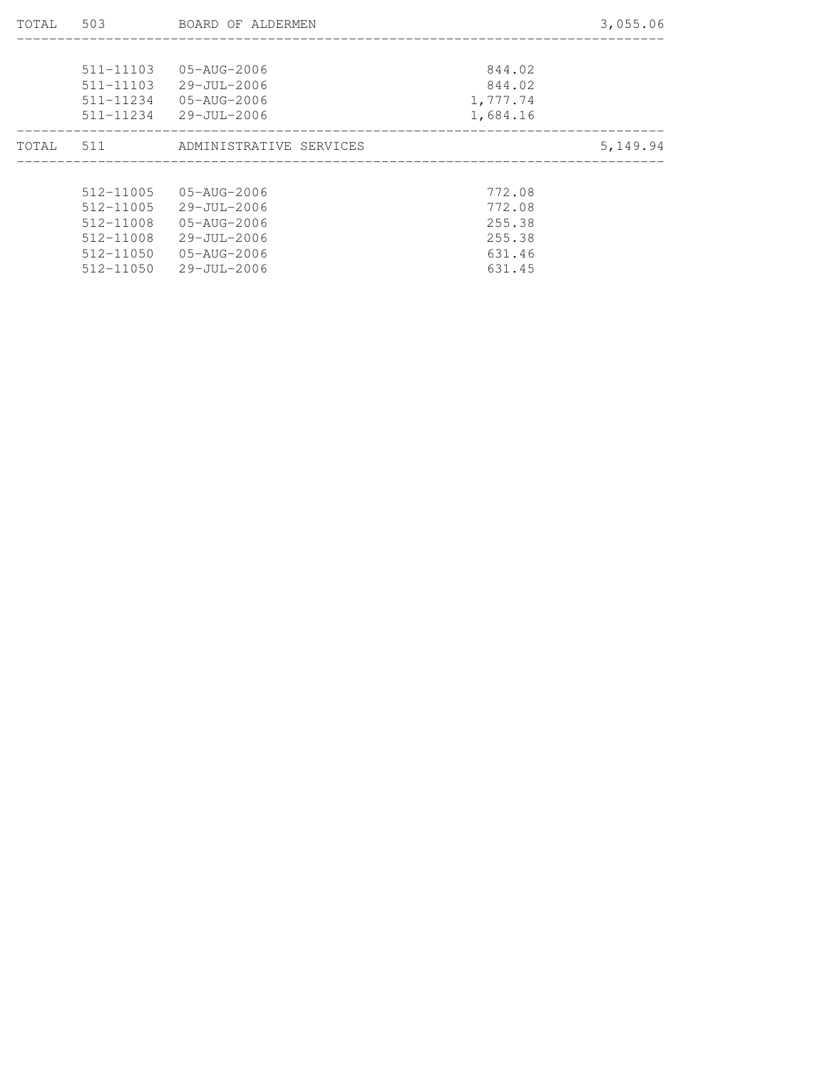| TOTAL | 503           | BOARD OF ALDERMEN       |          | 3,055.06 |
|-------|---------------|-------------------------|----------|----------|
|       |               |                         |          |          |
|       | 511-11103     | 05-AUG-2006             | 844.02   |          |
|       | 511-11103     | 29-JUL-2006             | 844.02   |          |
|       | 511-11234     | 05-AUG-2006             | 1,777.74 |          |
|       | 511-11234     | 29-JUL-2006             | 1,684.16 |          |
| TOTAL | 511           | ADMINISTRATIVE SERVICES |          | 5,149.94 |
|       |               |                         |          |          |
|       | $512 - 11005$ | 05-AUG-2006             | 772.08   |          |
|       | 512-11005     | 29-JUL-2006             | 772.08   |          |
|       | 512-11008     | 05-AUG-2006             | 255.38   |          |
|       | 512-11008     | 29-JUL-2006             | 255.38   |          |
|       | 512-11050     | 05-AUG-2006             | 631.46   |          |
|       | 512-11050     | $29 - JUL - 2006$       | 631.45   |          |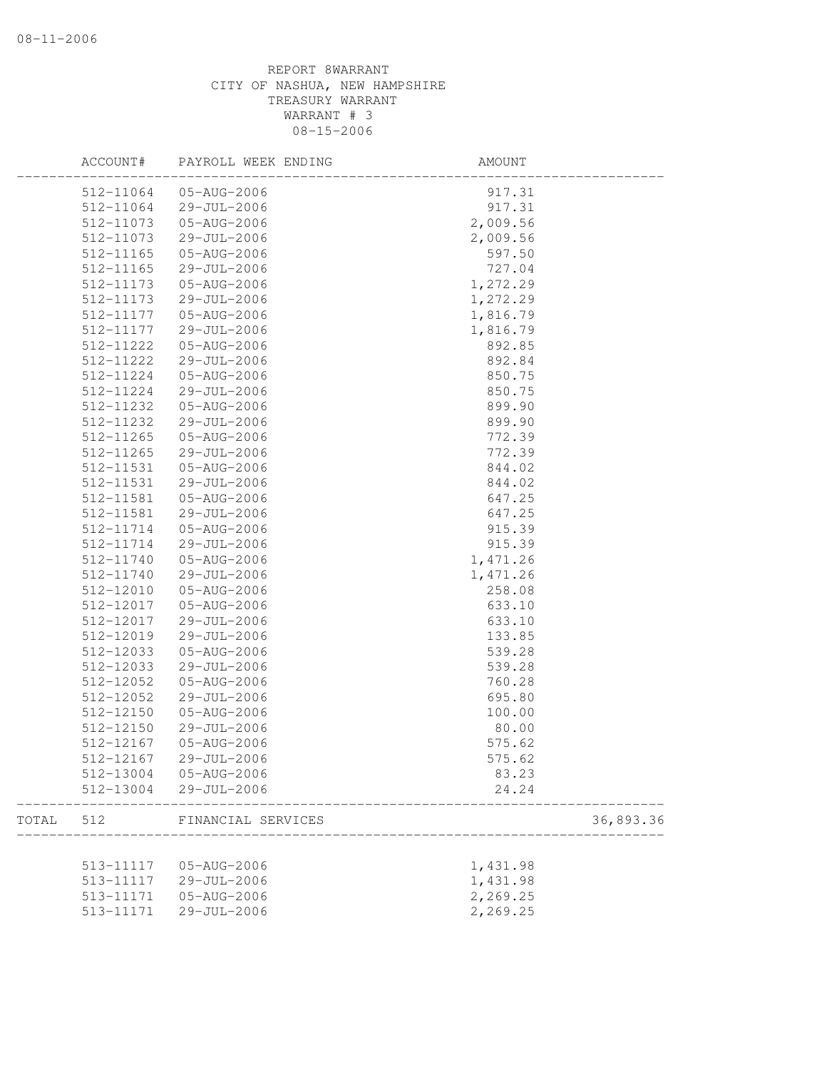|       | ACCOUNT#      | PAYROLL WEEK ENDING | AMOUNT   |           |
|-------|---------------|---------------------|----------|-----------|
|       | 512-11064     | 05-AUG-2006         | 917.31   |           |
|       | 512-11064     | 29-JUL-2006         | 917.31   |           |
|       | 512-11073     | 05-AUG-2006         | 2,009.56 |           |
|       | 512-11073     | 29-JUL-2006         | 2,009.56 |           |
|       | 512-11165     | 05-AUG-2006         | 597.50   |           |
|       | 512-11165     | 29-JUL-2006         | 727.04   |           |
|       | 512-11173     | 05-AUG-2006         | 1,272.29 |           |
|       | 512-11173     | 29-JUL-2006         | 1,272.29 |           |
|       | 512-11177     | 05-AUG-2006         | 1,816.79 |           |
|       | 512-11177     | 29-JUL-2006         | 1,816.79 |           |
|       | 512-11222     | 05-AUG-2006         | 892.85   |           |
|       | 512-11222     | 29-JUL-2006         | 892.84   |           |
|       | 512-11224     | 05-AUG-2006         | 850.75   |           |
|       | 512-11224     | 29-JUL-2006         | 850.75   |           |
|       | 512-11232     | 05-AUG-2006         | 899.90   |           |
|       | 512-11232     | 29-JUL-2006         | 899.90   |           |
|       | $512 - 11265$ | 05-AUG-2006         | 772.39   |           |
|       | 512-11265     | 29-JUL-2006         | 772.39   |           |
|       | 512-11531     | 05-AUG-2006         | 844.02   |           |
|       | 512-11531     | 29-JUL-2006         | 844.02   |           |
|       | 512-11581     | 05-AUG-2006         | 647.25   |           |
|       | 512-11581     | 29-JUL-2006         | 647.25   |           |
|       | 512-11714     | 05-AUG-2006         | 915.39   |           |
|       | 512-11714     | 29-JUL-2006         | 915.39   |           |
|       | 512-11740     | 05-AUG-2006         | 1,471.26 |           |
|       | 512-11740     | 29-JUL-2006         | 1,471.26 |           |
|       | 512-12010     | 05-AUG-2006         | 258.08   |           |
|       | 512-12017     | 05-AUG-2006         | 633.10   |           |
|       | 512-12017     | 29-JUL-2006         | 633.10   |           |
|       | 512-12019     | 29-JUL-2006         |          |           |
|       | 512-12033     | 05-AUG-2006         | 133.85   |           |
|       |               |                     | 539.28   |           |
|       | 512-12033     | 29-JUL-2006         | 539.28   |           |
|       | 512-12052     | 05-AUG-2006         | 760.28   |           |
|       | 512-12052     | 29-JUL-2006         | 695.80   |           |
|       | 512-12150     | 05-AUG-2006         | 100.00   |           |
|       | 512-12150     | 29-JUL-2006         | 80.00    |           |
|       | 512-12167     | 05-AUG-2006         | 575.62   |           |
|       | 512-12167     | 29-JUL-2006         | 575.62   |           |
|       | 512-13004     | 05-AUG-2006         | 83.23    |           |
|       | 512-13004     | 29-JUL-2006         | 24.24    |           |
| TOTAL | 512           | FINANCIAL SERVICES  |          | 36,893.36 |
|       |               |                     |          |           |
|       | 513-11117     | 05-AUG-2006         | 1,431.98 |           |
|       | 513-11117     | 29-JUL-2006         | 1,431.98 |           |
|       | 513-11171     | 05-AUG-2006         | 2,269.25 |           |
|       | 513-11171     | 29-JUL-2006         | 2,269.25 |           |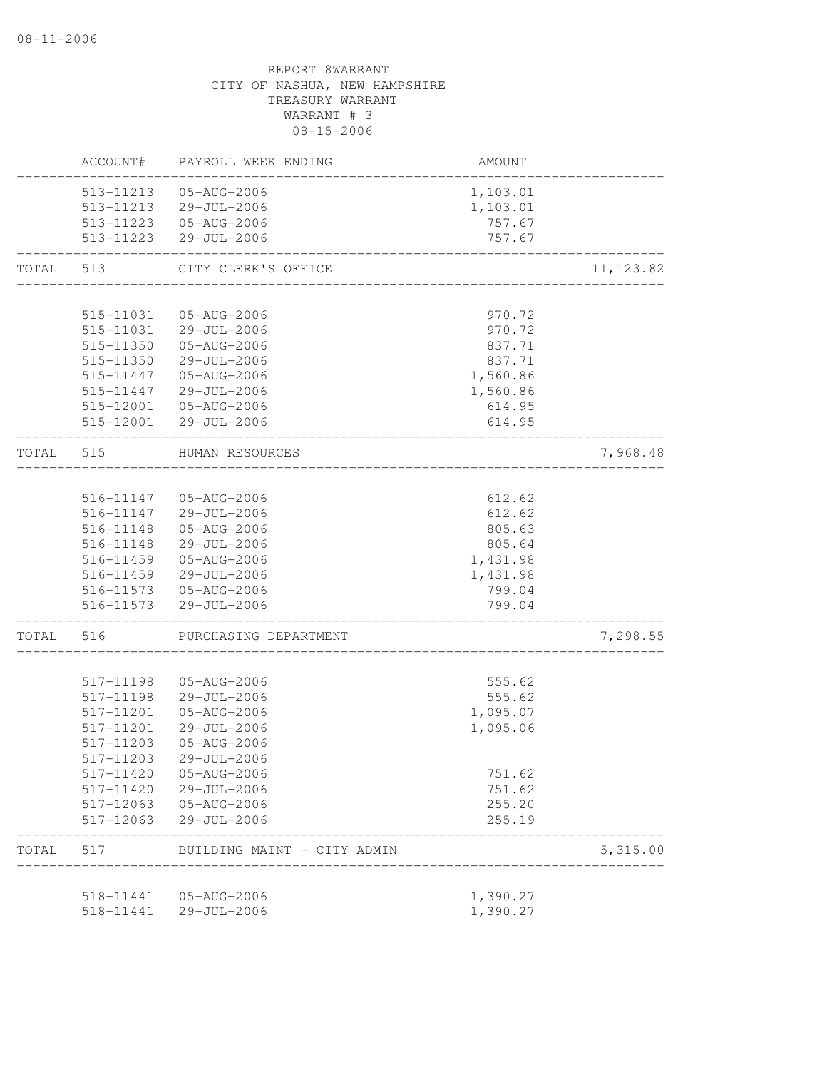|                         | ACCOUNT#               | PAYROLL WEEK ENDING                             | <b>AMOUNT</b>         |            |
|-------------------------|------------------------|-------------------------------------------------|-----------------------|------------|
|                         | 513-11213              | 05-AUG-2006                                     | 1,103.01              |            |
|                         |                        | 513-11213 29-JUL-2006                           | 1,103.01              |            |
|                         |                        | 513-11223  05-AUG-2006                          | 757.67                |            |
|                         | 513-11223              | 29-JUL-2006<br>____________________             | 757.67                |            |
| TOTAL                   | 513                    | CITY CLERK'S OFFICE                             |                       | 11, 123.82 |
|                         | 515-11031              | 05-AUG-2006                                     | 970.72                |            |
|                         |                        | 515-11031 29-JUL-2006                           | 970.72                |            |
|                         | 515-11350              | 05-AUG-2006                                     | 837.71                |            |
|                         | 515-11350              | 29-JUL-2006                                     | 837.71                |            |
|                         | 515-11447              | 05-AUG-2006                                     | 1,560.86              |            |
|                         | 515-11447              | 29-JUL-2006                                     | 1,560.86              |            |
|                         | 515-12001              | 05-AUG-2006                                     | 614.95                |            |
|                         |                        | 515-12001 29-JUL-2006                           | 614.95                |            |
| TOTAL<br>TOTAL<br>TOTAL | 515                    | HUMAN RESOURCES<br>____________________________ |                       | 7,968.48   |
|                         |                        |                                                 |                       |            |
|                         |                        | 516-11147 05-AUG-2006                           | 612.62                |            |
|                         |                        | 516-11147 29-JUL-2006                           | 612.62                |            |
|                         | 516-11148              | 05-AUG-2006                                     | 805.63                |            |
|                         | 516-11148              | 29-JUL-2006                                     | 805.64                |            |
|                         | 516-11459<br>516-11459 | 05-AUG-2006<br>29-JUL-2006                      | 1,431.98<br>1,431.98  |            |
|                         |                        | 516-11573 05-AUG-2006                           | 799.04                |            |
|                         |                        | 516-11573 29-JUL-2006                           | 799.04                |            |
|                         | 516                    | PURCHASING DEPARTMENT                           | _____________________ | 7,298.55   |
|                         | 517-11198              | 05-AUG-2006                                     |                       |            |
|                         | 517-11198              | 29-JUL-2006                                     | 555.62<br>555.62      |            |
|                         | 517-11201              | 05-AUG-2006                                     | 1,095.07              |            |
|                         | 517-11201              | 29-JUL-2006                                     | 1,095.06              |            |
|                         | 517-11203              | 05-AUG-2006                                     |                       |            |
|                         | 517-11203              | 29-JUL-2006                                     |                       |            |
|                         | 517-11420              | 05-AUG-2006                                     | 751.62                |            |
|                         | 517-11420              | 29-JUL-2006                                     | 751.62                |            |
|                         | 517-12063              | 05-AUG-2006                                     | 255.20                |            |
|                         | 517-12063              | 29-JUL-2006                                     | 255.19                |            |
|                         | 517                    | BUILDING MAINT - CITY ADMIN                     |                       | 5,315.00   |
|                         | 518-11441              | 05-AUG-2006                                     | 1,390.27              |            |
|                         | 518-11441              | 29-JUL-2006                                     | 1,390.27              |            |
|                         |                        |                                                 |                       |            |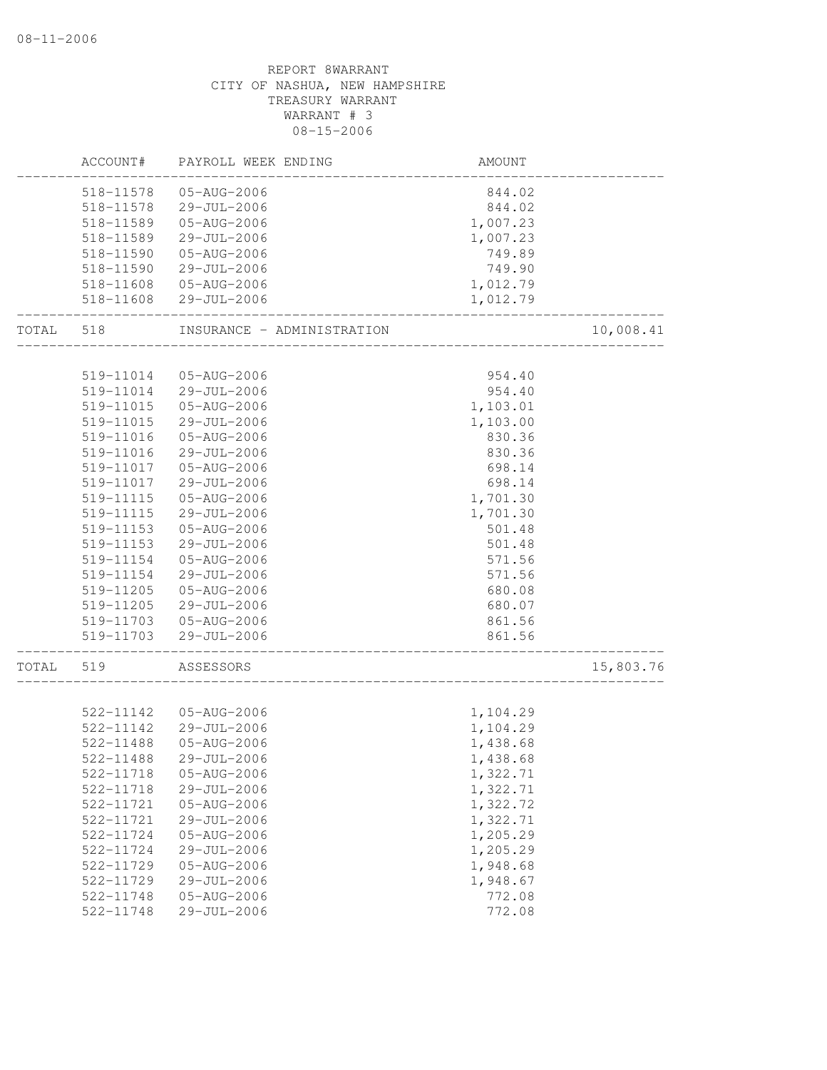|       | ACCOUNT#               | PAYROLL WEEK ENDING        | AMOUNT   |           |
|-------|------------------------|----------------------------|----------|-----------|
|       | 518-11578              | 05-AUG-2006                | 844.02   |           |
|       | 518-11578              | 29-JUL-2006                | 844.02   |           |
|       | 518-11589              | 05-AUG-2006                | 1,007.23 |           |
|       | 518-11589              | $29 - JUL - 2006$          | 1,007.23 |           |
|       | 518-11590              | 05-AUG-2006                | 749.89   |           |
|       | 518-11590              | 29-JUL-2006                | 749.90   |           |
|       | 518-11608              | 05-AUG-2006                | 1,012.79 |           |
|       | 518-11608              | 29-JUL-2006                | 1,012.79 |           |
| TOTAL | 518                    | INSURANCE - ADMINISTRATION |          | 10,008.41 |
|       |                        |                            |          |           |
|       | 519-11014              | 05-AUG-2006                | 954.40   |           |
|       | 519-11014              | 29-JUL-2006                | 954.40   |           |
|       | 519-11015              | 05-AUG-2006                | 1,103.01 |           |
|       | 519-11015              | 29-JUL-2006                | 1,103.00 |           |
|       | 519-11016              | 05-AUG-2006                | 830.36   |           |
|       | 519-11016              | 29-JUL-2006                | 830.36   |           |
|       | 519-11017              | 05-AUG-2006                | 698.14   |           |
|       | 519-11017              | $29 - JUL - 2006$          | 698.14   |           |
|       | 519-11115              | 05-AUG-2006                | 1,701.30 |           |
|       | 519-11115              | 29-JUL-2006                | 1,701.30 |           |
|       | 519-11153              | 05-AUG-2006                | 501.48   |           |
|       | 519-11153              | 29-JUL-2006                | 501.48   |           |
|       | 519-11154              | 05-AUG-2006                | 571.56   |           |
|       | 519-11154              | 29-JUL-2006                | 571.56   |           |
|       | 519-11205              | 05-AUG-2006                | 680.08   |           |
|       | 519-11205              | 29-JUL-2006                | 680.07   |           |
|       | 519-11703              | 05-AUG-2006                | 861.56   |           |
|       | 519-11703              | 29-JUL-2006                | 861.56   |           |
| TOTAL | 519                    | ASSESSORS                  |          | 15,803.76 |
|       |                        |                            |          |           |
|       | 522-11142              | 05-AUG-2006                | 1,104.29 |           |
|       | 522-11142<br>522-11488 | 29-JUL-2006                | 1,104.29 |           |
|       |                        | 05-AUG-2006                | 1,438.68 |           |
|       | 522-11488              | 29-JUL-2006                | 1,438.68 |           |
|       | 522-11718              | 05-AUG-2006                | 1,322.71 |           |
|       | 522-11718              | 29-JUL-2006                | 1,322.71 |           |
|       | 522-11721              | 05-AUG-2006                | 1,322.72 |           |
|       | 522-11721              | 29-JUL-2006                | 1,322.71 |           |
|       | 522-11724              | 05-AUG-2006                | 1,205.29 |           |
|       | 522-11724              | 29-JUL-2006                | 1,205.29 |           |
|       | 522-11729              | 05-AUG-2006                | 1,948.68 |           |
|       | 522-11729              | 29-JUL-2006                | 1,948.67 |           |
|       | 522-11748              | 05-AUG-2006                | 772.08   |           |
|       | 522-11748              | 29-JUL-2006                | 772.08   |           |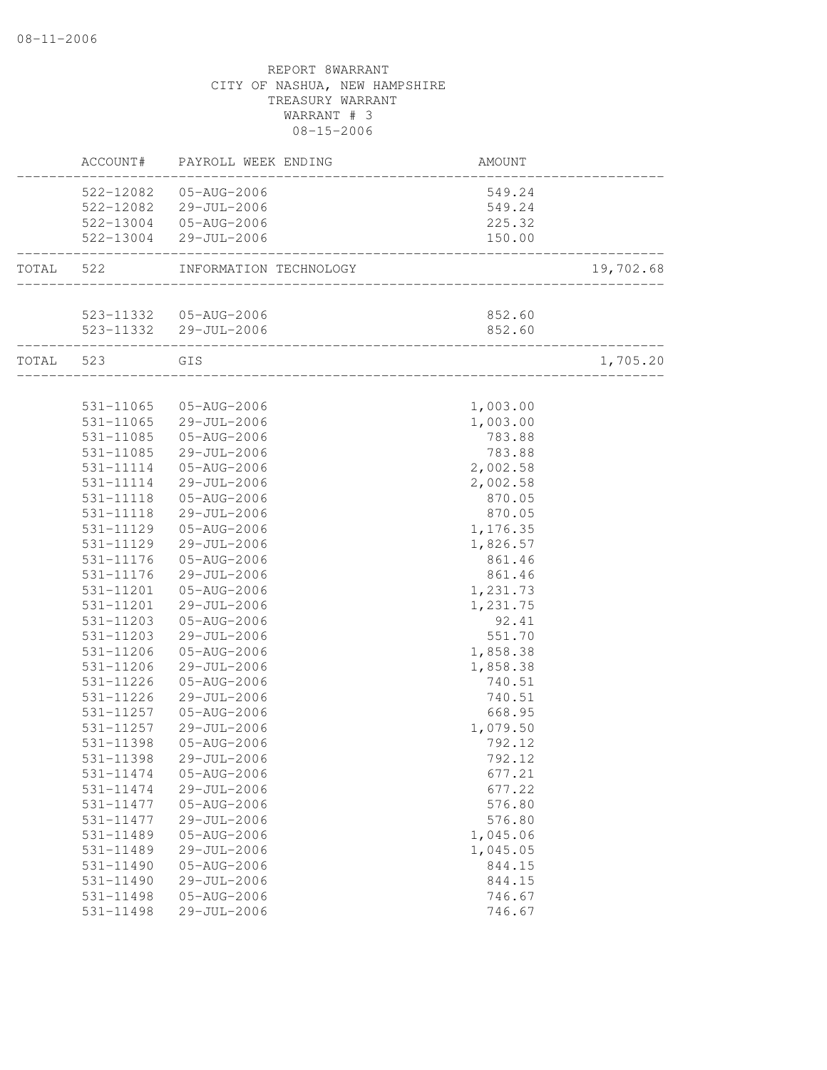|           |                  | ACCOUNT# PAYROLL WEEK ENDING      | AMOUNT   |           |
|-----------|------------------|-----------------------------------|----------|-----------|
|           |                  | 522-12082  05-AUG-2006            | 549.24   |           |
|           |                  | 522-12082 29-JUL-2006             | 549.24   |           |
|           |                  | 522-13004 05-AUG-2006             | 225.32   |           |
|           |                  | 522-13004 29-JUL-2006             | 150.00   |           |
| TOTAL 522 |                  | INFORMATION TECHNOLOGY            |          | 19,702.68 |
|           |                  | 523-11332  05-AUG-2006            | 852.60   |           |
|           |                  | 523-11332 29-JUL-2006             | 852.60   |           |
|           | TOTAL 523<br>GIS | _________________________________ |          | 1,705.20  |
|           |                  |                                   |          |           |
|           |                  | 531-11065 05-AUG-2006             | 1,003.00 |           |
|           |                  | 531-11065 29-JUL-2006             | 1,003.00 |           |
|           | 531-11085        | 05-AUG-2006                       | 783.88   |           |
|           | 531-11085        | 29-JUL-2006                       | 783.88   |           |
|           | 531-11114        | 05-AUG-2006                       | 2,002.58 |           |
|           | 531-11114        | 29-JUL-2006                       | 2,002.58 |           |
|           |                  | 531-11118  05-AUG-2006            | 870.05   |           |
|           |                  | 531-11118 29-JUL-2006             | 870.05   |           |
|           | 531-11129        | 05-AUG-2006                       | 1,176.35 |           |
|           | 531-11129        | 29-JUL-2006                       | 1,826.57 |           |
|           | 531-11176        | 05-AUG-2006                       | 861.46   |           |
|           | 531-11176        | 29-JUL-2006                       | 861.46   |           |
|           | 531-11201        | 05-AUG-2006                       | 1,231.73 |           |
|           | 531-11201        | 29-JUL-2006                       | 1,231.75 |           |
|           | 531-11203        | 05-AUG-2006                       | 92.41    |           |
|           | 531-11203        | 29-JUL-2006                       | 551.70   |           |
|           | 531-11206        | 05-AUG-2006                       | 1,858.38 |           |
|           | 531-11206        | 29-JUL-2006                       | 1,858.38 |           |
|           | 531-11226        | 05-AUG-2006                       | 740.51   |           |
|           | 531-11226        | 29-JUL-2006                       | 740.51   |           |
|           | 531-11257        | 05-AUG-2006                       | 668.95   |           |
|           | 531-11257        | 29-JUL-2006                       | 1,079.50 |           |
|           | 531-11398        | 05-AUG-2006                       | 792.12   |           |
|           | 531-11398        | 29-JUL-2006                       | 792.12   |           |
|           | 531-11474        | 05-AUG-2006                       | 677.21   |           |
|           | 531-11474        | 29-JUL-2006                       | 677.22   |           |
|           | 531-11477        | 05-AUG-2006                       | 576.80   |           |
|           | 531-11477        | 29-JUL-2006                       | 576.80   |           |
|           | 531-11489        | 05-AUG-2006                       | 1,045.06 |           |
|           | 531-11489        | 29-JUL-2006                       | 1,045.05 |           |
|           | 531-11490        | 05-AUG-2006                       | 844.15   |           |
|           | 531-11490        | 29-JUL-2006                       | 844.15   |           |
|           | 531-11498        | 05-AUG-2006                       | 746.67   |           |
|           | 531-11498        | 29-JUL-2006                       | 746.67   |           |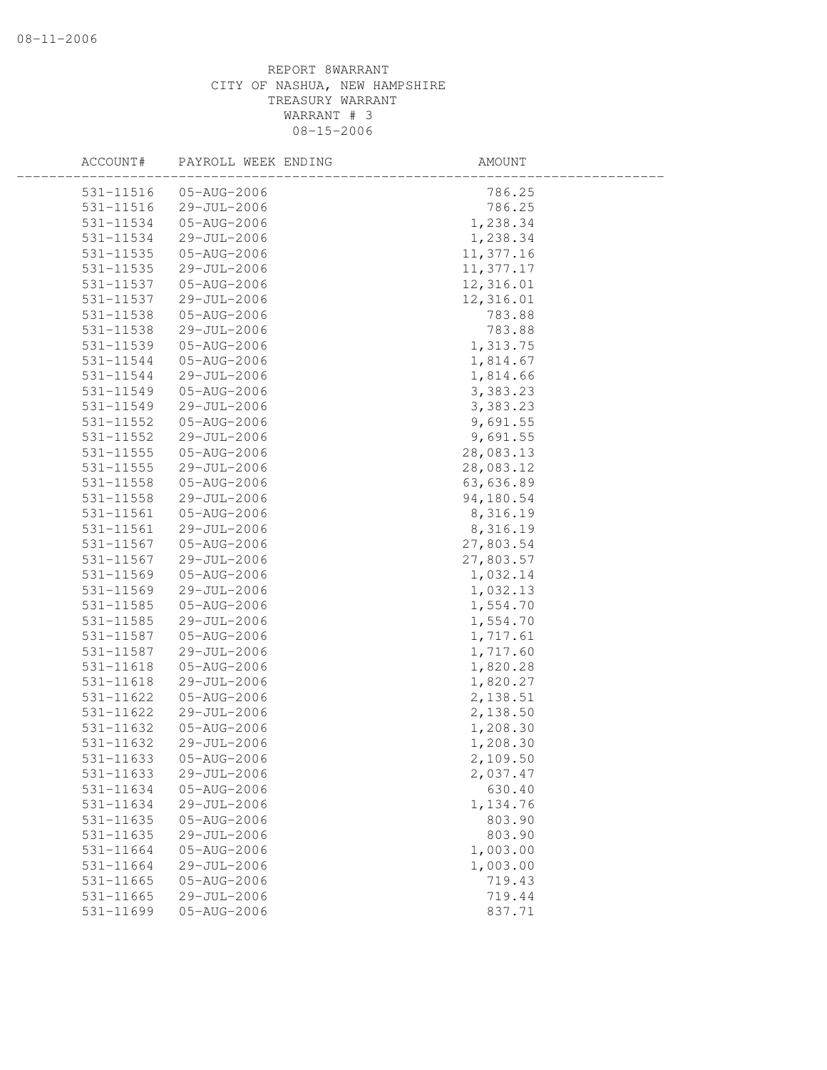| ACCOUNT#      | PAYROLL WEEK ENDING | AMOUNT    |  |
|---------------|---------------------|-----------|--|
| 531-11516     | 05-AUG-2006         | 786.25    |  |
| 531-11516     | 29-JUL-2006         | 786.25    |  |
| 531-11534     | 05-AUG-2006         | 1,238.34  |  |
| 531-11534     | 29-JUL-2006         | 1,238.34  |  |
| 531-11535     | 05-AUG-2006         | 11,377.16 |  |
| 531-11535     | 29-JUL-2006         | 11,377.17 |  |
| 531-11537     | 05-AUG-2006         | 12,316.01 |  |
| 531-11537     | 29-JUL-2006         | 12,316.01 |  |
| 531-11538     | 05-AUG-2006         | 783.88    |  |
| 531-11538     | 29-JUL-2006         | 783.88    |  |
| 531-11539     | 05-AUG-2006         | 1,313.75  |  |
| 531-11544     | 05-AUG-2006         | 1,814.67  |  |
| 531-11544     | 29-JUL-2006         | 1,814.66  |  |
| 531-11549     | 05-AUG-2006         | 3,383.23  |  |
| 531-11549     | 29-JUL-2006         | 3,383.23  |  |
| 531-11552     | 05-AUG-2006         | 9,691.55  |  |
| 531-11552     | 29-JUL-2006         | 9,691.55  |  |
| 531-11555     | 05-AUG-2006         | 28,083.13 |  |
| $531 - 11555$ | 29-JUL-2006         | 28,083.12 |  |
| 531-11558     | 05-AUG-2006         | 63,636.89 |  |
| 531-11558     | 29-JUL-2006         | 94,180.54 |  |
| 531-11561     | 05-AUG-2006         | 8,316.19  |  |
| 531-11561     | 29-JUL-2006         | 8,316.19  |  |
| 531-11567     | 05-AUG-2006         | 27,803.54 |  |
| 531-11567     | 29-JUL-2006         | 27,803.57 |  |
| 531-11569     | 05-AUG-2006         | 1,032.14  |  |
| 531-11569     | 29-JUL-2006         | 1,032.13  |  |
| 531-11585     | 05-AUG-2006         | 1,554.70  |  |
| 531-11585     | 29-JUL-2006         | 1,554.70  |  |
| 531-11587     | 05-AUG-2006         | 1,717.61  |  |
| 531-11587     | 29-JUL-2006         | 1,717.60  |  |
| 531-11618     | 05-AUG-2006         | 1,820.28  |  |
| 531-11618     | 29-JUL-2006         | 1,820.27  |  |
| 531-11622     | 05-AUG-2006         | 2,138.51  |  |
| 531-11622     | 29-JUL-2006         | 2,138.50  |  |
| 531-11632     | 05-AUG-2006         | 1,208.30  |  |
| 531-11632     | 29-JUL-2006         | 1,208.30  |  |
| 531-11633     | 05-AUG-2006         | 2,109.50  |  |
| 531-11633     | 29-JUL-2006         | 2,037.47  |  |
| 531-11634     | 05-AUG-2006         | 630.40    |  |
| 531-11634     | 29-JUL-2006         | 1,134.76  |  |
| 531-11635     | 05-AUG-2006         | 803.90    |  |
|               |                     | 803.90    |  |
| 531-11635     | 29-JUL-2006         |           |  |
| 531-11664     | 05-AUG-2006         | 1,003.00  |  |
| 531-11664     | 29-JUL-2006         | 1,003.00  |  |
| 531-11665     | 05-AUG-2006         | 719.43    |  |
| 531-11665     | 29-JUL-2006         | 719.44    |  |
| 531-11699     | 05-AUG-2006         | 837.71    |  |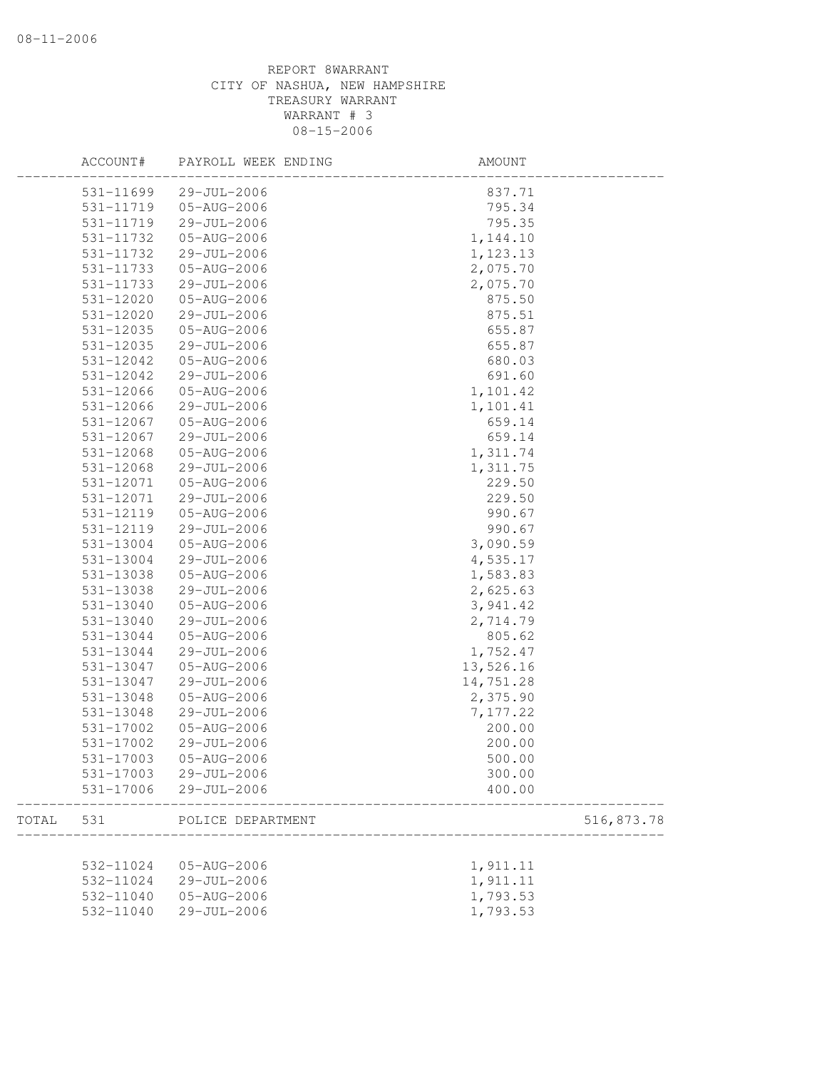|       | ACCOUNT#  | PAYROLL WEEK ENDING | AMOUNT     |
|-------|-----------|---------------------|------------|
|       | 531-11699 | 29-JUL-2006         | 837.71     |
|       | 531-11719 | 05-AUG-2006         | 795.34     |
|       | 531-11719 | 29-JUL-2006         | 795.35     |
|       | 531-11732 | 05-AUG-2006         | 1,144.10   |
|       | 531-11732 | 29-JUL-2006         | 1,123.13   |
|       | 531-11733 | 05-AUG-2006         | 2,075.70   |
|       | 531-11733 | 29-JUL-2006         | 2,075.70   |
|       | 531-12020 | 05-AUG-2006         | 875.50     |
|       | 531-12020 | 29-JUL-2006         | 875.51     |
|       | 531-12035 | 05-AUG-2006         | 655.87     |
|       | 531-12035 | 29-JUL-2006         | 655.87     |
|       | 531-12042 | 05-AUG-2006         | 680.03     |
|       | 531-12042 | 29-JUL-2006         | 691.60     |
|       | 531-12066 | 05-AUG-2006         | 1,101.42   |
|       | 531-12066 | 29-JUL-2006         | 1,101.41   |
|       | 531-12067 | 05-AUG-2006         | 659.14     |
|       | 531-12067 | 29-JUL-2006         | 659.14     |
|       | 531-12068 | 05-AUG-2006         | 1,311.74   |
|       | 531-12068 | 29-JUL-2006         | 1,311.75   |
|       | 531-12071 | 05-AUG-2006         | 229.50     |
|       | 531-12071 | 29-JUL-2006         | 229.50     |
|       | 531-12119 | 05-AUG-2006         | 990.67     |
|       | 531-12119 | 29-JUL-2006         | 990.67     |
|       | 531-13004 | 05-AUG-2006         | 3,090.59   |
|       | 531-13004 | 29-JUL-2006         | 4,535.17   |
|       | 531-13038 | 05-AUG-2006         | 1,583.83   |
|       | 531-13038 | 29-JUL-2006         | 2,625.63   |
|       | 531-13040 | 05-AUG-2006         | 3,941.42   |
|       | 531-13040 | 29-JUL-2006         | 2,714.79   |
|       | 531-13044 | 05-AUG-2006         | 805.62     |
|       | 531-13044 | 29-JUL-2006         | 1,752.47   |
|       | 531-13047 | 05-AUG-2006         | 13,526.16  |
|       | 531-13047 | 29-JUL-2006         | 14,751.28  |
|       | 531-13048 | 05-AUG-2006         | 2,375.90   |
|       | 531-13048 | $29 - JUL - 2006$   | 7,177.22   |
|       | 531-17002 | 05-AUG-2006         | 200.00     |
|       | 531-17002 | 29-JUL-2006         | 200.00     |
|       | 531-17003 | 05-AUG-2006         | 500.00     |
|       | 531-17003 | 29-JUL-2006         | 300.00     |
|       | 531-17006 | $29 - JUL - 2006$   | 400.00     |
|       |           |                     |            |
| TOTAL | 531       | POLICE DEPARTMENT   | 516,873.78 |
|       |           |                     |            |
|       | 532-11024 | $05 - AUG - 2006$   | 1,911.11   |
|       | 532-11024 | 29-JUL-2006         | 1,911.11   |
|       | 532-11040 | 05-AUG-2006         | 1,793.53   |
|       | 532-11040 | 29-JUL-2006         | 1,793.53   |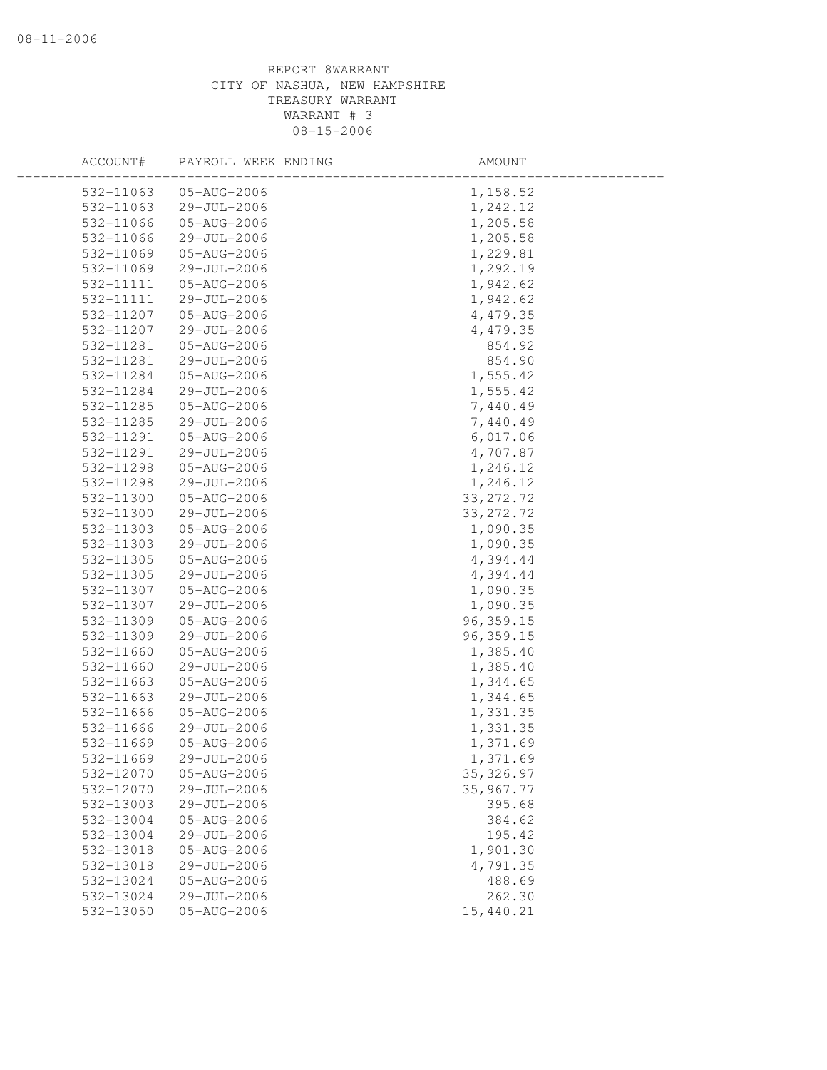| ACCOUNT#  | PAYROLL WEEK ENDING | AMOUNT     |
|-----------|---------------------|------------|
| 532-11063 | 05-AUG-2006         | 1,158.52   |
| 532-11063 | 29-JUL-2006         | 1,242.12   |
| 532-11066 | 05-AUG-2006         | 1,205.58   |
| 532-11066 | 29-JUL-2006         | 1,205.58   |
| 532-11069 | 05-AUG-2006         | 1,229.81   |
| 532-11069 | 29-JUL-2006         | 1,292.19   |
| 532-11111 | 05-AUG-2006         | 1,942.62   |
| 532-11111 | 29-JUL-2006         | 1,942.62   |
| 532-11207 | 05-AUG-2006         | 4,479.35   |
| 532-11207 | 29-JUL-2006         | 4,479.35   |
| 532-11281 | 05-AUG-2006         | 854.92     |
| 532-11281 | 29-JUL-2006         | 854.90     |
| 532-11284 | 05-AUG-2006         | 1,555.42   |
| 532-11284 | 29-JUL-2006         | 1,555.42   |
| 532-11285 | 05-AUG-2006         | 7,440.49   |
| 532-11285 | 29-JUL-2006         | 7,440.49   |
| 532-11291 | 05-AUG-2006         | 6,017.06   |
| 532-11291 | 29-JUL-2006         | 4,707.87   |
| 532-11298 | 05-AUG-2006         | 1,246.12   |
| 532-11298 | 29-JUL-2006         | 1,246.12   |
| 532-11300 | 05-AUG-2006         | 33, 272.72 |
| 532-11300 | 29-JUL-2006         | 33, 272.72 |
| 532-11303 | 05-AUG-2006         | 1,090.35   |
| 532-11303 | 29-JUL-2006         | 1,090.35   |
| 532-11305 | 05-AUG-2006         | 4,394.44   |
| 532-11305 | 29-JUL-2006         | 4,394.44   |
| 532-11307 | 05-AUG-2006         | 1,090.35   |
| 532-11307 | 29-JUL-2006         | 1,090.35   |
| 532-11309 | 05-AUG-2006         | 96, 359.15 |
| 532-11309 | 29-JUL-2006         | 96, 359.15 |
| 532-11660 | 05-AUG-2006         | 1,385.40   |
| 532-11660 | 29-JUL-2006         | 1,385.40   |
| 532-11663 | 05-AUG-2006         | 1,344.65   |
| 532-11663 | 29-JUL-2006         | 1,344.65   |
| 532-11666 | 05-AUG-2006         | 1,331.35   |
| 532-11666 | 29-JUL-2006         | 1,331.35   |
| 532-11669 | 05-AUG-2006         | 1,371.69   |
| 532-11669 | 29-JUL-2006         | 1,371.69   |
| 532-12070 | 05-AUG-2006         | 35, 326.97 |
| 532-12070 | 29-JUL-2006         | 35,967.77  |
| 532-13003 | 29-JUL-2006         | 395.68     |
| 532-13004 | 05-AUG-2006         | 384.62     |
| 532-13004 | 29-JUL-2006         | 195.42     |
| 532-13018 | 05-AUG-2006         | 1,901.30   |
| 532-13018 | 29-JUL-2006         | 4,791.35   |
| 532-13024 | 05-AUG-2006         | 488.69     |
| 532-13024 | 29-JUL-2006         | 262.30     |
| 532-13050 | 05-AUG-2006         | 15,440.21  |
|           |                     |            |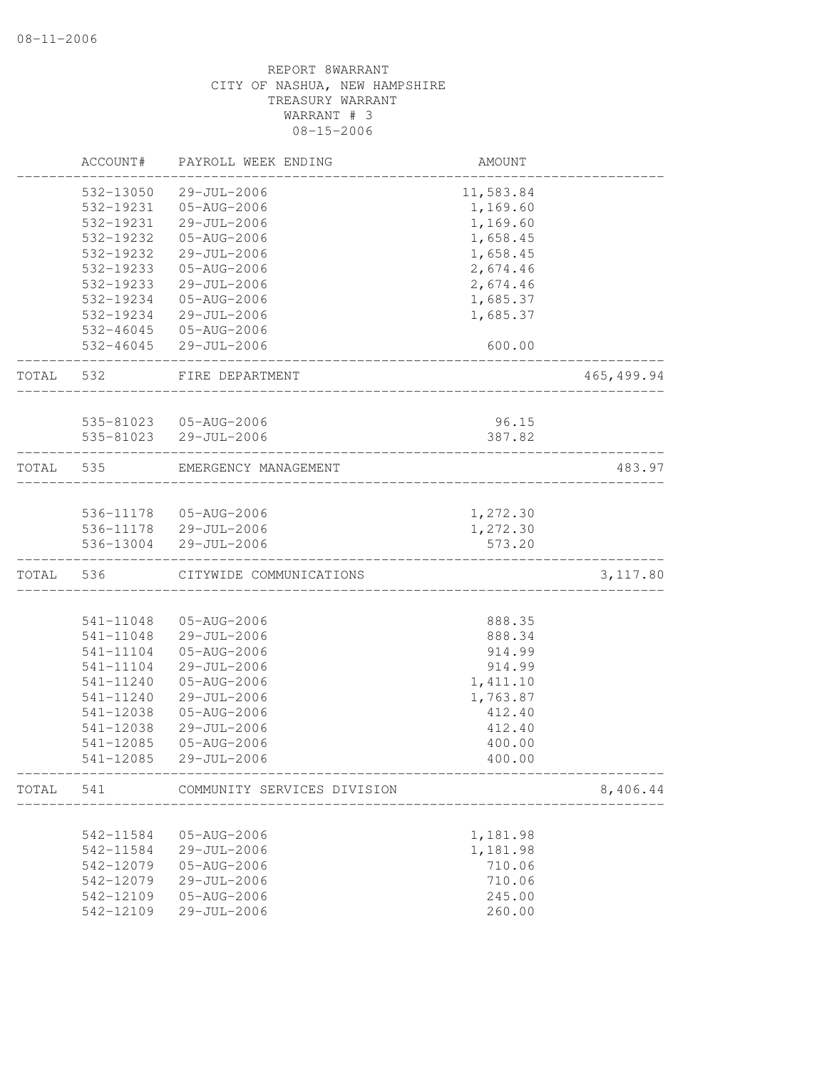|       | ACCOUNT#  | PAYROLL WEEK ENDING                 | AMOUNT    |            |
|-------|-----------|-------------------------------------|-----------|------------|
|       | 532-13050 | 29-JUL-2006                         | 11,583.84 |            |
|       | 532-19231 | 05-AUG-2006                         | 1,169.60  |            |
|       | 532-19231 | 29-JUL-2006                         | 1,169.60  |            |
|       | 532-19232 | 05-AUG-2006                         | 1,658.45  |            |
|       | 532-19232 | 29-JUL-2006                         | 1,658.45  |            |
|       | 532-19233 | 05-AUG-2006                         | 2,674.46  |            |
|       | 532-19233 | 29-JUL-2006                         | 2,674.46  |            |
|       | 532-19234 | $05 - AUG - 2006$                   | 1,685.37  |            |
|       | 532-19234 | 29-JUL-2006                         | 1,685.37  |            |
|       |           | 532-46045 05-AUG-2006               |           |            |
|       |           | 532-46045 29-JUL-2006               | 600.00    |            |
| TOTAL | 532       | FIRE DEPARTMENT<br>________________ |           | 465,499.94 |
|       |           |                                     |           |            |
|       |           | 535-81023  05-AUG-2006              | 96.15     |            |
|       |           | 535-81023 29-JUL-2006               | 387.82    |            |
| TOTAL | 535       | EMERGENCY MANAGEMENT                |           | 483.97     |
|       |           |                                     |           |            |
|       |           | 536-11178  05-AUG-2006              | 1,272.30  |            |
|       |           | 536-11178 29-JUL-2006               | 1,272.30  |            |
|       | 536-13004 | 29-JUL-2006                         | 573.20    |            |
| TOTAL | 536       | CITYWIDE COMMUNICATIONS             |           | 3, 117.80  |
|       |           |                                     |           |            |
|       | 541-11048 | 05-AUG-2006                         | 888.35    |            |
|       | 541-11048 | 29-JUL-2006                         | 888.34    |            |
|       | 541-11104 | 05-AUG-2006                         | 914.99    |            |
|       | 541-11104 | 29-JUL-2006                         | 914.99    |            |
|       | 541-11240 | 05-AUG-2006                         | 1,411.10  |            |
|       | 541-11240 | 29-JUL-2006                         | 1,763.87  |            |
|       | 541-12038 | 05-AUG-2006                         | 412.40    |            |
|       | 541-12038 | 29-JUL-2006                         | 412.40    |            |
|       | 541-12085 | 05-AUG-2006                         | 400.00    |            |
|       | 541-12085 | 29-JUL-2006                         | 400.00    |            |
| TOTAL | 541       | COMMUNITY SERVICES DIVISION         |           | 8,406.44   |
|       |           |                                     |           |            |
|       | 542-11584 | 05-AUG-2006                         | 1,181.98  |            |
|       | 542-11584 | 29-JUL-2006                         | 1,181.98  |            |
|       | 542-12079 | 05-AUG-2006                         | 710.06    |            |
|       | 542-12079 | 29-JUL-2006                         | 710.06    |            |
|       | 542-12109 | 05-AUG-2006                         | 245.00    |            |
|       | 542-12109 | 29-JUL-2006                         | 260.00    |            |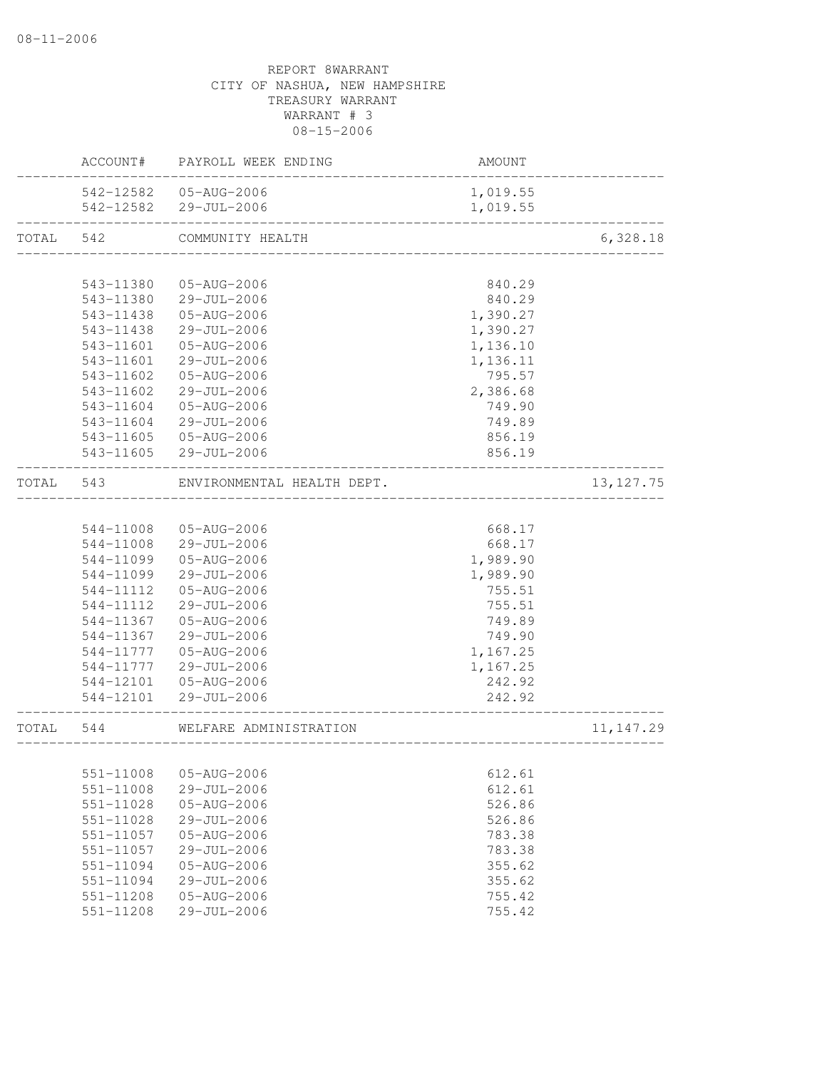|           | ACCOUNT#  | PAYROLL WEEK ENDING        | AMOUNT                    |             |
|-----------|-----------|----------------------------|---------------------------|-------------|
|           | 542-12582 | 05-AUG-2006                | 1,019.55                  |             |
|           | 542-12582 | 29-JUL-2006                | 1,019.55                  |             |
| TOTAL     | 542       | COMMUNITY HEALTH           |                           | 6,328.18    |
|           |           |                            |                           |             |
|           | 543-11380 | 05-AUG-2006                | 840.29                    |             |
|           | 543-11380 | 29-JUL-2006                | 840.29                    |             |
|           | 543-11438 | 05-AUG-2006                | 1,390.27                  |             |
|           | 543-11438 | 29-JUL-2006                | 1,390.27                  |             |
|           | 543-11601 | 05-AUG-2006                | 1,136.10                  |             |
|           | 543-11601 | 29-JUL-2006                | 1,136.11                  |             |
|           | 543-11602 | 05-AUG-2006                | 795.57                    |             |
|           | 543-11602 | 29-JUL-2006                | 2,386.68                  |             |
|           | 543-11604 | 05-AUG-2006                | 749.90                    |             |
|           | 543-11604 | 29-JUL-2006                | 749.89                    |             |
|           | 543-11605 | 05-AUG-2006                | 856.19                    |             |
|           | 543-11605 | 29-JUL-2006                | 856.19                    |             |
| TOTAL 543 |           | ENVIRONMENTAL HEALTH DEPT. |                           | 13, 127. 75 |
|           |           |                            |                           |             |
|           | 544-11008 | 05-AUG-2006                | 668.17                    |             |
|           | 544-11008 | 29-JUL-2006                | 668.17                    |             |
|           | 544-11099 | 05-AUG-2006                | 1,989.90                  |             |
|           | 544-11099 | 29-JUL-2006                | 1,989.90                  |             |
|           | 544-11112 | 05-AUG-2006                | 755.51                    |             |
|           | 544-11112 | 29-JUL-2006                | 755.51                    |             |
|           | 544-11367 | 05-AUG-2006                | 749.89                    |             |
|           | 544-11367 | 29-JUL-2006                | 749.90                    |             |
|           | 544-11777 | 05-AUG-2006                | 1,167.25                  |             |
|           | 544-11777 | 29-JUL-2006                | 1,167.25                  |             |
|           | 544-12101 | 05-AUG-2006                | 242.92                    |             |
|           | 544-12101 | 29-JUL-2006                | 242.92<br>_______________ |             |
| TOTAL     | 544       | WELFARE ADMINISTRATION     | _________________         | 11, 147.29  |
|           |           |                            |                           |             |
|           | 551-11008 | 05-AUG-2006                | 612.61                    |             |
|           | 551-11008 | 29-JUL-2006                | 612.61                    |             |
|           | 551-11028 | $05 - AUG - 2006$          | 526.86                    |             |
|           | 551-11028 | 29-JUL-2006                | 526.86                    |             |
|           | 551-11057 | 05-AUG-2006                | 783.38                    |             |
|           | 551-11057 | 29-JUL-2006                | 783.38                    |             |
|           | 551-11094 | $05 - AUG - 2006$          | 355.62                    |             |
|           | 551-11094 | 29-JUL-2006                | 355.62                    |             |
|           | 551-11208 | $05 - AUG - 2006$          | 755.42                    |             |
|           | 551-11208 | 29-JUL-2006                | 755.42                    |             |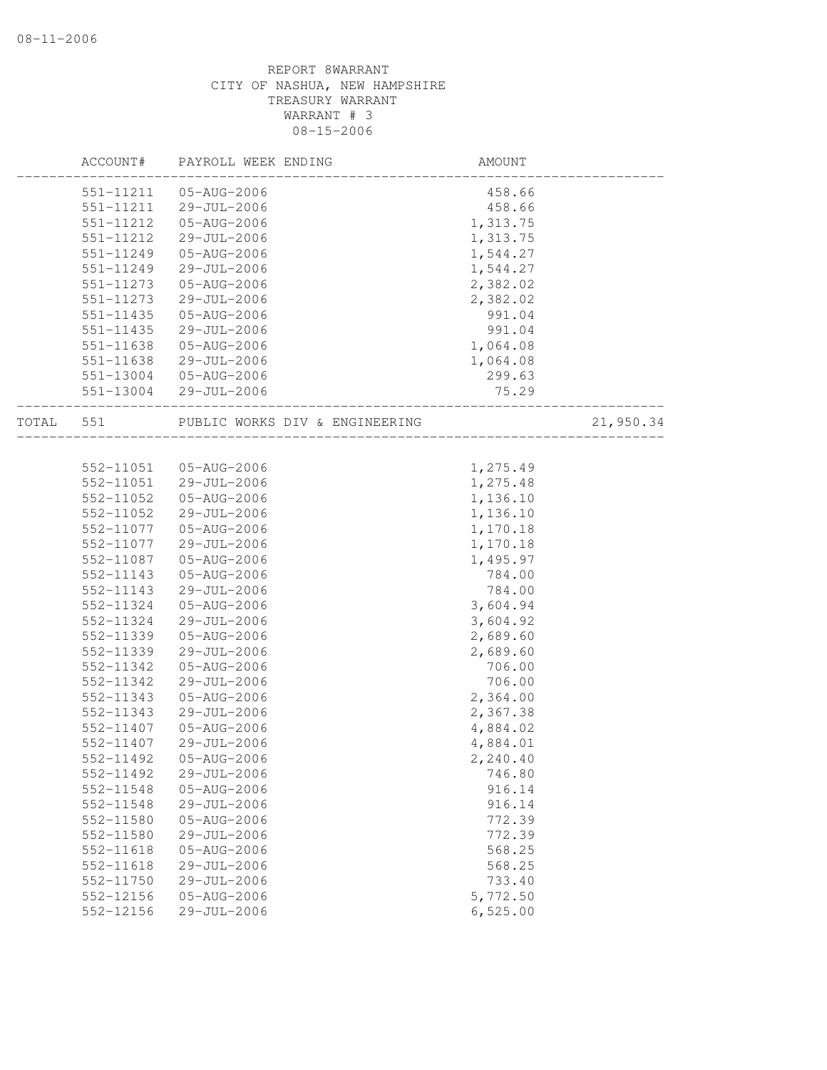|       | ACCOUNT#      | PAYROLL WEEK ENDING            | AMOUNT           |           |
|-------|---------------|--------------------------------|------------------|-----------|
|       | 551-11211     | 05-AUG-2006                    | 458.66           |           |
|       | 551-11211     | 29-JUL-2006                    | 458.66           |           |
|       | 551-11212     | 05-AUG-2006                    | 1,313.75         |           |
|       | 551-11212     | 29-JUL-2006                    | 1,313.75         |           |
|       | 551-11249     | 05-AUG-2006                    | 1,544.27         |           |
|       | 551-11249     | 29-JUL-2006                    | 1,544.27         |           |
|       | 551-11273     | 05-AUG-2006                    | 2,382.02         |           |
|       | 551-11273     | 29-JUL-2006                    | 2,382.02         |           |
|       | 551-11435     | 05-AUG-2006                    | 991.04           |           |
|       | 551-11435     | 29-JUL-2006                    | 991.04           |           |
|       | 551-11638     | 05-AUG-2006                    | 1,064.08         |           |
|       | 551-11638     | 29-JUL-2006                    | 1,064.08         |           |
|       | 551-13004     | 05-AUG-2006                    | 299.63           |           |
|       |               | 551-13004 29-JUL-2006          | 75.29            |           |
| TOTAL | 551           | PUBLIC WORKS DIV & ENGINEERING |                  | 21,950.34 |
|       |               |                                |                  |           |
|       | 552-11051     | 05-AUG-2006                    | 1,275.49         |           |
|       | 552-11051     | 29-JUL-2006                    | 1,275.48         |           |
|       | 552-11052     | 05-AUG-2006                    | 1,136.10         |           |
|       | 552-11052     | 29-JUL-2006                    | 1,136.10         |           |
|       | 552-11077     | 05-AUG-2006                    | 1,170.18         |           |
|       | 552-11077     | 29-JUL-2006                    | 1,170.18         |           |
|       | 552-11087     | 05-AUG-2006                    | 1,495.97         |           |
|       | 552-11143     | 05-AUG-2006                    | 784.00           |           |
|       | 552-11143     | 29-JUL-2006                    | 784.00           |           |
|       | 552-11324     | 05-AUG-2006                    | 3,604.94         |           |
|       | 552-11324     | 29-JUL-2006                    | 3,604.92         |           |
|       | 552-11339     | 05-AUG-2006                    | 2,689.60         |           |
|       | 552-11339     | 29-JUL-2006                    | 2,689.60         |           |
|       | 552-11342     | 05-AUG-2006                    | 706.00           |           |
|       | 552-11342     | 29-JUL-2006                    | 706.00           |           |
|       | 552-11343     | 05-AUG-2006                    | 2,364.00         |           |
|       | 552-11343     | 29-JUL-2006                    | 2,367.38         |           |
|       | 552-11407     | 05-AUG-2006                    | 4,884.02         |           |
|       | 552-11407     | 29-JUL-2006                    | 4,884.01         |           |
|       | 552-11492     | 05-AUG-2006                    | 2,240.40         |           |
|       | 552-11492     | $29 - JUL - 2006$              | 746.80           |           |
|       | 552-11548     | 05-AUG-2006                    | 916.14           |           |
|       | 552-11548     | 29-JUL-2006                    | 916.14           |           |
|       | 552-11580     | 05-AUG-2006                    | 772.39           |           |
|       | 552-11580     | 29-JUL-2006                    | 772.39           |           |
|       | 552-11618     | 05-AUG-2006                    | 568.25           |           |
|       | $552 - 11618$ | 29-JUL-2006                    |                  |           |
|       |               | $29 - JUL - 2006$              | 568.25<br>733.40 |           |
|       | 552-11750     |                                |                  |           |
|       | 552-12156     | 05-AUG-2006                    | 5,772.50         |           |
|       | 552-12156     | 29-JUL-2006                    | 6,525.00         |           |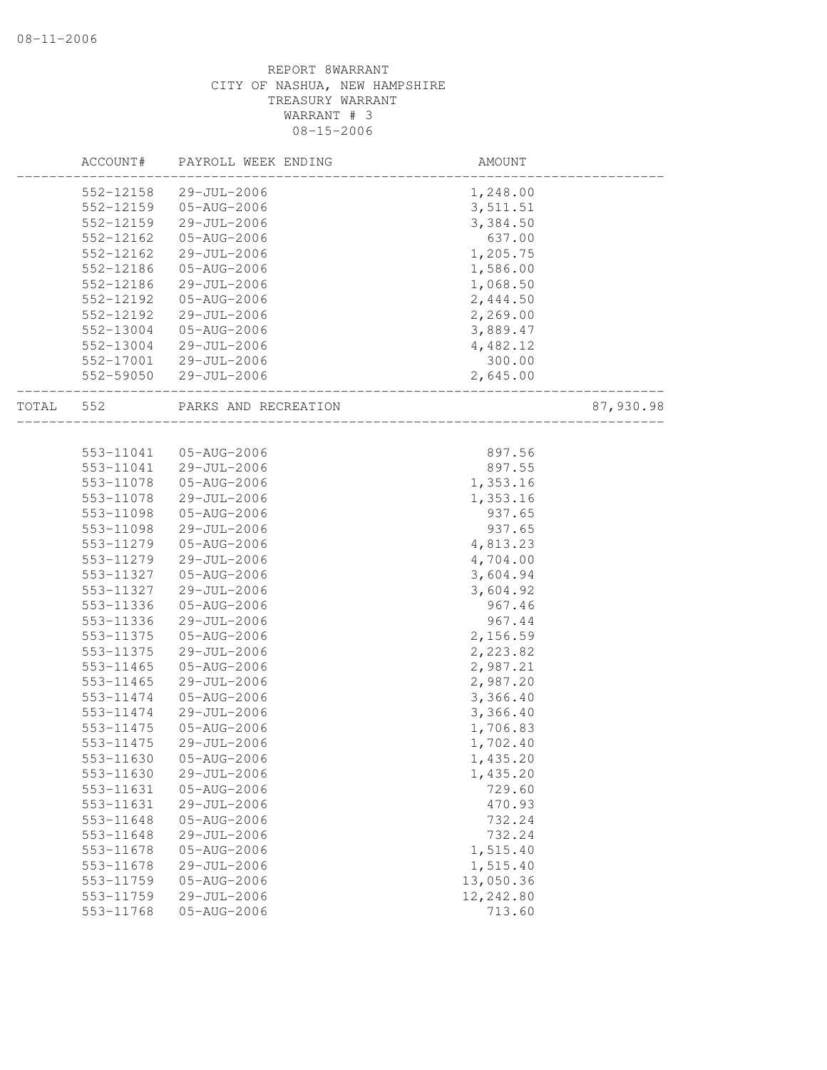|       | ACCOUNT#  | PAYROLL WEEK ENDING  | AMOUNT    |           |
|-------|-----------|----------------------|-----------|-----------|
|       | 552-12158 | 29-JUL-2006          | 1,248.00  |           |
|       | 552-12159 | 05-AUG-2006          | 3,511.51  |           |
|       | 552-12159 | 29-JUL-2006          | 3,384.50  |           |
|       | 552-12162 | 05-AUG-2006          | 637.00    |           |
|       | 552-12162 | 29-JUL-2006          | 1,205.75  |           |
|       | 552-12186 | 05-AUG-2006          | 1,586.00  |           |
|       | 552-12186 | 29-JUL-2006          | 1,068.50  |           |
|       | 552-12192 | 05-AUG-2006          | 2,444.50  |           |
|       | 552-12192 | 29-JUL-2006          | 2,269.00  |           |
|       | 552-13004 | 05-AUG-2006          | 3,889.47  |           |
|       | 552-13004 | 29-JUL-2006          | 4,482.12  |           |
|       | 552-17001 | 29-JUL-2006          | 300.00    |           |
|       | 552-59050 | 29-JUL-2006          | 2,645.00  |           |
| TOTAL | 552       | PARKS AND RECREATION |           | 87,930.98 |
|       |           |                      |           |           |
|       | 553-11041 | 05-AUG-2006          | 897.56    |           |
|       | 553-11041 | 29-JUL-2006          | 897.55    |           |
|       | 553-11078 | 05-AUG-2006          | 1,353.16  |           |
|       | 553-11078 | 29-JUL-2006          | 1,353.16  |           |
|       | 553-11098 | 05-AUG-2006          | 937.65    |           |
|       | 553-11098 | 29-JUL-2006          | 937.65    |           |
|       | 553-11279 | 05-AUG-2006          | 4,813.23  |           |
|       | 553-11279 | 29-JUL-2006          | 4,704.00  |           |
|       | 553-11327 | 05-AUG-2006          | 3,604.94  |           |
|       | 553-11327 | 29-JUL-2006          | 3,604.92  |           |
|       | 553-11336 | 05-AUG-2006          | 967.46    |           |
|       | 553-11336 | 29-JUL-2006          | 967.44    |           |
|       | 553-11375 | 05-AUG-2006          | 2,156.59  |           |
|       | 553-11375 | 29-JUL-2006          | 2,223.82  |           |
|       | 553-11465 | 05-AUG-2006          | 2,987.21  |           |
|       | 553-11465 | 29-JUL-2006          | 2,987.20  |           |
|       | 553-11474 | 05-AUG-2006          | 3,366.40  |           |
|       | 553-11474 | 29-JUL-2006          | 3,366.40  |           |
|       | 553-11475 | 05-AUG-2006          | 1,706.83  |           |
|       | 553-11475 | 29-JUL-2006          | 1,702.40  |           |
|       | 553-11630 | 05-AUG-2006          | 1,435.20  |           |
|       | 553-11630 | 29-JUL-2006          | 1,435.20  |           |
|       | 553-11631 | 05-AUG-2006          | 729.60    |           |
|       | 553-11631 | 29-JUL-2006          | 470.93    |           |
|       | 553-11648 | 05-AUG-2006          | 732.24    |           |
|       | 553-11648 | 29-JUL-2006          | 732.24    |           |
|       | 553-11678 | 05-AUG-2006          | 1,515.40  |           |
|       | 553-11678 | 29-JUL-2006          | 1,515.40  |           |
|       | 553-11759 | 05-AUG-2006          | 13,050.36 |           |
|       | 553-11759 | 29-JUL-2006          | 12,242.80 |           |
|       | 553-11768 | 05-AUG-2006          | 713.60    |           |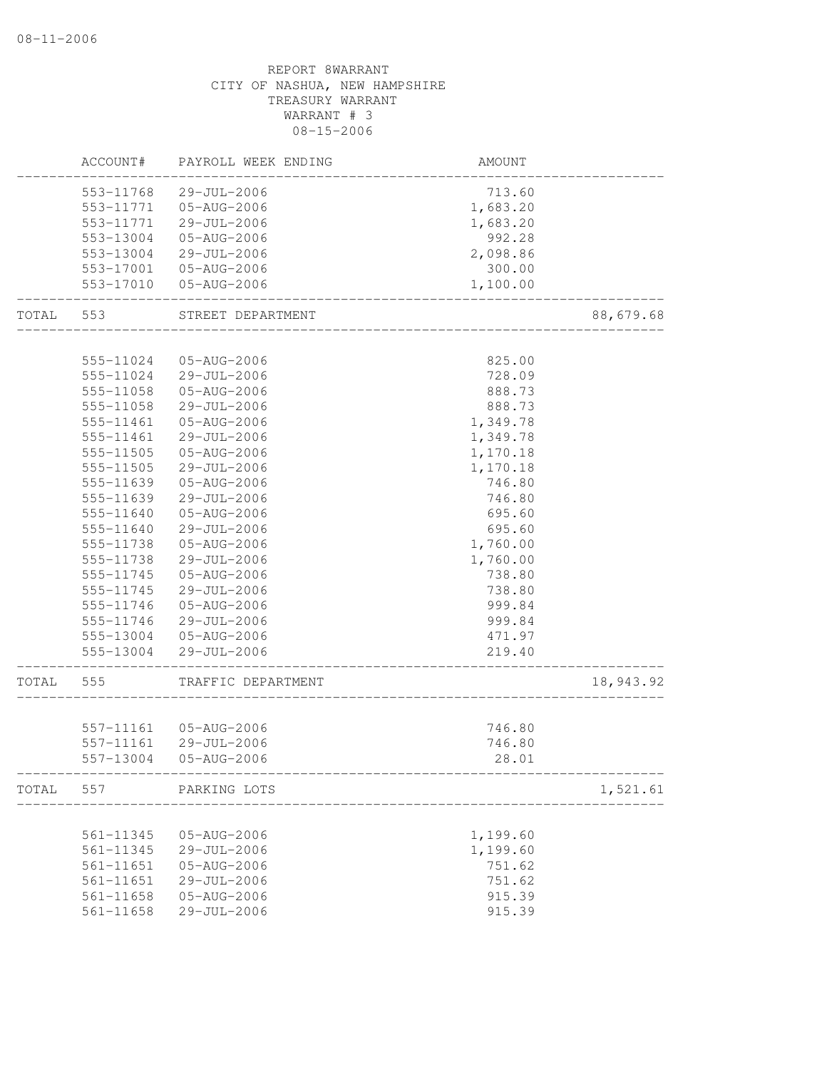# REPORT 8WARRANT CITY OF NASHUA, NEW HAMPSHIRE TREASURY WARRANT WARRANT # 3 08-15-2006 ACCOUNT# PAYROLL WEEK ENDING AMOUNT -------------------------------------------------------------------------------- 553-11768 29-JUL-2006 553-11771 05-AUG-2006 1,683.20 553-11771 29-JUL-2006 1,683.20 553-13004 05-AUG-2006 992.28 553-13004 29-JUL-2006 2,098.86 553-17001 05-AUG-2006 300.00 553-17010 05-AUG-2006 1,100.00 -------------------------------------------------------------------------------- TOTAL 553 STREET DEPARTMENT 88,679.68 -------------------------------------------------------------------------------- 555-11024 05-AUG-2006 825.00 555-11024 29-JUL-2006 728.09 555-11058 05-AUG-2006 888.73 555-11058 29-JUL-2006 888.73 555-11461 05-AUG-2006 1,349.78 555-11461 29-JUL-2006 1,349.78 555-11505 05-AUG-2006 1,170.18 555-11505 29-JUL-2006 1,170.18 555-11639 05-AUG-2006 746.80 555-11639 29-JUL-2006 746.80 555-11640 05-AUG-2006 695.60 555-11640 29-JUL-2006 695.60 555-11738 05-AUG-2006 1,760.00 555-11738 29-JUL-2006 1,760.00 555-11745 05-AUG-2006 738.80 555-11745 29-JUL-2006 738.80 555-11746 05-AUG-2006 999.84 555-11746 29-JUL-2006 999.84 555-13004 05-AUG-2006 471.97 555-13004 29-JUL-2006 219.40 -------------------------------------------------------------------------------- TOTAL 555 TRAFFIC DEPARTMENT 18,943.92 -------------------------------------------------------------------------------- 557-11161 05-AUG-2006 746.80 557-11161 29-JUL-2006 746.80 557-13004 05-AUG-2006 28.01 -------------------------------------------------------------------------------- TOTAL 557 PARKING LOTS 1,521.61 -------------------------------------------------------------------------------- 561-11345 05-AUG-2006 1,199.60 561-11345 29-JUL-2006 561-11651 05-AUG-2006 751.62 561-11651 29-JUL-2006 751.62 561-11658 05-AUG-2006 915.39 561-11658 29-JUL-2006 915.39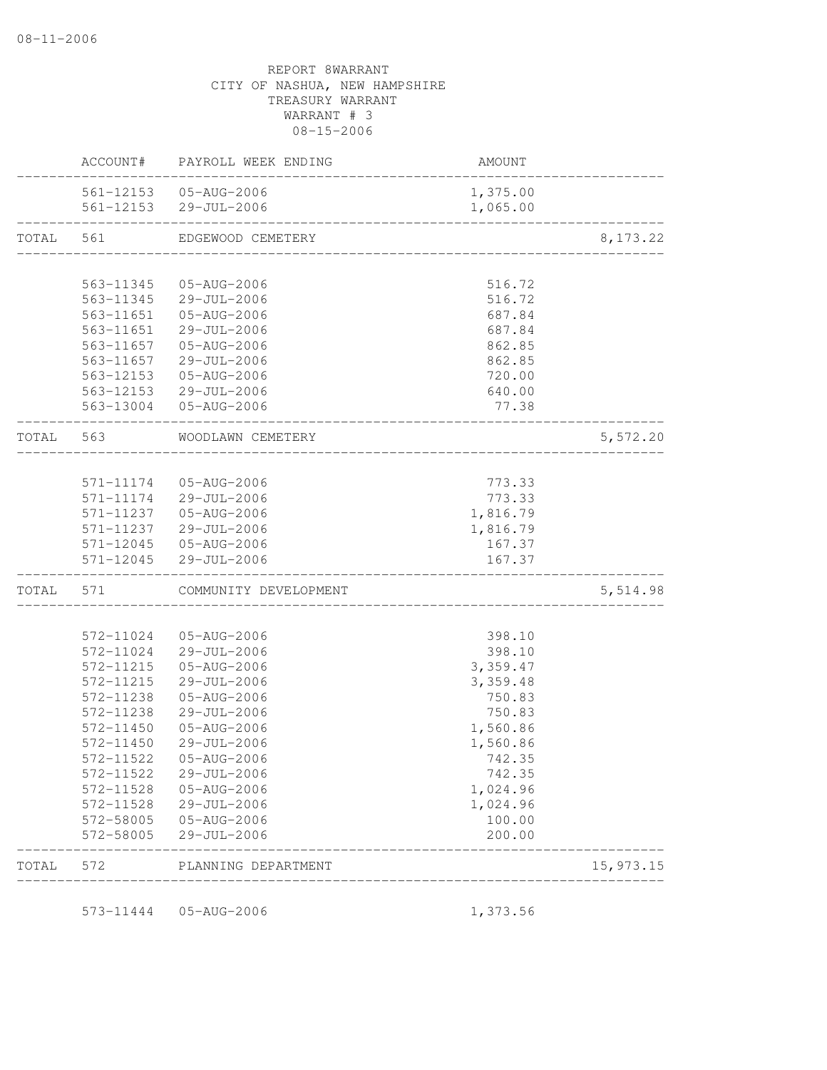|           | AMOUNT                   | PAYROLL WEEK ENDING   | ACCOUNT#  |           |
|-----------|--------------------------|-----------------------|-----------|-----------|
|           | 1,375.00                 | 561-12153 05-AUG-2006 |           |           |
|           | 1,065.00                 | 561-12153 29-JUL-2006 |           |           |
| 8, 173.22 | ------------------------ | EDGEWOOD CEMETERY     |           | TOTAL 561 |
|           |                          |                       |           |           |
|           | 516.72                   | 05-AUG-2006           | 563-11345 |           |
|           | 516.72                   | 29-JUL-2006           | 563-11345 |           |
|           | 687.84                   | 05-AUG-2006           | 563-11651 |           |
|           | 687.84                   | $29 - JUL - 2006$     | 563-11651 |           |
|           | 862.85                   | 05-AUG-2006           | 563-11657 |           |
|           | 862.85                   | 29-JUL-2006           | 563-11657 |           |
|           | 720.00                   | 05-AUG-2006           | 563-12153 |           |
|           | 640.00                   | 29-JUL-2006           | 563-12153 |           |
|           | 77.38                    | 05-AUG-2006           | 563-13004 |           |
| 5,572.20  |                          | WOODLAWN CEMETERY     | 563       | TOTAL     |
|           |                          |                       |           |           |
|           | 773.33                   | 05-AUG-2006           | 571-11174 |           |
|           | 773.33                   | 29-JUL-2006           | 571-11174 |           |
|           | 1,816.79                 | $05 - AUG - 2006$     | 571-11237 |           |
|           | 1,816.79                 | 29-JUL-2006           | 571-11237 |           |
|           | 167.37                   | 05-AUG-2006           | 571-12045 |           |
|           | 167.37                   | 29-JUL-2006           | 571-12045 |           |
| 5,514.98  |                          | COMMUNITY DEVELOPMENT | 571       | TOTAL     |
|           |                          |                       |           |           |
|           | 398.10                   | 05-AUG-2006           | 572-11024 |           |
|           | 398.10                   | 29-JUL-2006           | 572-11024 |           |
|           | 3,359.47                 | 05-AUG-2006           | 572-11215 |           |
|           | 3,359.48                 | 29-JUL-2006           | 572-11215 |           |
|           | 750.83                   | 05-AUG-2006           | 572-11238 |           |
|           | 750.83                   | 29-JUL-2006           | 572-11238 |           |
|           | 1,560.86                 | 05-AUG-2006           | 572-11450 |           |
|           | 1,560.86                 | 29-JUL-2006           | 572-11450 |           |
|           | 742.35                   | 05-AUG-2006           | 572-11522 |           |
|           | 742.35                   | 29-JUL-2006           | 572-11522 |           |
|           | 1,024.96                 | 05-AUG-2006           | 572-11528 |           |
|           | 1,024.96                 | 29-JUL-2006           | 572-11528 |           |
|           | 100.00                   | 05-AUG-2006           | 572-58005 |           |
|           | 200.00                   | 29-JUL-2006           | 572-58005 |           |
| 15,973.15 |                          | PLANNING DEPARTMENT   | 572       | TOTAL     |

573-11444 05-AUG-2006 1,373.56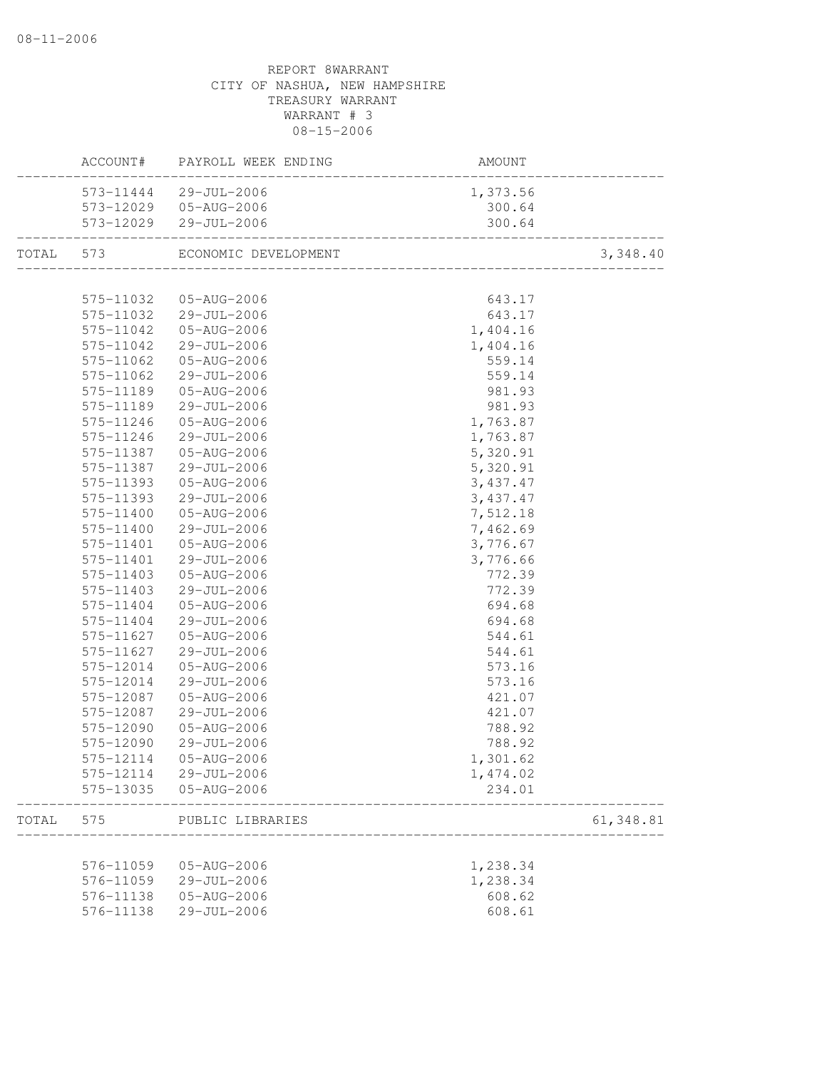|           |           | ACCOUNT# PAYROLL WEEK ENDING | AMOUNT                        |           |
|-----------|-----------|------------------------------|-------------------------------|-----------|
|           |           | 573-11444 29-JUL-2006        | 1,373.56                      |           |
|           |           | 573-12029  05-AUG-2006       | 300.64                        |           |
|           |           | 573-12029 29-JUL-2006        | 300.64                        |           |
| TOTAL 573 |           | ECONOMIC DEVELOPMENT         | _____________________________ | 3,348.40  |
|           |           |                              |                               |           |
|           | 575-11032 | 05-AUG-2006                  | 643.17                        |           |
|           |           | 575-11032 29-JUL-2006        | 643.17                        |           |
|           | 575-11042 | 05-AUG-2006                  | 1,404.16                      |           |
|           | 575-11042 | 29-JUL-2006                  | 1,404.16                      |           |
|           | 575-11062 | 05-AUG-2006                  | 559.14                        |           |
|           | 575-11062 | 29-JUL-2006                  | 559.14                        |           |
|           | 575-11189 | 05-AUG-2006                  | 981.93                        |           |
|           | 575-11189 | 29-JUL-2006                  | 981.93                        |           |
|           | 575-11246 | 05-AUG-2006                  | 1,763.87                      |           |
|           | 575-11246 | 29-JUL-2006                  | 1,763.87                      |           |
|           | 575-11387 | 05-AUG-2006                  | 5,320.91                      |           |
|           | 575-11387 | 29-JUL-2006                  | 5,320.91                      |           |
|           | 575-11393 | 05-AUG-2006                  | 3,437.47                      |           |
|           | 575-11393 | 29-JUL-2006                  | 3,437.47                      |           |
|           | 575-11400 | 05-AUG-2006                  | 7,512.18                      |           |
|           | 575-11400 | 29-JUL-2006                  | 7,462.69                      |           |
|           | 575-11401 | 05-AUG-2006                  | 3,776.67                      |           |
|           | 575-11401 | 29-JUL-2006                  | 3,776.66                      |           |
|           | 575-11403 | 05-AUG-2006                  | 772.39                        |           |
|           | 575-11403 | 29-JUL-2006                  | 772.39                        |           |
|           | 575-11404 | 05-AUG-2006                  | 694.68                        |           |
|           | 575-11404 | 29-JUL-2006                  | 694.68                        |           |
|           | 575-11627 | 05-AUG-2006                  | 544.61                        |           |
|           | 575-11627 | 29-JUL-2006                  | 544.61                        |           |
|           | 575-12014 | 05-AUG-2006                  | 573.16                        |           |
|           | 575-12014 | 29-JUL-2006                  | 573.16                        |           |
|           | 575-12087 | 05-AUG-2006                  | 421.07                        |           |
|           | 575-12087 | 29-JUL-2006                  | 421.07                        |           |
|           | 575-12090 | 05-AUG-2006                  | 788.92                        |           |
|           | 575-12090 | 29-JUL-2006                  | 788.92                        |           |
|           |           | 575-12114  05-AUG-2006       | 1,301.62                      |           |
|           | 575-12114 | 29-JUL-2006                  | 1,474.02                      |           |
|           | 575-13035 | 05-AUG-2006                  | 234.01                        |           |
| TOTAL     | 575       | PUBLIC LIBRARIES             |                               | 61,348.81 |
|           |           |                              |                               |           |
|           | 576-11059 | 05-AUG-2006                  | 1,238.34                      |           |
|           | 576-11059 | 29-JUL-2006                  | 1,238.34                      |           |
|           | 576-11138 | 05-AUG-2006                  | 608.62                        |           |
|           | 576-11138 | 29-JUL-2006                  | 608.61                        |           |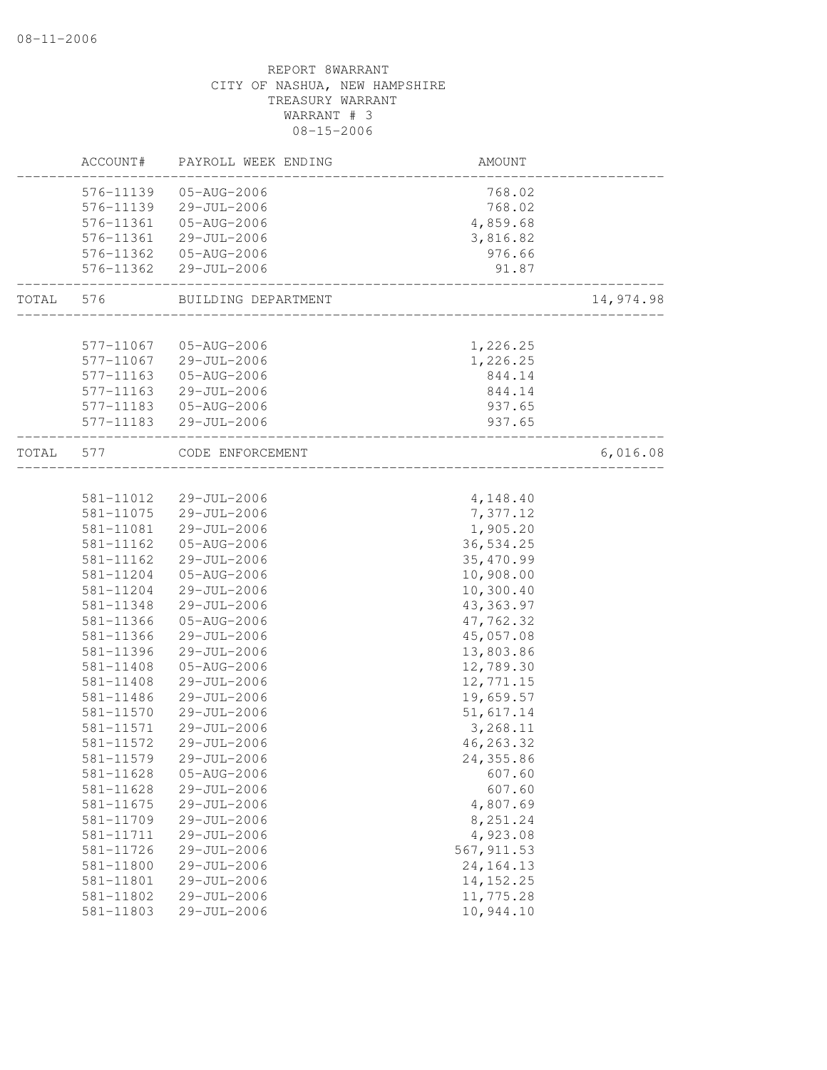|       | ACCOUNT#               | PAYROLL WEEK ENDING        | AMOUNT                  |           |
|-------|------------------------|----------------------------|-------------------------|-----------|
|       | 576-11139              | 05-AUG-2006                | 768.02                  |           |
|       | 576-11139              | 29-JUL-2006                | 768.02                  |           |
|       | 576-11361              | 05-AUG-2006                | 4,859.68                |           |
|       | 576-11361              | 29-JUL-2006                | 3,816.82                |           |
|       | 576-11362              | 05-AUG-2006                | 976.66                  |           |
|       | 576-11362              | 29-JUL-2006                | 91.87                   |           |
| TOTAL | 576                    | BUILDING DEPARTMENT        |                         | 14,974.98 |
|       |                        |                            |                         |           |
|       | 577-11067              | 05-AUG-2006                | 1,226.25                |           |
|       | 577-11067              | 29-JUL-2006                | 1,226.25                |           |
|       | 577-11163              | 05-AUG-2006                | 844.14                  |           |
|       | 577-11163              | 29-JUL-2006                | 844.14                  |           |
|       | 577-11183              | 05-AUG-2006                | 937.65                  |           |
|       | 577-11183              | 29-JUL-2006                | 937.65                  |           |
| TOTAL | 577                    | CODE ENFORCEMENT           | _______________________ | 6,016.08  |
|       |                        |                            |                         |           |
|       | 581-11012              | 29-JUL-2006                | 4,148.40                |           |
|       | 581-11075              | 29-JUL-2006                | 7,377.12                |           |
|       | 581-11081              | 29-JUL-2006                | 1,905.20                |           |
|       | 581-11162              | 05-AUG-2006                | 36,534.25               |           |
|       | 581-11162              | 29-JUL-2006<br>05-AUG-2006 | 35,470.99               |           |
|       | 581-11204<br>581-11204 | 29-JUL-2006                | 10,908.00<br>10,300.40  |           |
|       | 581-11348              | 29-JUL-2006                | 43, 363.97              |           |
|       | 581-11366              | 05-AUG-2006                | 47,762.32               |           |
|       | 581-11366              | $29 - JUL - 2006$          | 45,057.08               |           |
|       | 581-11396              | 29-JUL-2006                | 13,803.86               |           |
|       | 581-11408              | 05-AUG-2006                | 12,789.30               |           |
|       | 581-11408              | 29-JUL-2006                | 12,771.15               |           |
|       | 581-11486              | 29-JUL-2006                | 19,659.57               |           |
|       | 581-11570              | 29-JUL-2006                | 51,617.14               |           |
|       | 581-11571              | 29-JUL-2006                | 3,268.11                |           |
|       | 581-11572              | $29 - JUL - 2006$          | 46,263.32               |           |
|       | 581-11579              | 29-JUL-2006                | 24,355.86               |           |
|       | 581-11628              | 05-AUG-2006                | 607.60                  |           |
|       | 581-11628              | 29-JUL-2006                | 607.60                  |           |
|       | 581-11675              | 29-JUL-2006                | 4,807.69                |           |
|       | 581-11709              | 29-JUL-2006                | 8,251.24                |           |
|       | 581-11711              | 29-JUL-2006                | 4,923.08                |           |
|       | 581-11726              | 29-JUL-2006                | 567, 911.53             |           |
|       | 581-11800              | 29-JUL-2006                | 24, 164. 13             |           |
|       | 581-11801              | 29-JUL-2006                | 14, 152.25              |           |
|       | 581-11802              | 29-JUL-2006                | 11,775.28               |           |
|       | 581-11803              | 29-JUL-2006                | 10,944.10               |           |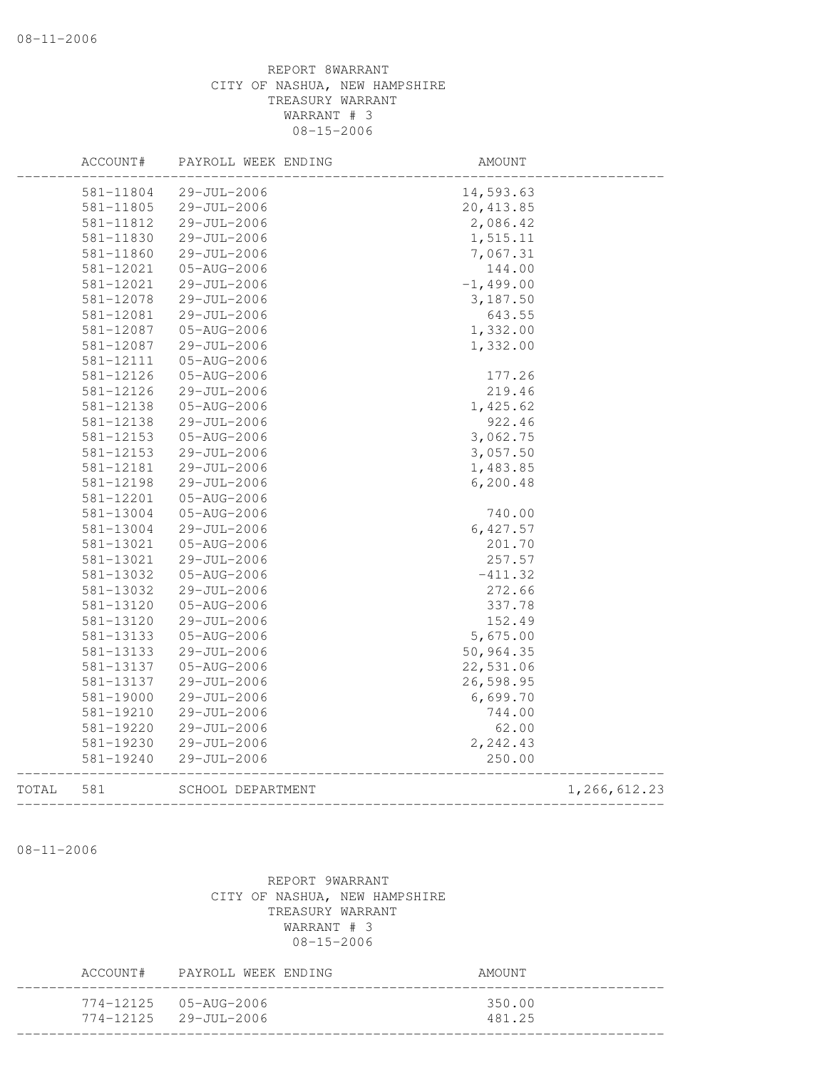|       | ACCOUNT#      | PAYROLL WEEK ENDING | AMOUNT      |              |
|-------|---------------|---------------------|-------------|--------------|
|       | 581-11804     | 29-JUL-2006         | 14,593.63   |              |
|       | 581-11805     | 29-JUL-2006         | 20, 413.85  |              |
|       | 581-11812     | 29-JUL-2006         | 2,086.42    |              |
|       | 581-11830     | 29-JUL-2006         | 1,515.11    |              |
|       | 581-11860     | 29-JUL-2006         | 7,067.31    |              |
|       | 581-12021     | $05 - AUG - 2006$   | 144.00      |              |
|       | 581-12021     | 29-JUL-2006         | $-1,499.00$ |              |
|       | 581-12078     | 29-JUL-2006         | 3,187.50    |              |
|       | 581-12081     | 29-JUL-2006         | 643.55      |              |
|       | 581-12087     | 05-AUG-2006         | 1,332.00    |              |
|       | 581-12087     | 29-JUL-2006         | 1,332.00    |              |
|       | 581-12111     | 05-AUG-2006         |             |              |
|       | 581-12126     | 05-AUG-2006         | 177.26      |              |
|       | 581-12126     | 29-JUL-2006         | 219.46      |              |
|       | 581-12138     | 05-AUG-2006         | 1,425.62    |              |
|       | 581-12138     | 29-JUL-2006         | 922.46      |              |
|       | 581-12153     | 05-AUG-2006         | 3,062.75    |              |
|       | 581-12153     | 29-JUL-2006         | 3,057.50    |              |
|       | 581-12181     | 29-JUL-2006         | 1,483.85    |              |
|       | 581-12198     | 29-JUL-2006         | 6, 200.48   |              |
|       | 581-12201     | 05-AUG-2006         |             |              |
|       | $581 - 13004$ | 05-AUG-2006         | 740.00      |              |
|       | 581-13004     | 29-JUL-2006         | 6,427.57    |              |
|       | 581-13021     | 05-AUG-2006         | 201.70      |              |
|       | 581-13021     | 29-JUL-2006         | 257.57      |              |
|       | 581-13032     | 05-AUG-2006         | $-411.32$   |              |
|       | 581-13032     | 29-JUL-2006         | 272.66      |              |
|       | 581-13120     | 05-AUG-2006         | 337.78      |              |
|       | 581-13120     | 29-JUL-2006         | 152.49      |              |
|       | 581-13133     | 05-AUG-2006         | 5,675.00    |              |
|       | 581-13133     | 29-JUL-2006         | 50,964.35   |              |
|       | 581-13137     | 05-AUG-2006         | 22,531.06   |              |
|       | 581-13137     | $29 - JUL - 2006$   | 26,598.95   |              |
|       | 581-19000     | 29-JUL-2006         | 6,699.70    |              |
|       | 581-19210     | 29-JUL-2006         | 744.00      |              |
|       | $581 - 19220$ | $29 - JUL - 2006$   | 62.00       |              |
|       | 581-19230     | 29-JUL-2006         | 2,242.43    |              |
|       | 581-19240     | 29-JUL-2006         | 250.00      |              |
| TOTAL | 581           | SCHOOL DEPARTMENT   |             | 1,266,612.23 |
|       |               |                     |             |              |

08-11-2006

|  | ACCOUNT# PAYROLL WEEK ENDING                                 | AMOUNT           |
|--|--------------------------------------------------------------|------------------|
|  | $774 - 12125$ 05-AUG-2006<br>$774 - 12125$ $29 - JUL - 2006$ | 350.00<br>481.25 |
|  |                                                              |                  |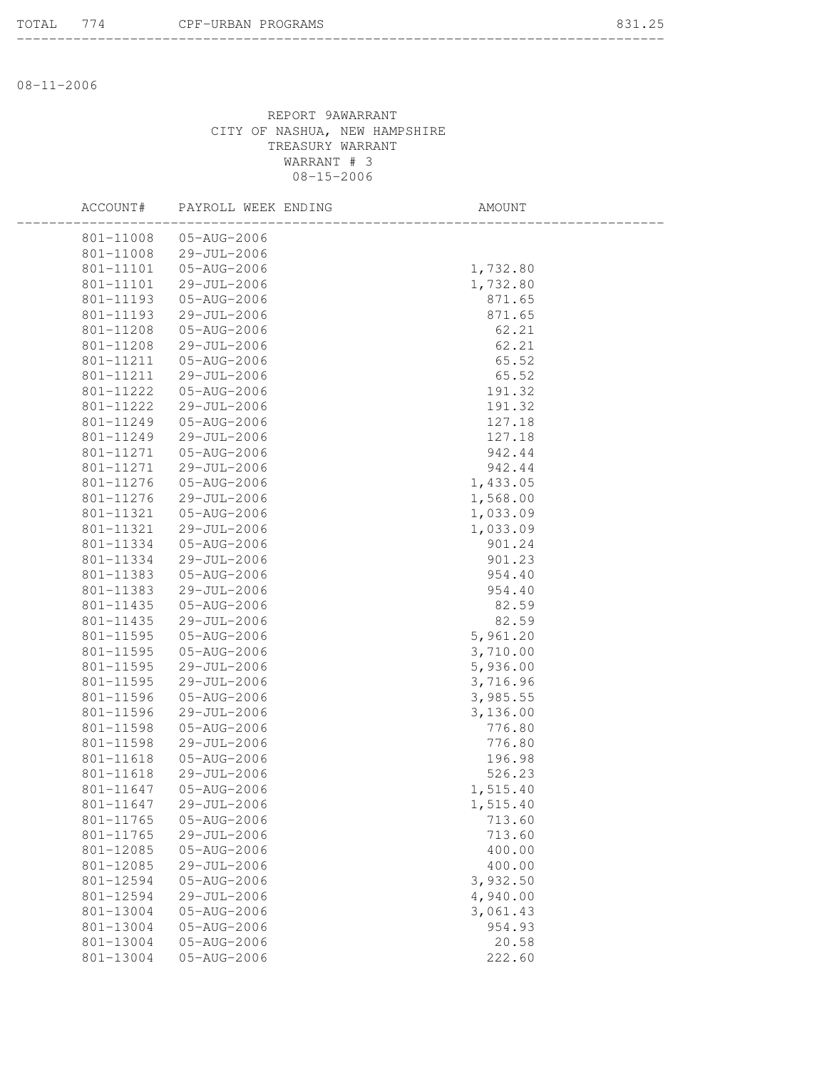08-11-2006

| ACCOUNT#  | PAYROLL WEEK ENDING | AMOUNT   |  |
|-----------|---------------------|----------|--|
| 801-11008 | 05-AUG-2006         |          |  |
| 801-11008 | 29-JUL-2006         |          |  |
| 801-11101 | 05-AUG-2006         | 1,732.80 |  |
| 801-11101 | $29 - JUL - 2006$   | 1,732.80 |  |
| 801-11193 | 05-AUG-2006         | 871.65   |  |
| 801-11193 | 29-JUL-2006         | 871.65   |  |
| 801-11208 | 05-AUG-2006         | 62.21    |  |
| 801-11208 | $29 - JUL - 2006$   | 62.21    |  |
| 801-11211 | 05-AUG-2006         | 65.52    |  |
| 801-11211 | 29-JUL-2006         | 65.52    |  |
| 801-11222 | 05-AUG-2006         | 191.32   |  |
| 801-11222 | 29-JUL-2006         | 191.32   |  |
| 801-11249 | 05-AUG-2006         | 127.18   |  |
| 801-11249 | 29-JUL-2006         | 127.18   |  |
| 801-11271 | 05-AUG-2006         | 942.44   |  |
| 801-11271 | 29-JUL-2006         | 942.44   |  |
| 801-11276 | 05-AUG-2006         | 1,433.05 |  |
| 801-11276 | 29-JUL-2006         | 1,568.00 |  |
| 801-11321 | 05-AUG-2006         | 1,033.09 |  |
| 801-11321 | 29-JUL-2006         | 1,033.09 |  |
| 801-11334 | 05-AUG-2006         | 901.24   |  |
| 801-11334 | $29 - JUL - 2006$   | 901.23   |  |
| 801-11383 | 05-AUG-2006         | 954.40   |  |
| 801-11383 | 29-JUL-2006         | 954.40   |  |
| 801-11435 | 05-AUG-2006         | 82.59    |  |
| 801-11435 | 29-JUL-2006         | 82.59    |  |
| 801-11595 | 05-AUG-2006         | 5,961.20 |  |
| 801-11595 | 05-AUG-2006         | 3,710.00 |  |
| 801-11595 | 29-JUL-2006         | 5,936.00 |  |
| 801-11595 | 29-JUL-2006         | 3,716.96 |  |
| 801-11596 | 05-AUG-2006         | 3,985.55 |  |
| 801-11596 | 29-JUL-2006         | 3,136.00 |  |
| 801-11598 | 05-AUG-2006         | 776.80   |  |
| 801-11598 | 29-JUL-2006         | 776.80   |  |
| 801-11618 | 05-AUG-2006         | 196.98   |  |
| 801-11618 | 29-JUL-2006         | 526.23   |  |
| 801-11647 | 05-AUG-2006         | 1,515.40 |  |
| 801-11647 | $29 - JUL - 2006$   | 1,515.40 |  |
| 801-11765 | 05-AUG-2006         | 713.60   |  |
| 801-11765 | 29-JUL-2006         | 713.60   |  |
| 801-12085 | 05-AUG-2006         | 400.00   |  |
| 801-12085 | 29-JUL-2006         | 400.00   |  |
| 801-12594 | 05-AUG-2006         | 3,932.50 |  |
| 801-12594 | 29-JUL-2006         | 4,940.00 |  |
| 801-13004 | 05-AUG-2006         | 3,061.43 |  |
| 801-13004 | 05-AUG-2006         | 954.93   |  |
| 801-13004 | 05-AUG-2006         | 20.58    |  |
| 801-13004 | 05-AUG-2006         | 222.60   |  |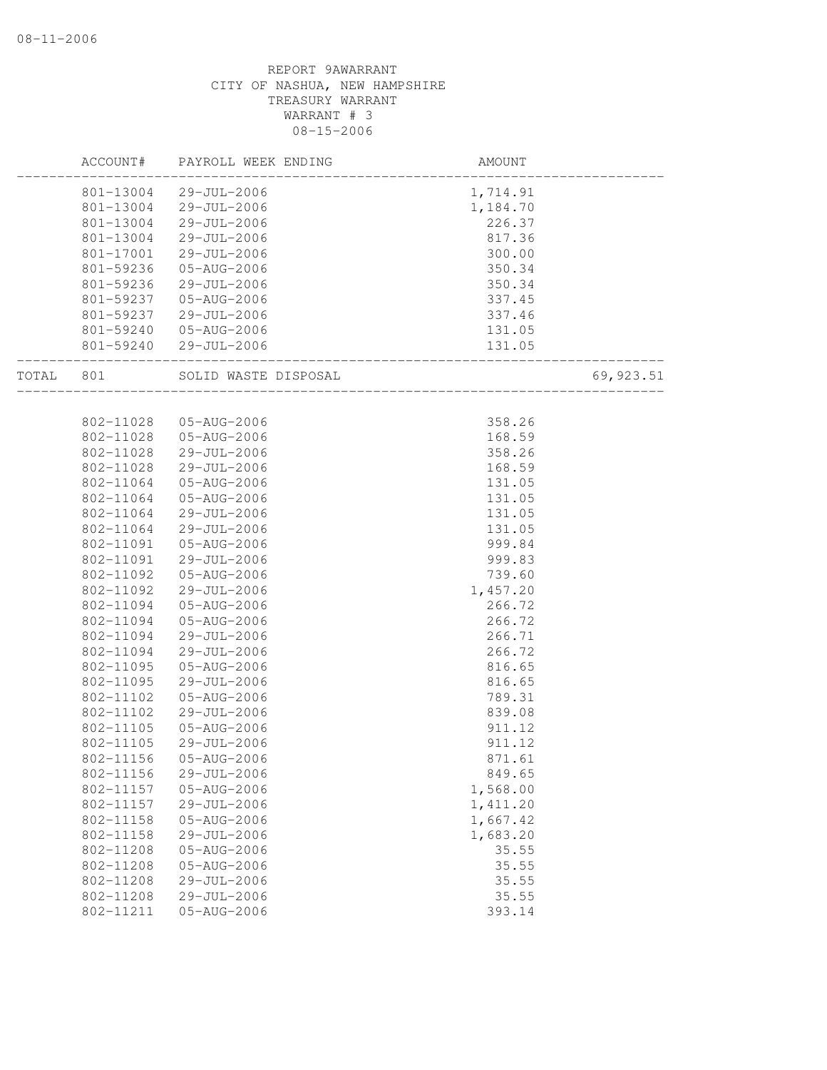|       | ACCOUNT#  | PAYROLL WEEK ENDING   | AMOUNT   |            |
|-------|-----------|-----------------------|----------|------------|
|       | 801-13004 | 29-JUL-2006           | 1,714.91 |            |
|       | 801-13004 | 29-JUL-2006           | 1,184.70 |            |
|       | 801-13004 | 29-JUL-2006           | 226.37   |            |
|       | 801-13004 | 29-JUL-2006           | 817.36   |            |
|       | 801-17001 | 29-JUL-2006           | 300.00   |            |
|       | 801-59236 | 05-AUG-2006           | 350.34   |            |
|       | 801-59236 | 29-JUL-2006           | 350.34   |            |
|       | 801-59237 | 05-AUG-2006           | 337.45   |            |
|       | 801-59237 | 29-JUL-2006           | 337.46   |            |
|       | 801-59240 | 05-AUG-2006           | 131.05   |            |
|       |           | 801-59240 29-JUL-2006 | 131.05   |            |
| TOTAL | 801       | SOLID WASTE DISPOSAL  |          | 69, 923.51 |
|       |           |                       |          |            |
|       | 802-11028 | 05-AUG-2006           | 358.26   |            |
|       | 802-11028 | 05-AUG-2006           | 168.59   |            |
|       | 802-11028 | 29-JUL-2006           | 358.26   |            |
|       | 802-11028 | 29-JUL-2006           | 168.59   |            |
|       | 802-11064 | 05-AUG-2006           | 131.05   |            |
|       | 802-11064 | 05-AUG-2006           | 131.05   |            |
|       | 802-11064 | 29-JUL-2006           | 131.05   |            |
|       | 802-11064 | 29-JUL-2006           | 131.05   |            |
|       | 802-11091 | 05-AUG-2006           | 999.84   |            |
|       | 802-11091 | 29-JUL-2006           | 999.83   |            |
|       | 802-11092 | 05-AUG-2006           | 739.60   |            |
|       | 802-11092 | 29-JUL-2006           | 1,457.20 |            |
|       | 802-11094 | 05-AUG-2006           | 266.72   |            |
|       | 802-11094 | 05-AUG-2006           | 266.72   |            |
|       | 802-11094 | 29-JUL-2006           | 266.71   |            |
|       | 802-11094 | 29-JUL-2006           | 266.72   |            |
|       | 802-11095 | 05-AUG-2006           | 816.65   |            |
|       | 802-11095 | 29-JUL-2006           | 816.65   |            |
|       | 802-11102 | 05-AUG-2006           | 789.31   |            |
|       | 802-11102 | 29-JUL-2006           | 839.08   |            |
|       | 802-11105 | 05-AUG-2006           | 911.12   |            |
|       | 802-11105 | 29-JUL-2006           | 911.12   |            |
|       | 802-11156 | 05-AUG-2006           | 871.61   |            |
|       | 802-11156 | $29 - JUL - 2006$     | 849.65   |            |
|       | 802-11157 | 05-AUG-2006           | 1,568.00 |            |
|       | 802-11157 | 29-JUL-2006           | 1,411.20 |            |
|       | 802-11158 | 05-AUG-2006           | 1,667.42 |            |
|       | 802-11158 | 29-JUL-2006           | 1,683.20 |            |
|       | 802-11208 | 05-AUG-2006           | 35.55    |            |
|       | 802-11208 | 05-AUG-2006           | 35.55    |            |
|       | 802-11208 | 29-JUL-2006           | 35.55    |            |
|       | 802-11208 | 29-JUL-2006           | 35.55    |            |
|       | 802-11211 | 05-AUG-2006           | 393.14   |            |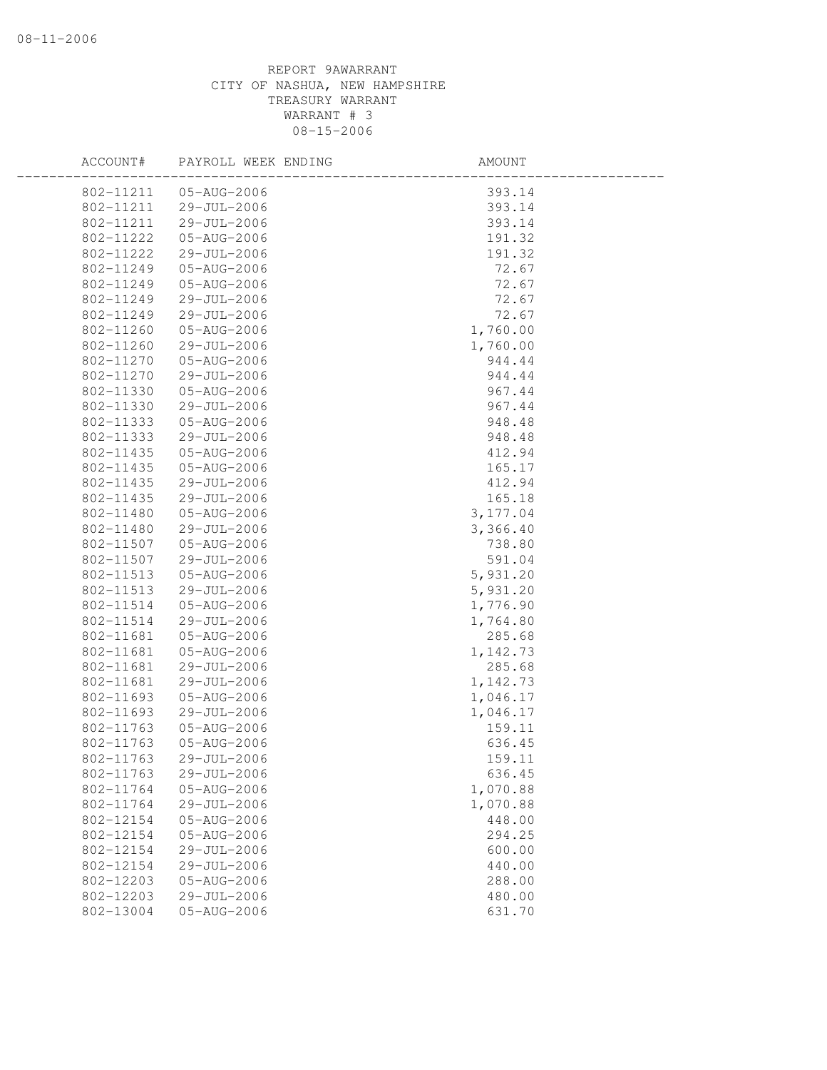| ACCOUNT#  | PAYROLL WEEK ENDING | AMOUNT   |  |
|-----------|---------------------|----------|--|
| 802-11211 | 05-AUG-2006         | 393.14   |  |
| 802-11211 | 29-JUL-2006         | 393.14   |  |
| 802-11211 | 29-JUL-2006         | 393.14   |  |
| 802-11222 | 05-AUG-2006         | 191.32   |  |
| 802-11222 | 29-JUL-2006         | 191.32   |  |
| 802-11249 | 05-AUG-2006         | 72.67    |  |
| 802-11249 | 05-AUG-2006         | 72.67    |  |
| 802-11249 | 29-JUL-2006         | 72.67    |  |
| 802-11249 | 29-JUL-2006         | 72.67    |  |
| 802-11260 | 05-AUG-2006         | 1,760.00 |  |
| 802-11260 | 29-JUL-2006         | 1,760.00 |  |
| 802-11270 | 05-AUG-2006         | 944.44   |  |
| 802-11270 | 29-JUL-2006         | 944.44   |  |
| 802-11330 | 05-AUG-2006         | 967.44   |  |
| 802-11330 | 29-JUL-2006         | 967.44   |  |
| 802-11333 | 05-AUG-2006         | 948.48   |  |
| 802-11333 | 29-JUL-2006         | 948.48   |  |
| 802-11435 | 05-AUG-2006         | 412.94   |  |
| 802-11435 | 05-AUG-2006         | 165.17   |  |
| 802-11435 | 29-JUL-2006         | 412.94   |  |
| 802-11435 | 29-JUL-2006         | 165.18   |  |
| 802-11480 | 05-AUG-2006         | 3,177.04 |  |
| 802-11480 | 29-JUL-2006         | 3,366.40 |  |
| 802-11507 | 05-AUG-2006         | 738.80   |  |
| 802-11507 | 29-JUL-2006         | 591.04   |  |
| 802-11513 | 05-AUG-2006         | 5,931.20 |  |
| 802-11513 | 29-JUL-2006         | 5,931.20 |  |
| 802-11514 | 05-AUG-2006         | 1,776.90 |  |
| 802-11514 | 29-JUL-2006         | 1,764.80 |  |
| 802-11681 | 05-AUG-2006         | 285.68   |  |
| 802-11681 | 05-AUG-2006         | 1,142.73 |  |
| 802-11681 | 29-JUL-2006         | 285.68   |  |
| 802-11681 | 29-JUL-2006         | 1,142.73 |  |
| 802-11693 | 05-AUG-2006         | 1,046.17 |  |
| 802-11693 | 29-JUL-2006         | 1,046.17 |  |
| 802-11763 | 05-AUG-2006         | 159.11   |  |
| 802-11763 | 05-AUG-2006         | 636.45   |  |
| 802-11763 | 29-JUL-2006         | 159.11   |  |
| 802-11763 | 29-JUL-2006         | 636.45   |  |
| 802-11764 | 05-AUG-2006         | 1,070.88 |  |
| 802-11764 | 29-JUL-2006         | 1,070.88 |  |
| 802-12154 | 05-AUG-2006         | 448.00   |  |
| 802-12154 | 05-AUG-2006         | 294.25   |  |
| 802-12154 | 29-JUL-2006         | 600.00   |  |
| 802-12154 | 29-JUL-2006         | 440.00   |  |
| 802-12203 | 05-AUG-2006         | 288.00   |  |
| 802-12203 | 29-JUL-2006         | 480.00   |  |
| 802-13004 | 05-AUG-2006         | 631.70   |  |